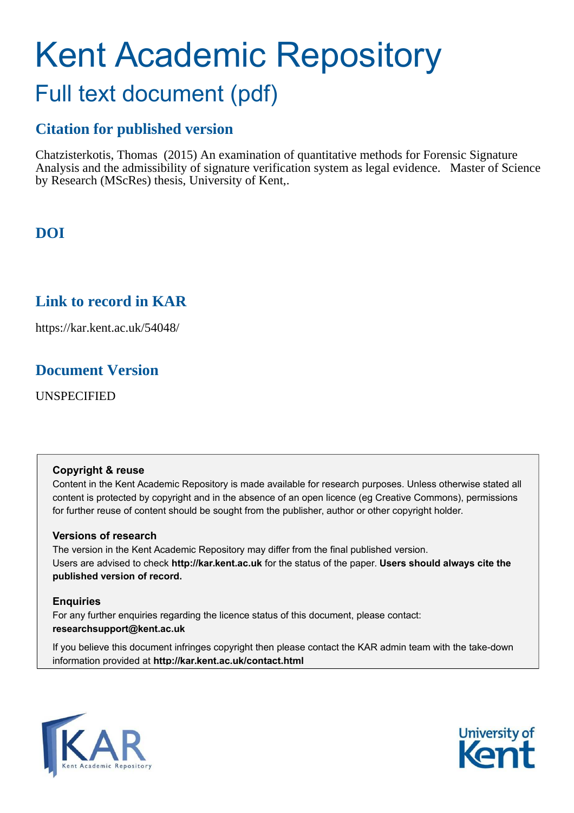# Kent Academic Repository Full text document (pdf)

# **Citation for published version**

Chatzisterkotis, Thomas (2015) An examination of quantitative methods for Forensic Signature Analysis and the admissibility of signature verification system as legal evidence. Master of Science by Research (MScRes) thesis, University of Kent,.

**DOI**

# **Link to record in KAR**

https://kar.kent.ac.uk/54048/

# **Document Version**

UNSPECIFIED

# **Copyright & reuse**

Content in the Kent Academic Repository is made available for research purposes. Unless otherwise stated all content is protected by copyright and in the absence of an open licence (eg Creative Commons), permissions for further reuse of content should be sought from the publisher, author or other copyright holder.

# **Versions of research**

The version in the Kent Academic Repository may differ from the final published version. Users are advised to check **http://kar.kent.ac.uk** for the status of the paper. **Users should always cite the published version of record.**

# **Enquiries**

For any further enquiries regarding the licence status of this document, please contact: **researchsupport@kent.ac.uk**

If you believe this document infringes copyright then please contact the KAR admin team with the take-down information provided at **http://kar.kent.ac.uk/contact.html**



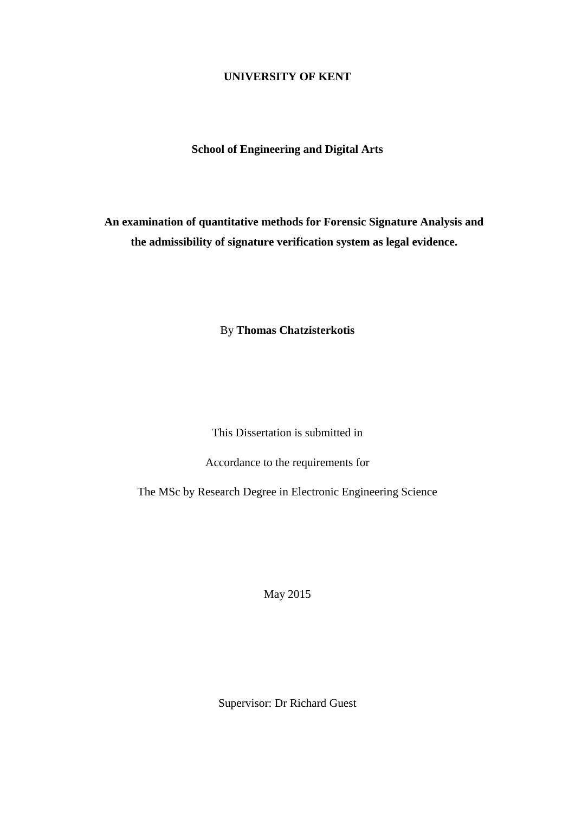# **UNIVERSITY OF KENT**

# **School of Engineering and Digital Arts**

**An examination of quantitative methods for Forensic Signature Analysis and the admissibility of signature verification system as legal evidence.** 

By **Thomas Chatzisterkotis** 

This Dissertation is submitted in

Accordance to the requirements for

The MSc by Research Degree in Electronic Engineering Science

May 2015

Supervisor: Dr Richard Guest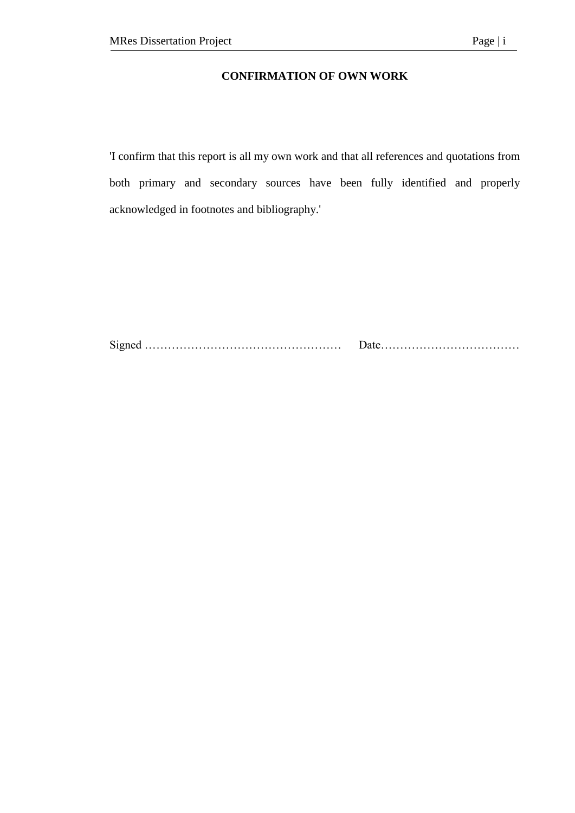# **CONFIRMATION OF OWN WORK**

'I confirm that this report is all my own work and that all references and quotations from both primary and secondary sources have been fully identified and properly acknowledged in footnotes and bibliography.'

Signed …………………………………………… Date………………………………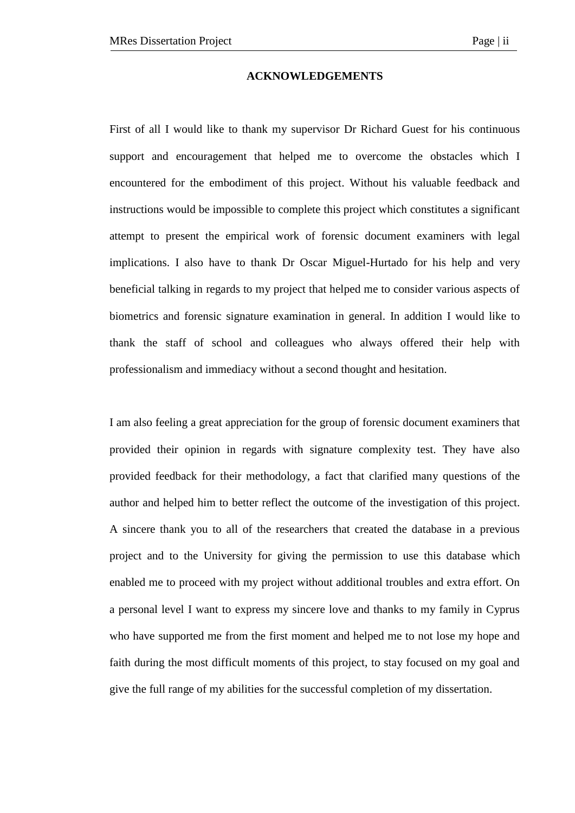#### **ACKNOWLEDGEMENTS**

First of all I would like to thank my supervisor Dr Richard Guest for his continuous support and encouragement that helped me to overcome the obstacles which I encountered for the embodiment of this project. Without his valuable feedback and instructions would be impossible to complete this project which constitutes a significant attempt to present the empirical work of forensic document examiners with legal implications. I also have to thank Dr Oscar Miguel-Hurtado for his help and very beneficial talking in regards to my project that helped me to consider various aspects of biometrics and forensic signature examination in general. In addition I would like to thank the staff of school and colleagues who always offered their help with professionalism and immediacy without a second thought and hesitation.

I am also feeling a great appreciation for the group of forensic document examiners that provided their opinion in regards with signature complexity test. They have also provided feedback for their methodology, a fact that clarified many questions of the author and helped him to better reflect the outcome of the investigation of this project. A sincere thank you to all of the researchers that created the database in a previous project and to the University for giving the permission to use this database which enabled me to proceed with my project without additional troubles and extra effort. On a personal level I want to express my sincere love and thanks to my family in Cyprus who have supported me from the first moment and helped me to not lose my hope and faith during the most difficult moments of this project, to stay focused on my goal and give the full range of my abilities for the successful completion of my dissertation.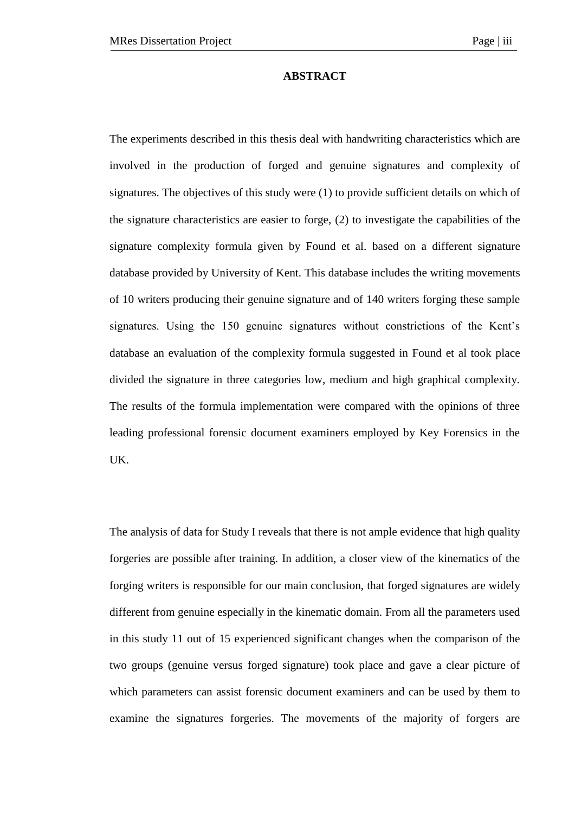#### **ABSTRACT**

The experiments described in this thesis deal with handwriting characteristics which are involved in the production of forged and genuine signatures and complexity of signatures. The objectives of this study were  $(1)$  to provide sufficient details on which of the signature characteristics are easier to forge, (2) to investigate the capabilities of the signature complexity formula given by Found et al. based on a different signature database provided by University of Kent. This database includes the writing movements of 10 writers producing their genuine signature and of 140 writers forging these sample signatures. Using the 150 genuine signatures without constrictions of the Kent's database an evaluation of the complexity formula suggested in Found et al took place divided the signature in three categories low, medium and high graphical complexity. The results of the formula implementation were compared with the opinions of three leading professional forensic document examiners employed by Key Forensics in the UK.

The analysis of data for Study I reveals that there is not ample evidence that high quality forgeries are possible after training. In addition, a closer view of the kinematics of the forging writers is responsible for our main conclusion, that forged signatures are widely different from genuine especially in the kinematic domain. From all the parameters used in this study 11 out of 15 experienced significant changes when the comparison of the two groups (genuine versus forged signature) took place and gave a clear picture of which parameters can assist forensic document examiners and can be used by them to examine the signatures forgeries. The movements of the majority of forgers are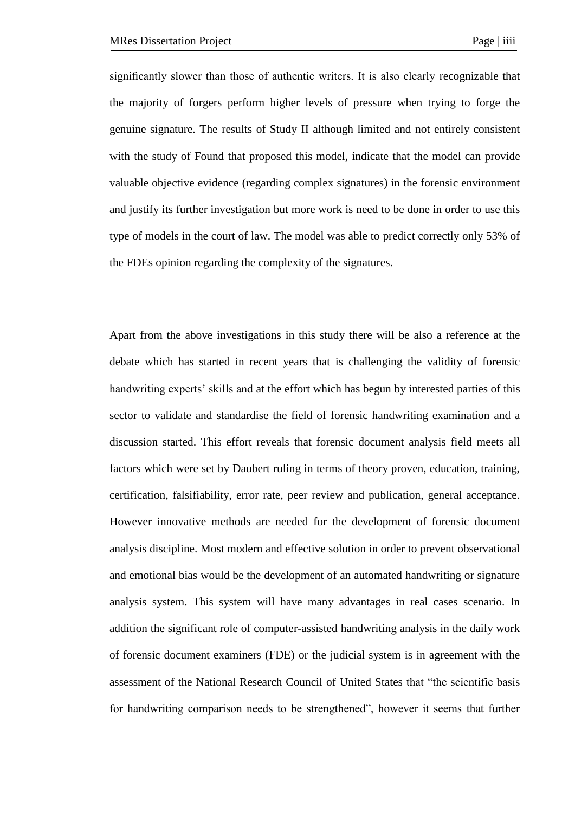significantly slower than those of authentic writers. It is also clearly recognizable that the majority of forgers perform higher levels of pressure when trying to forge the genuine signature. The results of Study II although limited and not entirely consistent with the study of Found that proposed this model, indicate that the model can provide valuable objective evidence (regarding complex signatures) in the forensic environment and justify its further investigation but more work is need to be done in order to use this type of models in the court of law. The model was able to predict correctly only 53% of the FDEs opinion regarding the complexity of the signatures.

Apart from the above investigations in this study there will be also a reference at the debate which has started in recent years that is challenging the validity of forensic handwriting experts' skills and at the effort which has begun by interested parties of this sector to validate and standardise the field of forensic handwriting examination and a discussion started. This effort reveals that forensic document analysis field meets all factors which were set by Daubert ruling in terms of theory proven, education, training, certification, falsifiability, error rate, peer review and publication, general acceptance. However innovative methods are needed for the development of forensic document analysis discipline. Most modern and effective solution in order to prevent observational and emotional bias would be the development of an automated handwriting or signature analysis system. This system will have many advantages in real cases scenario. In addition the significant role of computer-assisted handwriting analysis in the daily work of forensic document examiners (FDE) or the judicial system is in agreement with the assessment of the National Research Council of United States that "the scientific basis for handwriting comparison needs to be strengthened", however it seems that further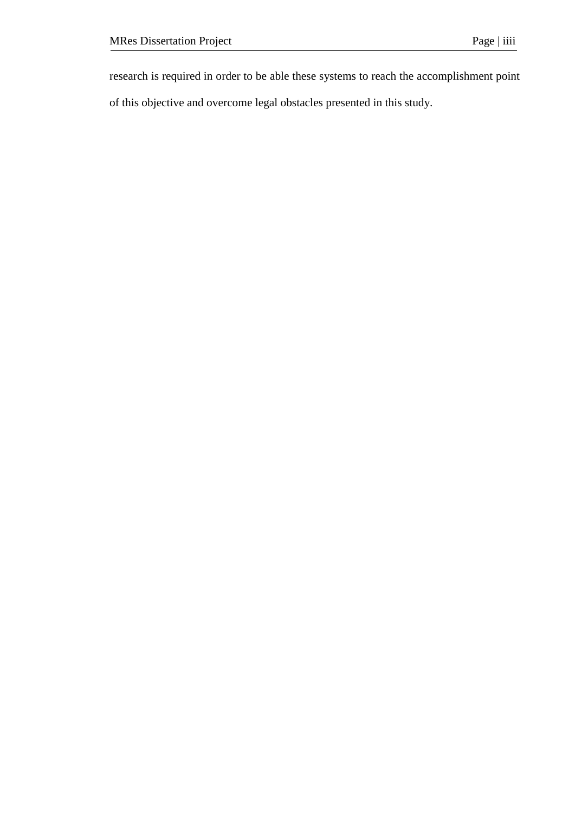research is required in order to be able these systems to reach the accomplishment point

of this objective and overcome legal obstacles presented in this study.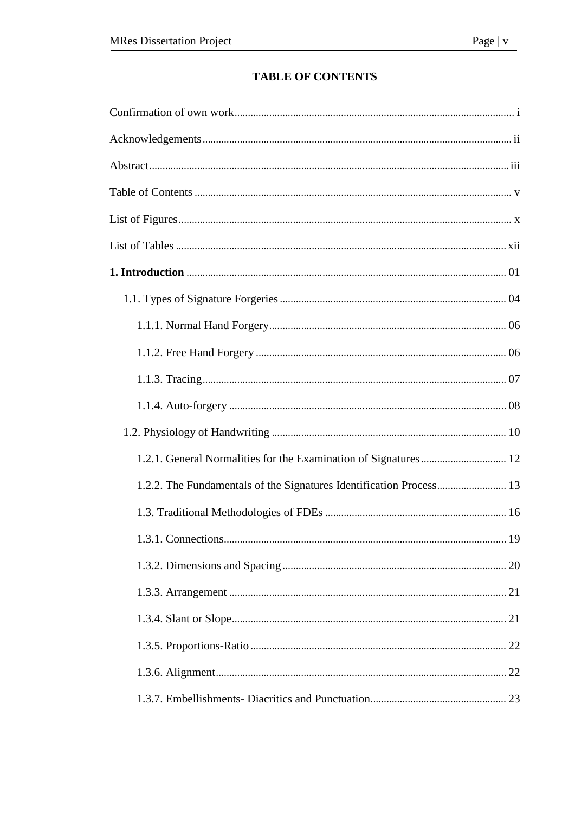# **TABLE OF CONTENTS**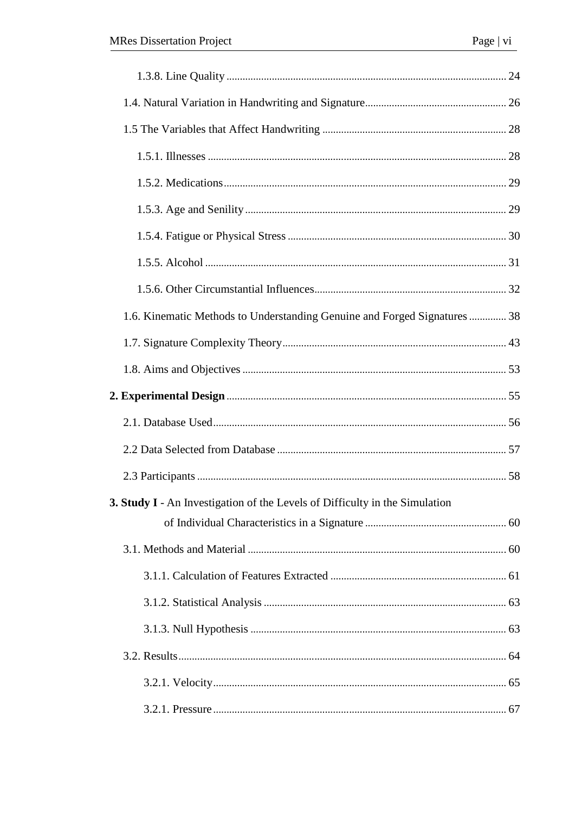| 1.6. Kinematic Methods to Understanding Genuine and Forged Signatures  38          |  |
|------------------------------------------------------------------------------------|--|
|                                                                                    |  |
|                                                                                    |  |
|                                                                                    |  |
|                                                                                    |  |
|                                                                                    |  |
|                                                                                    |  |
| <b>3. Study I</b> - An Investigation of the Levels of Difficulty in the Simulation |  |
|                                                                                    |  |
|                                                                                    |  |
|                                                                                    |  |
|                                                                                    |  |
|                                                                                    |  |
|                                                                                    |  |
|                                                                                    |  |
|                                                                                    |  |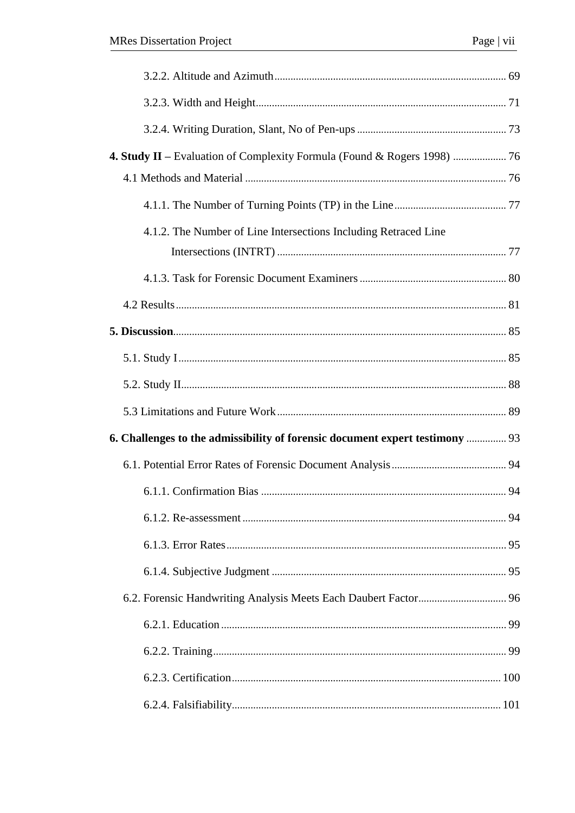| 4.1.2. The Number of Line Intersections Including Retraced Line              |    |
|------------------------------------------------------------------------------|----|
|                                                                              |    |
|                                                                              |    |
|                                                                              |    |
|                                                                              |    |
|                                                                              |    |
|                                                                              |    |
| 6. Challenges to the admissibility of forensic document expert testimony  93 |    |
|                                                                              |    |
|                                                                              |    |
|                                                                              |    |
|                                                                              |    |
|                                                                              |    |
|                                                                              |    |
|                                                                              | 99 |
|                                                                              |    |
|                                                                              |    |
|                                                                              |    |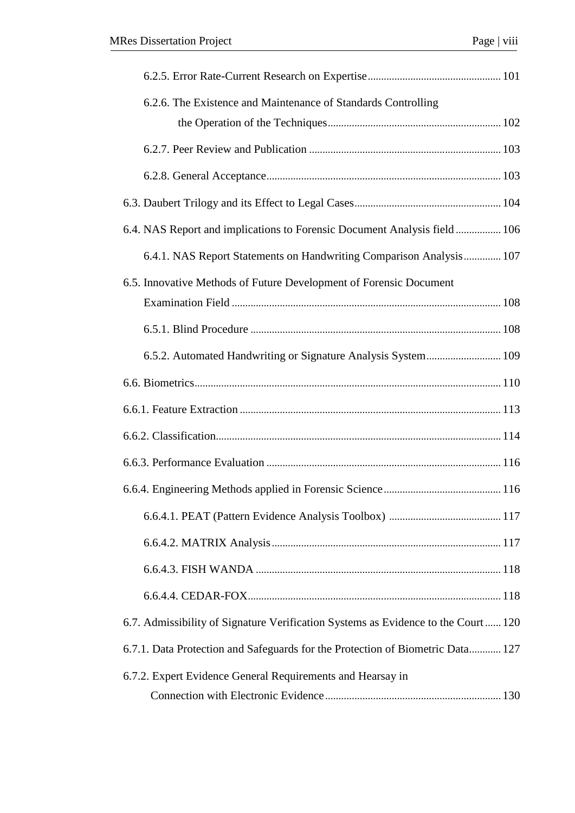| 6.2.6. The Existence and Maintenance of Standards Controlling                     |  |
|-----------------------------------------------------------------------------------|--|
|                                                                                   |  |
|                                                                                   |  |
|                                                                                   |  |
|                                                                                   |  |
| 6.4. NAS Report and implications to Forensic Document Analysis field 106          |  |
| 6.4.1. NAS Report Statements on Handwriting Comparison Analysis 107               |  |
| 6.5. Innovative Methods of Future Development of Forensic Document                |  |
|                                                                                   |  |
|                                                                                   |  |
| 6.5.2. Automated Handwriting or Signature Analysis System 109                     |  |
|                                                                                   |  |
|                                                                                   |  |
|                                                                                   |  |
|                                                                                   |  |
|                                                                                   |  |
|                                                                                   |  |
|                                                                                   |  |
|                                                                                   |  |
|                                                                                   |  |
| 6.7. Admissibility of Signature Verification Systems as Evidence to the Court 120 |  |
| 6.7.1. Data Protection and Safeguards for the Protection of Biometric Data 127    |  |
| 6.7.2. Expert Evidence General Requirements and Hearsay in                        |  |
|                                                                                   |  |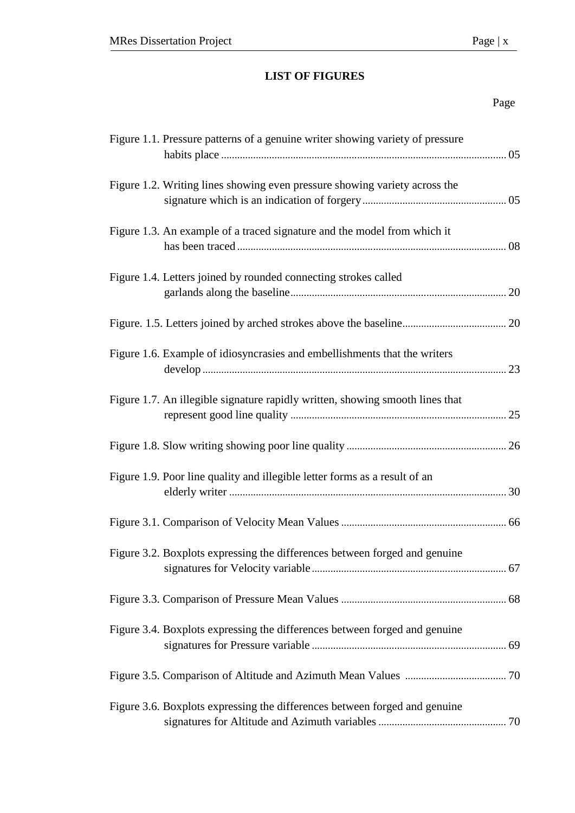# **LIST OF FIGURES**

# Page

| Figure 1.1. Pressure patterns of a genuine writer showing variety of pressure |  |
|-------------------------------------------------------------------------------|--|
| Figure 1.2. Writing lines showing even pressure showing variety across the    |  |
| Figure 1.3. An example of a traced signature and the model from which it      |  |
| Figure 1.4. Letters joined by rounded connecting strokes called               |  |
|                                                                               |  |
| Figure 1.6. Example of idiosyncrasies and embellishments that the writers     |  |
| Figure 1.7. An illegible signature rapidly written, showing smooth lines that |  |
|                                                                               |  |
| Figure 1.9. Poor line quality and illegible letter forms as a result of an    |  |
|                                                                               |  |
| Figure 3.2. Boxplots expressing the differences between forged and genuine    |  |
|                                                                               |  |
| Figure 3.4. Boxplots expressing the differences between forged and genuine    |  |
|                                                                               |  |
| Figure 3.6. Boxplots expressing the differences between forged and genuine    |  |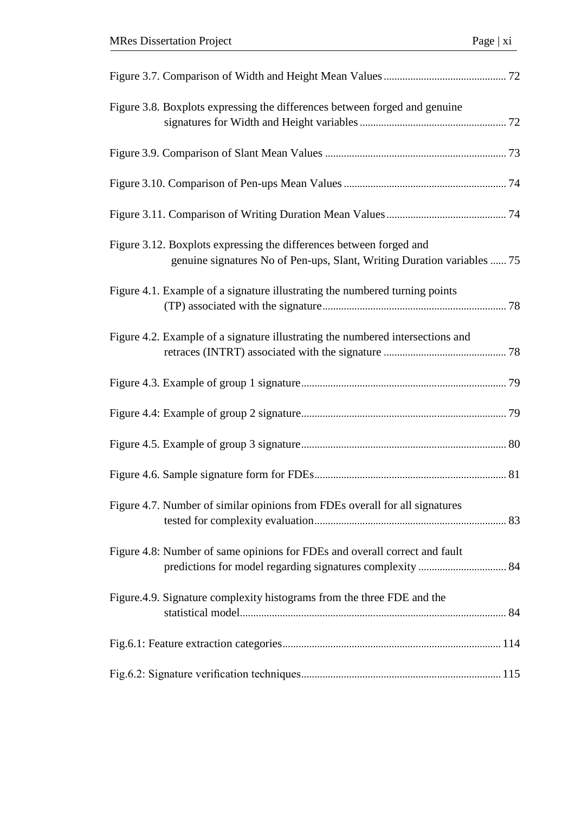| Figure 3.8. Boxplots expressing the differences between forged and genuine                                                                     |
|------------------------------------------------------------------------------------------------------------------------------------------------|
|                                                                                                                                                |
|                                                                                                                                                |
|                                                                                                                                                |
| Figure 3.12. Boxplots expressing the differences between forged and<br>genuine signatures No of Pen-ups, Slant, Writing Duration variables  75 |
| Figure 4.1. Example of a signature illustrating the numbered turning points                                                                    |
| Figure 4.2. Example of a signature illustrating the numbered intersections and                                                                 |
|                                                                                                                                                |
|                                                                                                                                                |
|                                                                                                                                                |
|                                                                                                                                                |
| Figure 4.7. Number of similar opinions from FDEs overall for all signatures                                                                    |
| Figure 4.8: Number of same opinions for FDEs and overall correct and fault                                                                     |
| Figure.4.9. Signature complexity histograms from the three FDE and the                                                                         |
|                                                                                                                                                |
|                                                                                                                                                |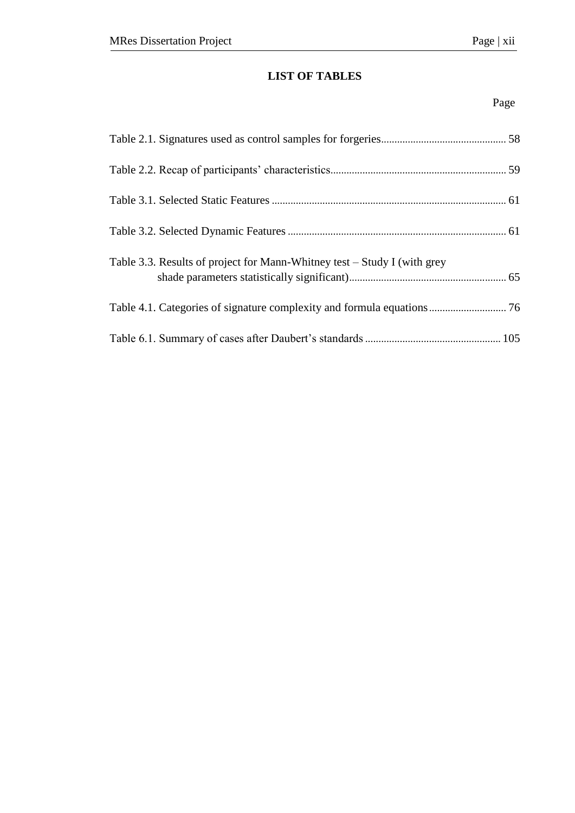# **LIST OF TABLES**

# Page

| Table 3.3. Results of project for Mann-Whitney test – Study I (with grey |  |
|--------------------------------------------------------------------------|--|
|                                                                          |  |
|                                                                          |  |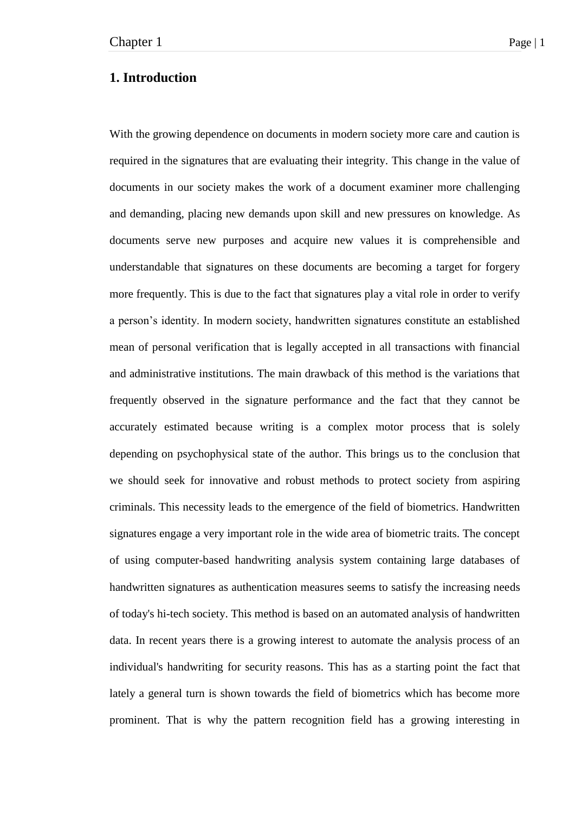# **1. Introduction**

With the growing dependence on documents in modern society more care and caution is required in the signatures that are evaluating their integrity. This change in the value of documents in our society makes the work of a document examiner more challenging and demanding, placing new demands upon skill and new pressures on knowledge. As documents serve new purposes and acquire new values it is comprehensible and understandable that signatures on these documents are becoming a target for forgery more frequently. This is due to the fact that signatures play a vital role in order to verify a person's identity. In modern society, handwritten signatures constitute an established mean of personal verification that is legally accepted in all transactions with financial and administrative institutions. The main drawback of this method is the variations that frequently observed in the signature performance and the fact that they cannot be accurately estimated because writing is a complex motor process that is solely depending on psychophysical state of the author. This brings us to the conclusion that we should seek for innovative and robust methods to protect society from aspiring criminals. This necessity leads to the emergence of the field of biometrics. Handwritten signatures engage a very important role in the wide area of biometric traits. The concept of using computer-based handwriting analysis system containing large databases of handwritten signatures as authentication measures seems to satisfy the increasing needs of today's hi-tech society. This method is based on an automated analysis of handwritten data. In recent years there is a growing interest to automate the analysis process of an individual's handwriting for security reasons. This has as a starting point the fact that lately a general turn is shown towards the field of biometrics which has become more prominent. That is why the pattern recognition field has a growing interesting in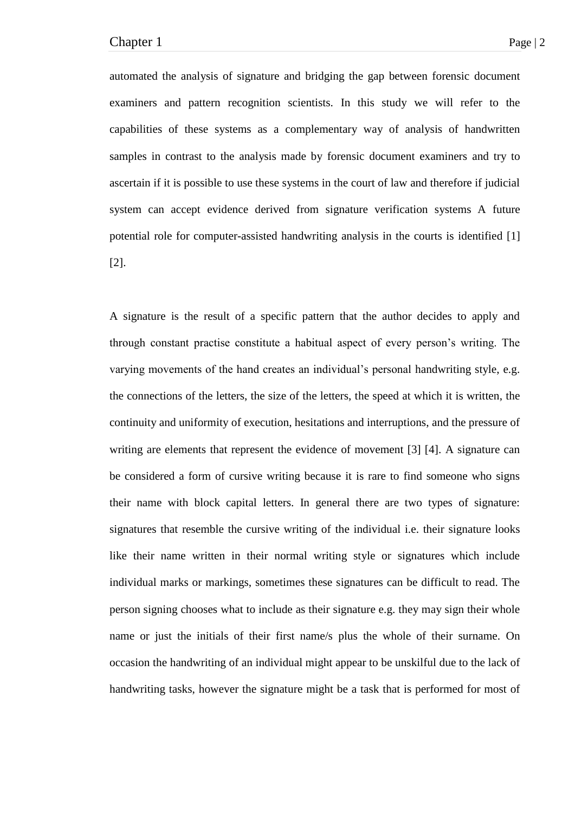automated the analysis of signature and bridging the gap between forensic document examiners and pattern recognition scientists. In this study we will refer to the capabilities of these systems as a complementary way of analysis of handwritten samples in contrast to the analysis made by forensic document examiners and try to ascertain if it is possible to use these systems in the court of law and therefore if judicial system can accept evidence derived from signature verification systems A future potential role for computer-assisted handwriting analysis in the courts is identified [1] [2].

A signature is the result of a specific pattern that the author decides to apply and through constant practise constitute a habitual aspect of every person's writing. The varying movements of the hand creates an individual's personal handwriting style, e.g. the connections of the letters, the size of the letters, the speed at which it is written, the continuity and uniformity of execution, hesitations and interruptions, and the pressure of writing are elements that represent the evidence of movement [3] [4]. A signature can be considered a form of cursive writing because it is rare to find someone who signs their name with block capital letters. In general there are two types of signature: signatures that resemble the cursive writing of the individual i.e. their signature looks like their name written in their normal writing style or signatures which include individual marks or markings, sometimes these signatures can be difficult to read. The person signing chooses what to include as their signature e.g. they may sign their whole name or just the initials of their first name/s plus the whole of their surname. On occasion the handwriting of an individual might appear to be unskilful due to the lack of handwriting tasks, however the signature might be a task that is performed for most of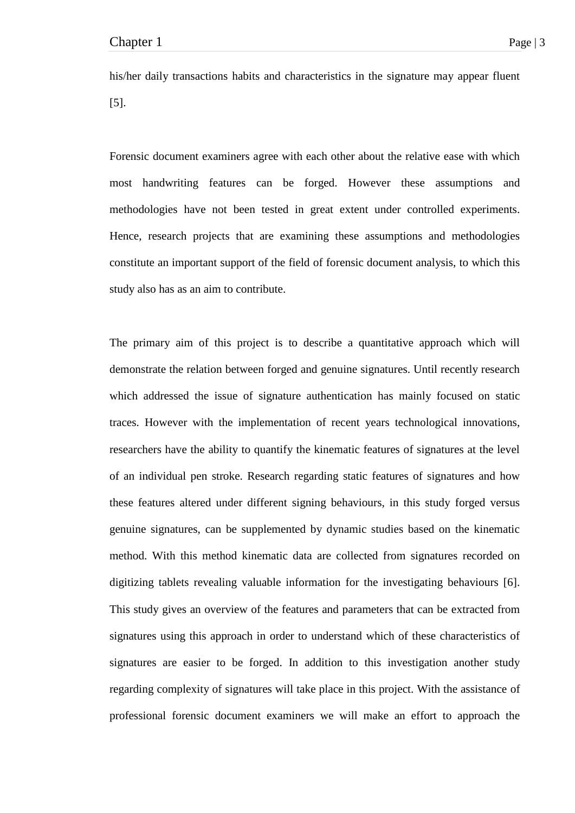his/her daily transactions habits and characteristics in the signature may appear fluent [5].

Forensic document examiners agree with each other about the relative ease with which most handwriting features can be forged. However these assumptions and methodologies have not been tested in great extent under controlled experiments. Hence, research projects that are examining these assumptions and methodologies constitute an important support of the field of forensic document analysis, to which this study also has as an aim to contribute.

The primary aim of this project is to describe a quantitative approach which will demonstrate the relation between forged and genuine signatures. Until recently research which addressed the issue of signature authentication has mainly focused on static traces. However with the implementation of recent years technological innovations, researchers have the ability to quantify the kinematic features of signatures at the level of an individual pen stroke. Research regarding static features of signatures and how these features altered under different signing behaviours, in this study forged versus genuine signatures, can be supplemented by dynamic studies based on the kinematic method. With this method kinematic data are collected from signatures recorded on digitizing tablets revealing valuable information for the investigating behaviours [6]. This study gives an overview of the features and parameters that can be extracted from signatures using this approach in order to understand which of these characteristics of signatures are easier to be forged. In addition to this investigation another study regarding complexity of signatures will take place in this project. With the assistance of professional forensic document examiners we will make an effort to approach the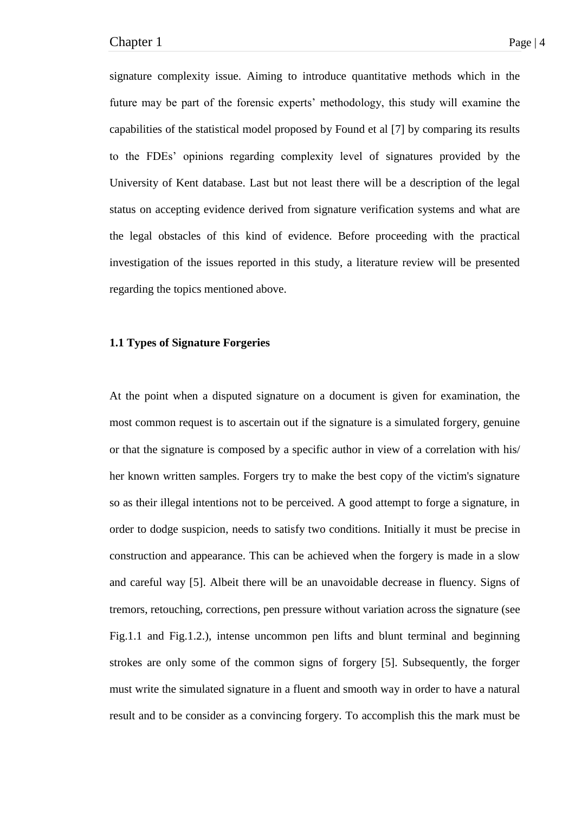signature complexity issue. Aiming to introduce quantitative methods which in the future may be part of the forensic experts' methodology, this study will examine the capabilities of the statistical model proposed by Found et al [7] by comparing its results to the FDEs' opinions regarding complexity level of signatures provided by the University of Kent database. Last but not least there will be a description of the legal status on accepting evidence derived from signature verification systems and what are the legal obstacles of this kind of evidence. Before proceeding with the practical investigation of the issues reported in this study, a literature review will be presented regarding the topics mentioned above.

# **1.1 Types of Signature Forgeries**

At the point when a disputed signature on a document is given for examination, the most common request is to ascertain out if the signature is a simulated forgery, genuine or that the signature is composed by a specific author in view of a correlation with his/ her known written samples. Forgers try to make the best copy of the victim's signature so as their illegal intentions not to be perceived. A good attempt to forge a signature, in order to dodge suspicion, needs to satisfy two conditions. Initially it must be precise in construction and appearance. This can be achieved when the forgery is made in a slow and careful way [5]. Albeit there will be an unavoidable decrease in fluency. Signs of tremors, retouching, corrections, pen pressure without variation across the signature (see Fig.1.1 and Fig.1.2.), intense uncommon pen lifts and blunt terminal and beginning strokes are only some of the common signs of forgery [5]. Subsequently, the forger must write the simulated signature in a fluent and smooth way in order to have a natural result and to be consider as a convincing forgery. To accomplish this the mark must be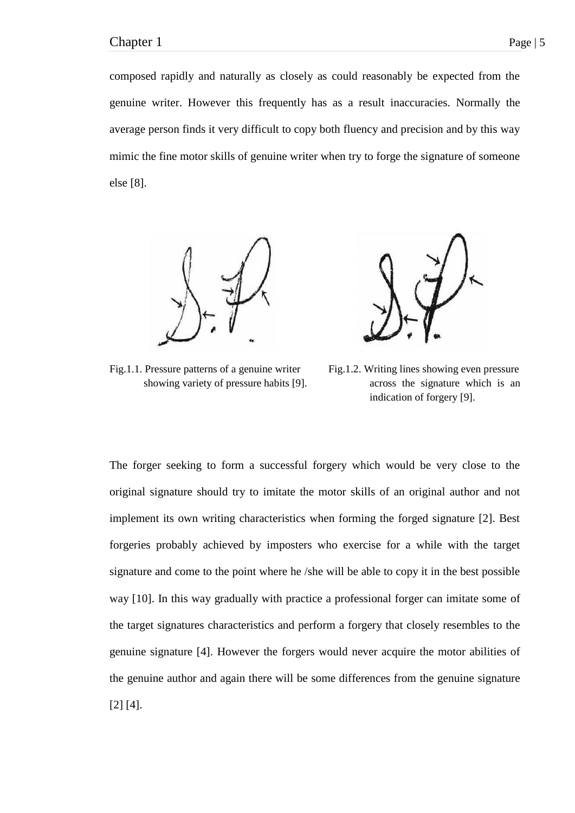composed rapidly and naturally as closely as could reasonably be expected from the genuine writer. However this frequently has as a result inaccuracies. Normally the average person finds it very difficult to copy both fluency and precision and by this way mimic the fine motor skills of genuine writer when try to forge the signature of someone else [8].



Fig.1.1. Pressure patterns of a genuine writer Fig.1.2. Writing lines showing even pressure



showing variety of pressure habits [9]. across the signature which is an indication of forgery [9].

The forger seeking to form a successful forgery which would be very close to the original signature should try to imitate the motor skills of an original author and not implement its own writing characteristics when forming the forged signature [2]. Best forgeries probably achieved by imposters who exercise for a while with the target signature and come to the point where he /she will be able to copy it in the best possible way [10]. In this way gradually with practice a professional forger can imitate some of the target signatures characteristics and perform a forgery that closely resembles to the genuine signature [4]. However the forgers would never acquire the motor abilities of the genuine author and again there will be some differences from the genuine signature [2] [4].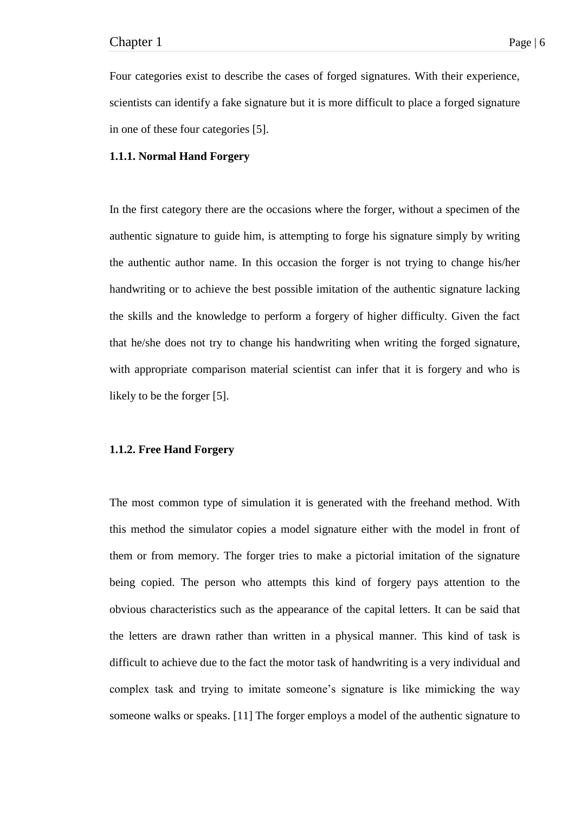Four categories exist to describe the cases of forged signatures. With their experience, scientists can identify a fake signature but it is more difficult to place a forged signature in one of these four categories [5].

## **1.1.1. Normal Hand Forgery**

In the first category there are the occasions where the forger, without a specimen of the authentic signature to guide him, is attempting to forge his signature simply by writing the authentic author name. In this occasion the forger is not trying to change his/her handwriting or to achieve the best possible imitation of the authentic signature lacking the skills and the knowledge to perform a forgery of higher difficulty. Given the fact that he/she does not try to change his handwriting when writing the forged signature, with appropriate comparison material scientist can infer that it is forgery and who is likely to be the forger [5].

# **1.1.2. Free Hand Forgery**

The most common type of simulation it is generated with the freehand method. With this method the simulator copies a model signature either with the model in front of them or from memory. The forger tries to make a pictorial imitation of the signature being copied. The person who attempts this kind of forgery pays attention to the obvious characteristics such as the appearance of the capital letters. It can be said that the letters are drawn rather than written in a physical manner. This kind of task is difficult to achieve due to the fact the motor task of handwriting is a very individual and complex task and trying to imitate someone's signature is like mimicking the way someone walks or speaks. [11] The forger employs a model of the authentic signature to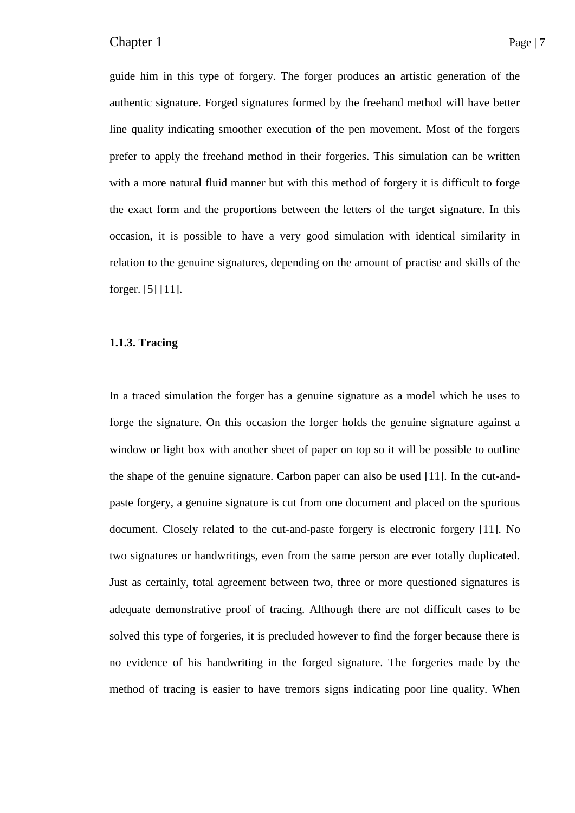guide him in this type of forgery. The forger produces an artistic generation of the authentic signature. Forged signatures formed by the freehand method will have better line quality indicating smoother execution of the pen movement. Most of the forgers prefer to apply the freehand method in their forgeries. This simulation can be written with a more natural fluid manner but with this method of forgery it is difficult to forge the exact form and the proportions between the letters of the target signature. In this occasion, it is possible to have a very good simulation with identical similarity in relation to the genuine signatures, depending on the amount of practise and skills of the forger. [5] [11].

# **1.1.3. Tracing**

In a traced simulation the forger has a genuine signature as a model which he uses to forge the signature. On this occasion the forger holds the genuine signature against a window or light box with another sheet of paper on top so it will be possible to outline the shape of the genuine signature. Carbon paper can also be used [11]. In the cut-andpaste forgery, a genuine signature is cut from one document and placed on the spurious document. Closely related to the cut-and-paste forgery is electronic forgery [11]. No two signatures or handwritings, even from the same person are ever totally duplicated. Just as certainly, total agreement between two, three or more questioned signatures is adequate demonstrative proof of tracing. Although there are not difficult cases to be solved this type of forgeries, it is precluded however to find the forger because there is no evidence of his handwriting in the forged signature. The forgeries made by the method of tracing is easier to have tremors signs indicating poor line quality. When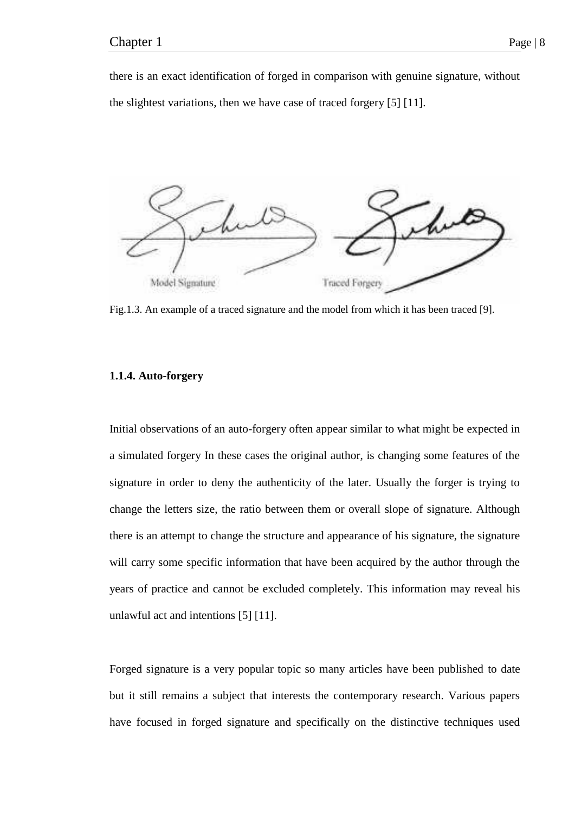there is an exact identification of forged in comparison with genuine signature, without the slightest variations, then we have case of traced forgery [5] [11].



Fig.1.3. An example of a traced signature and the model from which it has been traced [9].

# **1.1.4. Auto-forgery**

Initial observations of an auto-forgery often appear similar to what might be expected in a simulated forgery In these cases the original author, is changing some features of the signature in order to deny the authenticity of the later. Usually the forger is trying to change the letters size, the ratio between them or overall slope of signature. Although there is an attempt to change the structure and appearance of his signature, the signature will carry some specific information that have been acquired by the author through the years of practice and cannot be excluded completely. This information may reveal his unlawful act and intentions [5] [11].

Forged signature is a very popular topic so many articles have been published to date but it still remains a subject that interests the contemporary research. Various papers have focused in forged signature and specifically on the distinctive techniques used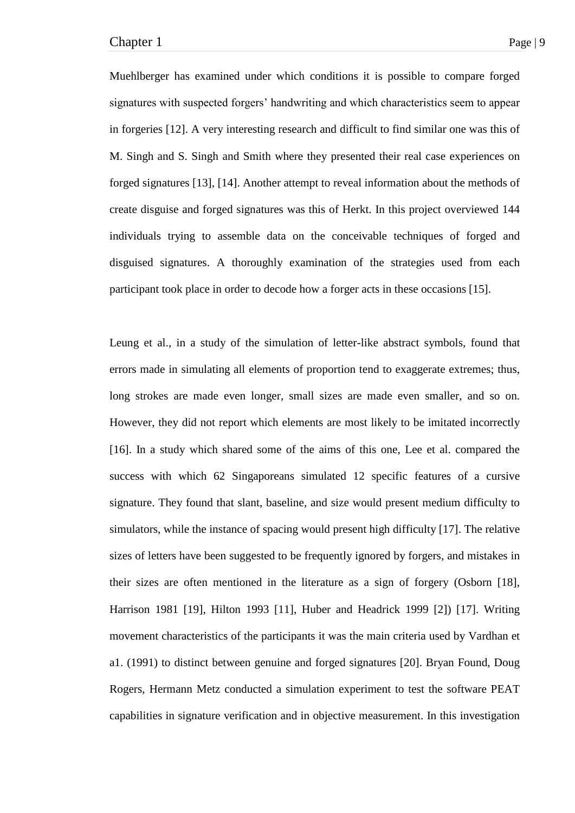Muehlberger has examined under which conditions it is possible to compare forged signatures with suspected forgers' handwriting and which characteristics seem to appear in forgeries [12]. A very interesting research and difficult to find similar one was this of M. Singh and S. Singh and Smith where they presented their real case experiences on forged signatures [13], [14]. Another attempt to reveal information about the methods of create disguise and forged signatures was this of Herkt. In this project overviewed 144 individuals trying to assemble data on the conceivable techniques of forged and disguised signatures. A thoroughly examination of the strategies used from each participant took place in order to decode how a forger acts in these occasions [15].

Leung et al., in a study of the simulation of letter-like abstract symbols, found that errors made in simulating all elements of proportion tend to exaggerate extremes; thus, long strokes are made even longer, small sizes are made even smaller, and so on. However, they did not report which elements are most likely to be imitated incorrectly [16]. In a study which shared some of the aims of this one, Lee et al. compared the success with which 62 Singaporeans simulated 12 specific features of a cursive signature. They found that slant, baseline, and size would present medium difficulty to simulators, while the instance of spacing would present high difficulty [17]. The relative sizes of letters have been suggested to be frequently ignored by forgers, and mistakes in their sizes are often mentioned in the literature as a sign of forgery (Osborn [18], Harrison 1981 [19], Hilton 1993 [11], Huber and Headrick 1999 [2]) [17]. Writing movement characteristics of the participants it was the main criteria used by Vardhan et a1. (1991) to distinct between genuine and forged signatures [20]. Bryan Found, Doug Rogers, Hermann Metz conducted a simulation experiment to test the software PEAT capabilities in signature verification and in objective measurement. In this investigation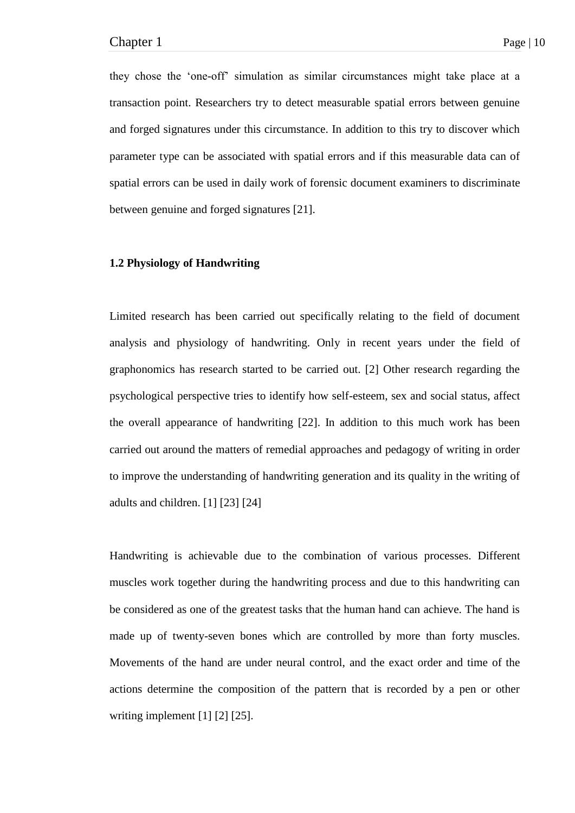they chose the 'one-off' simulation as similar circumstances might take place at a transaction point. Researchers try to detect measurable spatial errors between genuine and forged signatures under this circumstance. In addition to this try to discover which parameter type can be associated with spatial errors and if this measurable data can of spatial errors can be used in daily work of forensic document examiners to discriminate between genuine and forged signatures [21].

# **1.2 Physiology of Handwriting**

Limited research has been carried out specifically relating to the field of document analysis and physiology of handwriting. Only in recent years under the field of graphonomics has research started to be carried out. [2] Other research regarding the psychological perspective tries to identify how self-esteem, sex and social status, affect the overall appearance of handwriting [22]. In addition to this much work has been carried out around the matters of remedial approaches and pedagogy of writing in order to improve the understanding of handwriting generation and its quality in the writing of adults and children. [1] [23] [24]

Handwriting is achievable due to the combination of various processes. Different muscles work together during the handwriting process and due to this handwriting can be considered as one of the greatest tasks that the human hand can achieve. The hand is made up of twenty-seven bones which are controlled by more than forty muscles. Movements of the hand are under neural control, and the exact order and time of the actions determine the composition of the pattern that is recorded by a pen or other writing implement [1] [2] [25].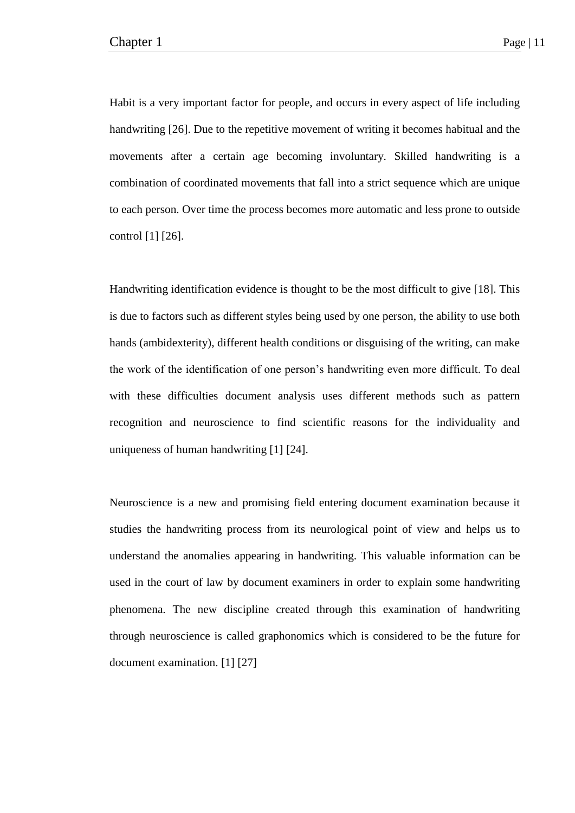Habit is a very important factor for people, and occurs in every aspect of life including handwriting [26]. Due to the repetitive movement of writing it becomes habitual and the movements after a certain age becoming involuntary. Skilled handwriting is a combination of coordinated movements that fall into a strict sequence which are unique to each person. Over time the process becomes more automatic and less prone to outside control [1] [26].

Handwriting identification evidence is thought to be the most difficult to give [18]. This is due to factors such as different styles being used by one person, the ability to use both hands (ambidexterity), different health conditions or disguising of the writing, can make the work of the identification of one person's handwriting even more difficult. To deal with these difficulties document analysis uses different methods such as pattern recognition and neuroscience to find scientific reasons for the individuality and uniqueness of human handwriting [1] [24].

Neuroscience is a new and promising field entering document examination because it studies the handwriting process from its neurological point of view and helps us to understand the anomalies appearing in handwriting. This valuable information can be used in the court of law by document examiners in order to explain some handwriting phenomena. The new discipline created through this examination of handwriting through neuroscience is called graphonomics which is considered to be the future for document examination. [1] [27]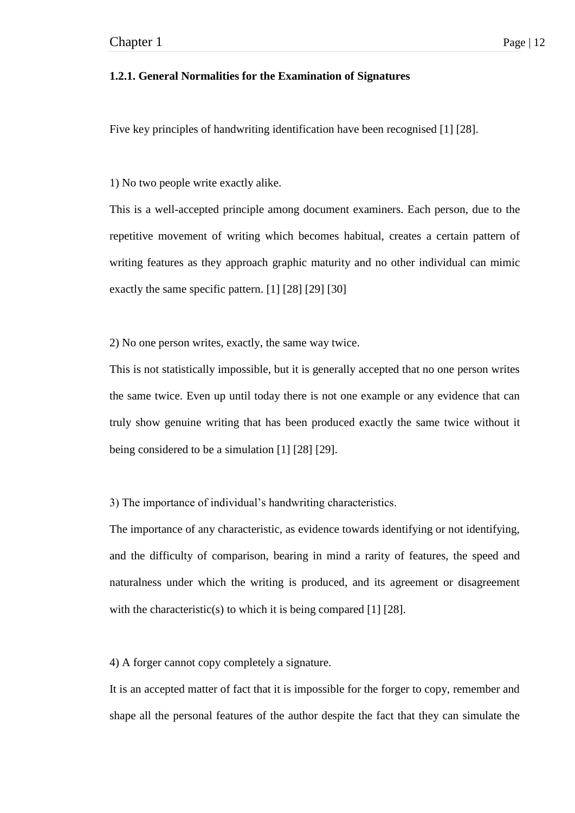# **1.2.1. General Normalities for the Examination of Signatures**

Five key principles of handwriting identification have been recognised [1] [28].

1) No two people write exactly alike.

This is a well-accepted principle among document examiners. Each person, due to the repetitive movement of writing which becomes habitual, creates a certain pattern of writing features as they approach graphic maturity and no other individual can mimic exactly the same specific pattern. [1] [28] [29] [30]

2) No one person writes, exactly, the same way twice.

This is not statistically impossible, but it is generally accepted that no one person writes the same twice. Even up until today there is not one example or any evidence that can truly show genuine writing that has been produced exactly the same twice without it being considered to be a simulation [1] [28] [29].

3) The importance of individual's handwriting characteristics.

The importance of any characteristic, as evidence towards identifying or not identifying, and the difficulty of comparison, bearing in mind a rarity of features, the speed and naturalness under which the writing is produced, and its agreement or disagreement with the characteristic(s) to which it is being compared  $[1]$  [28].

4) A forger cannot copy completely a signature.

It is an accepted matter of fact that it is impossible for the forger to copy, remember and shape all the personal features of the author despite the fact that they can simulate the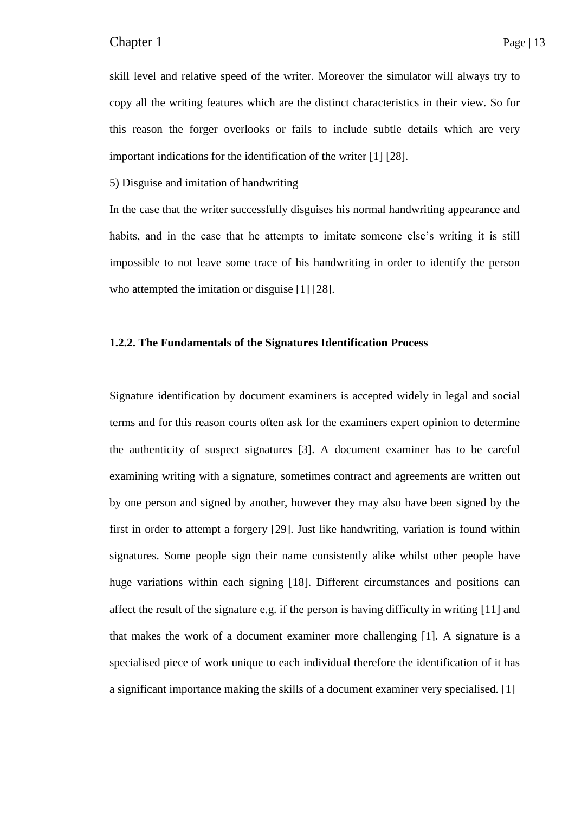skill level and relative speed of the writer. Moreover the simulator will always try to copy all the writing features which are the distinct characteristics in their view. So for this reason the forger overlooks or fails to include subtle details which are very important indications for the identification of the writer [1] [28].

5) Disguise and imitation of handwriting

In the case that the writer successfully disguises his normal handwriting appearance and habits, and in the case that he attempts to imitate someone else's writing it is still impossible to not leave some trace of his handwriting in order to identify the person who attempted the imitation or disguise [1] [28].

# **1.2.2. The Fundamentals of the Signatures Identification Process**

Signature identification by document examiners is accepted widely in legal and social terms and for this reason courts often ask for the examiners expert opinion to determine the authenticity of suspect signatures [3]. A document examiner has to be careful examining writing with a signature, sometimes contract and agreements are written out by one person and signed by another, however they may also have been signed by the first in order to attempt a forgery [29]. Just like handwriting, variation is found within signatures. Some people sign their name consistently alike whilst other people have huge variations within each signing [18]. Different circumstances and positions can affect the result of the signature e.g. if the person is having difficulty in writing [11] and that makes the work of a document examiner more challenging [1]. A signature is a specialised piece of work unique to each individual therefore the identification of it has a significant importance making the skills of a document examiner very specialised. [1]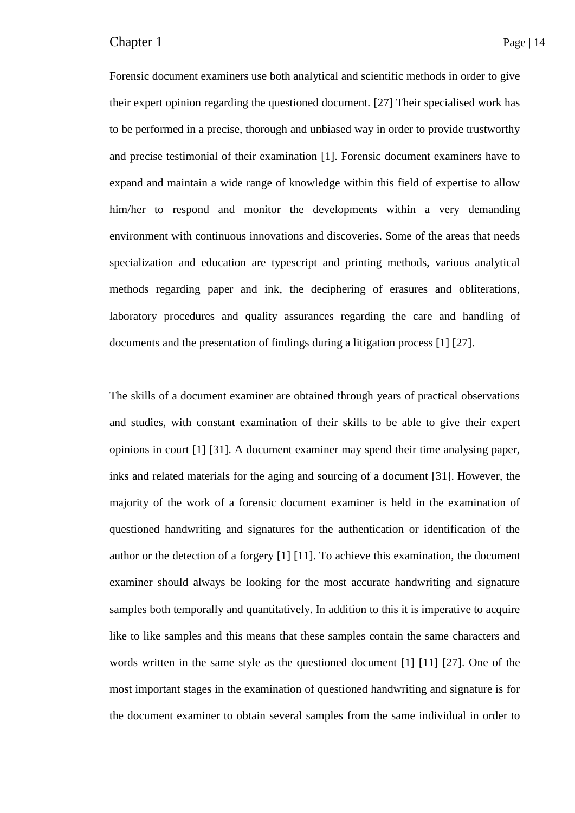Forensic document examiners use both analytical and scientific methods in order to give their expert opinion regarding the questioned document. [27] Their specialised work has to be performed in a precise, thorough and unbiased way in order to provide trustworthy and precise testimonial of their examination [1]. Forensic document examiners have to expand and maintain a wide range of knowledge within this field of expertise to allow him/her to respond and monitor the developments within a very demanding environment with continuous innovations and discoveries. Some of the areas that needs specialization and education are typescript and printing methods, various analytical methods regarding paper and ink, the deciphering of erasures and obliterations, laboratory procedures and quality assurances regarding the care and handling of documents and the presentation of findings during a litigation process [1] [27].

The skills of a document examiner are obtained through years of practical observations and studies, with constant examination of their skills to be able to give their expert opinions in court [1] [31]. A document examiner may spend their time analysing paper, inks and related materials for the aging and sourcing of a document [31]. However, the majority of the work of a forensic document examiner is held in the examination of questioned handwriting and signatures for the authentication or identification of the author or the detection of a forgery [1] [11]. To achieve this examination, the document examiner should always be looking for the most accurate handwriting and signature samples both temporally and quantitatively. In addition to this it is imperative to acquire like to like samples and this means that these samples contain the same characters and words written in the same style as the questioned document [1] [11] [27]. One of the most important stages in the examination of questioned handwriting and signature is for the document examiner to obtain several samples from the same individual in order to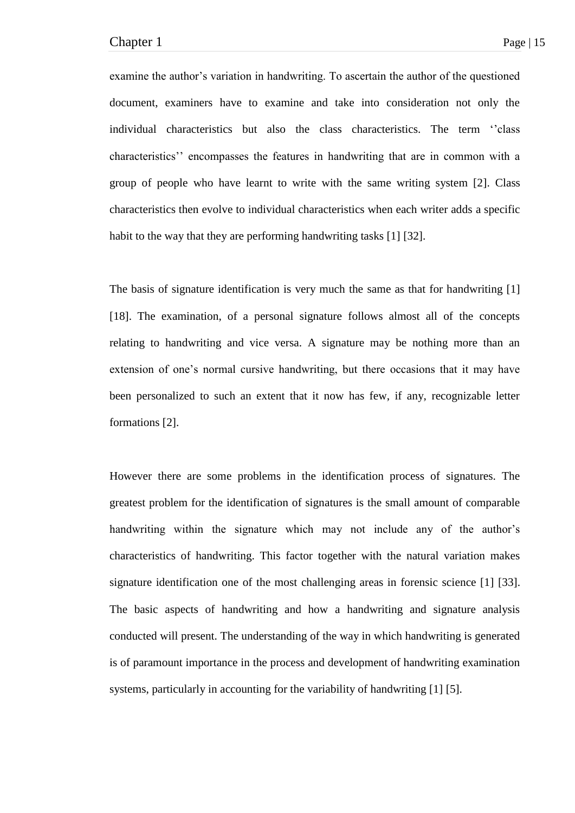examine the author's variation in handwriting. To ascertain the author of the questioned document, examiners have to examine and take into consideration not only the individual characteristics but also the class characteristics. The term "class" characteristics'' encompasses the features in handwriting that are in common with a group of people who have learnt to write with the same writing system [2]. Class characteristics then evolve to individual characteristics when each writer adds a specific habit to the way that they are performing handwriting tasks [1] [32].

The basis of signature identification is very much the same as that for handwriting [1] [18]. The examination, of a personal signature follows almost all of the concepts relating to handwriting and vice versa. A signature may be nothing more than an extension of one's normal cursive handwriting, but there occasions that it may have been personalized to such an extent that it now has few, if any, recognizable letter formations [2].

However there are some problems in the identification process of signatures. The greatest problem for the identification of signatures is the small amount of comparable handwriting within the signature which may not include any of the author's characteristics of handwriting. This factor together with the natural variation makes signature identification one of the most challenging areas in forensic science [1] [33]. The basic aspects of handwriting and how a handwriting and signature analysis conducted will present. The understanding of the way in which handwriting is generated is of paramount importance in the process and development of handwriting examination systems, particularly in accounting for the variability of handwriting [1] [5].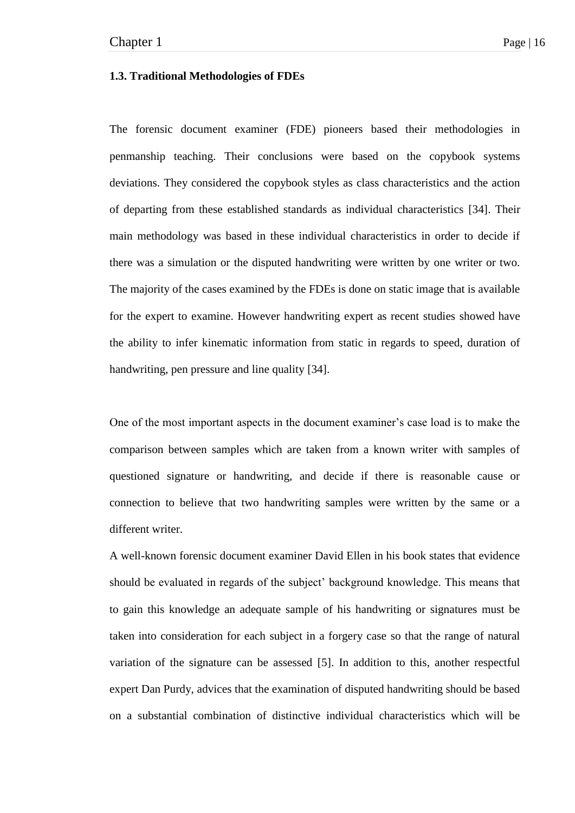## **1.3. Traditional Methodologies of FDEs**

The forensic document examiner (FDE) pioneers based their methodologies in penmanship teaching. Their conclusions were based on the copybook systems deviations. They considered the copybook styles as class characteristics and the action of departing from these established standards as individual characteristics [34]. Their main methodology was based in these individual characteristics in order to decide if there was a simulation or the disputed handwriting were written by one writer or two. The majority of the cases examined by the FDEs is done on static image that is available for the expert to examine. However handwriting expert as recent studies showed have the ability to infer kinematic information from static in regards to speed, duration of handwriting, pen pressure and line quality [34].

One of the most important aspects in the document examiner's case load is to make the comparison between samples which are taken from a known writer with samples of questioned signature or handwriting, and decide if there is reasonable cause or connection to believe that two handwriting samples were written by the same or a different writer.

A well-known forensic document examiner David Ellen in his book states that evidence should be evaluated in regards of the subject' background knowledge. This means that to gain this knowledge an adequate sample of his handwriting or signatures must be taken into consideration for each subject in a forgery case so that the range of natural variation of the signature can be assessed [5]. In addition to this, another respectful expert Dan Purdy, advices that the examination of disputed handwriting should be based on a substantial combination of distinctive individual characteristics which will be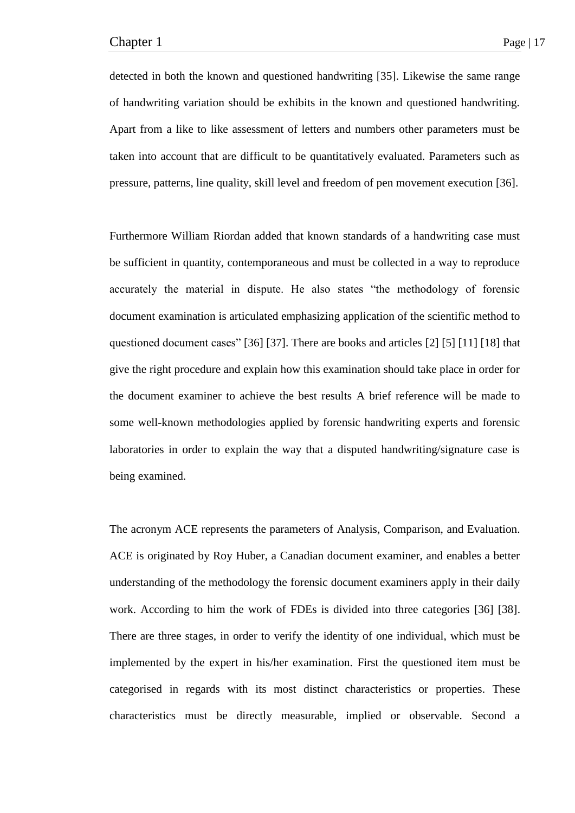detected in both the known and questioned handwriting [35]. Likewise the same range of handwriting variation should be exhibits in the known and questioned handwriting. Apart from a like to like assessment of letters and numbers other parameters must be taken into account that are difficult to be quantitatively evaluated. Parameters such as pressure, patterns, line quality, skill level and freedom of pen movement execution [36].

Furthermore William Riordan added that known standards of a handwriting case must be sufficient in quantity, contemporaneous and must be collected in a way to reproduce accurately the material in dispute. He also states "the methodology of forensic document examination is articulated emphasizing application of the scientific method to questioned document cases" [36] [37]. There are books and articles [2] [5] [11] [18] that give the right procedure and explain how this examination should take place in order for the document examiner to achieve the best results A brief reference will be made to some well-known methodologies applied by forensic handwriting experts and forensic laboratories in order to explain the way that a disputed handwriting/signature case is being examined.

The acronym ACE represents the parameters of Analysis, Comparison, and Evaluation. ACE is originated by Roy Huber, a Canadian document examiner, and enables a better understanding of the methodology the forensic document examiners apply in their daily work. According to him the work of FDEs is divided into three categories [36] [38]. There are three stages, in order to verify the identity of one individual, which must be implemented by the expert in his/her examination. First the questioned item must be categorised in regards with its most distinct characteristics or properties. These characteristics must be directly measurable, implied or observable. Second a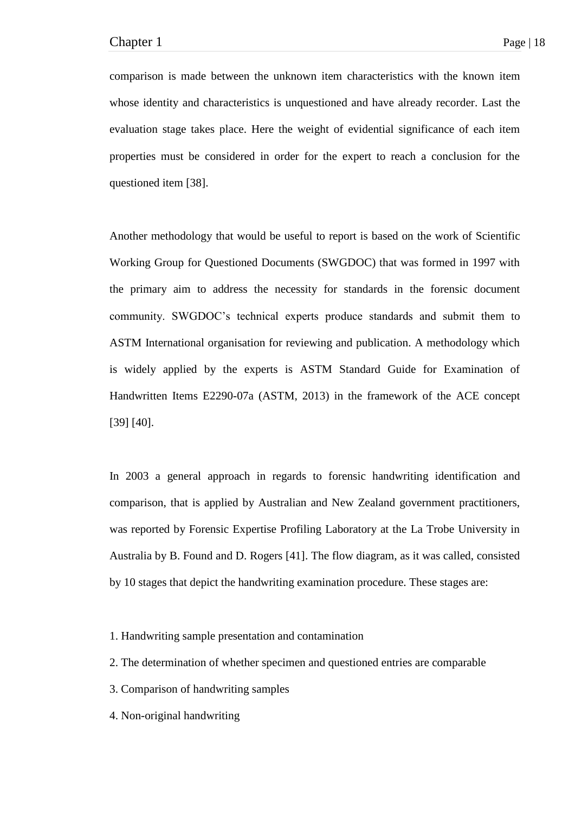comparison is made between the unknown item characteristics with the known item whose identity and characteristics is unquestioned and have already recorder. Last the evaluation stage takes place. Here the weight of evidential significance of each item properties must be considered in order for the expert to reach a conclusion for the questioned item [38].

Another methodology that would be useful to report is based on the work of Scientific Working Group for Questioned Documents (SWGDOC) that was formed in 1997 with the primary aim to address the necessity for standards in the forensic document community. SWGDOC's technical experts produce standards and submit them to ASTM International organisation for reviewing and publication. A methodology which is widely applied by the experts is ASTM Standard Guide for Examination of Handwritten Items E2290-07a (ASTM, 2013) in the framework of the ACE concept [39] [40].

In 2003 a general approach in regards to forensic handwriting identification and comparison, that is applied by Australian and New Zealand government practitioners, was reported by Forensic Expertise Profiling Laboratory at the La Trobe University in Australia by B. Found and D. Rogers [41]. The flow diagram, as it was called, consisted by 10 stages that depict the handwriting examination procedure. These stages are:

1. Handwriting sample presentation and contamination

- 2. The determination of whether specimen and questioned entries are comparable
- 3. Comparison of handwriting samples
- 4. Non-original handwriting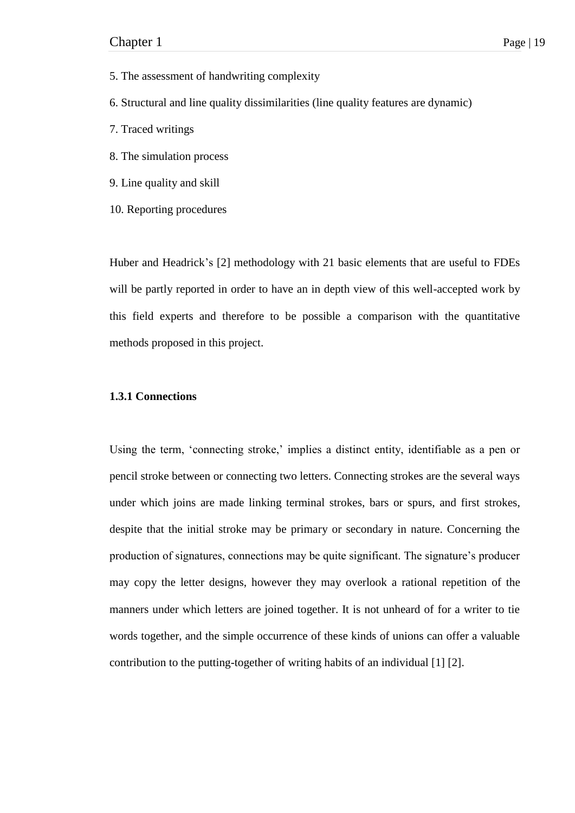- 5. The assessment of handwriting complexity
- 6. Structural and line quality dissimilarities (line quality features are dynamic)
- 7. Traced writings
- 8. The simulation process
- 9. Line quality and skill
- 10. Reporting procedures

Huber and Headrick's [2] methodology with 21 basic elements that are useful to FDEs will be partly reported in order to have an in depth view of this well-accepted work by this field experts and therefore to be possible a comparison with the quantitative methods proposed in this project.

# **1.3.1 Connections**

Using the term, 'connecting stroke,' implies a distinct entity, identifiable as a pen or pencil stroke between or connecting two letters. Connecting strokes are the several ways under which joins are made linking terminal strokes, bars or spurs, and first strokes, despite that the initial stroke may be primary or secondary in nature. Concerning the production of signatures, connections may be quite significant. The signature's producer may copy the letter designs, however they may overlook a rational repetition of the manners under which letters are joined together. It is not unheard of for a writer to tie words together, and the simple occurrence of these kinds of unions can offer a valuable contribution to the putting-together of writing habits of an individual [1] [2].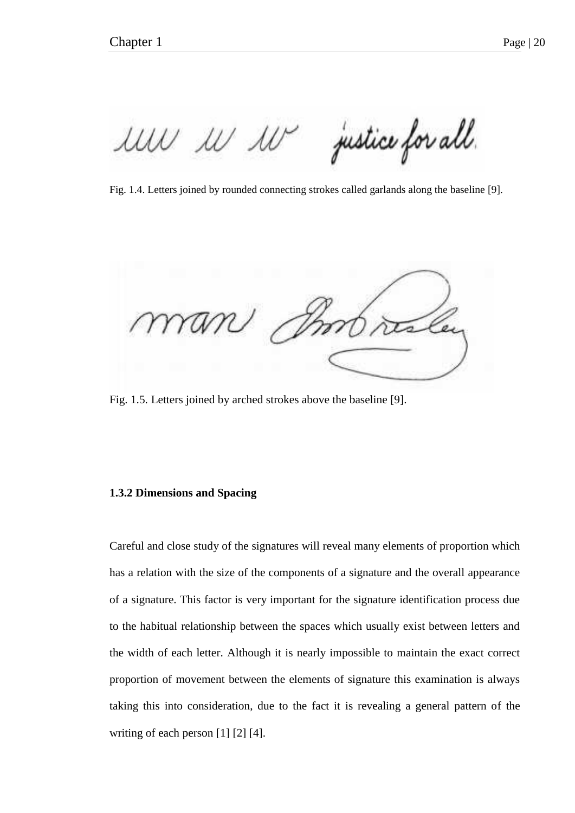justice for all. MW W W

Fig. 1.4. Letters joined by rounded connecting strokes called garlands along the baseline [9].

Fig. 1.5. Letters joined by arched strokes above the baseline [9].

# **1.3.2 Dimensions and Spacing**

Careful and close study of the signatures will reveal many elements of proportion which has a relation with the size of the components of a signature and the overall appearance of a signature. This factor is very important for the signature identification process due to the habitual relationship between the spaces which usually exist between letters and the width of each letter. Although it is nearly impossible to maintain the exact correct proportion of movement between the elements of signature this examination is always taking this into consideration, due to the fact it is revealing a general pattern of the writing of each person [1] [2] [4].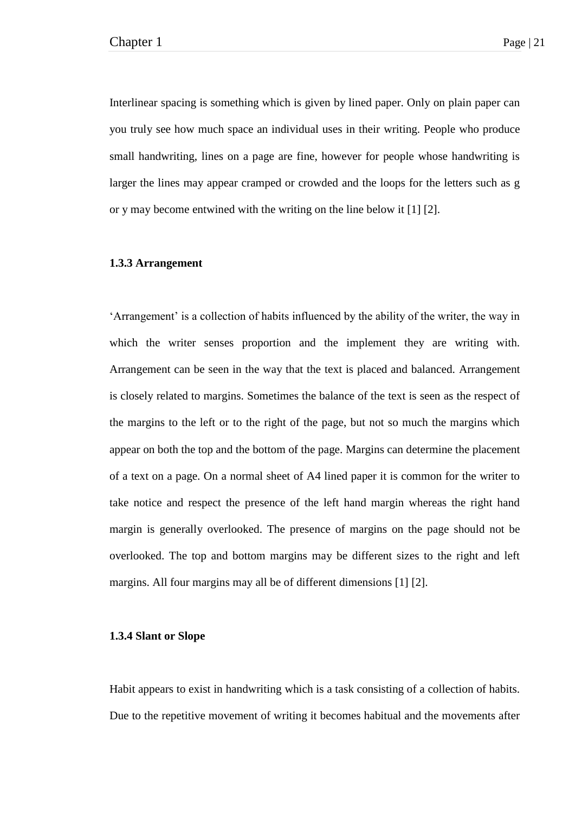Interlinear spacing is something which is given by lined paper. Only on plain paper can you truly see how much space an individual uses in their writing. People who produce small handwriting, lines on a page are fine, however for people whose handwriting is larger the lines may appear cramped or crowded and the loops for the letters such as g or y may become entwined with the writing on the line below it [1] [2].

# **1.3.3 Arrangement**

‗Arrangement' is a collection of habits influenced by the ability of the writer, the way in which the writer senses proportion and the implement they are writing with. Arrangement can be seen in the way that the text is placed and balanced. Arrangement is closely related to margins. Sometimes the balance of the text is seen as the respect of the margins to the left or to the right of the page, but not so much the margins which appear on both the top and the bottom of the page. Margins can determine the placement of a text on a page. On a normal sheet of A4 lined paper it is common for the writer to take notice and respect the presence of the left hand margin whereas the right hand margin is generally overlooked. The presence of margins on the page should not be overlooked. The top and bottom margins may be different sizes to the right and left margins. All four margins may all be of different dimensions [1] [2].

#### **1.3.4 Slant or Slope**

Habit appears to exist in handwriting which is a task consisting of a collection of habits. Due to the repetitive movement of writing it becomes habitual and the movements after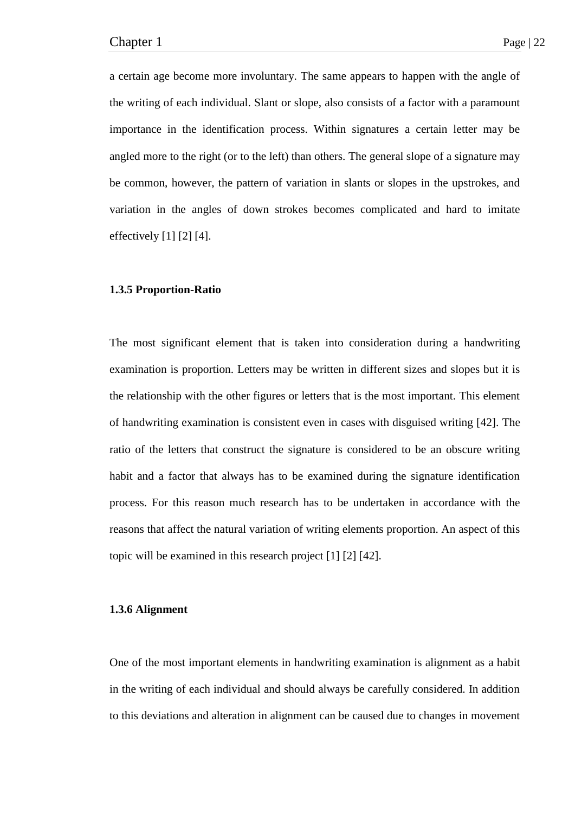a certain age become more involuntary. The same appears to happen with the angle of the writing of each individual. Slant or slope, also consists of a factor with a paramount importance in the identification process. Within signatures a certain letter may be angled more to the right (or to the left) than others. The general slope of a signature may be common, however, the pattern of variation in slants or slopes in the upstrokes, and variation in the angles of down strokes becomes complicated and hard to imitate effectively [1] [2] [4].

#### **1.3.5 Proportion-Ratio**

The most significant element that is taken into consideration during a handwriting examination is proportion. Letters may be written in different sizes and slopes but it is the relationship with the other figures or letters that is the most important. This element of handwriting examination is consistent even in cases with disguised writing [42]. The ratio of the letters that construct the signature is considered to be an obscure writing habit and a factor that always has to be examined during the signature identification process. For this reason much research has to be undertaken in accordance with the reasons that affect the natural variation of writing elements proportion. An aspect of this topic will be examined in this research project [1] [2] [42].

### **1.3.6 Alignment**

One of the most important elements in handwriting examination is alignment as a habit in the writing of each individual and should always be carefully considered. In addition to this deviations and alteration in alignment can be caused due to changes in movement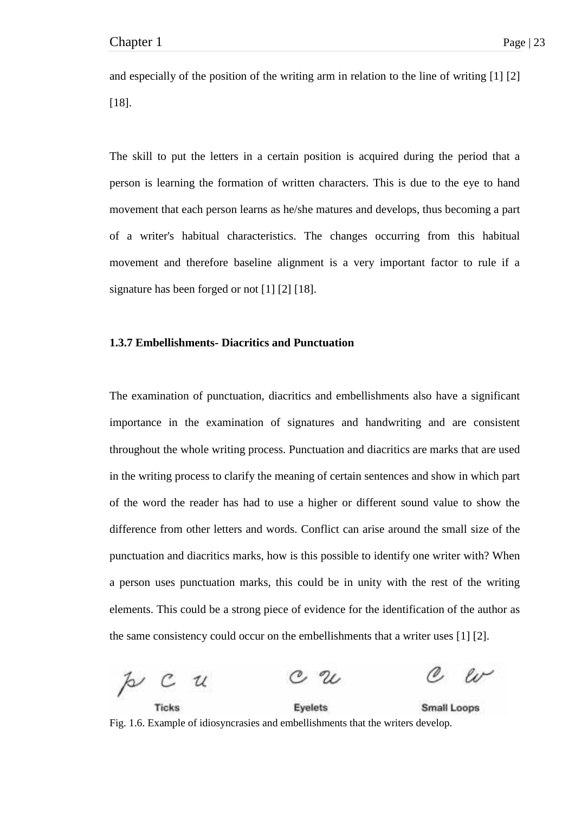and especially of the position of the writing arm in relation to the line of writing [1] [2] [18].

The skill to put the letters in a certain position is acquired during the period that a person is learning the formation of written characters. This is due to the eye to hand movement that each person learns as he/she matures and develops, thus becoming a part of a writer's habitual characteristics. The changes occurring from this habitual movement and therefore baseline alignment is a very important factor to rule if a signature has been forged or not [1] [2] [18].

## **1.3.7 Embellishments- Diacritics and Punctuation**

The examination of punctuation, diacritics and embellishments also have a significant importance in the examination of signatures and handwriting and are consistent throughout the whole writing process. Punctuation and diacritics are marks that are used in the writing process to clarify the meaning of certain sentences and show in which part of the word the reader has had to use a higher or different sound value to show the difference from other letters and words. Conflict can arise around the small size of the punctuation and diacritics marks, how is this possible to identify one writer with? When a person uses punctuation marks, this could be in unity with the rest of the writing elements. This could be a strong piece of evidence for the identification of the author as the same consistency could occur on the embellishments that a writer uses [1] [2].

 $\approx$   $c$   $u$ **Evelets** Small Loops

Fig. 1.6. Example of idiosyncrasies and embellishments that the writers develop.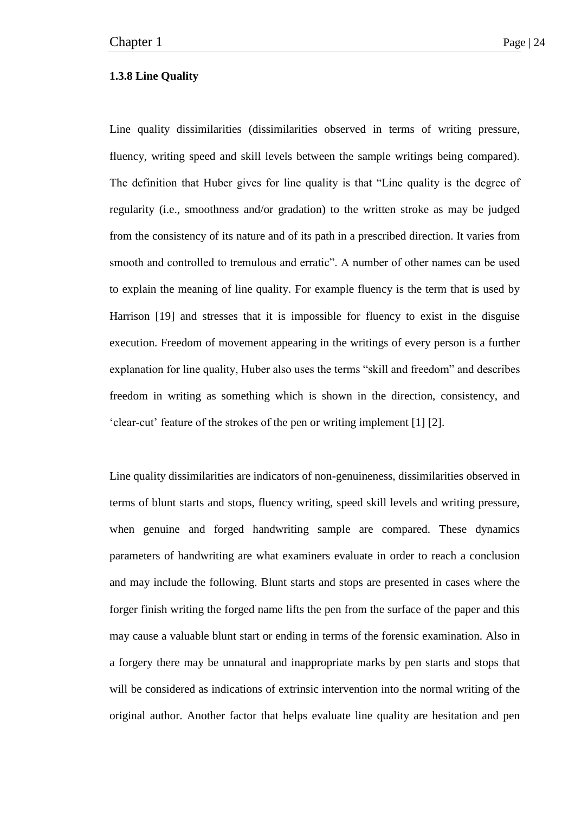### **1.3.8 Line Quality**

Line quality dissimilarities (dissimilarities observed in terms of writing pressure, fluency, writing speed and skill levels between the sample writings being compared). The definition that Huber gives for line quality is that "Line quality is the degree of regularity (i.e., smoothness and/or gradation) to the written stroke as may be judged from the consistency of its nature and of its path in a prescribed direction. It varies from smooth and controlled to tremulous and erratic". A number of other names can be used to explain the meaning of line quality. For example fluency is the term that is used by Harrison [19] and stresses that it is impossible for fluency to exist in the disguise execution. Freedom of movement appearing in the writings of every person is a further explanation for line quality, Huber also uses the terms "skill and freedom" and describes freedom in writing as something which is shown in the direction, consistency, and ‗clear-cut' feature of the strokes of the pen or writing implement [1] [2].

Line quality dissimilarities are indicators of non-genuineness, dissimilarities observed in terms of blunt starts and stops, fluency writing, speed skill levels and writing pressure, when genuine and forged handwriting sample are compared. These dynamics parameters of handwriting are what examiners evaluate in order to reach a conclusion and may include the following. Blunt starts and stops are presented in cases where the forger finish writing the forged name lifts the pen from the surface of the paper and this may cause a valuable blunt start or ending in terms of the forensic examination. Also in a forgery there may be unnatural and inappropriate marks by pen starts and stops that will be considered as indications of extrinsic intervention into the normal writing of the original author. Another factor that helps evaluate line quality are hesitation and pen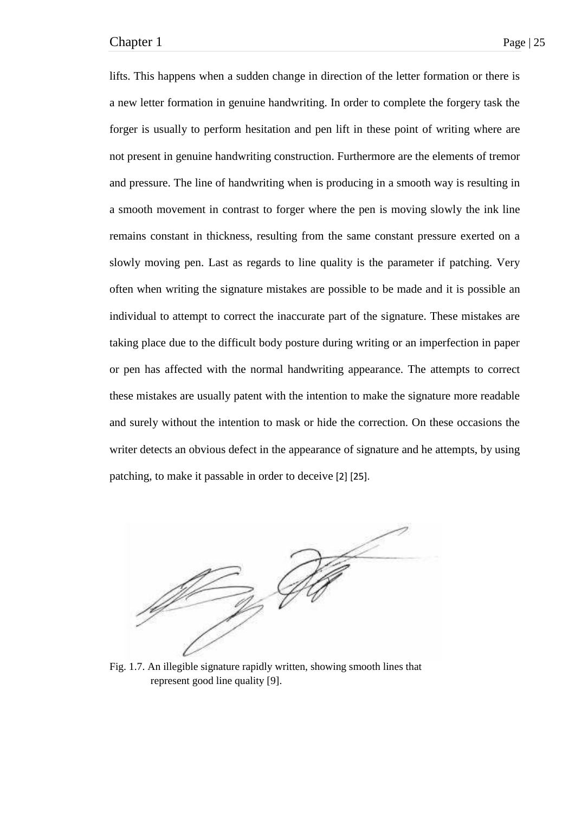lifts. This happens when a sudden change in direction of the letter formation or there is a new letter formation in genuine handwriting. In order to complete the forgery task the forger is usually to perform hesitation and pen lift in these point of writing where are not present in genuine handwriting construction. Furthermore are the elements of tremor and pressure. The line of handwriting when is producing in a smooth way is resulting in a smooth movement in contrast to forger where the pen is moving slowly the ink line remains constant in thickness, resulting from the same constant pressure exerted on a slowly moving pen. Last as regards to line quality is the parameter if patching. Very often when writing the signature mistakes are possible to be made and it is possible an individual to attempt to correct the inaccurate part of the signature. These mistakes are taking place due to the difficult body posture during writing or an imperfection in paper or pen has affected with the normal handwriting appearance. The attempts to correct these mistakes are usually patent with the intention to make the signature more readable and surely without the intention to mask or hide the correction. On these occasions the writer detects an obvious defect in the appearance of signature and he attempts, by using patching, to make it passable in order to deceive [2] [25].



Fig. 1.7. An illegible signature rapidly written, showing smooth lines that represent good line quality [9].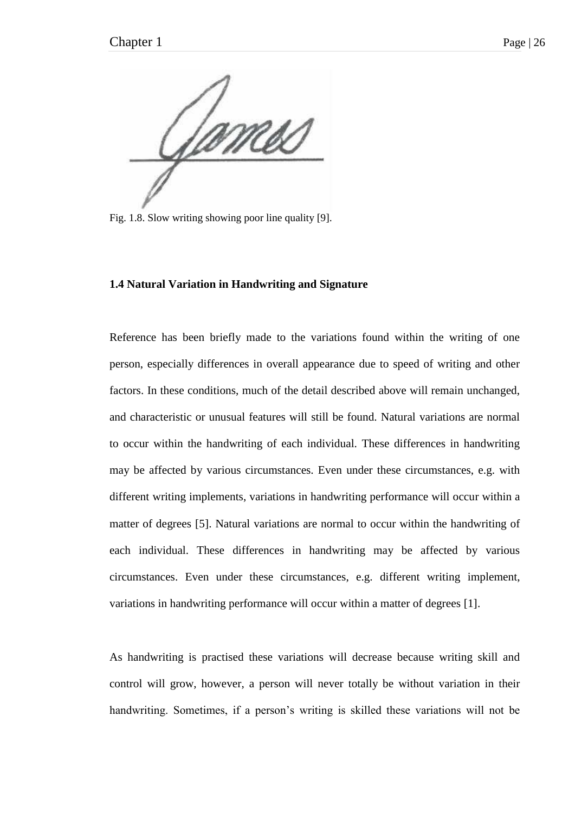mss

Fig. 1.8. Slow writing showing poor line quality [9].

#### **1.4 Natural Variation in Handwriting and Signature**

Reference has been briefly made to the variations found within the writing of one person, especially differences in overall appearance due to speed of writing and other factors. In these conditions, much of the detail described above will remain unchanged, and characteristic or unusual features will still be found. Natural variations are normal to occur within the handwriting of each individual. These differences in handwriting may be affected by various circumstances. Even under these circumstances, e.g. with different writing implements, variations in handwriting performance will occur within a matter of degrees [5]. Natural variations are normal to occur within the handwriting of each individual. These differences in handwriting may be affected by various circumstances. Even under these circumstances, e.g. different writing implement, variations in handwriting performance will occur within a matter of degrees [1].

As handwriting is practised these variations will decrease because writing skill and control will grow, however, a person will never totally be without variation in their handwriting. Sometimes, if a person's writing is skilled these variations will not be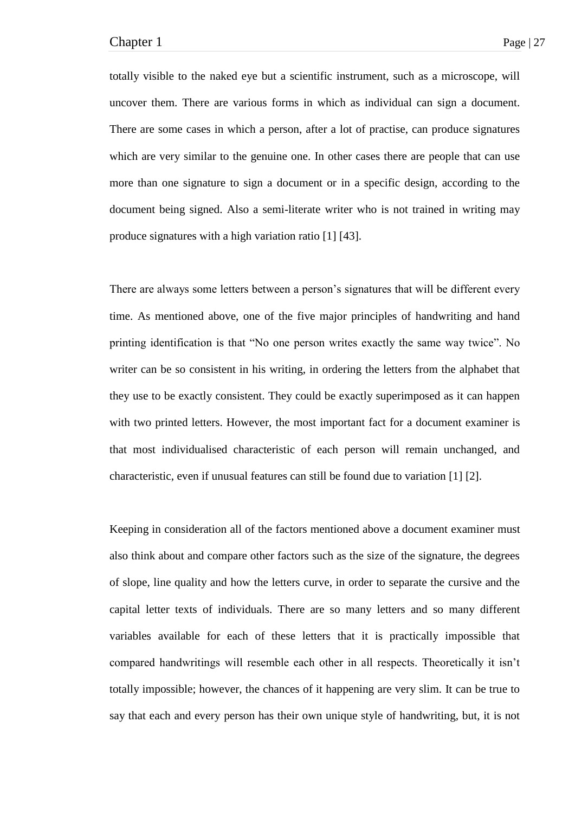totally visible to the naked eye but a scientific instrument, such as a microscope, will uncover them. There are various forms in which as individual can sign a document. There are some cases in which a person, after a lot of practise, can produce signatures which are very similar to the genuine one. In other cases there are people that can use more than one signature to sign a document or in a specific design, according to the document being signed. Also a semi-literate writer who is not trained in writing may produce signatures with a high variation ratio [1] [43].

There are always some letters between a person's signatures that will be different every time. As mentioned above, one of the five major principles of handwriting and hand printing identification is that "No one person writes exactly the same way twice". No writer can be so consistent in his writing, in ordering the letters from the alphabet that they use to be exactly consistent. They could be exactly superimposed as it can happen with two printed letters. However, the most important fact for a document examiner is that most individualised characteristic of each person will remain unchanged, and characteristic, even if unusual features can still be found due to variation [1] [2].

Keeping in consideration all of the factors mentioned above a document examiner must also think about and compare other factors such as the size of the signature, the degrees of slope, line quality and how the letters curve, in order to separate the cursive and the capital letter texts of individuals. There are so many letters and so many different variables available for each of these letters that it is practically impossible that compared handwritings will resemble each other in all respects. Theoretically it isn't totally impossible; however, the chances of it happening are very slim. It can be true to say that each and every person has their own unique style of handwriting, but, it is not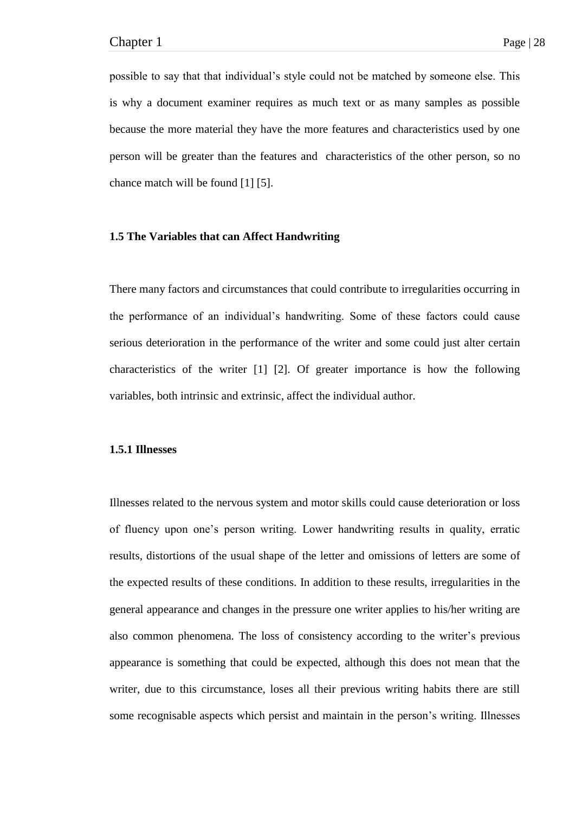possible to say that that individual's style could not be matched by someone else. This is why a document examiner requires as much text or as many samples as possible because the more material they have the more features and characteristics used by one person will be greater than the features and characteristics of the other person, so no chance match will be found [1] [5].

#### **1.5 The Variables that can Affect Handwriting**

There many factors and circumstances that could contribute to irregularities occurring in the performance of an individual's handwriting. Some of these factors could cause serious deterioration in the performance of the writer and some could just alter certain characteristics of the writer [1] [2]. Of greater importance is how the following variables, both intrinsic and extrinsic, affect the individual author.

#### **1.5.1 Illnesses**

Illnesses related to the nervous system and motor skills could cause deterioration or loss of fluency upon one's person writing. Lower handwriting results in quality, erratic results, distortions of the usual shape of the letter and omissions of letters are some of the expected results of these conditions. In addition to these results, irregularities in the general appearance and changes in the pressure one writer applies to his/her writing are also common phenomena. The loss of consistency according to the writer's previous appearance is something that could be expected, although this does not mean that the writer, due to this circumstance, loses all their previous writing habits there are still some recognisable aspects which persist and maintain in the person's writing. Illnesses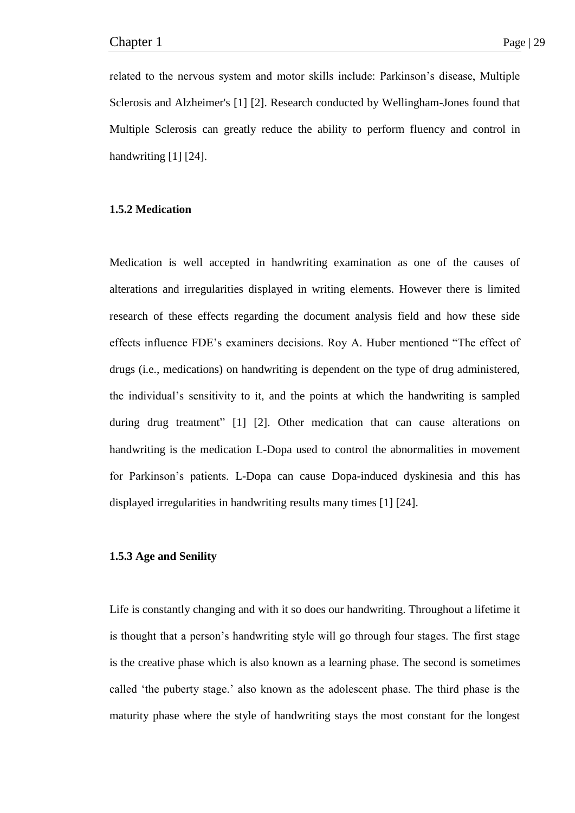related to the nervous system and motor skills include: Parkinson's disease, Multiple Sclerosis and Alzheimer's [1] [2]. Research conducted by Wellingham-Jones found that Multiple Sclerosis can greatly reduce the ability to perform fluency and control in handwriting [1] [24].

## **1.5.2 Medication**

Medication is well accepted in handwriting examination as one of the causes of alterations and irregularities displayed in writing elements. However there is limited research of these effects regarding the document analysis field and how these side effects influence FDE's examiners decisions. Roy A. Huber mentioned "The effect of drugs (i.e., medications) on handwriting is dependent on the type of drug administered, the individual's sensitivity to it, and the points at which the handwriting is sampled during drug treatment" [1] [2]. Other medication that can cause alterations on handwriting is the medication L-Dopa used to control the abnormalities in movement for Parkinson's patients. L-Dopa can cause Dopa-induced dyskinesia and this has displayed irregularities in handwriting results many times [1] [24].

## **1.5.3 Age and Senility**

Life is constantly changing and with it so does our handwriting. Throughout a lifetime it is thought that a person's handwriting style will go through four stages. The first stage is the creative phase which is also known as a learning phase. The second is sometimes called 'the puberty stage.' also known as the adolescent phase. The third phase is the maturity phase where the style of handwriting stays the most constant for the longest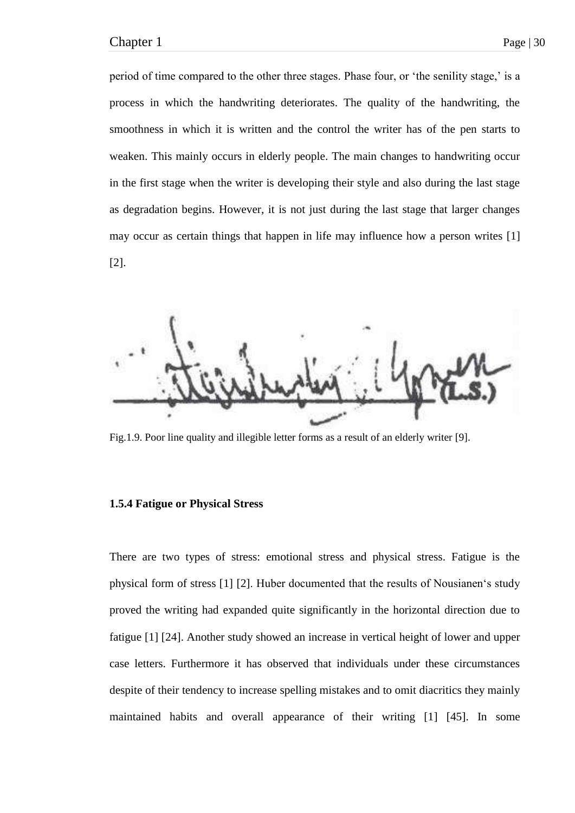period of time compared to the other three stages. Phase four, or 'the senility stage,' is a process in which the handwriting deteriorates. The quality of the handwriting, the smoothness in which it is written and the control the writer has of the pen starts to weaken. This mainly occurs in elderly people. The main changes to handwriting occur in the first stage when the writer is developing their style and also during the last stage as degradation begins. However, it is not just during the last stage that larger changes may occur as certain things that happen in life may influence how a person writes [1] [2].



Fig.1.9. Poor line quality and illegible letter forms as a result of an elderly writer [9].

### **1.5.4 Fatigue or Physical Stress**

There are two types of stress: emotional stress and physical stress. Fatigue is the physical form of stress [1] [2]. Huber documented that the results of Nousianen's study proved the writing had expanded quite significantly in the horizontal direction due to fatigue [1] [24]. Another study showed an increase in vertical height of lower and upper case letters. Furthermore it has observed that individuals under these circumstances despite of their tendency to increase spelling mistakes and to omit diacritics they mainly maintained habits and overall appearance of their writing [1] [45]. In some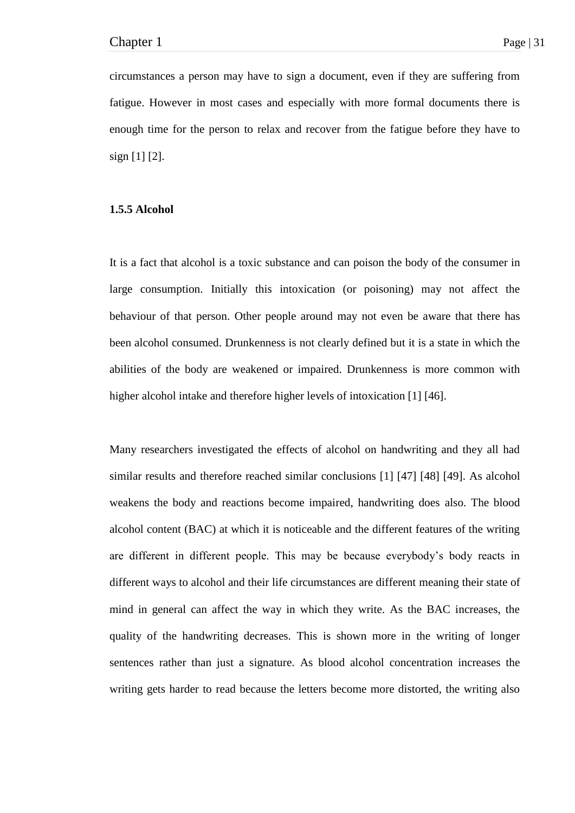circumstances a person may have to sign a document, even if they are suffering from fatigue. However in most cases and especially with more formal documents there is enough time for the person to relax and recover from the fatigue before they have to sign [1] [2].

### **1.5.5 Alcohol**

It is a fact that alcohol is a toxic substance and can poison the body of the consumer in large consumption. Initially this intoxication (or poisoning) may not affect the behaviour of that person. Other people around may not even be aware that there has been alcohol consumed. Drunkenness is not clearly defined but it is a state in which the abilities of the body are weakened or impaired. Drunkenness is more common with higher alcohol intake and therefore higher levels of intoxication [1] [46].

Many researchers investigated the effects of alcohol on handwriting and they all had similar results and therefore reached similar conclusions [1] [47] [48] [49]. As alcohol weakens the body and reactions become impaired, handwriting does also. The blood alcohol content (BAC) at which it is noticeable and the different features of the writing are different in different people. This may be because everybody's body reacts in different ways to alcohol and their life circumstances are different meaning their state of mind in general can affect the way in which they write. As the BAC increases, the quality of the handwriting decreases. This is shown more in the writing of longer sentences rather than just a signature. As blood alcohol concentration increases the writing gets harder to read because the letters become more distorted, the writing also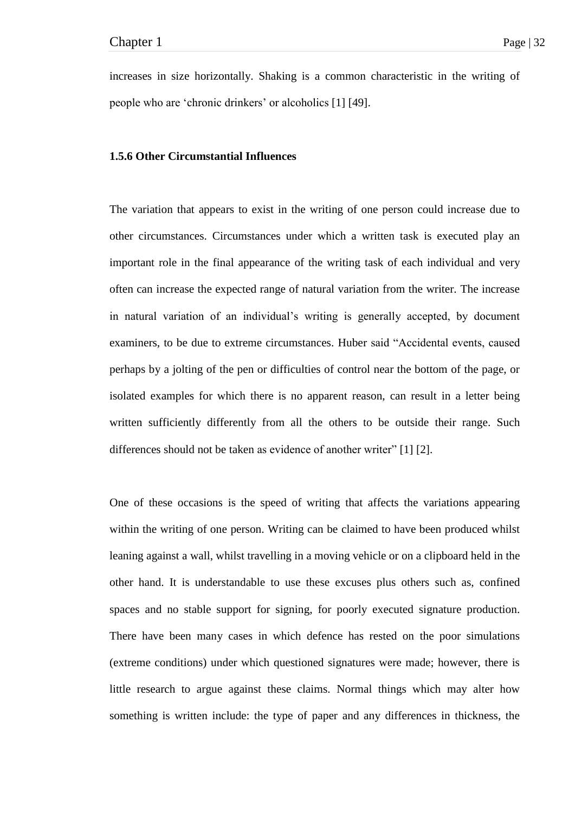increases in size horizontally. Shaking is a common characteristic in the writing of people who are ‗chronic drinkers' or alcoholics [1] [49].

## **1.5.6 Other Circumstantial Influences**

The variation that appears to exist in the writing of one person could increase due to other circumstances. Circumstances under which a written task is executed play an important role in the final appearance of the writing task of each individual and very often can increase the expected range of natural variation from the writer. The increase in natural variation of an individual's writing is generally accepted, by document examiners, to be due to extreme circumstances. Huber said "Accidental events, caused perhaps by a jolting of the pen or difficulties of control near the bottom of the page, or isolated examples for which there is no apparent reason, can result in a letter being written sufficiently differently from all the others to be outside their range. Such differences should not be taken as evidence of another writer"  $[1] [2]$ .

One of these occasions is the speed of writing that affects the variations appearing within the writing of one person. Writing can be claimed to have been produced whilst leaning against a wall, whilst travelling in a moving vehicle or on a clipboard held in the other hand. It is understandable to use these excuses plus others such as, confined spaces and no stable support for signing, for poorly executed signature production. There have been many cases in which defence has rested on the poor simulations (extreme conditions) under which questioned signatures were made; however, there is little research to argue against these claims. Normal things which may alter how something is written include: the type of paper and any differences in thickness, the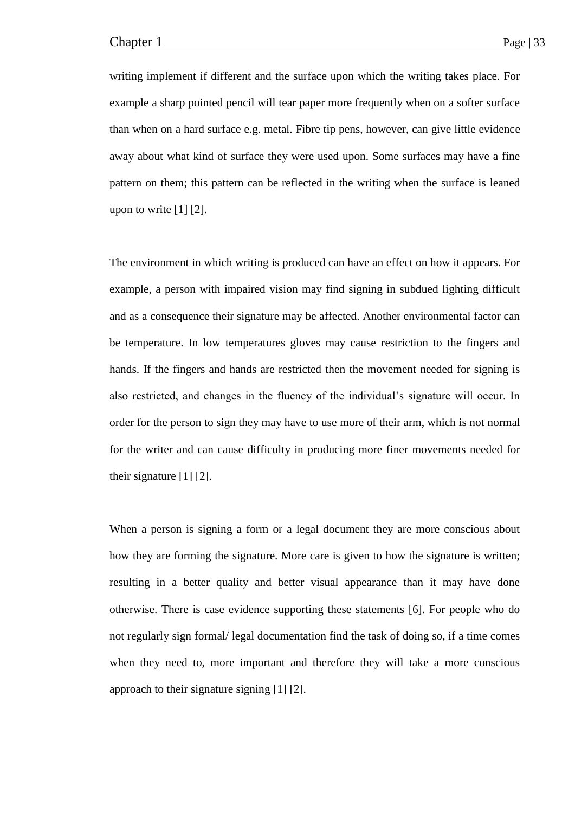writing implement if different and the surface upon which the writing takes place. For example a sharp pointed pencil will tear paper more frequently when on a softer surface than when on a hard surface e.g. metal. Fibre tip pens, however, can give little evidence away about what kind of surface they were used upon. Some surfaces may have a fine pattern on them; this pattern can be reflected in the writing when the surface is leaned upon to write [1] [2].

The environment in which writing is produced can have an effect on how it appears. For example, a person with impaired vision may find signing in subdued lighting difficult and as a consequence their signature may be affected. Another environmental factor can be temperature. In low temperatures gloves may cause restriction to the fingers and hands. If the fingers and hands are restricted then the movement needed for signing is also restricted, and changes in the fluency of the individual's signature will occur. In order for the person to sign they may have to use more of their arm, which is not normal for the writer and can cause difficulty in producing more finer movements needed for their signature [1] [2].

When a person is signing a form or a legal document they are more conscious about how they are forming the signature. More care is given to how the signature is written; resulting in a better quality and better visual appearance than it may have done otherwise. There is case evidence supporting these statements [6]. For people who do not regularly sign formal/ legal documentation find the task of doing so, if a time comes when they need to, more important and therefore they will take a more conscious approach to their signature signing [1] [2].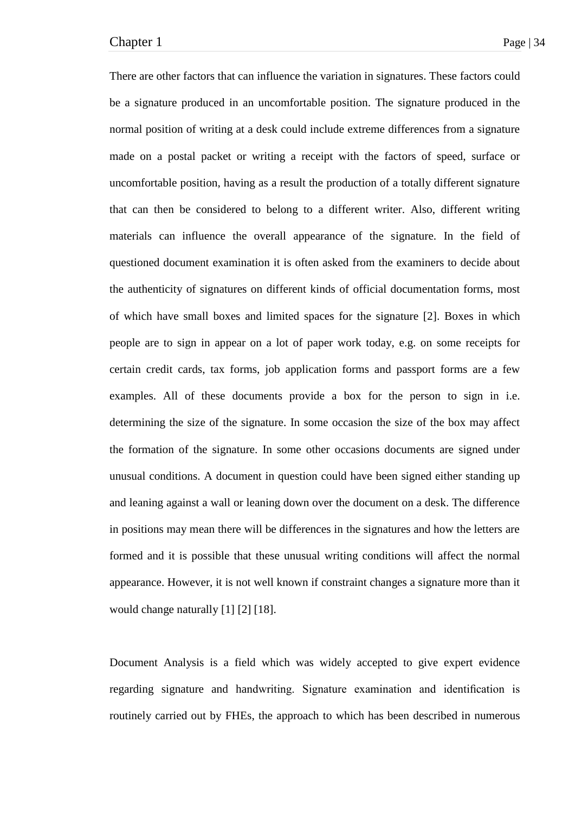There are other factors that can influence the variation in signatures. These factors could be a signature produced in an uncomfortable position. The signature produced in the normal position of writing at a desk could include extreme differences from a signature made on a postal packet or writing a receipt with the factors of speed, surface or uncomfortable position, having as a result the production of a totally different signature that can then be considered to belong to a different writer. Also, different writing materials can influence the overall appearance of the signature. In the field of questioned document examination it is often asked from the examiners to decide about the authenticity of signatures on different kinds of official documentation forms, most of which have small boxes and limited spaces for the signature [2]. Boxes in which people are to sign in appear on a lot of paper work today, e.g. on some receipts for certain credit cards, tax forms, job application forms and passport forms are a few examples. All of these documents provide a box for the person to sign in i.e. determining the size of the signature. In some occasion the size of the box may affect the formation of the signature. In some other occasions documents are signed under unusual conditions. A document in question could have been signed either standing up and leaning against a wall or leaning down over the document on a desk. The difference in positions may mean there will be differences in the signatures and how the letters are formed and it is possible that these unusual writing conditions will affect the normal appearance. However, it is not well known if constraint changes a signature more than it would change naturally [1] [2] [18].

Document Analysis is a field which was widely accepted to give expert evidence regarding signature and handwriting. Signature examination and identification is routinely carried out by FHEs, the approach to which has been described in numerous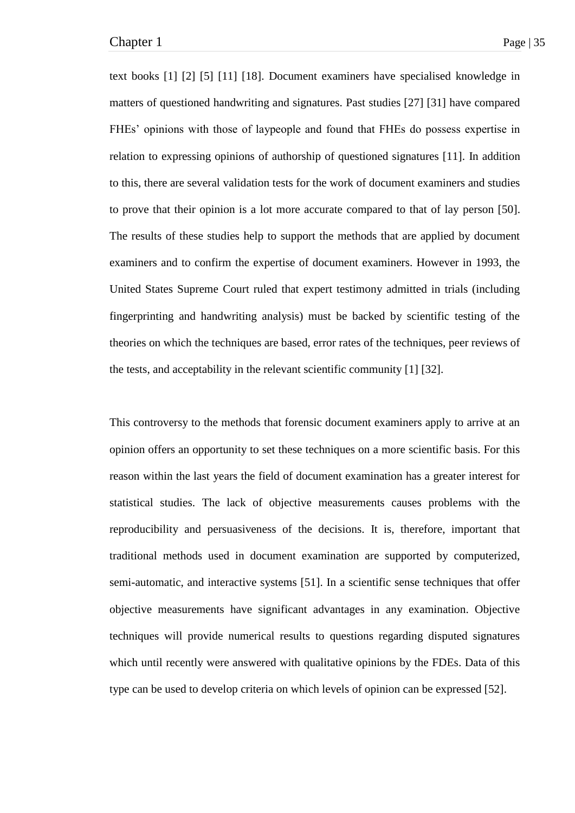text books [1] [2] [5] [11] [18]. Document examiners have specialised knowledge in matters of questioned handwriting and signatures. Past studies [27] [31] have compared FHEs' opinions with those of laypeople and found that FHEs do possess expertise in relation to expressing opinions of authorship of questioned signatures [11]. In addition to this, there are several validation tests for the work of document examiners and studies to prove that their opinion is a lot more accurate compared to that of lay person [50]. The results of these studies help to support the methods that are applied by document examiners and to confirm the expertise of document examiners. However in 1993, the United States Supreme Court ruled that expert testimony admitted in trials (including fingerprinting and handwriting analysis) must be backed by scientific testing of the theories on which the techniques are based, error rates of the techniques, peer reviews of the tests, and acceptability in the relevant scientific community [1] [32].

This controversy to the methods that forensic document examiners apply to arrive at an opinion offers an opportunity to set these techniques on a more scientific basis. For this reason within the last years the field of document examination has a greater interest for statistical studies. The lack of objective measurements causes problems with the reproducibility and persuasiveness of the decisions. It is, therefore, important that traditional methods used in document examination are supported by computerized, semi-automatic, and interactive systems [51]. In a scientific sense techniques that offer objective measurements have significant advantages in any examination. Objective techniques will provide numerical results to questions regarding disputed signatures which until recently were answered with qualitative opinions by the FDEs. Data of this type can be used to develop criteria on which levels of opinion can be expressed [52].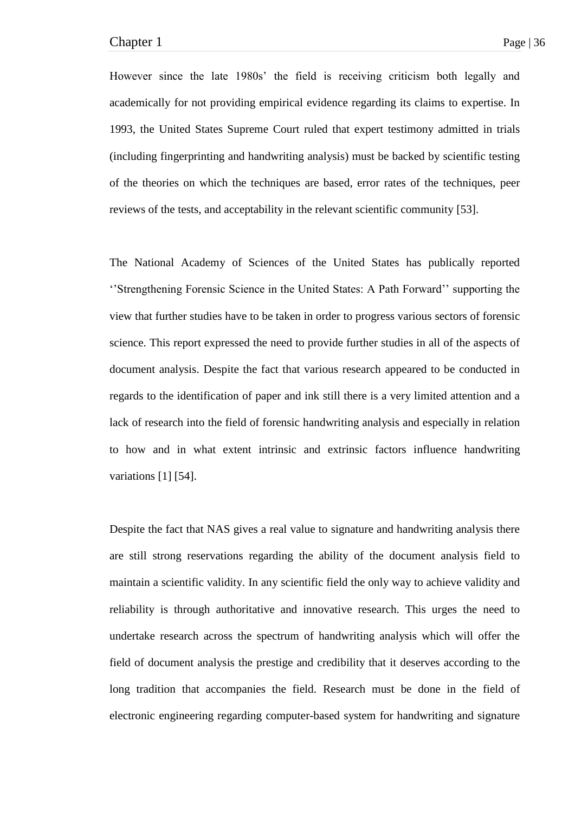However since the late 1980s' the field is receiving criticism both legally and academically for not providing empirical evidence regarding its claims to expertise. In 1993, the United States Supreme Court ruled that expert testimony admitted in trials (including fingerprinting and handwriting analysis) must be backed by scientific testing of the theories on which the techniques are based, error rates of the techniques, peer reviews of the tests, and acceptability in the relevant scientific community [53].

The National Academy of Sciences of the United States has publically reported ‗'Strengthening Forensic Science in the United States: A Path Forward'' supporting the view that further studies have to be taken in order to progress various sectors of forensic science. This report expressed the need to provide further studies in all of the aspects of document analysis. Despite the fact that various research appeared to be conducted in regards to the identification of paper and ink still there is a very limited attention and a lack of research into the field of forensic handwriting analysis and especially in relation to how and in what extent intrinsic and extrinsic factors influence handwriting variations [1] [54].

Despite the fact that NAS gives a real value to signature and handwriting analysis there are still strong reservations regarding the ability of the document analysis field to maintain a scientific validity. In any scientific field the only way to achieve validity and reliability is through authoritative and innovative research. This urges the need to undertake research across the spectrum of handwriting analysis which will offer the field of document analysis the prestige and credibility that it deserves according to the long tradition that accompanies the field. Research must be done in the field of electronic engineering regarding computer-based system for handwriting and signature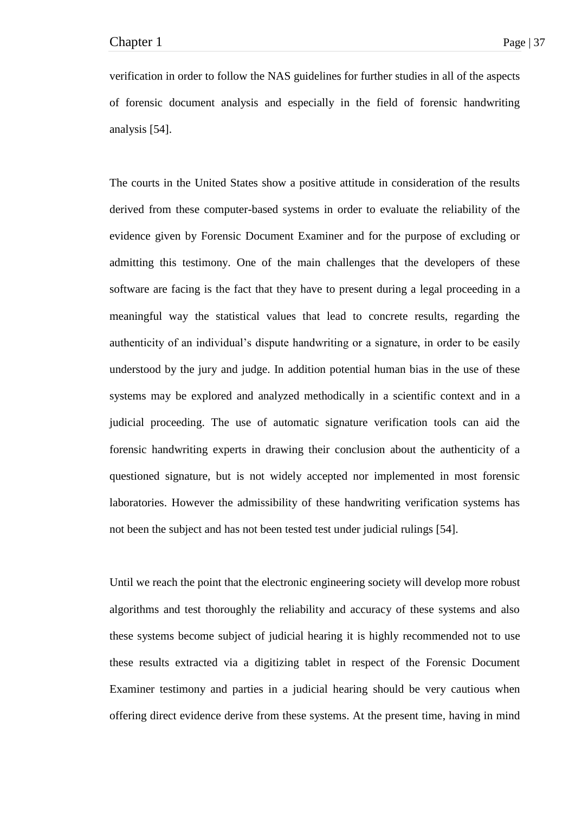verification in order to follow the NAS guidelines for further studies in all of the aspects of forensic document analysis and especially in the field of forensic handwriting analysis [54].

The courts in the United States show a positive attitude in consideration of the results derived from these computer-based systems in order to evaluate the reliability of the evidence given by Forensic Document Examiner and for the purpose of excluding or admitting this testimony. One of the main challenges that the developers of these software are facing is the fact that they have to present during a legal proceeding in a meaningful way the statistical values that lead to concrete results, regarding the authenticity of an individual's dispute handwriting or a signature, in order to be easily understood by the jury and judge. In addition potential human bias in the use of these systems may be explored and analyzed methodically in a scientific context and in a judicial proceeding. The use of automatic signature verification tools can aid the forensic handwriting experts in drawing their conclusion about the authenticity of a questioned signature, but is not widely accepted nor implemented in most forensic laboratories. However the admissibility of these handwriting verification systems has not been the subject and has not been tested test under judicial rulings [54].

Until we reach the point that the electronic engineering society will develop more robust algorithms and test thoroughly the reliability and accuracy of these systems and also these systems become subject of judicial hearing it is highly recommended not to use these results extracted via a digitizing tablet in respect of the Forensic Document Examiner testimony and parties in a judicial hearing should be very cautious when offering direct evidence derive from these systems. At the present time, having in mind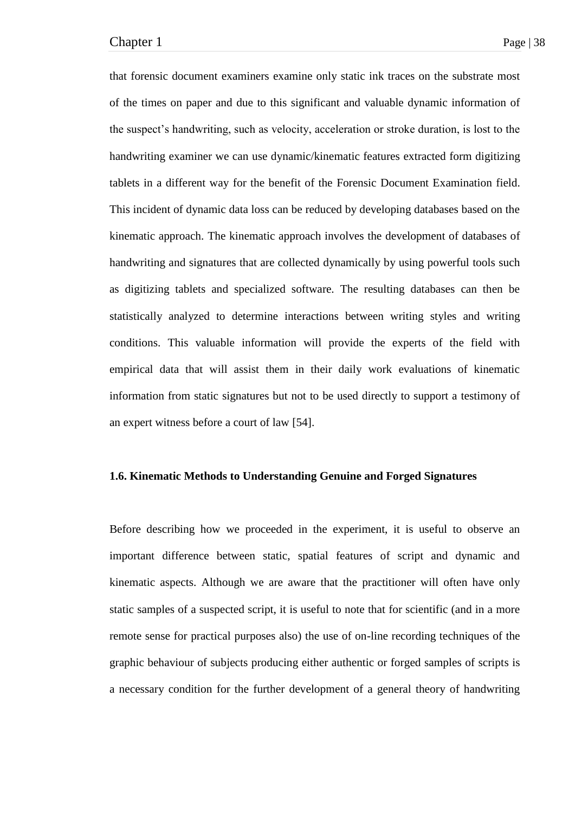that forensic document examiners examine only static ink traces on the substrate most of the times on paper and due to this significant and valuable dynamic information of the suspect's handwriting, such as velocity, acceleration or stroke duration, is lost to the handwriting examiner we can use dynamic/kinematic features extracted form digitizing tablets in a different way for the benefit of the Forensic Document Examination field. This incident of dynamic data loss can be reduced by developing databases based on the kinematic approach. The kinematic approach involves the development of databases of handwriting and signatures that are collected dynamically by using powerful tools such as digitizing tablets and specialized software. The resulting databases can then be statistically analyzed to determine interactions between writing styles and writing conditions. This valuable information will provide the experts of the field with empirical data that will assist them in their daily work evaluations of kinematic information from static signatures but not to be used directly to support a testimony of an expert witness before a court of law [54].

## **1.6. Kinematic Methods to Understanding Genuine and Forged Signatures**

Before describing how we proceeded in the experiment, it is useful to observe an important difference between static, spatial features of script and dynamic and kinematic aspects. Although we are aware that the practitioner will often have only static samples of a suspected script, it is useful to note that for scientific (and in a more remote sense for practical purposes also) the use of on-line recording techniques of the graphic behaviour of subjects producing either authentic or forged samples of scripts is a necessary condition for the further development of a general theory of handwriting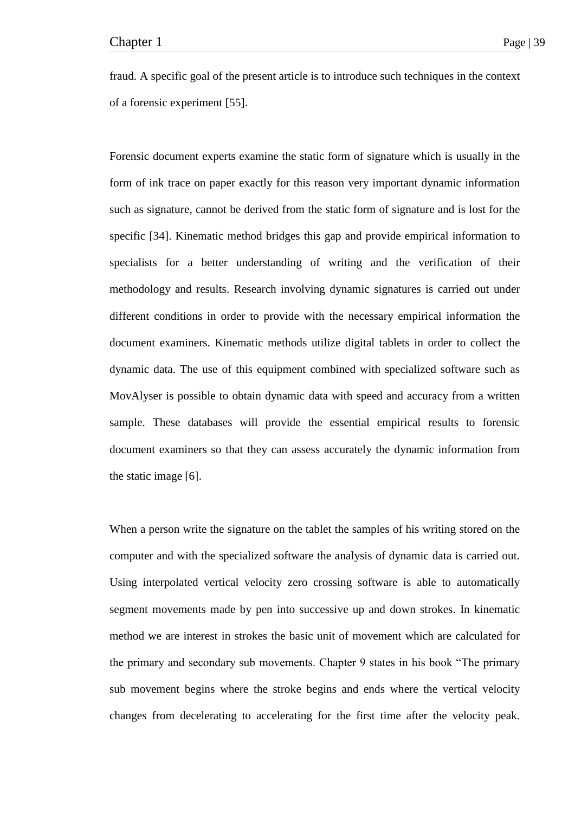fraud. A specific goal of the present article is to introduce such techniques in the context of a forensic experiment [55].

Forensic document experts examine the static form of signature which is usually in the form of ink trace on paper exactly for this reason very important dynamic information such as signature, cannot be derived from the static form of signature and is lost for the specific [34]. Kinematic method bridges this gap and provide empirical information to specialists for a better understanding of writing and the verification of their methodology and results. Research involving dynamic signatures is carried out under different conditions in order to provide with the necessary empirical information the document examiners. Kinematic methods utilize digital tablets in order to collect the dynamic data. The use of this equipment combined with specialized software such as MovAlyser is possible to obtain dynamic data with speed and accuracy from a written sample. These databases will provide the essential empirical results to forensic document examiners so that they can assess accurately the dynamic information from the static image [6].

When a person write the signature on the tablet the samples of his writing stored on the computer and with the specialized software the analysis of dynamic data is carried out. Using interpolated vertical velocity zero crossing software is able to automatically segment movements made by pen into successive up and down strokes. In kinematic method we are interest in strokes the basic unit of movement which are calculated for the primary and secondary sub movements. Chapter 9 states in his book "The primary sub movement begins where the stroke begins and ends where the vertical velocity changes from decelerating to accelerating for the first time after the velocity peak.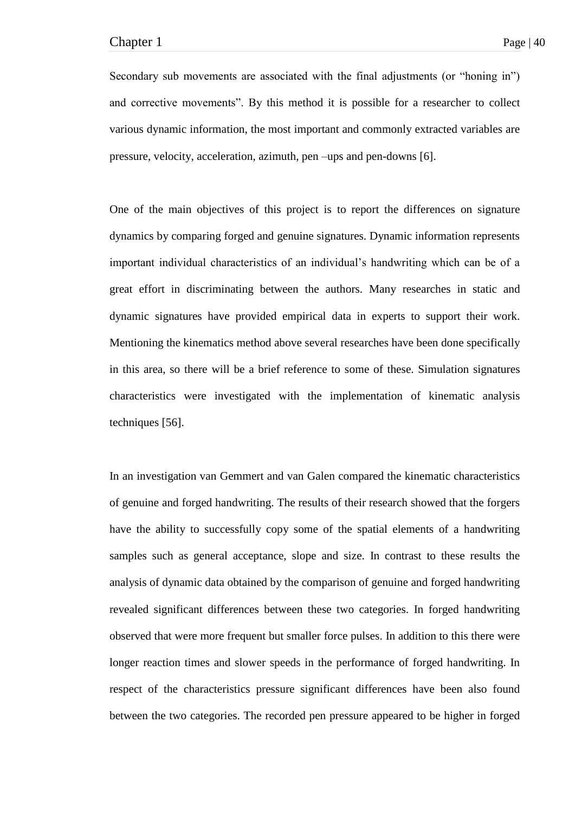Secondary sub movements are associated with the final adjustments (or "honing in") and corrective movements". By this method it is possible for a researcher to collect various dynamic information, the most important and commonly extracted variables are pressure, velocity, acceleration, azimuth, pen –ups and pen-downs [6].

One of the main objectives of this project is to report the differences on signature dynamics by comparing forged and genuine signatures. Dynamic information represents important individual characteristics of an individual's handwriting which can be of a great effort in discriminating between the authors. Many researches in static and dynamic signatures have provided empirical data in experts to support their work. Mentioning the kinematics method above several researches have been done specifically in this area, so there will be a brief reference to some of these. Simulation signatures characteristics were investigated with the implementation of kinematic analysis techniques [56].

In an investigation van Gemmert and van Galen compared the kinematic characteristics of genuine and forged handwriting. The results of their research showed that the forgers have the ability to successfully copy some of the spatial elements of a handwriting samples such as general acceptance, slope and size. In contrast to these results the analysis of dynamic data obtained by the comparison of genuine and forged handwriting revealed significant differences between these two categories. In forged handwriting observed that were more frequent but smaller force pulses. In addition to this there were longer reaction times and slower speeds in the performance of forged handwriting. In respect of the characteristics pressure significant differences have been also found between the two categories. The recorded pen pressure appeared to be higher in forged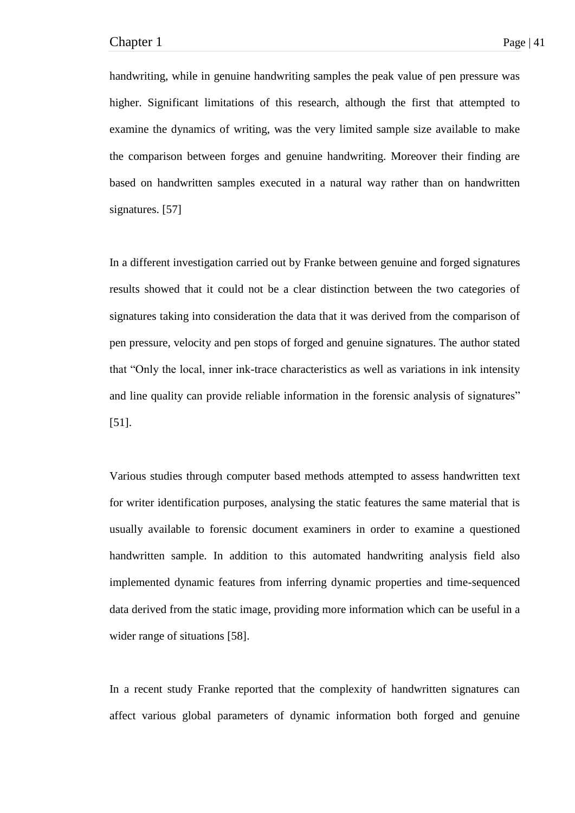handwriting, while in genuine handwriting samples the peak value of pen pressure was higher. Significant limitations of this research, although the first that attempted to examine the dynamics of writing, was the very limited sample size available to make the comparison between forges and genuine handwriting. Moreover their finding are based on handwritten samples executed in a natural way rather than on handwritten signatures. [57]

In a different investigation carried out by Franke between genuine and forged signatures results showed that it could not be a clear distinction between the two categories of signatures taking into consideration the data that it was derived from the comparison of pen pressure, velocity and pen stops of forged and genuine signatures. The author stated that "Only the local, inner ink-trace characteristics as well as variations in ink intensity and line quality can provide reliable information in the forensic analysis of signatures" [51].

Various studies through computer based methods attempted to assess handwritten text for writer identification purposes, analysing the static features the same material that is usually available to forensic document examiners in order to examine a questioned handwritten sample. In addition to this automated handwriting analysis field also implemented dynamic features from inferring dynamic properties and time-sequenced data derived from the static image, providing more information which can be useful in a wider range of situations [58].

In a recent study Franke reported that the complexity of handwritten signatures can affect various global parameters of dynamic information both forged and genuine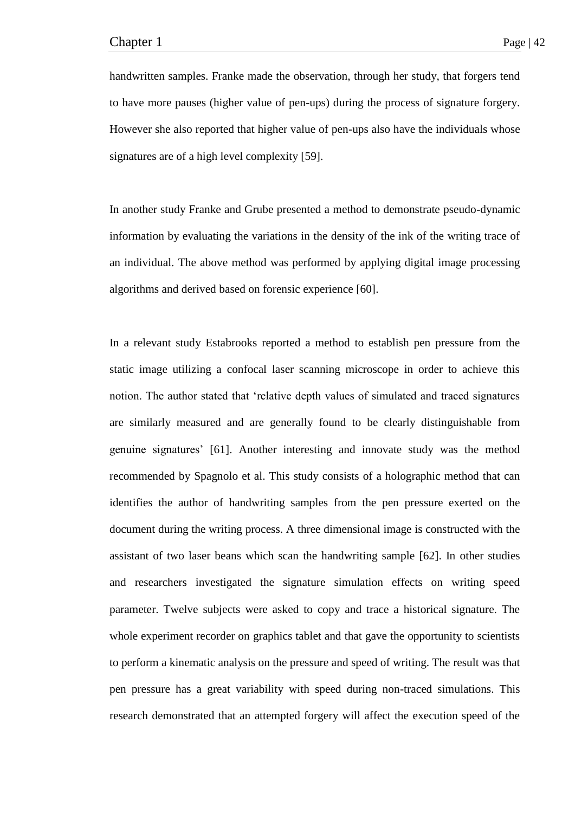handwritten samples. Franke made the observation, through her study, that forgers tend to have more pauses (higher value of pen-ups) during the process of signature forgery. However she also reported that higher value of pen-ups also have the individuals whose signatures are of a high level complexity [59].

In another study Franke and Grube presented a method to demonstrate pseudo-dynamic information by evaluating the variations in the density of the ink of the writing trace of an individual. The above method was performed by applying digital image processing algorithms and derived based on forensic experience [60].

In a relevant study Estabrooks reported a method to establish pen pressure from the static image utilizing a confocal laser scanning microscope in order to achieve this notion. The author stated that 'relative depth values of simulated and traced signatures are similarly measured and are generally found to be clearly distinguishable from genuine signatures' [61]. Another interesting and innovate study was the method recommended by Spagnolo et al. This study consists of a holographic method that can identifies the author of handwriting samples from the pen pressure exerted on the document during the writing process. A three dimensional image is constructed with the assistant of two laser beans which scan the handwriting sample [62]. In other studies and researchers investigated the signature simulation effects on writing speed parameter. Twelve subjects were asked to copy and trace a historical signature. The whole experiment recorder on graphics tablet and that gave the opportunity to scientists to perform a kinematic analysis on the pressure and speed of writing. The result was that pen pressure has a great variability with speed during non-traced simulations. This research demonstrated that an attempted forgery will affect the execution speed of the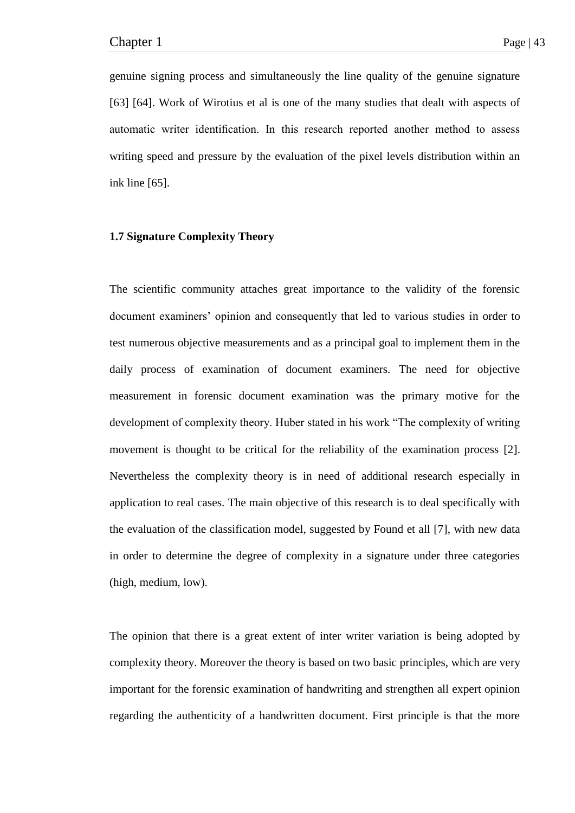genuine signing process and simultaneously the line quality of the genuine signature [63] [64]. Work of Wirotius et al is one of the many studies that dealt with aspects of automatic writer identification. In this research reported another method to assess writing speed and pressure by the evaluation of the pixel levels distribution within an ink line [65].

### **1.7 Signature Complexity Theory**

The scientific community attaches great importance to the validity of the forensic document examiners' opinion and consequently that led to various studies in order to test numerous objective measurements and as a principal goal to implement them in the daily process of examination of document examiners. The need for objective measurement in forensic document examination was the primary motive for the development of complexity theory. Huber stated in his work "The complexity of writing movement is thought to be critical for the reliability of the examination process [2]. Nevertheless the complexity theory is in need of additional research especially in application to real cases. The main objective of this research is to deal specifically with the evaluation of the classification model, suggested by Found et all [7], with new data in order to determine the degree of complexity in a signature under three categories (high, medium, low).

The opinion that there is a great extent of inter writer variation is being adopted by complexity theory. Moreover the theory is based on two basic principles, which are very important for the forensic examination of handwriting and strengthen all expert opinion regarding the authenticity of a handwritten document. First principle is that the more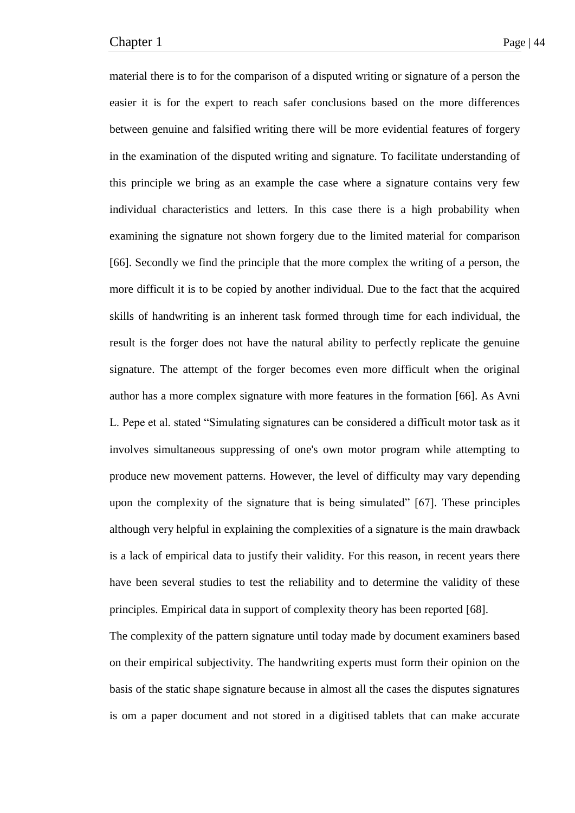material there is to for the comparison of a disputed writing or signature of a person the easier it is for the expert to reach safer conclusions based on the more differences between genuine and falsified writing there will be more evidential features of forgery in the examination of the disputed writing and signature. To facilitate understanding of this principle we bring as an example the case where a signature contains very few individual characteristics and letters. In this case there is a high probability when examining the signature not shown forgery due to the limited material for comparison [66]. Secondly we find the principle that the more complex the writing of a person, the more difficult it is to be copied by another individual. Due to the fact that the acquired skills of handwriting is an inherent task formed through time for each individual, the result is the forger does not have the natural ability to perfectly replicate the genuine signature. The attempt of the forger becomes even more difficult when the original author has a more complex signature with more features in the formation [66]. As Avni L. Pepe et al. stated "Simulating signatures can be considered a difficult motor task as it involves simultaneous suppressing of one's own motor program while attempting to produce new movement patterns. However, the level of difficulty may vary depending upon the complexity of the signature that is being simulated"  $[67]$ . These principles although very helpful in explaining the complexities of a signature is the main drawback is a lack of empirical data to justify their validity. For this reason, in recent years there have been several studies to test the reliability and to determine the validity of these principles. Empirical data in support of complexity theory has been reported [68].

The complexity of the pattern signature until today made by document examiners based on their empirical subjectivity. The handwriting experts must form their opinion on the basis of the static shape signature because in almost all the cases the disputes signatures is om a paper document and not stored in a digitised tablets that can make accurate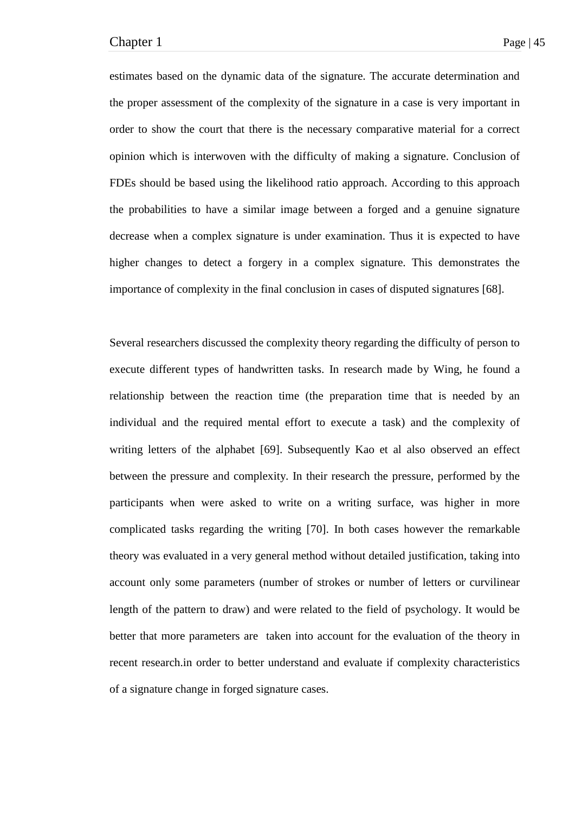estimates based on the dynamic data of the signature. The accurate determination and the proper assessment of the complexity of the signature in a case is very important in order to show the court that there is the necessary comparative material for a correct opinion which is interwoven with the difficulty of making a signature. Conclusion of FDEs should be based using the likelihood ratio approach. According to this approach the probabilities to have a similar image between a forged and a genuine signature decrease when a complex signature is under examination. Thus it is expected to have higher changes to detect a forgery in a complex signature. This demonstrates the importance of complexity in the final conclusion in cases of disputed signatures [68].

Several researchers discussed the complexity theory regarding the difficulty of person to execute different types of handwritten tasks. In research made by Wing, he found a relationship between the reaction time (the preparation time that is needed by an individual and the required mental effort to execute a task) and the complexity of writing letters of the alphabet [69]. Subsequently Kao et al also observed an effect between the pressure and complexity. In their research the pressure, performed by the participants when were asked to write on a writing surface, was higher in more complicated tasks regarding the writing [70]. In both cases however the remarkable theory was evaluated in a very general method without detailed justification, taking into account only some parameters (number of strokes or number of letters or curvilinear length of the pattern to draw) and were related to the field of psychology. It would be better that more parameters are taken into account for the evaluation of the theory in recent research.in order to better understand and evaluate if complexity characteristics of a signature change in forged signature cases.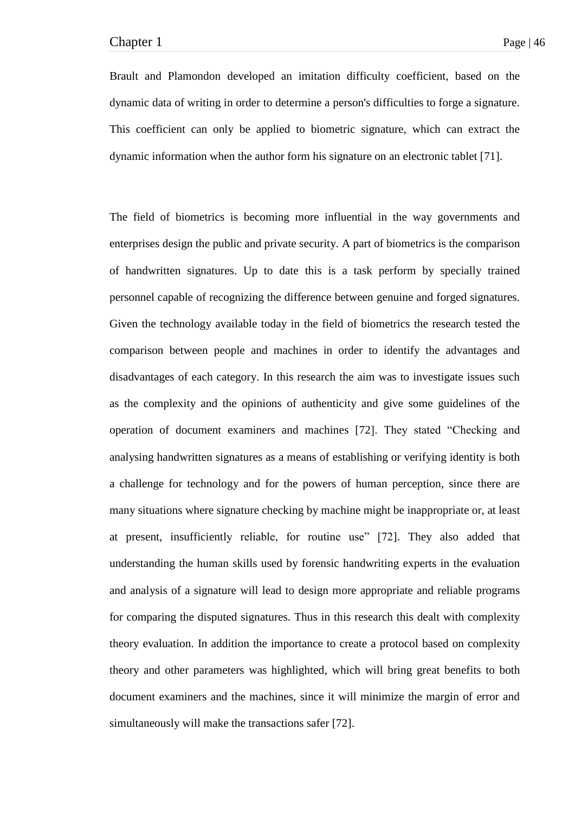Brault and Plamondon developed an imitation difficulty coefficient, based on the dynamic data of writing in order to determine a person's difficulties to forge a signature. This coefficient can only be applied to biometric signature, which can extract the dynamic information when the author form his signature on an electronic tablet [71].

The field of biometrics is becoming more influential in the way governments and enterprises design the public and private security. A part of biometrics is the comparison of handwritten signatures. Up to date this is a task perform by specially trained personnel capable of recognizing the difference between genuine and forged signatures. Given the technology available today in the field of biometrics the research tested the comparison between people and machines in order to identify the advantages and disadvantages of each category. In this research the aim was to investigate issues such as the complexity and the opinions of authenticity and give some guidelines of the operation of document examiners and machines [72]. They stated "Checking and analysing handwritten signatures as a means of establishing or verifying identity is both a challenge for technology and for the powers of human perception, since there are many situations where signature checking by machine might be inappropriate or, at least at present, insufficiently reliable, for routine use" [72]. They also added that understanding the human skills used by forensic handwriting experts in the evaluation and analysis of a signature will lead to design more appropriate and reliable programs for comparing the disputed signatures. Thus in this research this dealt with complexity theory evaluation. In addition the importance to create a protocol based on complexity theory and other parameters was highlighted, which will bring great benefits to both document examiners and the machines, since it will minimize the margin of error and simultaneously will make the transactions safer [72].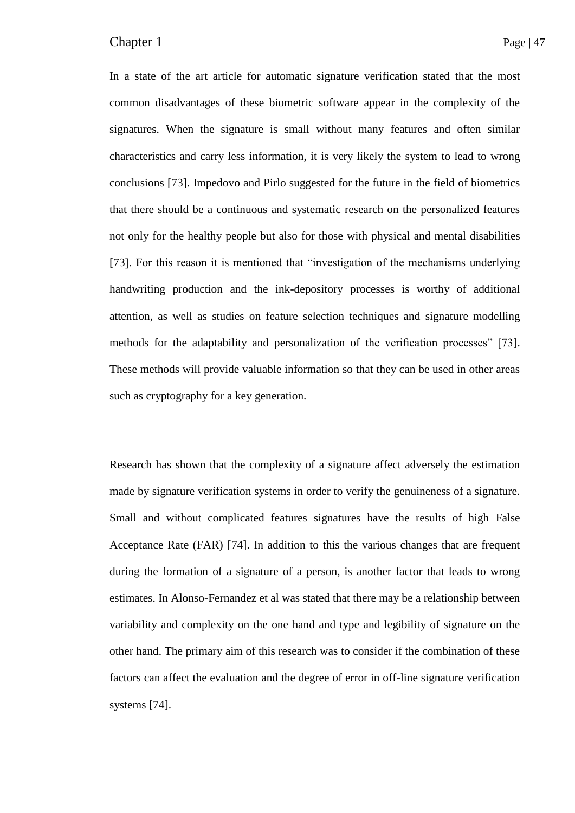In a state of the art article for automatic signature verification stated that the most common disadvantages of these biometric software appear in the complexity of the signatures. When the signature is small without many features and often similar characteristics and carry less information, it is very likely the system to lead to wrong conclusions [73]. Impedovo and Pirlo suggested for the future in the field of biometrics that there should be a continuous and systematic research on the personalized features not only for the healthy people but also for those with physical and mental disabilities [73]. For this reason it is mentioned that "investigation of the mechanisms underlying handwriting production and the ink-depository processes is worthy of additional attention, as well as studies on feature selection techniques and signature modelling methods for the adaptability and personalization of the verification processes" [73]. These methods will provide valuable information so that they can be used in other areas such as cryptography for a key generation.

Research has shown that the complexity of a signature affect adversely the estimation made by signature verification systems in order to verify the genuineness of a signature. Small and without complicated features signatures have the results of high False Acceptance Rate (FAR) [74]. In addition to this the various changes that are frequent during the formation of a signature of a person, is another factor that leads to wrong estimates. In Alonso-Fernandez et al was stated that there may be a relationship between variability and complexity on the one hand and type and legibility of signature on the other hand. The primary aim of this research was to consider if the combination of these factors can affect the evaluation and the degree of error in off-line signature verification systems [74].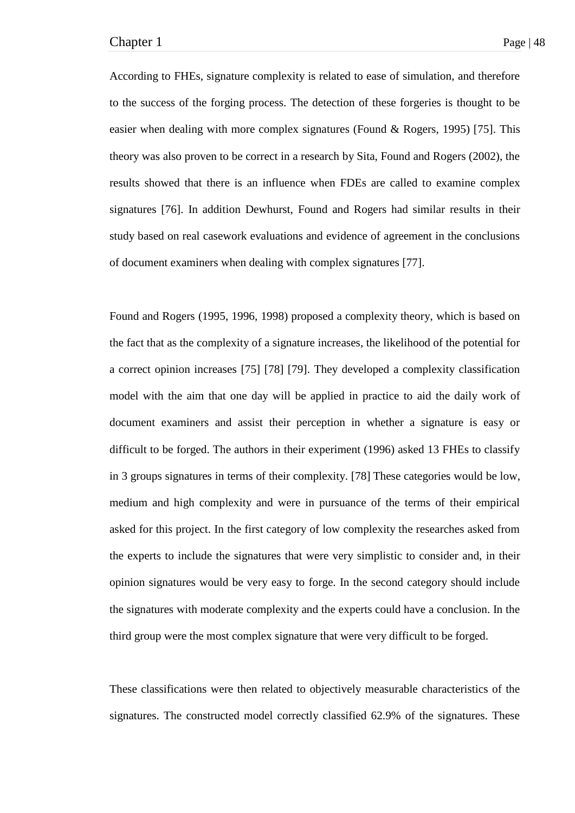According to FHEs, signature complexity is related to ease of simulation, and therefore to the success of the forging process. The detection of these forgeries is thought to be easier when dealing with more complex signatures (Found & Rogers, 1995) [75]. This theory was also proven to be correct in a research by Sita, Found and Rogers (2002), the results showed that there is an influence when FDEs are called to examine complex signatures [76]. In addition Dewhurst, Found and Rogers had similar results in their study based on real casework evaluations and evidence of agreement in the conclusions of document examiners when dealing with complex signatures [77].

Found and Rogers (1995, 1996, 1998) proposed a complexity theory, which is based on the fact that as the complexity of a signature increases, the likelihood of the potential for a correct opinion increases [75] [78] [79]. They developed a complexity classification model with the aim that one day will be applied in practice to aid the daily work of document examiners and assist their perception in whether a signature is easy or difficult to be forged. The authors in their experiment (1996) asked 13 FHEs to classify in 3 groups signatures in terms of their complexity. [78] These categories would be low, medium and high complexity and were in pursuance of the terms of their empirical asked for this project. In the first category of low complexity the researches asked from the experts to include the signatures that were very simplistic to consider and, in their opinion signatures would be very easy to forge. In the second category should include the signatures with moderate complexity and the experts could have a conclusion. In the third group were the most complex signature that were very difficult to be forged.

These classifications were then related to objectively measurable characteristics of the signatures. The constructed model correctly classified 62.9% of the signatures. These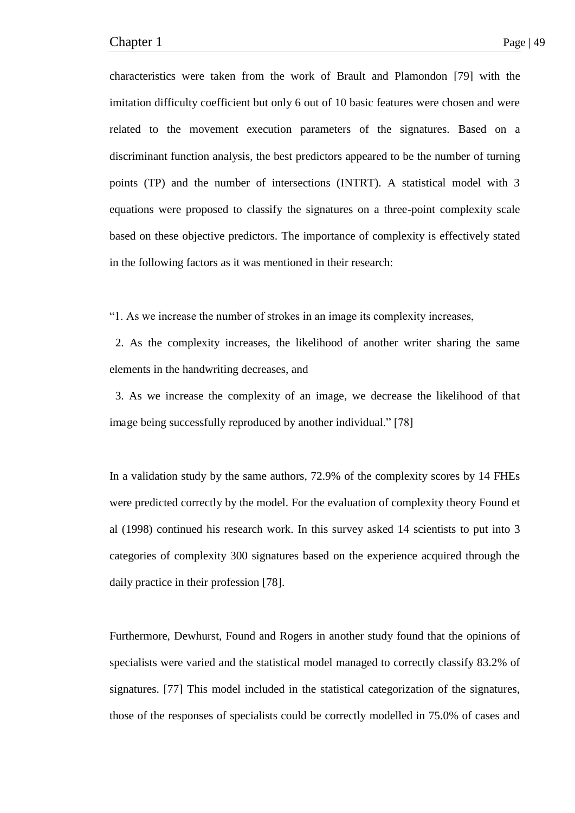characteristics were taken from the work of Brault and Plamondon [79] with the imitation difficulty coefficient but only 6 out of 10 basic features were chosen and were related to the movement execution parameters of the signatures. Based on a discriminant function analysis, the best predictors appeared to be the number of turning points (TP) and the number of intersections (INTRT). A statistical model with 3 equations were proposed to classify the signatures on a three-point complexity scale based on these objective predictors. The importance of complexity is effectively stated in the following factors as it was mentioned in their research:

―1. As we increase the number of strokes in an image its complexity increases,

 2. As the complexity increases, the likelihood of another writer sharing the same elements in the handwriting decreases, and

 3. As we increase the complexity of an image, we decrease the likelihood of that image being successfully reproduced by another individual." [78]

In a validation study by the same authors, 72.9% of the complexity scores by 14 FHEs were predicted correctly by the model. For the evaluation of complexity theory Found et al (1998) continued his research work. In this survey asked 14 scientists to put into 3 categories of complexity 300 signatures based on the experience acquired through the daily practice in their profession [78].

Furthermore, Dewhurst, Found and Rogers in another study found that the opinions of specialists were varied and the statistical model managed to correctly classify 83.2% of signatures. [77] This model included in the statistical categorization of the signatures, those of the responses of specialists could be correctly modelled in 75.0% of cases and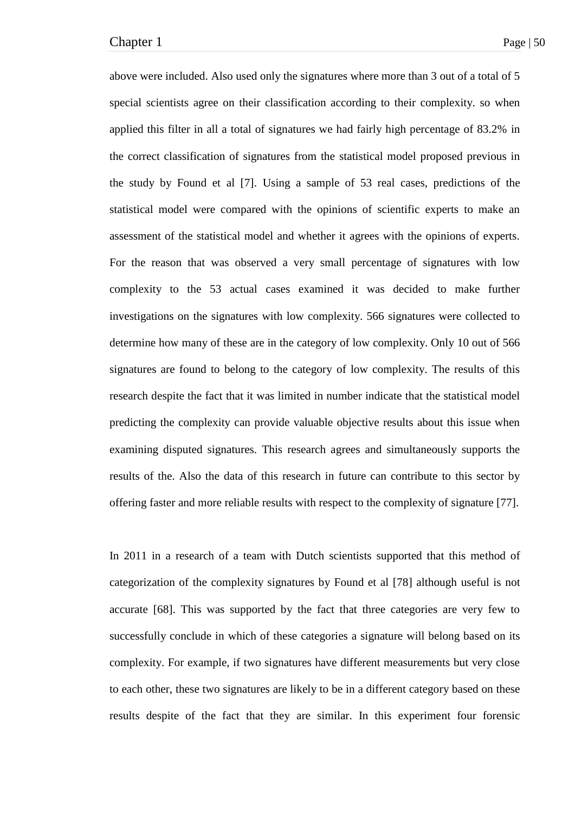above were included. Also used only the signatures where more than 3 out of a total of 5 special scientists agree on their classification according to their complexity. so when applied this filter in all a total of signatures we had fairly high percentage of 83.2% in the correct classification of signatures from the statistical model proposed previous in the study by Found et al [7]. Using a sample of 53 real cases, predictions of the statistical model were compared with the opinions of scientific experts to make an assessment of the statistical model and whether it agrees with the opinions of experts. For the reason that was observed a very small percentage of signatures with low complexity to the 53 actual cases examined it was decided to make further investigations on the signatures with low complexity. 566 signatures were collected to determine how many of these are in the category of low complexity. Only 10 out of 566 signatures are found to belong to the category of low complexity. The results of this research despite the fact that it was limited in number indicate that the statistical model predicting the complexity can provide valuable objective results about this issue when examining disputed signatures. This research agrees and simultaneously supports the results of the. Also the data of this research in future can contribute to this sector by offering faster and more reliable results with respect to the complexity of signature [77].

In 2011 in a research of a team with Dutch scientists supported that this method of categorization of the complexity signatures by Found et al [78] although useful is not accurate [68]. This was supported by the fact that three categories are very few to successfully conclude in which of these categories a signature will belong based on its complexity. For example, if two signatures have different measurements but very close to each other, these two signatures are likely to be in a different category based on these results despite of the fact that they are similar. In this experiment four forensic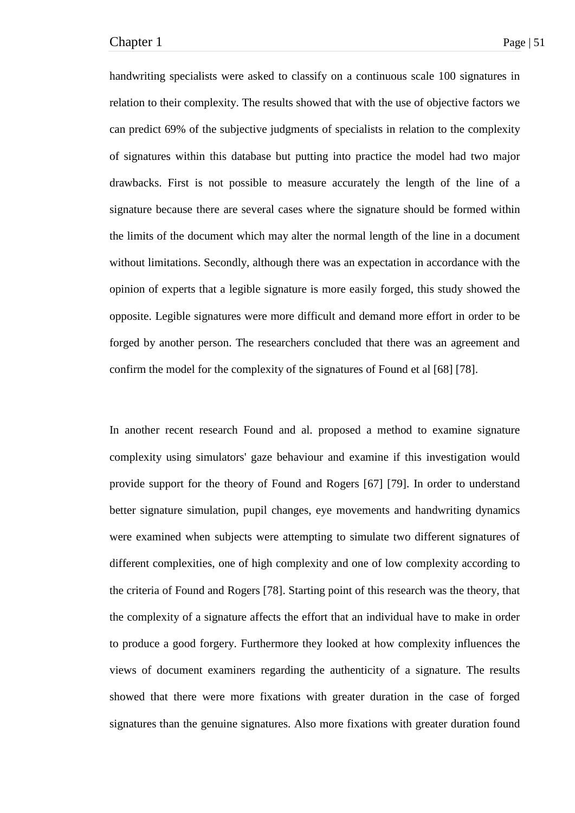handwriting specialists were asked to classify on a continuous scale 100 signatures in relation to their complexity. The results showed that with the use of objective factors we can predict 69% of the subjective judgments of specialists in relation to the complexity of signatures within this database but putting into practice the model had two major drawbacks. First is not possible to measure accurately the length of the line of a signature because there are several cases where the signature should be formed within the limits of the document which may alter the normal length of the line in a document without limitations. Secondly, although there was an expectation in accordance with the opinion of experts that a legible signature is more easily forged, this study showed the opposite. Legible signatures were more difficult and demand more effort in order to be forged by another person. The researchers concluded that there was an agreement and confirm the model for the complexity of the signatures of Found et al [68] [78].

In another recent research Found and al. proposed a method to examine signature complexity using simulators' gaze behaviour and examine if this investigation would provide support for the theory of Found and Rogers [67] [79]. In order to understand better signature simulation, pupil changes, eye movements and handwriting dynamics were examined when subjects were attempting to simulate two different signatures of different complexities, one of high complexity and one of low complexity according to the criteria of Found and Rogers [78]. Starting point of this research was the theory, that the complexity of a signature affects the effort that an individual have to make in order to produce a good forgery. Furthermore they looked at how complexity influences the views of document examiners regarding the authenticity of a signature. The results showed that there were more fixations with greater duration in the case of forged signatures than the genuine signatures. Also more fixations with greater duration found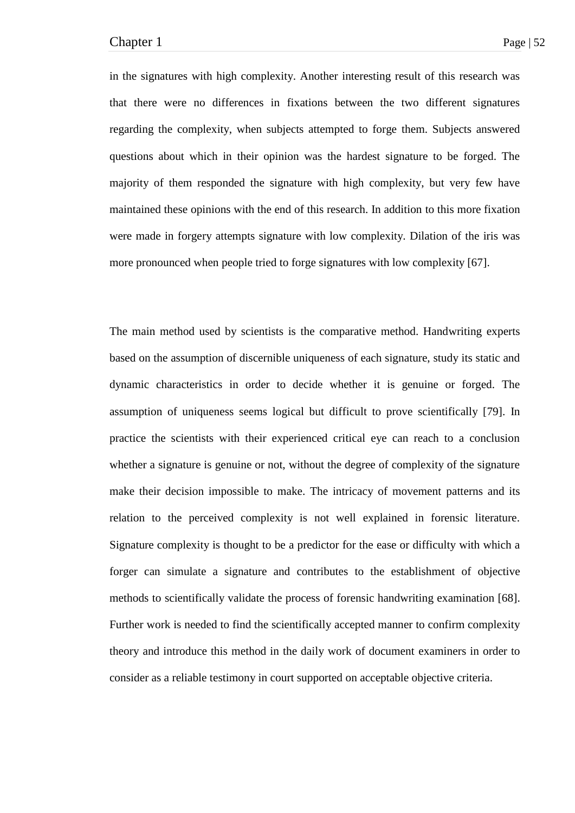in the signatures with high complexity. Another interesting result of this research was that there were no differences in fixations between the two different signatures regarding the complexity, when subjects attempted to forge them. Subjects answered questions about which in their opinion was the hardest signature to be forged. The majority of them responded the signature with high complexity, but very few have maintained these opinions with the end of this research. In addition to this more fixation were made in forgery attempts signature with low complexity. Dilation of the iris was more pronounced when people tried to forge signatures with low complexity [67].

The main method used by scientists is the comparative method. Handwriting experts based on the assumption of discernible uniqueness of each signature, study its static and dynamic characteristics in order to decide whether it is genuine or forged. The assumption of uniqueness seems logical but difficult to prove scientifically [79]. In practice the scientists with their experienced critical eye can reach to a conclusion whether a signature is genuine or not, without the degree of complexity of the signature make their decision impossible to make. The intricacy of movement patterns and its relation to the perceived complexity is not well explained in forensic literature. Signature complexity is thought to be a predictor for the ease or difficulty with which a forger can simulate a signature and contributes to the establishment of objective methods to scientifically validate the process of forensic handwriting examination [68]. Further work is needed to find the scientifically accepted manner to confirm complexity theory and introduce this method in the daily work of document examiners in order to consider as a reliable testimony in court supported on acceptable objective criteria.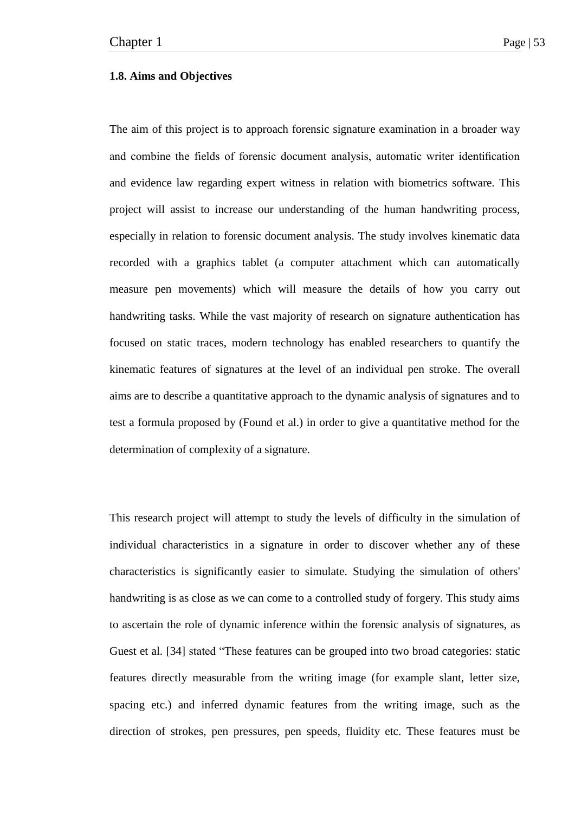#### **1.8. Aims and Objectives**

The aim of this project is to approach forensic signature examination in a broader way and combine the fields of forensic document analysis, automatic writer identification and evidence law regarding expert witness in relation with biometrics software. This project will assist to increase our understanding of the human handwriting process, especially in relation to forensic document analysis. The study involves kinematic data recorded with a graphics tablet (a computer attachment which can automatically measure pen movements) which will measure the details of how you carry out handwriting tasks. While the vast majority of research on signature authentication has focused on static traces, modern technology has enabled researchers to quantify the kinematic features of signatures at the level of an individual pen stroke. The overall aims are to describe a quantitative approach to the dynamic analysis of signatures and to test a formula proposed by (Found et al.) in order to give a quantitative method for the determination of complexity of a signature.

This research project will attempt to study the levels of difficulty in the simulation of individual characteristics in a signature in order to discover whether any of these characteristics is significantly easier to simulate. Studying the simulation of others' handwriting is as close as we can come to a controlled study of forgery. This study aims to ascertain the role of dynamic inference within the forensic analysis of signatures, as Guest et al. [34] stated "These features can be grouped into two broad categories: static features directly measurable from the writing image (for example slant, letter size, spacing etc.) and inferred dynamic features from the writing image, such as the direction of strokes, pen pressures, pen speeds, fluidity etc. These features must be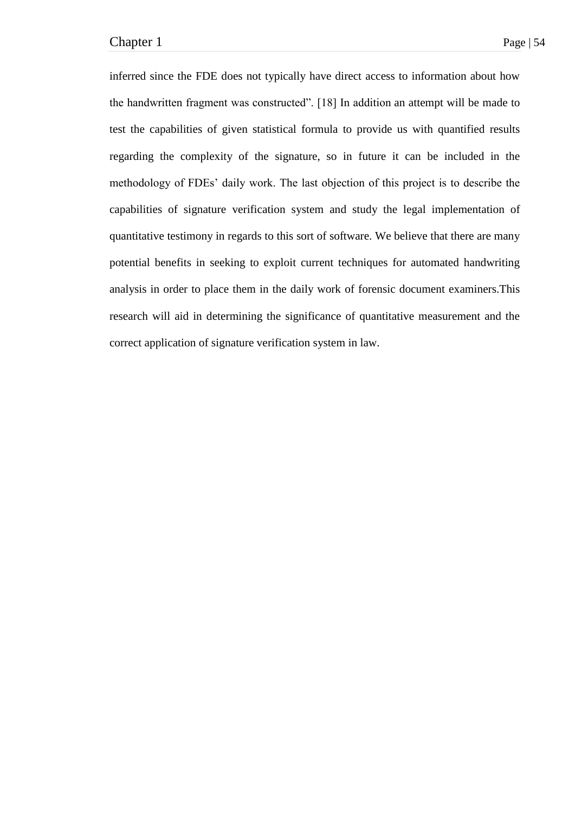inferred since the FDE does not typically have direct access to information about how the handwritten fragment was constructed". [18] In addition an attempt will be made to test the capabilities of given statistical formula to provide us with quantified results regarding the complexity of the signature, so in future it can be included in the methodology of FDEs' daily work. The last objection of this project is to describe the capabilities of signature verification system and study the legal implementation of quantitative testimony in regards to this sort of software. We believe that there are many potential benefits in seeking to exploit current techniques for automated handwriting analysis in order to place them in the daily work of forensic document examiners.This research will aid in determining the significance of quantitative measurement and the correct application of signature verification system in law.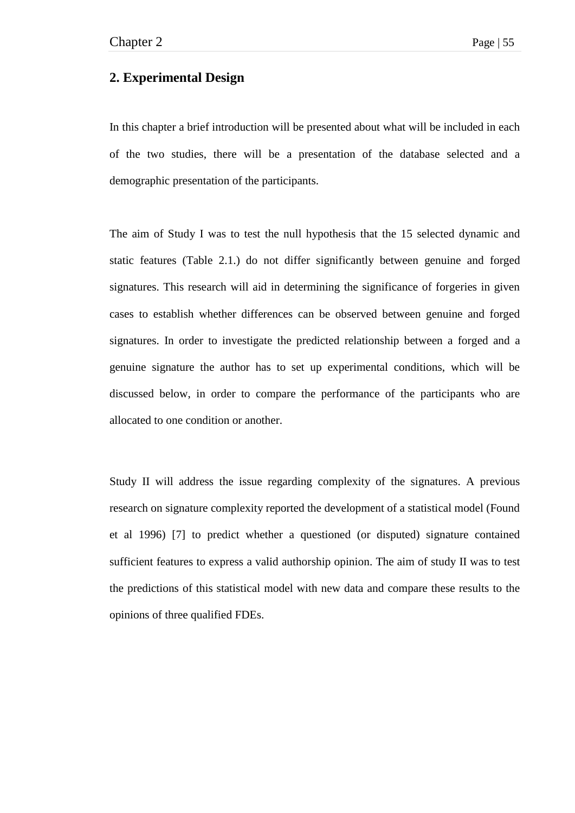# **2. Experimental Design**

In this chapter a brief introduction will be presented about what will be included in each of the two studies, there will be a presentation of the database selected and a demographic presentation of the participants.

The aim of Study I was to test the null hypothesis that the 15 selected dynamic and static features (Table 2.1.) do not differ significantly between genuine and forged signatures. This research will aid in determining the significance of forgeries in given cases to establish whether differences can be observed between genuine and forged signatures. In order to investigate the predicted relationship between a forged and a genuine signature the author has to set up experimental conditions, which will be discussed below, in order to compare the performance of the participants who are allocated to one condition or another.

Study II will address the issue regarding complexity of the signatures. A previous research on signature complexity reported the development of a statistical model (Found et al 1996) [7] to predict whether a questioned (or disputed) signature contained sufficient features to express a valid authorship opinion. The aim of study II was to test the predictions of this statistical model with new data and compare these results to the opinions of three qualified FDEs.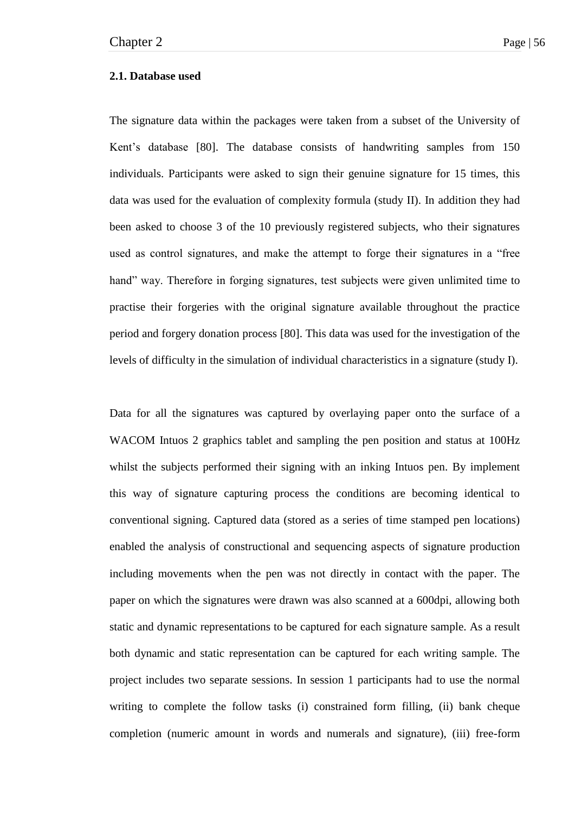### **2.1. Database used**

The signature data within the packages were taken from a subset of the University of Kent's database [80]. The database consists of handwriting samples from 150 individuals. Participants were asked to sign their genuine signature for 15 times, this data was used for the evaluation of complexity formula (study II). In addition they had been asked to choose 3 of the 10 previously registered subjects, who their signatures used as control signatures, and make the attempt to forge their signatures in a "free hand" way. Therefore in forging signatures, test subjects were given unlimited time to practise their forgeries with the original signature available throughout the practice period and forgery donation process [80]. This data was used for the investigation of the levels of difficulty in the simulation of individual characteristics in a signature (study I).

Data for all the signatures was captured by overlaying paper onto the surface of a WACOM Intuos 2 graphics tablet and sampling the pen position and status at 100Hz whilst the subjects performed their signing with an inking Intuos pen. By implement this way of signature capturing process the conditions are becoming identical to conventional signing. Captured data (stored as a series of time stamped pen locations) enabled the analysis of constructional and sequencing aspects of signature production including movements when the pen was not directly in contact with the paper. The paper on which the signatures were drawn was also scanned at a 600dpi, allowing both static and dynamic representations to be captured for each signature sample. As a result both dynamic and static representation can be captured for each writing sample. The project includes two separate sessions. In session 1 participants had to use the normal writing to complete the follow tasks (i) constrained form filling, (ii) bank cheque completion (numeric amount in words and numerals and signature), (iii) free-form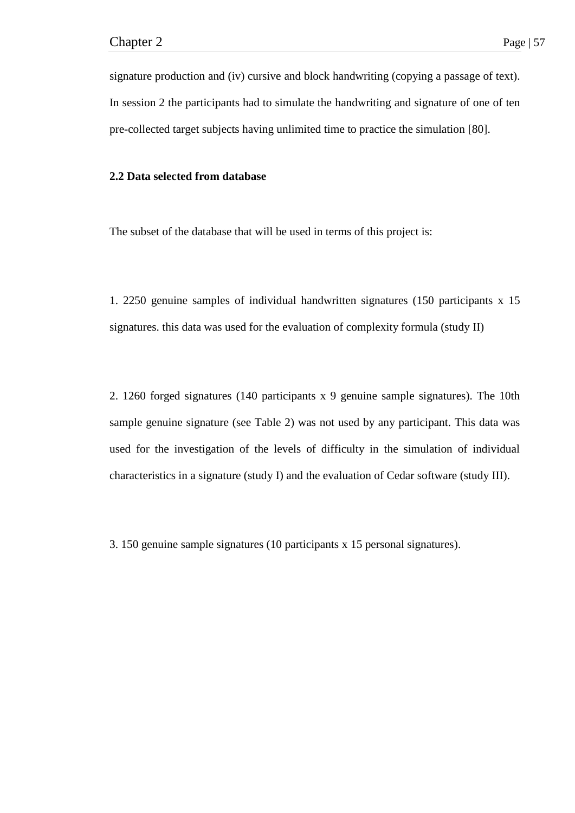signature production and (iv) cursive and block handwriting (copying a passage of text). In session 2 the participants had to simulate the handwriting and signature of one of ten pre-collected target subjects having unlimited time to practice the simulation [80].

### **2.2 Data selected from database**

The subset of the database that will be used in terms of this project is:

1. 2250 genuine samples of individual handwritten signatures (150 participants x 15 signatures. this data was used for the evaluation of complexity formula (study II)

2. 1260 forged signatures (140 participants x 9 genuine sample signatures). The 10th sample genuine signature (see Table 2) was not used by any participant. This data was used for the investigation of the levels of difficulty in the simulation of individual characteristics in a signature (study I) and the evaluation of Cedar software (study III).

3. 150 genuine sample signatures (10 participants x 15 personal signatures).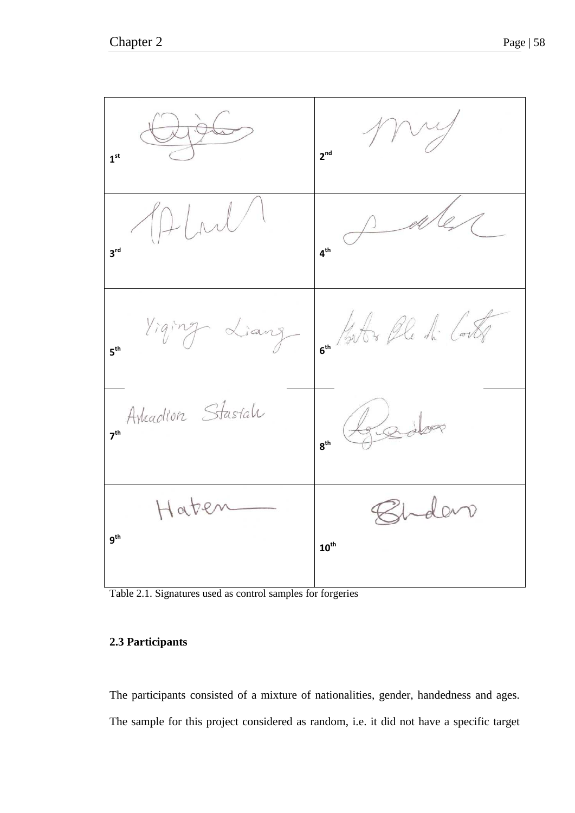

Table 2.1. Signatures used as control samples for forgeries

# **2.3 Participants**

The participants consisted of a mixture of nationalities, gender, handedness and ages. The sample for this project considered as random, i.e. it did not have a specific target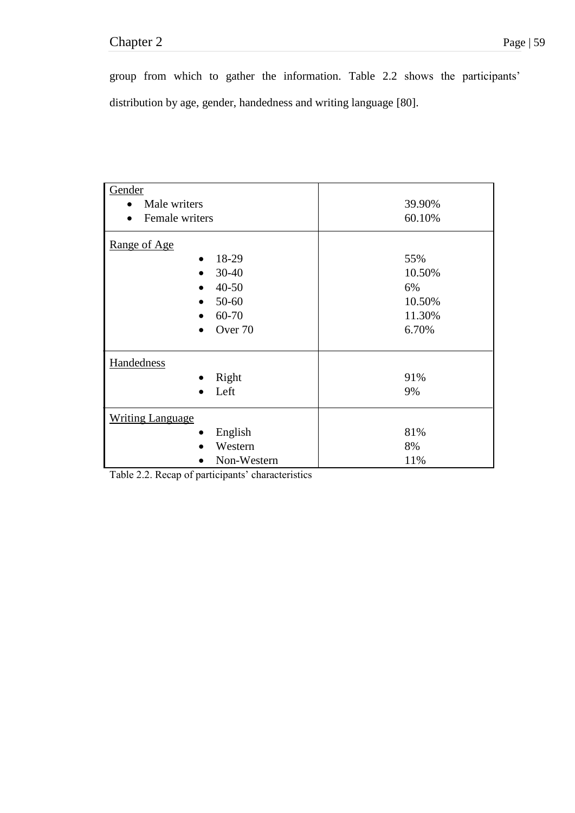# Chapter 2 Page | 59

group from which to gather the information. Table 2.2 shows the participants' distribution by age, gender, handedness and writing language [80].

| Gender                  |        |  |  |
|-------------------------|--------|--|--|
| Male writers            | 39.90% |  |  |
| Female writers          | 60.10% |  |  |
| Range of Age            |        |  |  |
| 18-29                   | 55%    |  |  |
| $30 - 40$               | 10.50% |  |  |
| $40 - 50$               | 6%     |  |  |
| 50-60                   | 10.50% |  |  |
| 60-70                   | 11.30% |  |  |
| Over 70                 | 6.70%  |  |  |
| Handedness              |        |  |  |
| Right<br>$\bullet$      | 91%    |  |  |
| Left                    | 9%     |  |  |
| <b>Writing Language</b> |        |  |  |
| English                 | 81%    |  |  |
| Western                 | 8%     |  |  |
| Non-Western             | 11%    |  |  |

Table 2.2. Recap of participants' characteristics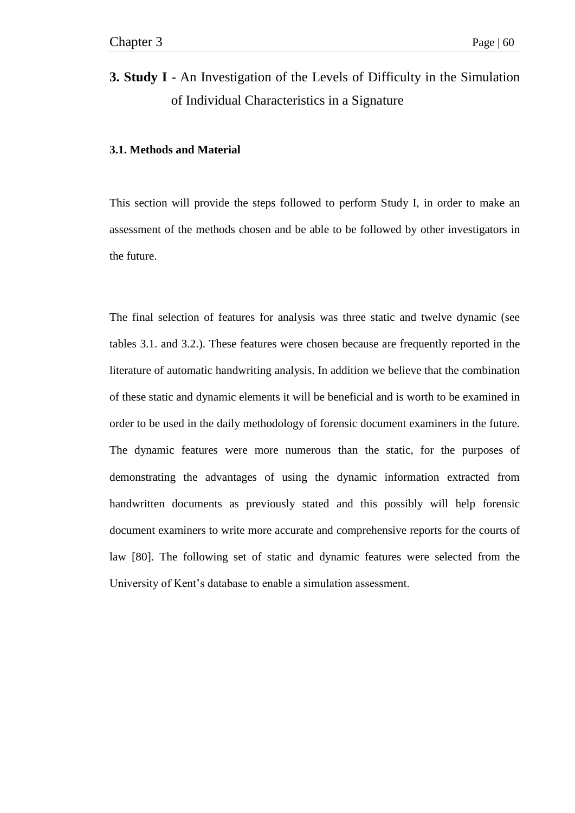# **3. Study I** - An Investigation of the Levels of Difficulty in the Simulation of Individual Characteristics in a Signature

### **3.1. Methods and Material**

This section will provide the steps followed to perform Study I, in order to make an assessment of the methods chosen and be able to be followed by other investigators in the future.

The final selection of features for analysis was three static and twelve dynamic (see tables 3.1. and 3.2.). These features were chosen because are frequently reported in the literature of automatic handwriting analysis. In addition we believe that the combination of these static and dynamic elements it will be beneficial and is worth to be examined in order to be used in the daily methodology of forensic document examiners in the future. The dynamic features were more numerous than the static, for the purposes of demonstrating the advantages of using the dynamic information extracted from handwritten documents as previously stated and this possibly will help forensic document examiners to write more accurate and comprehensive reports for the courts of law [80]. The following set of static and dynamic features were selected from the University of Kent's database to enable a simulation assessment.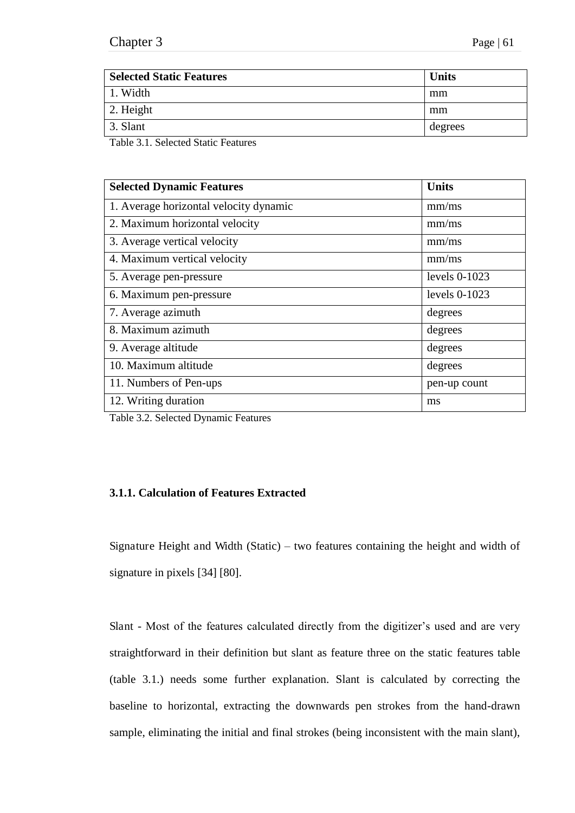| <b>Selected Static Features</b> | <b>Units</b> |
|---------------------------------|--------------|
| 1. Width                        | mm           |
| 2. Height                       | mm           |
| 3. Slant                        | degrees      |

Table 3.1. Selected Static Features

| <b>Selected Dynamic Features</b>       | <b>Units</b>    |
|----------------------------------------|-----------------|
| 1. Average horizontal velocity dynamic | mm/ms           |
| 2. Maximum horizontal velocity         | mm/ms           |
| 3. Average vertical velocity           | mm/ms           |
| 4. Maximum vertical velocity           | mm/ms           |
| 5. Average pen-pressure                | levels $0-1023$ |
| 6. Maximum pen-pressure                | levels 0-1023   |
| 7. Average azimuth                     | degrees         |
| 8. Maximum azimuth                     | degrees         |
| 9. Average altitude                    | degrees         |
| 10. Maximum altitude                   | degrees         |
| 11. Numbers of Pen-ups                 | pen-up count    |
| 12. Writing duration                   | ms              |

Table 3.2. Selected Dynamic Features

## **3.1.1. Calculation of Features Extracted**

Signature Height and Width (Static) – two features containing the height and width of signature in pixels [34] [80].

Slant - Most of the features calculated directly from the digitizer's used and are very straightforward in their definition but slant as feature three on the static features table (table 3.1.) needs some further explanation. Slant is calculated by correcting the baseline to horizontal, extracting the downwards pen strokes from the hand-drawn sample, eliminating the initial and final strokes (being inconsistent with the main slant),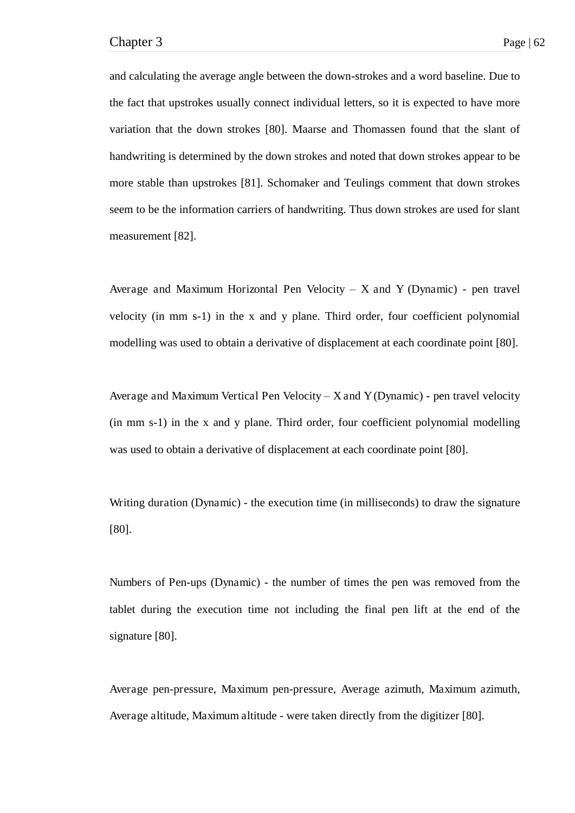and calculating the average angle between the down-strokes and a word baseline. Due to the fact that upstrokes usually connect individual letters, so it is expected to have more variation that the down strokes [80]. Maarse and Thomassen found that the slant of handwriting is determined by the down strokes and noted that down strokes appear to be more stable than upstrokes [81]. Schomaker and Teulings comment that down strokes seem to be the information carriers of handwriting. Thus down strokes are used for slant measurement [82].

Average and Maximum Horizontal Pen Velocity *–* X and Y (Dynamic) - pen travel velocity (in mm s-1) in the x and y plane. Third order, four coefficient polynomial modelling was used to obtain a derivative of displacement at each coordinate point [80].

Average and Maximum Vertical Pen Velocity *–* X and Y (Dynamic) - pen travel velocity (in mm s-1) in the x and y plane. Third order, four coefficient polynomial modelling was used to obtain a derivative of displacement at each coordinate point [80].

Writing duration (Dynamic) - the execution time (in milliseconds) to draw the signature [80].

Numbers of Pen-ups (Dynamic) - the number of times the pen was removed from the tablet during the execution time not including the final pen lift at the end of the signature [80].

Average pen-pressure, Maximum pen-pressure, Average azimuth, Maximum azimuth, Average altitude, Maximum altitude - were taken directly from the digitizer [80].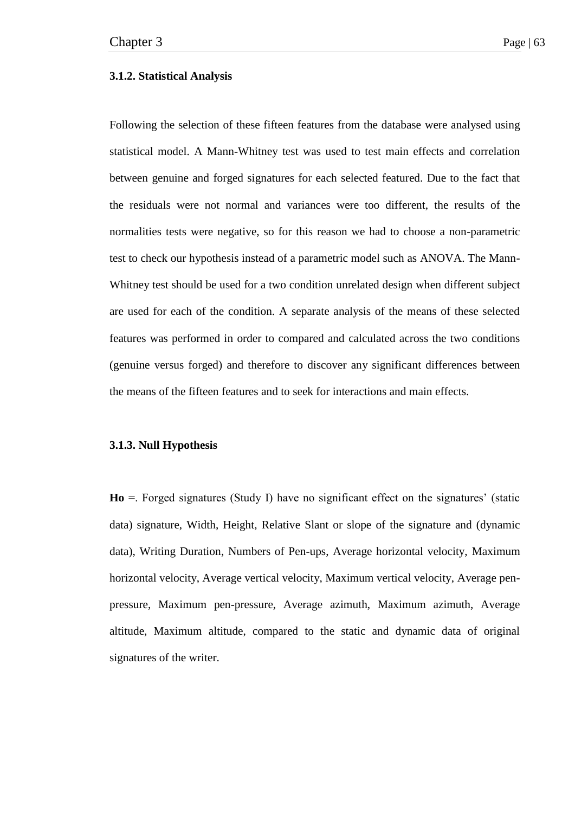### **3.1.2. Statistical Analysis**

Following the selection of these fifteen features from the database were analysed using statistical model. A Mann-Whitney test was used to test main effects and correlation between genuine and forged signatures for each selected featured. Due to the fact that the residuals were not normal and variances were too different, the results of the normalities tests were negative, so for this reason we had to choose a non-parametric test to check our hypothesis instead of a parametric model such as ANOVA. The Mann-Whitney test should be used for a two condition unrelated design when different subject are used for each of the condition. A separate analysis of the means of these selected features was performed in order to compared and calculated across the two conditions (genuine versus forged) and therefore to discover any significant differences between the means of the fifteen features and to seek for interactions and main effects.

### **3.1.3. Null Hypothesis**

**Ho** =. Forged signatures (Study I) have no significant effect on the signatures' (static data) signature, Width, Height, Relative Slant or slope of the signature and (dynamic data), Writing Duration, Numbers of Pen-ups, Average horizontal velocity, Maximum horizontal velocity, Average vertical velocity, Maximum vertical velocity, Average penpressure, Maximum pen-pressure, Average azimuth, Maximum azimuth, Average altitude, Maximum altitude, compared to the static and dynamic data of original signatures of the writer.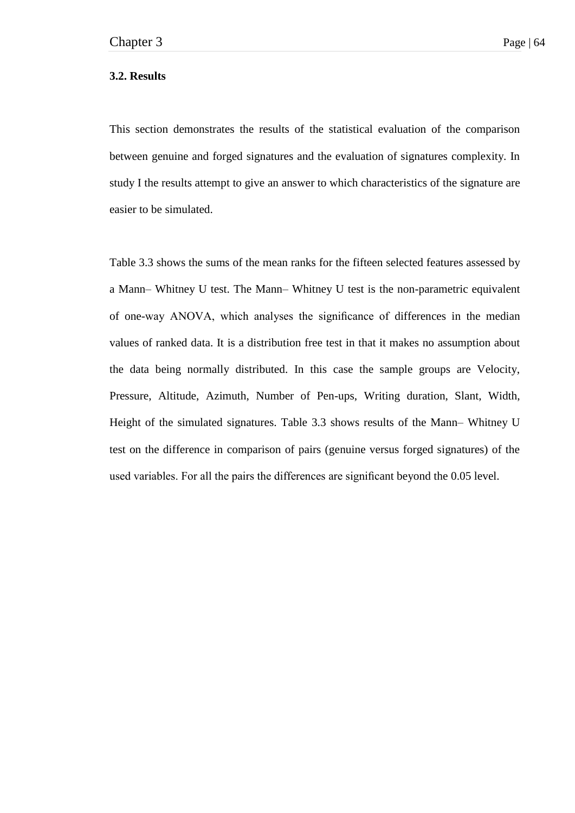### **3.2. Results**

This section demonstrates the results of the statistical evaluation of the comparison between genuine and forged signatures and the evaluation of signatures complexity. In study I the results attempt to give an answer to which characteristics of the signature are easier to be simulated.

Table 3.3 shows the sums of the mean ranks for the fifteen selected features assessed by a Mann– Whitney U test. The Mann– Whitney U test is the non-parametric equivalent of one-way ANOVA, which analyses the significance of differences in the median values of ranked data. It is a distribution free test in that it makes no assumption about the data being normally distributed. In this case the sample groups are Velocity, Pressure, Altitude, Azimuth, Number of Pen-ups, Writing duration, Slant, Width, Height of the simulated signatures. Table 3.3 shows results of the Mann– Whitney U test on the difference in comparison of pairs (genuine versus forged signatures) of the used variables. For all the pairs the differences are significant beyond the 0.05 level.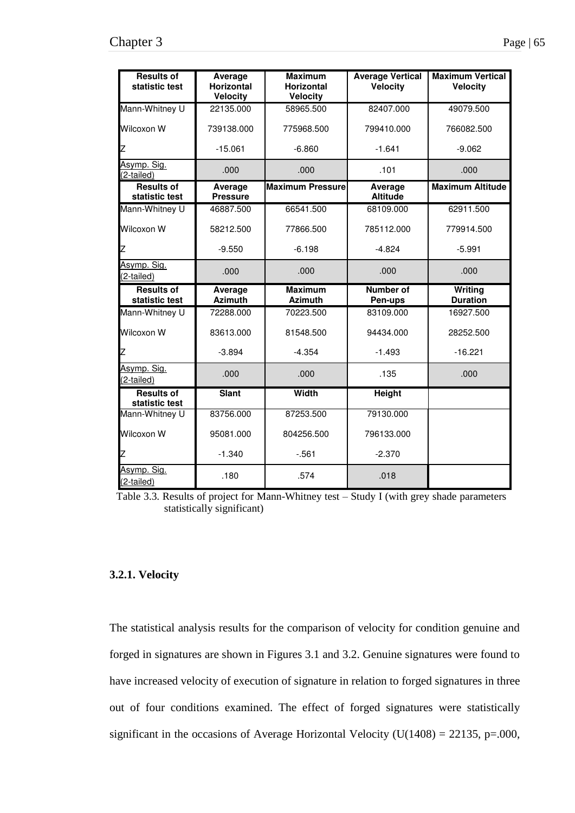| <b>Results of</b><br>statistic test | Average<br><b>Horizontal</b> | <b>Maximum</b><br><b>Horizontal</b> | <b>Average Vertical</b><br><b>Velocity</b> | <b>Maximum Vertical</b><br><b>Velocity</b> |
|-------------------------------------|------------------------------|-------------------------------------|--------------------------------------------|--------------------------------------------|
|                                     | <b>Velocity</b>              | <b>Velocity</b>                     |                                            |                                            |
| Mann-Whitney U                      | 22135.000                    | 58965.500                           | 82407.000                                  | 49079.500                                  |
| Wilcoxon W                          | 739138.000                   | 775968.500                          | 799410.000                                 | 766082.500                                 |
| Z                                   | $-15.061$                    | $-6.860$                            | $-1.641$                                   | $-9.062$                                   |
| Asymp. Sig.<br>(2-tailed)           | .000                         | .000                                | .101                                       | .000                                       |
| <b>Results of</b><br>statistic test | Average<br><b>Pressure</b>   | <b>Maximum Pressure</b>             | Average<br><b>Altitude</b>                 | <b>Maximum Altitude</b>                    |
| Mann-Whitney U                      | 46887.500                    | 66541.500                           | 68109.000                                  | 62911.500                                  |
| Wilcoxon W                          | 58212.500                    | 77866.500                           | 785112.000                                 | 779914.500                                 |
| Z                                   | $-9.550$                     | $-6.198$                            | $-4.824$                                   | $-5.991$                                   |
| Asymp. Sig.<br>(2-tailed)           | .000                         | .000                                | .000                                       | .000                                       |
| <b>Results of</b><br>statistic test | Average<br><b>Azimuth</b>    | <b>Maximum</b><br><b>Azimuth</b>    | Number of<br>Pen-ups                       | Writing<br><b>Duration</b>                 |
| Mann-Whitney U                      | 72288.000                    | 70223.500                           | 83109.000                                  | 16927.500                                  |
| Wilcoxon W                          | 83613.000                    | 81548.500                           | 94434.000                                  | 28252.500                                  |
| Z                                   | $-3.894$                     | $-4.354$                            | $-1.493$                                   | $-16.221$                                  |
| Asymp. Sig.<br>(2-tailed)           | .000                         | .000                                | .135                                       | .000                                       |
| <b>Results of</b><br>statistic test | <b>Slant</b>                 | Width                               | Height                                     |                                            |
| Mann-Whitney U                      | 83756.000                    | 87253.500                           | 79130.000                                  |                                            |
| Wilcoxon W                          | 95081.000                    | 804256.500                          | 796133.000                                 |                                            |
| Z                                   | $-1.340$                     | $-561$                              | $-2.370$                                   |                                            |
| Asymp. Sig.<br>(2-tailed)           | .180                         | .574                                | .018                                       |                                            |

Table 3.3. Results of project for Mann-Whitney test – Study I (with grey shade parameters statistically significant)

## **3.2.1. Velocity**

The statistical analysis results for the comparison of velocity for condition genuine and forged in signatures are shown in Figures 3.1 and 3.2. Genuine signatures were found to have increased velocity of execution of signature in relation to forged signatures in three out of four conditions examined. The effect of forged signatures were statistically significant in the occasions of Average Horizontal Velocity ( $U(1408) = 22135$ , p=.000,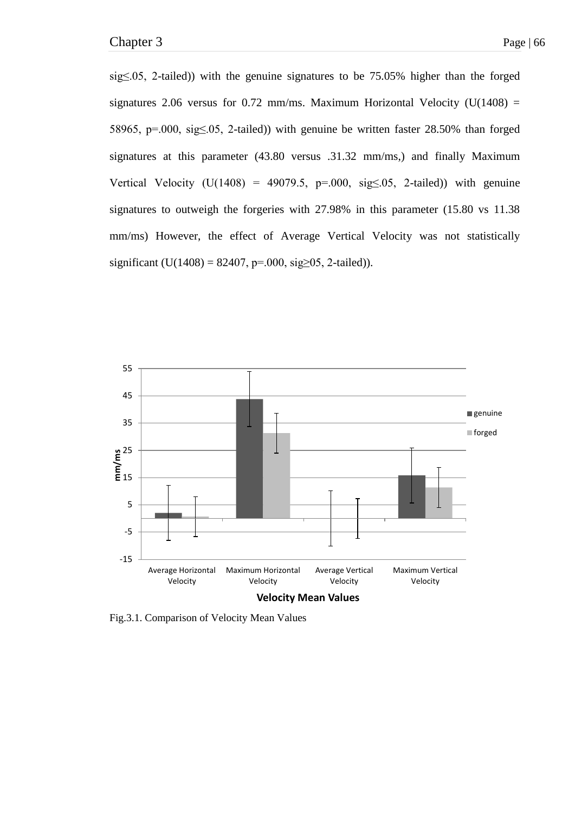sig≤.05, 2-tailed)) with the genuine signatures to be 75.05% higher than the forged signatures 2.06 versus for 0.72 mm/ms. Maximum Horizontal Velocity (U(1408) = 58965, p=.000, sig≤.05, 2-tailed)) with genuine be written faster 28.50% than forged signatures at this parameter (43.80 versus .31.32 mm/ms,) and finally Maximum Vertical Velocity (U(1408) = 49079.5, p=.000, sig $\leq$ .05, 2-tailed)) with genuine signatures to outweigh the forgeries with 27.98% in this parameter (15.80 vs 11.38 mm/ms) However, the effect of Average Vertical Velocity was not statistically significant (U(1408) = 82407, p=.000, sig $\geq$ 05, 2-tailed)).



Fig.3.1. Comparison of Velocity Mean Values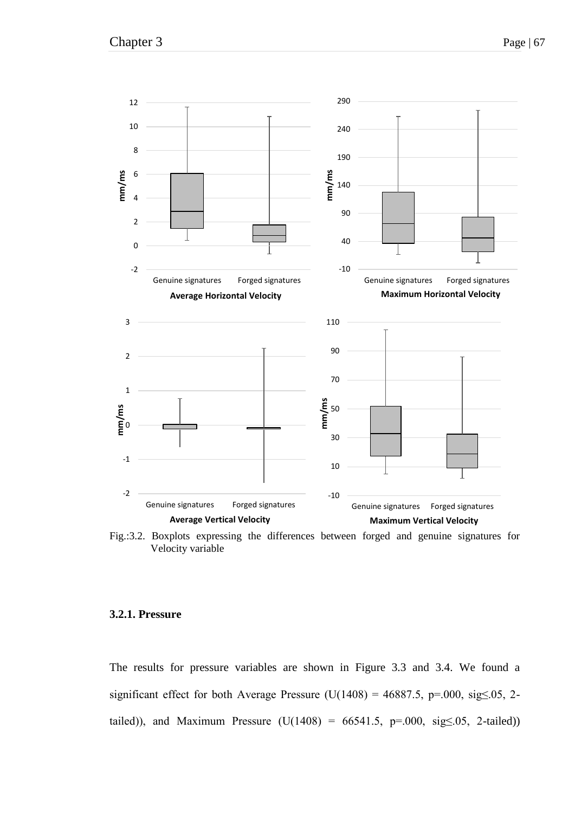

Fig.:3.2. Boxplots expressing the differences between forged and genuine signatures for Velocity variable

### **3.2.1. Pressure**

The results for pressure variables are shown in Figure 3.3 and 3.4. We found a significant effect for both Average Pressure (U(1408) = 46887.5, p=.000, sig $\leq$ .05, 2tailed)), and Maximum Pressure (U(1408) = 66541.5, p=.000, sig $\leq$ .05, 2-tailed))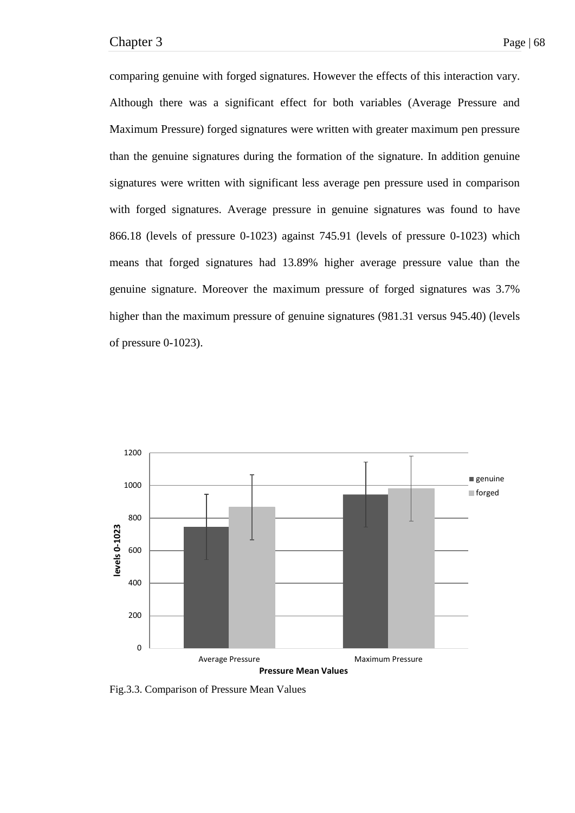comparing genuine with forged signatures. However the effects of this interaction vary. Although there was a significant effect for both variables (Average Pressure and Maximum Pressure) forged signatures were written with greater maximum pen pressure than the genuine signatures during the formation of the signature. In addition genuine signatures were written with significant less average pen pressure used in comparison with forged signatures. Average pressure in genuine signatures was found to have 866.18 (levels of pressure 0-1023) against 745.91 (levels of pressure 0-1023) which means that forged signatures had 13.89% higher average pressure value than the genuine signature. Moreover the maximum pressure of forged signatures was 3.7% higher than the maximum pressure of genuine signatures (981.31 versus 945.40) (levels of pressure 0-1023).



Fig.3.3. Comparison of Pressure Mean Values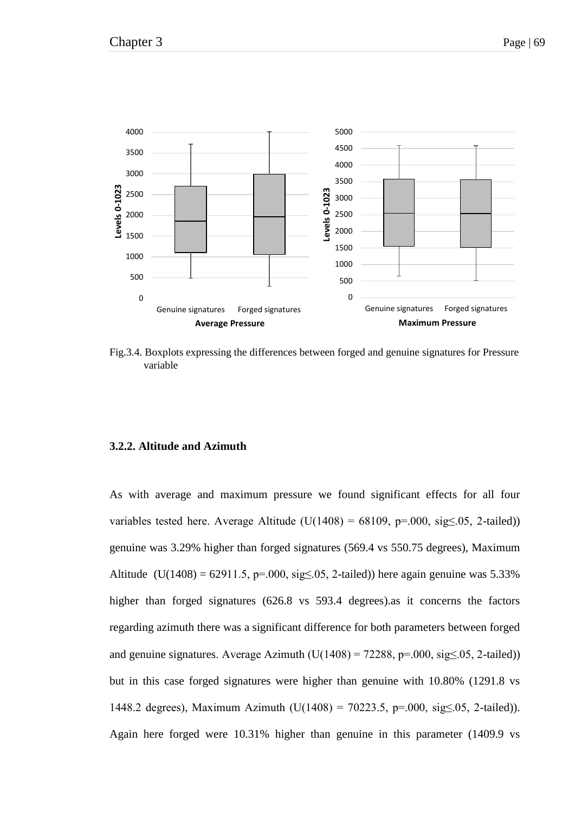

Fig.3.4. Boxplots expressing the differences between forged and genuine signatures for Pressure variable

### **3.2.2. Altitude and Azimuth**

As with average and maximum pressure we found significant effects for all four variables tested here. Average Altitude ( $U(1408) = 68109$ ,  $p=0.00$ ,  $sig \le 0.05$ , 2-tailed)) genuine was 3.29% higher than forged signatures (569.4 vs 550.75 degrees), Maximum Altitude (U(1408) = 62911.5, p=.000, sig≤.05, 2-tailed)) here again genuine was 5.33% higher than forged signatures (626.8 vs 593.4 degrees). As it concerns the factors regarding azimuth there was a significant difference for both parameters between forged and genuine signatures. Average Azimuth  $(U(1408) = 72288, p = .000, sig \le .05, 2-tailed)$ but in this case forged signatures were higher than genuine with 10.80% (1291.8 vs 1448.2 degrees), Maximum Azimuth (U(1408) = 70223.5, p=.000, sig $\leq$ .05, 2-tailed)). Again here forged were 10.31% higher than genuine in this parameter (1409.9 vs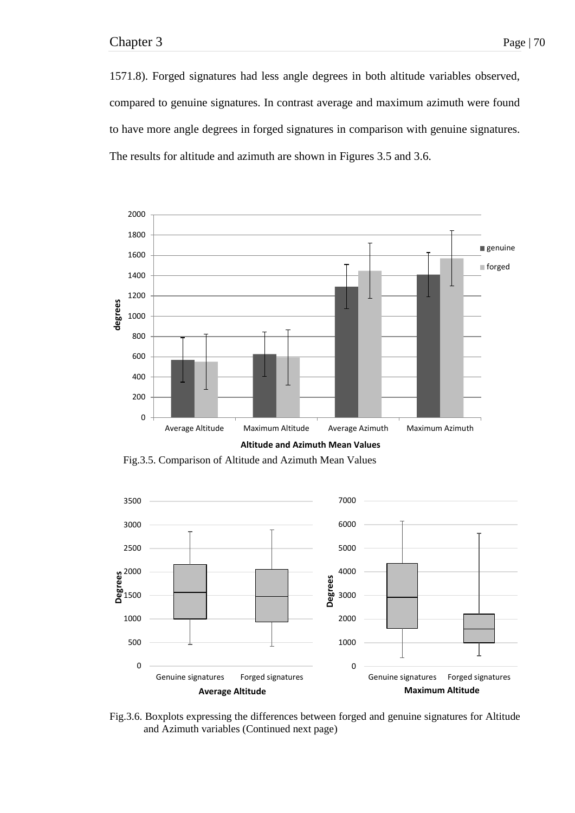1571.8). Forged signatures had less angle degrees in both altitude variables observed, compared to genuine signatures. In contrast average and maximum azimuth were found to have more angle degrees in forged signatures in comparison with genuine signatures. The results for altitude and azimuth are shown in Figures 3.5 and 3.6.



Fig.3.5. Comparison of Altitude and Azimuth Mean Values



Fig.3.6. Boxplots expressing the differences between forged and genuine signatures for Altitude and Azimuth variables (Continued next page)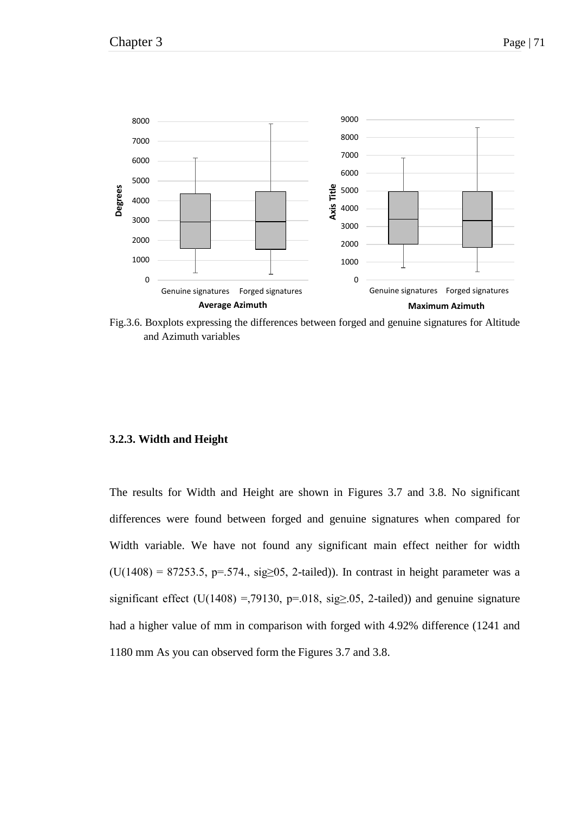

Fig.3.6. Boxplots expressing the differences between forged and genuine signatures for Altitude and Azimuth variables

# **3.2.3. Width and Height**

The results for Width and Height are shown in Figures 3.7 and 3.8. No significant differences were found between forged and genuine signatures when compared for Width variable. We have not found any significant main effect neither for width (U(1408) = 87253.5, p=.574., sig≥05, 2-tailed)). In contrast in height parameter was a significant effect (U(1408) =,79130, p=.018, sig $\geq$ .05, 2-tailed)) and genuine signature had a higher value of mm in comparison with forged with 4.92% difference (1241 and 1180 mm As you can observed form the Figures 3.7 and 3.8.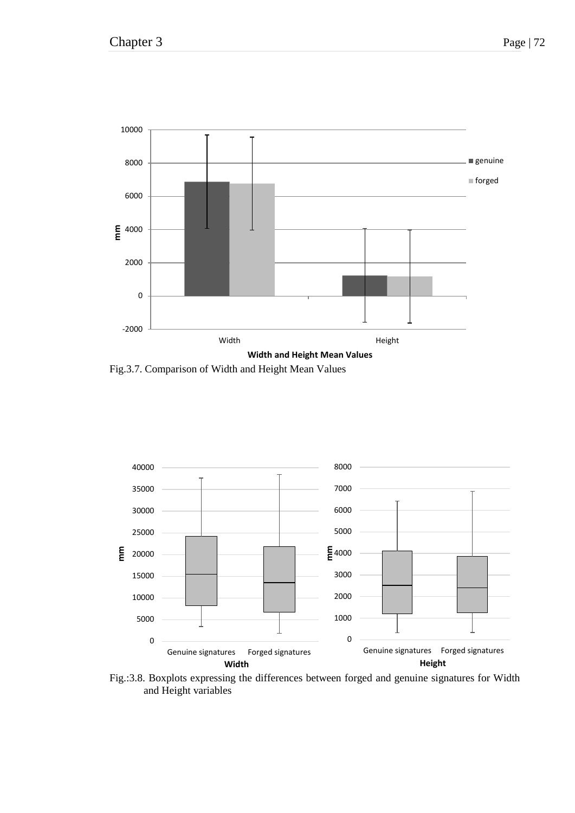

Fig.3.7. Comparison of Width and Height Mean Values



Fig.:3.8. Boxplots expressing the differences between forged and genuine signatures for Width and Height variables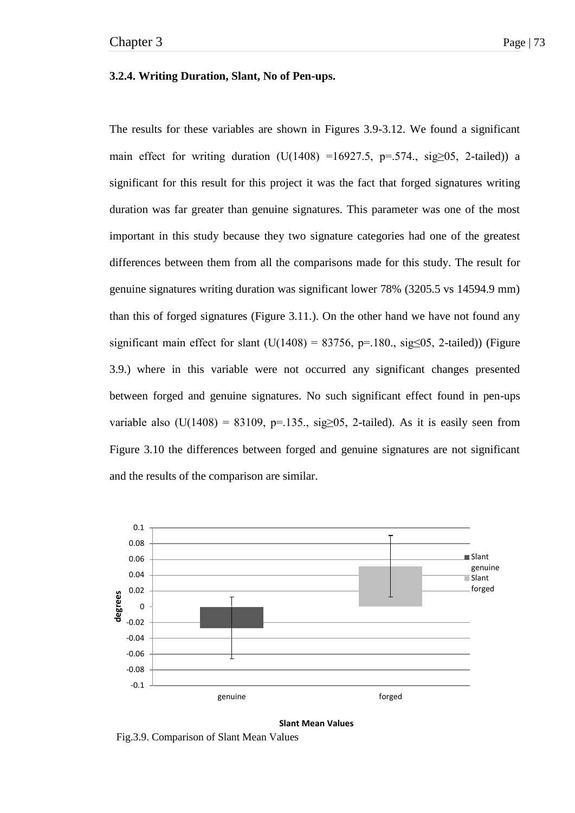### **3.2.4. Writing Duration, Slant, No of Pen-ups.**

The results for these variables are shown in Figures 3.9-3.12. We found a significant main effect for writing duration  $(U(1408) = 16927.5, p=.574$ , sig≥05, 2-tailed)) a significant for this result for this project it was the fact that forged signatures writing duration was far greater than genuine signatures. This parameter was one of the most important in this study because they two signature categories had one of the greatest differences between them from all the comparisons made for this study. The result for genuine signatures writing duration was significant lower 78% (3205.5 vs 14594.9 mm) than this of forged signatures (Figure 3.11.). On the other hand we have not found any significant main effect for slant  $(U(1408) = 83756, p=.180, sig \le 0.52$ -tailed)) (Figure 3.9.) where in this variable were not occurred any significant changes presented between forged and genuine signatures. No such significant effect found in pen-ups variable also (U(1408) = 83109, p=.135., sig $\geq$ 05, 2-tailed). As it is easily seen from Figure 3.10 the differences between forged and genuine signatures are not significant and the results of the comparison are similar.



**Slant Mean Values** 

Fig.3.9. Comparison of Slant Mean Values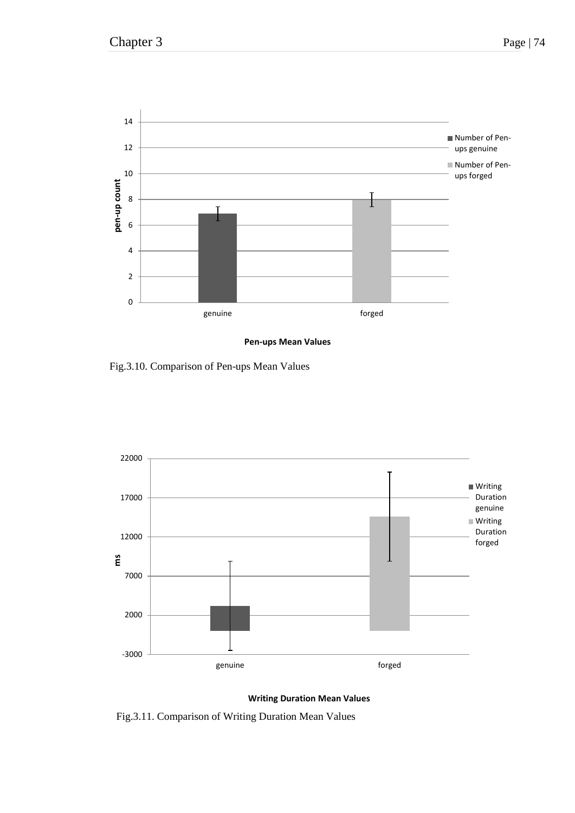

**Pen-ups Mean Values** 

Fig.3.10. Comparison of Pen-ups Mean Values



**Writing Duration Mean Values** 

Fig.3.11. Comparison of Writing Duration Mean Values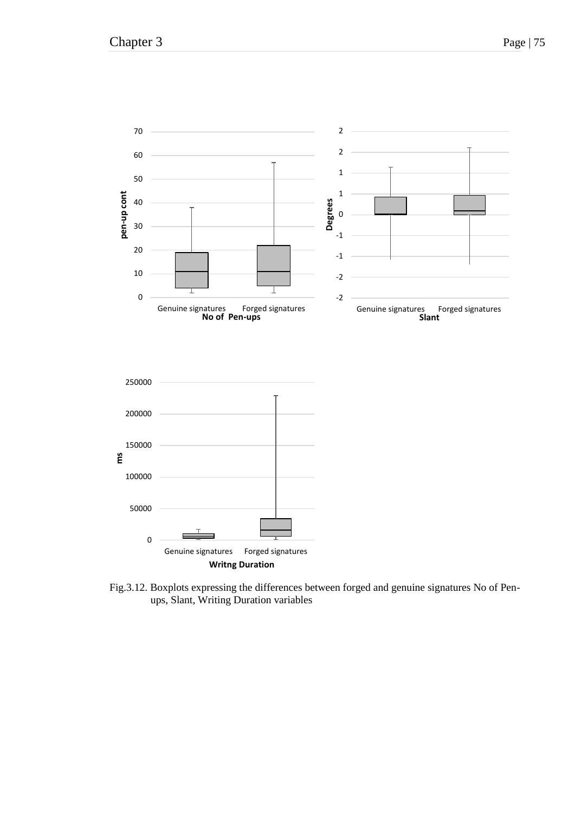

Fig.3.12. Boxplots expressing the differences between forged and genuine signatures No of Penups, Slant, Writing Duration variables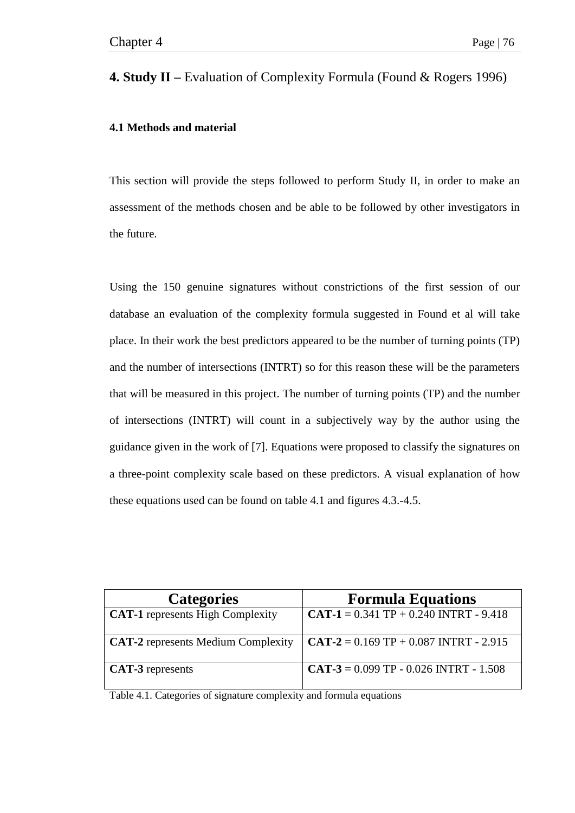# **4. Study II –** Evaluation of Complexity Formula (Found & Rogers 1996)

# **4.1 Methods and material**

This section will provide the steps followed to perform Study II, in order to make an assessment of the methods chosen and be able to be followed by other investigators in the future.

Using the 150 genuine signatures without constrictions of the first session of our database an evaluation of the complexity formula suggested in Found et al will take place. In their work the best predictors appeared to be the number of turning points (TP) and the number of intersections (INTRT) so for this reason these will be the parameters that will be measured in this project. The number of turning points (TP) and the number of intersections (INTRT) will count in a subjectively way by the author using the guidance given in the work of [7]. Equations were proposed to classify the signatures on a three-point complexity scale based on these predictors. A visual explanation of how these equations used can be found on table 4.1 and figures 4.3.-4.5.

| <b>Categories</b>                         | <b>Formula Equations</b>                     |
|-------------------------------------------|----------------------------------------------|
| <b>CAT-1</b> represents High Complexity   | CAT-1 = $0.341$ TP + $0.240$ INTRT - $9.418$ |
| <b>CAT-2</b> represents Medium Complexity | $CAT-2 = 0.169 TP + 0.087 INTRT - 2.915$     |
| <b>CAT-3</b> represents                   | $CAT -3 = 0.099 TP - 0.026 INTRT - 1.508$    |

Table 4.1. Categories of signature complexity and formula equations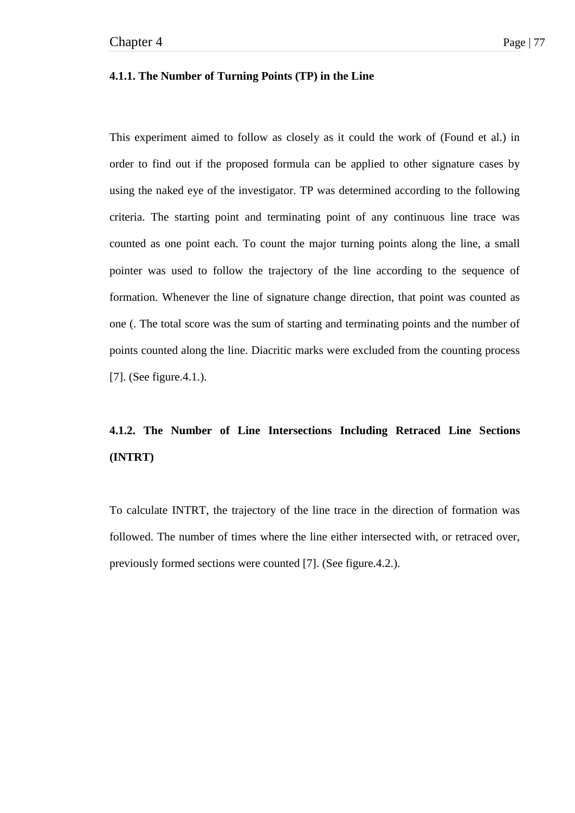### **4.1.1. The Number of Turning Points (TP) in the Line**

This experiment aimed to follow as closely as it could the work of (Found et al.) in order to find out if the proposed formula can be applied to other signature cases by using the naked eye of the investigator. TP was determined according to the following criteria. The starting point and terminating point of any continuous line trace was counted as one point each. To count the major turning points along the line, a small pointer was used to follow the trajectory of the line according to the sequence of formation. Whenever the line of signature change direction, that point was counted as one (. The total score was the sum of starting and terminating points and the number of points counted along the line. Diacritic marks were excluded from the counting process [7]. (See figure.4.1.).

# **4.1.2. The Number of Line Intersections Including Retraced Line Sections (INTRT)**

To calculate INTRT, the trajectory of the line trace in the direction of formation was followed. The number of times where the line either intersected with, or retraced over, previously formed sections were counted [7]. (See figure.4.2.).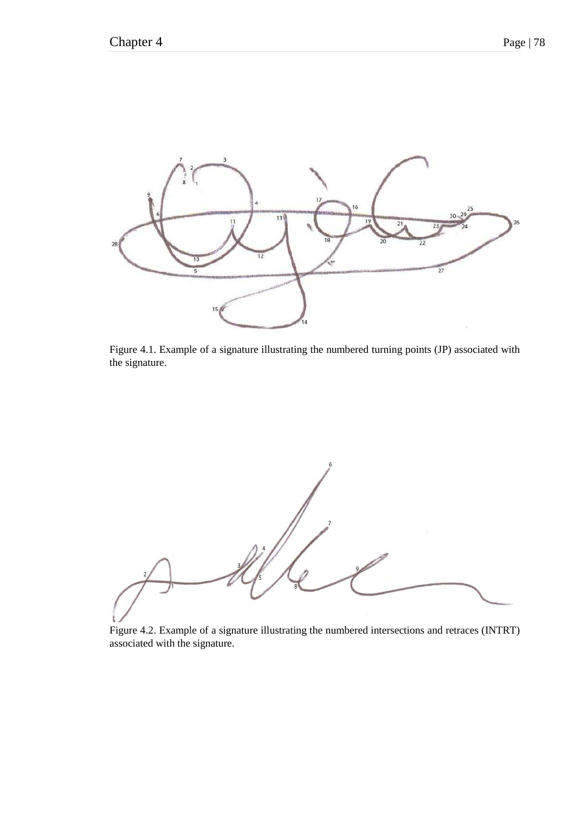

Figure 4.1. Example of a signature illustrating the numbered turning points (JP) associated with the signature.

Figure 4.2. Example of a signature illustrating the numbered intersections and retraces (INTRT) associated with the signature.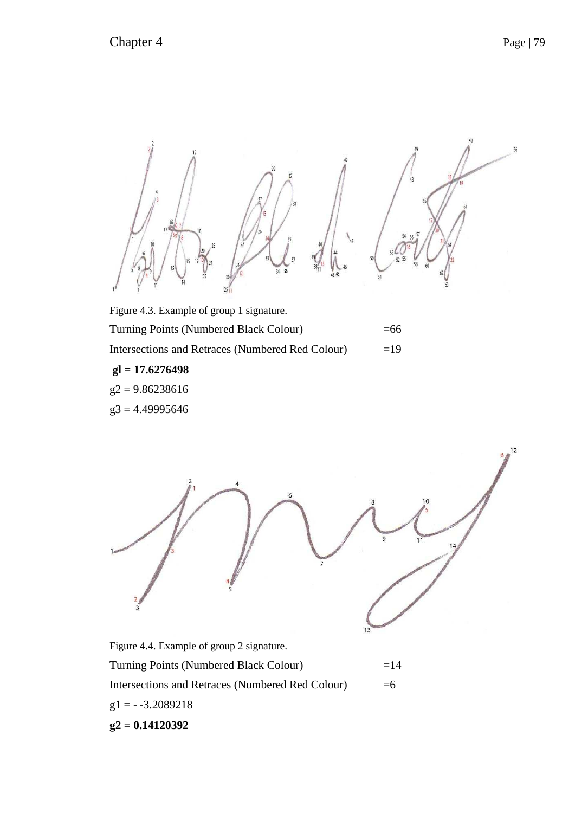

Turning Points (Numbered Black Colour) =66 Intersections and Retraces (Numbered Red Colour) =19  **gl = 17.6276498**   $g2 = 9.86238616$  $g3 = 4.49995646$ 

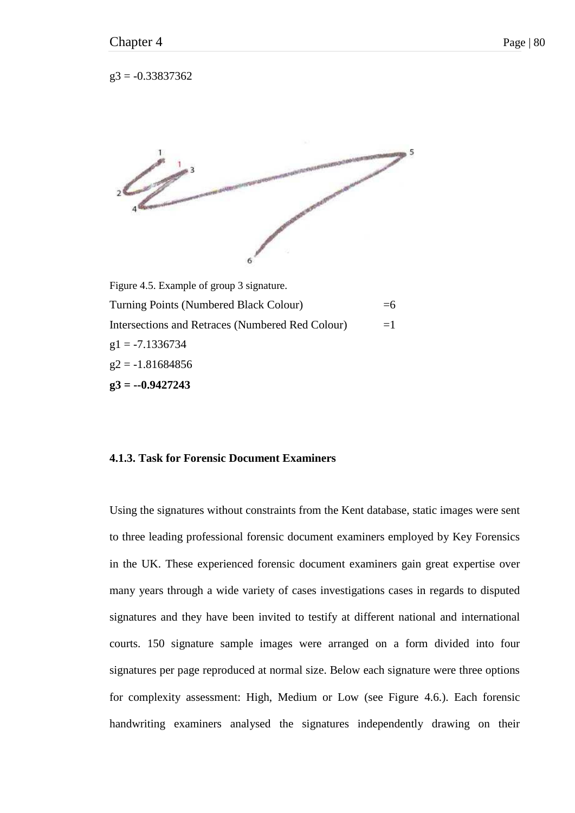$g3 = -0.33837362$ 



Turning Points (Numbered Black Colour)  $=6$ Intersections and Retraces (Numbered Red Colour)  $=1$  $g1 = -7.1336734$  $g2 = -1.81684856$ **g3 = --0.9427243** 

## **4.1.3. Task for Forensic Document Examiners**

Using the signatures without constraints from the Kent database, static images were sent to three leading professional forensic document examiners employed by Key Forensics in the UK. These experienced forensic document examiners gain great expertise over many years through a wide variety of cases investigations cases in regards to disputed signatures and they have been invited to testify at different national and international courts. 150 signature sample images were arranged on a form divided into four signatures per page reproduced at normal size. Below each signature were three options for complexity assessment: High, Medium or Low (see Figure 4.6.). Each forensic handwriting examiners analysed the signatures independently drawing on their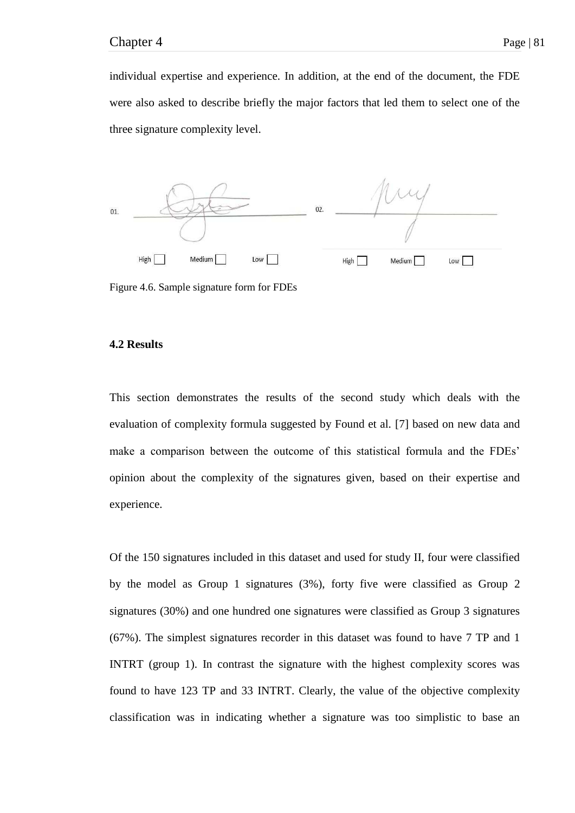individual expertise and experience. In addition, at the end of the document, the FDE were also asked to describe briefly the major factors that led them to select one of the three signature complexity level.



Figure 4.6. Sample signature form for FDEs

#### **4.2 Results**

This section demonstrates the results of the second study which deals with the evaluation of complexity formula suggested by Found et al. [7] based on new data and make a comparison between the outcome of this statistical formula and the FDEs' opinion about the complexity of the signatures given, based on their expertise and experience.

Of the 150 signatures included in this dataset and used for study II, four were classified by the model as Group 1 signatures (3%), forty five were classified as Group 2 signatures (30%) and one hundred one signatures were classified as Group 3 signatures (67%). The simplest signatures recorder in this dataset was found to have 7 TP and 1 INTRT (group 1). In contrast the signature with the highest complexity scores was found to have 123 TP and 33 INTRT. Clearly, the value of the objective complexity classification was in indicating whether a signature was too simplistic to base an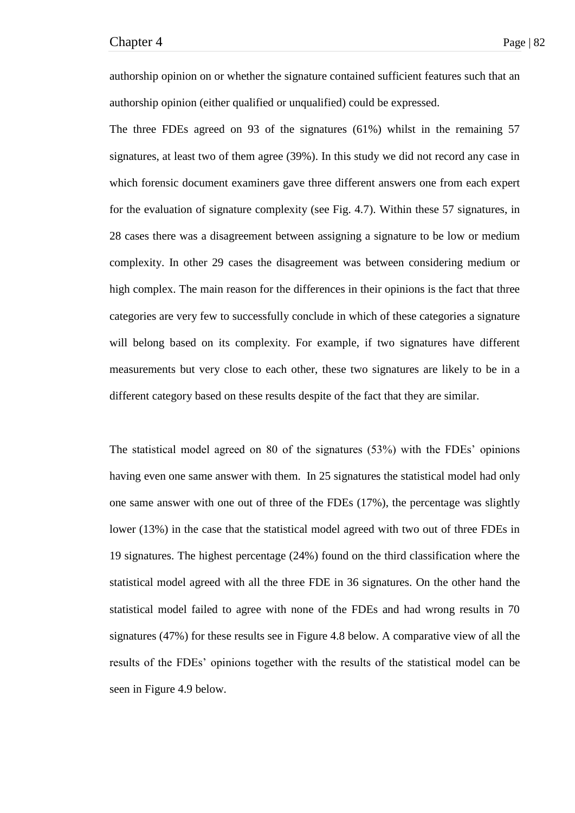authorship opinion on or whether the signature contained sufficient features such that an authorship opinion (either qualified or unqualified) could be expressed.

The three FDEs agreed on 93 of the signatures (61%) whilst in the remaining 57 signatures, at least two of them agree (39%). In this study we did not record any case in which forensic document examiners gave three different answers one from each expert for the evaluation of signature complexity (see Fig. 4.7). Within these 57 signatures, in 28 cases there was a disagreement between assigning a signature to be low or medium complexity. In other 29 cases the disagreement was between considering medium or high complex. The main reason for the differences in their opinions is the fact that three categories are very few to successfully conclude in which of these categories a signature will belong based on its complexity. For example, if two signatures have different measurements but very close to each other, these two signatures are likely to be in a different category based on these results despite of the fact that they are similar.

The statistical model agreed on 80 of the signatures (53%) with the FDEs' opinions having even one same answer with them. In 25 signatures the statistical model had only one same answer with one out of three of the FDEs (17%), the percentage was slightly lower (13%) in the case that the statistical model agreed with two out of three FDEs in 19 signatures. The highest percentage (24%) found on the third classification where the statistical model agreed with all the three FDE in 36 signatures. On the other hand the statistical model failed to agree with none of the FDEs and had wrong results in 70 signatures (47%) for these results see in Figure 4.8 below. A comparative view of all the results of the FDEs' opinions together with the results of the statistical model can be seen in Figure 4.9 below.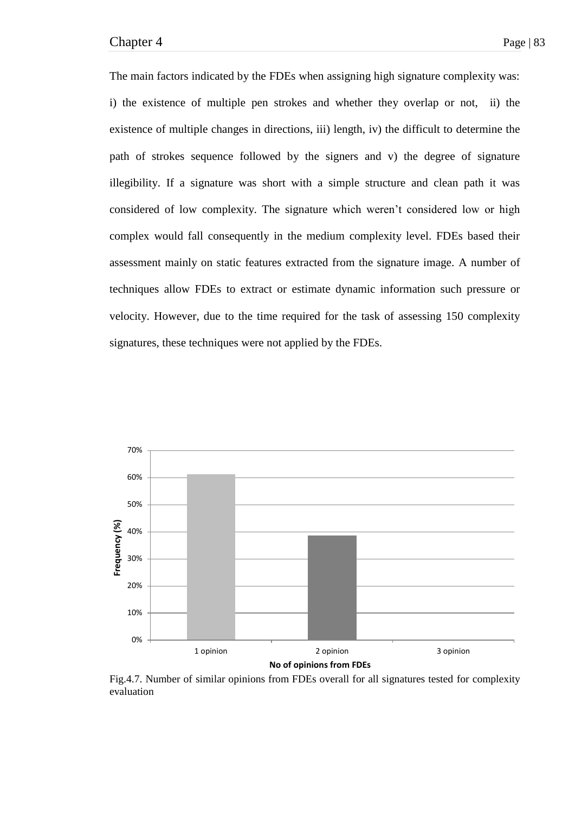The main factors indicated by the FDEs when assigning high signature complexity was: i) the existence of multiple pen strokes and whether they overlap or not, ii) the existence of multiple changes in directions, iii) length, iv) the difficult to determine the path of strokes sequence followed by the signers and v) the degree of signature illegibility. If a signature was short with a simple structure and clean path it was considered of low complexity. The signature which weren't considered low or high complex would fall consequently in the medium complexity level. FDEs based their assessment mainly on static features extracted from the signature image. A number of techniques allow FDEs to extract or estimate dynamic information such pressure or velocity. However, due to the time required for the task of assessing 150 complexity signatures, these techniques were not applied by the FDEs.



Fig.4.7. Number of similar opinions from FDEs overall for all signatures tested for complexity evaluation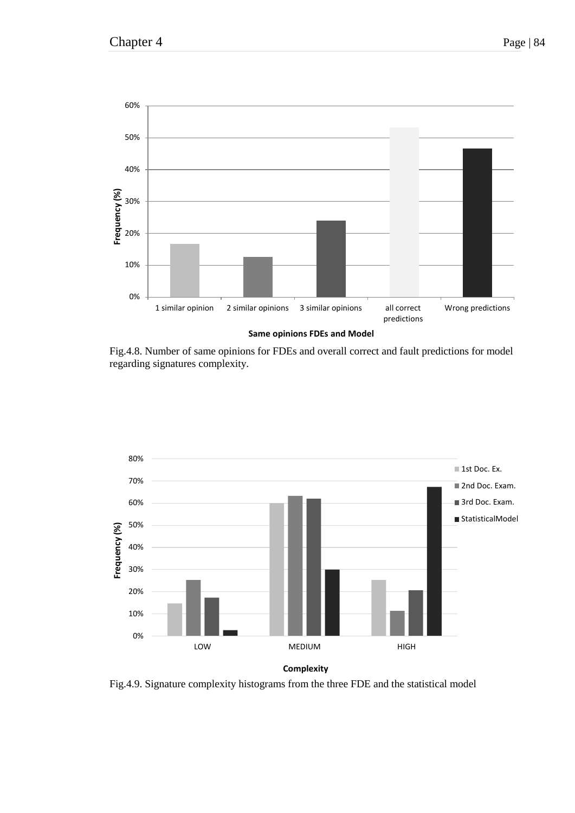

Fig.4.8. Number of same opinions for FDEs and overall correct and fault predictions for model regarding signatures complexity.



Fig.4.9. Signature complexity histograms from the three FDE and the statistical model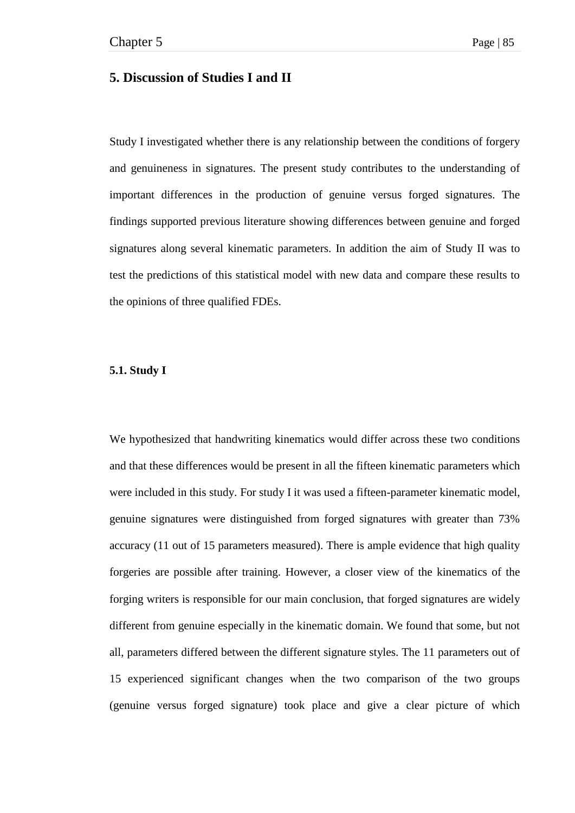# **5. Discussion of Studies I and II**

Study I investigated whether there is any relationship between the conditions of forgery and genuineness in signatures. The present study contributes to the understanding of important differences in the production of genuine versus forged signatures. The findings supported previous literature showing differences between genuine and forged signatures along several kinematic parameters. In addition the aim of Study II was to test the predictions of this statistical model with new data and compare these results to the opinions of three qualified FDEs.

### **5.1. Study I**

We hypothesized that handwriting kinematics would differ across these two conditions and that these differences would be present in all the fifteen kinematic parameters which were included in this study. For study I it was used a fifteen-parameter kinematic model, genuine signatures were distinguished from forged signatures with greater than 73% accuracy (11 out of 15 parameters measured). There is ample evidence that high quality forgeries are possible after training. However, a closer view of the kinematics of the forging writers is responsible for our main conclusion, that forged signatures are widely different from genuine especially in the kinematic domain. We found that some, but not all, parameters differed between the different signature styles. The 11 parameters out of 15 experienced significant changes when the two comparison of the two groups (genuine versus forged signature) took place and give a clear picture of which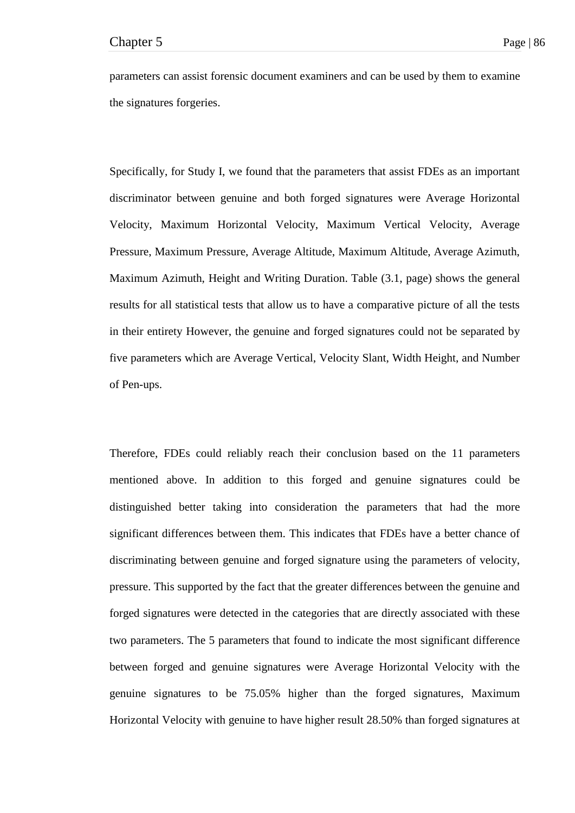parameters can assist forensic document examiners and can be used by them to examine the signatures forgeries.

Specifically, for Study I, we found that the parameters that assist FDEs as an important discriminator between genuine and both forged signatures were Average Horizontal Velocity, Maximum Horizontal Velocity, Maximum Vertical Velocity, Average Pressure, Maximum Pressure, Average Altitude, Maximum Altitude, Average Azimuth, Maximum Azimuth, Height and Writing Duration. Table (3.1, page) shows the general results for all statistical tests that allow us to have a comparative picture of all the tests in their entirety However, the genuine and forged signatures could not be separated by five parameters which are Average Vertical, Velocity Slant, Width Height, and Number of Pen-ups.

Therefore, FDEs could reliably reach their conclusion based on the 11 parameters mentioned above. In addition to this forged and genuine signatures could be distinguished better taking into consideration the parameters that had the more significant differences between them. This indicates that FDEs have a better chance of discriminating between genuine and forged signature using the parameters of velocity, pressure. This supported by the fact that the greater differences between the genuine and forged signatures were detected in the categories that are directly associated with these two parameters. The 5 parameters that found to indicate the most significant difference between forged and genuine signatures were Average Horizontal Velocity with the genuine signatures to be 75.05% higher than the forged signatures, Maximum Horizontal Velocity with genuine to have higher result 28.50% than forged signatures at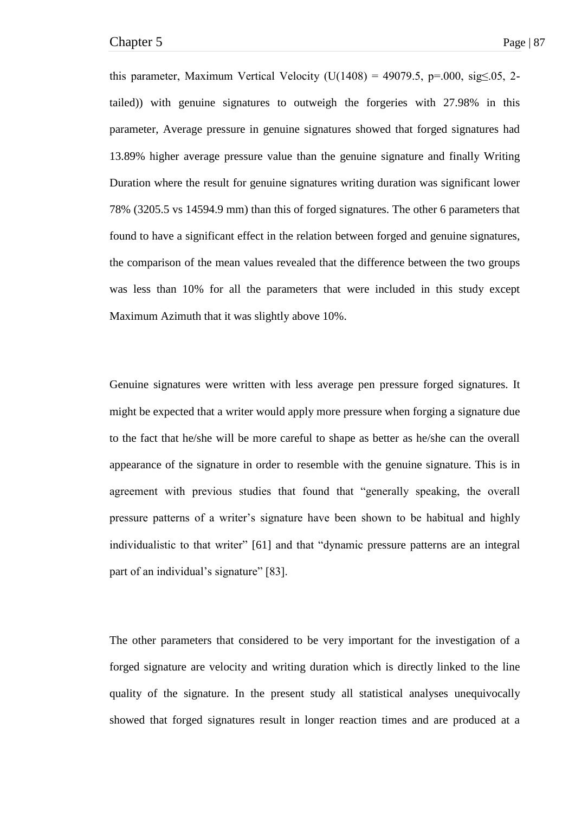this parameter, Maximum Vertical Velocity (U(1408) = 49079.5, p=.000, sig $\leq$ .05, 2tailed)) with genuine signatures to outweigh the forgeries with 27.98% in this parameter, Average pressure in genuine signatures showed that forged signatures had 13.89% higher average pressure value than the genuine signature and finally Writing Duration where the result for genuine signatures writing duration was significant lower 78% (3205.5 vs 14594.9 mm) than this of forged signatures. The other 6 parameters that found to have a significant effect in the relation between forged and genuine signatures, the comparison of the mean values revealed that the difference between the two groups was less than 10% for all the parameters that were included in this study except Maximum Azimuth that it was slightly above 10%.

Genuine signatures were written with less average pen pressure forged signatures. It might be expected that a writer would apply more pressure when forging a signature due to the fact that he/she will be more careful to shape as better as he/she can the overall appearance of the signature in order to resemble with the genuine signature. This is in agreement with previous studies that found that "generally speaking, the overall pressure patterns of a writer's signature have been shown to be habitual and highly individualistic to that writer" [61] and that "dynamic pressure patterns are an integral part of an individual's signature" [83].

The other parameters that considered to be very important for the investigation of a forged signature are velocity and writing duration which is directly linked to the line quality of the signature. In the present study all statistical analyses unequivocally showed that forged signatures result in longer reaction times and are produced at a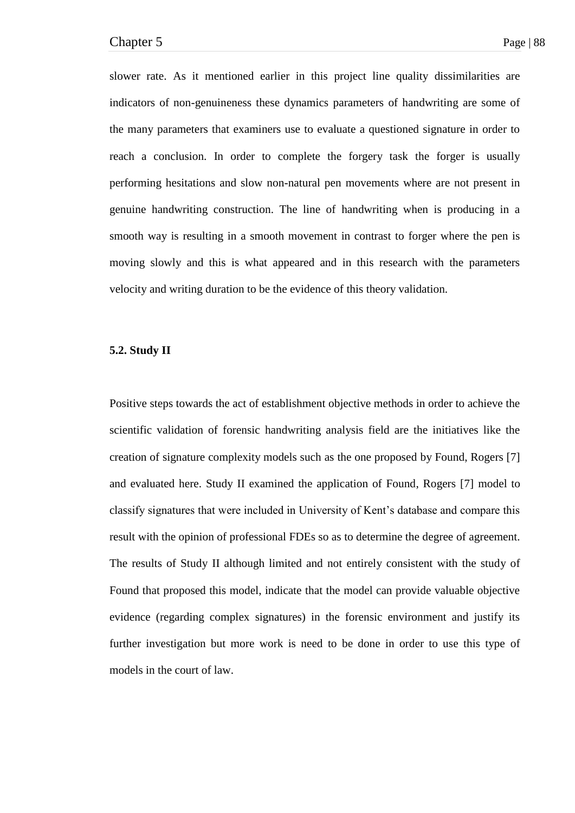slower rate. As it mentioned earlier in this project line quality dissimilarities are indicators of non-genuineness these dynamics parameters of handwriting are some of the many parameters that examiners use to evaluate a questioned signature in order to reach a conclusion. In order to complete the forgery task the forger is usually performing hesitations and slow non-natural pen movements where are not present in genuine handwriting construction. The line of handwriting when is producing in a smooth way is resulting in a smooth movement in contrast to forger where the pen is moving slowly and this is what appeared and in this research with the parameters velocity and writing duration to be the evidence of this theory validation.

#### **5.2. Study II**

Positive steps towards the act of establishment objective methods in order to achieve the scientific validation of forensic handwriting analysis field are the initiatives like the creation of signature complexity models such as the one proposed by Found, Rogers [7] and evaluated here. Study II examined the application of Found, Rogers [7] model to classify signatures that were included in University of Kent's database and compare this result with the opinion of professional FDEs so as to determine the degree of agreement. The results of Study II although limited and not entirely consistent with the study of Found that proposed this model, indicate that the model can provide valuable objective evidence (regarding complex signatures) in the forensic environment and justify its further investigation but more work is need to be done in order to use this type of models in the court of law.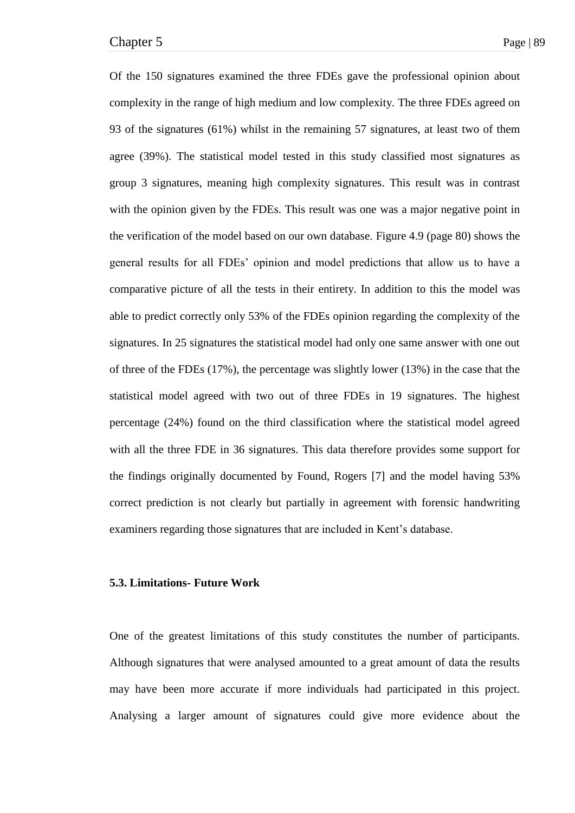Of the 150 signatures examined the three FDEs gave the professional opinion about complexity in the range of high medium and low complexity. The three FDEs agreed on 93 of the signatures (61%) whilst in the remaining 57 signatures, at least two of them agree (39%). The statistical model tested in this study classified most signatures as group 3 signatures, meaning high complexity signatures. This result was in contrast with the opinion given by the FDEs. This result was one was a major negative point in the verification of the model based on our own database. Figure 4.9 (page 80) shows the general results for all FDEs' opinion and model predictions that allow us to have a comparative picture of all the tests in their entirety. In addition to this the model was able to predict correctly only 53% of the FDEs opinion regarding the complexity of the signatures. In 25 signatures the statistical model had only one same answer with one out of three of the FDEs (17%), the percentage was slightly lower (13%) in the case that the statistical model agreed with two out of three FDEs in 19 signatures. The highest percentage (24%) found on the third classification where the statistical model agreed with all the three FDE in 36 signatures. This data therefore provides some support for the findings originally documented by Found, Rogers [7] and the model having 53% correct prediction is not clearly but partially in agreement with forensic handwriting examiners regarding those signatures that are included in Kent's database.

#### **5.3. Limitations- Future Work**

One of the greatest limitations of this study constitutes the number of participants. Although signatures that were analysed amounted to a great amount of data the results may have been more accurate if more individuals had participated in this project. Analysing a larger amount of signatures could give more evidence about the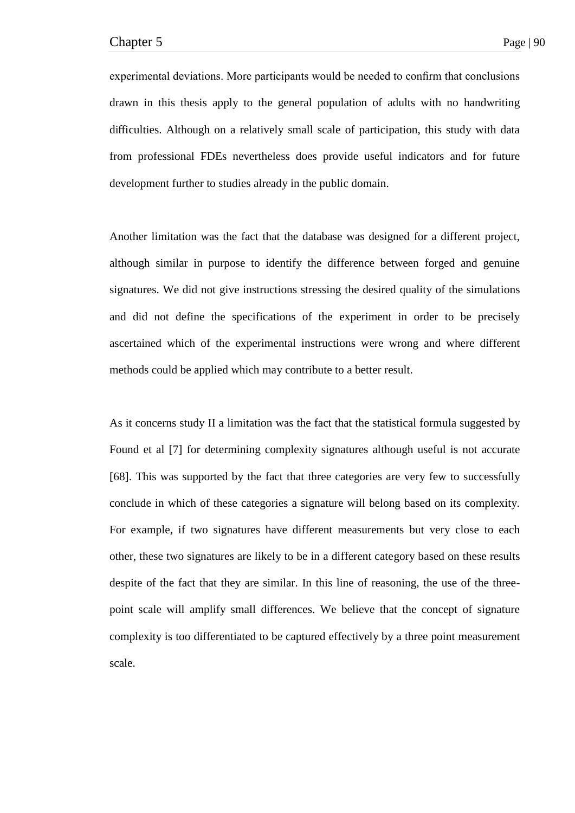experimental deviations. More participants would be needed to confirm that conclusions drawn in this thesis apply to the general population of adults with no handwriting difficulties. Although on a relatively small scale of participation, this study with data from professional FDEs nevertheless does provide useful indicators and for future development further to studies already in the public domain.

Another limitation was the fact that the database was designed for a different project, although similar in purpose to identify the difference between forged and genuine signatures. We did not give instructions stressing the desired quality of the simulations and did not define the specifications of the experiment in order to be precisely ascertained which of the experimental instructions were wrong and where different methods could be applied which may contribute to a better result.

As it concerns study II a limitation was the fact that the statistical formula suggested by Found et al [7] for determining complexity signatures although useful is not accurate [68]. This was supported by the fact that three categories are very few to successfully conclude in which of these categories a signature will belong based on its complexity. For example, if two signatures have different measurements but very close to each other, these two signatures are likely to be in a different category based on these results despite of the fact that they are similar. In this line of reasoning, the use of the threepoint scale will amplify small differences. We believe that the concept of signature complexity is too differentiated to be captured effectively by a three point measurement scale.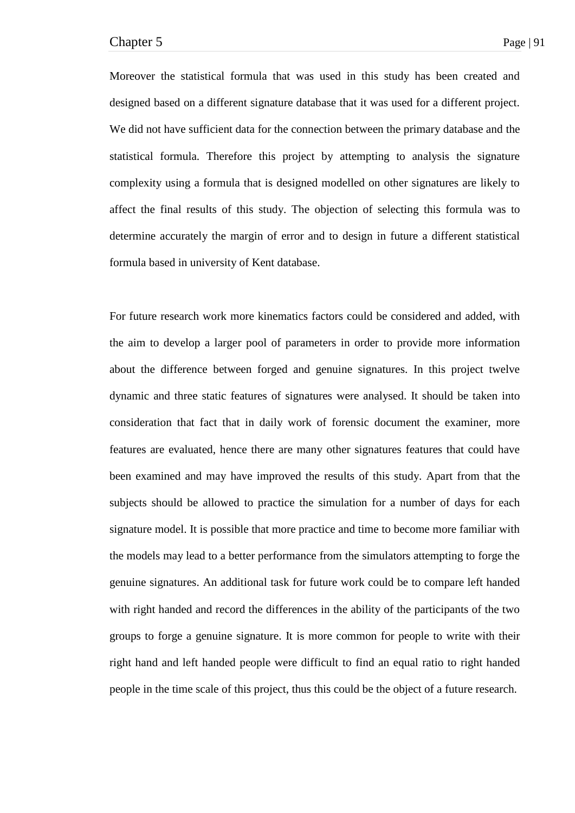Moreover the statistical formula that was used in this study has been created and designed based on a different signature database that it was used for a different project. We did not have sufficient data for the connection between the primary database and the statistical formula. Therefore this project by attempting to analysis the signature complexity using a formula that is designed modelled on other signatures are likely to affect the final results of this study. The objection of selecting this formula was to determine accurately the margin of error and to design in future a different statistical formula based in university of Kent database.

For future research work more kinematics factors could be considered and added, with the aim to develop a larger pool of parameters in order to provide more information about the difference between forged and genuine signatures. In this project twelve dynamic and three static features of signatures were analysed. It should be taken into consideration that fact that in daily work of forensic document the examiner, more features are evaluated, hence there are many other signatures features that could have been examined and may have improved the results of this study. Apart from that the subjects should be allowed to practice the simulation for a number of days for each signature model. It is possible that more practice and time to become more familiar with the models may lead to a better performance from the simulators attempting to forge the genuine signatures. An additional task for future work could be to compare left handed with right handed and record the differences in the ability of the participants of the two groups to forge a genuine signature. It is more common for people to write with their right hand and left handed people were difficult to find an equal ratio to right handed people in the time scale of this project, thus this could be the object of a future research.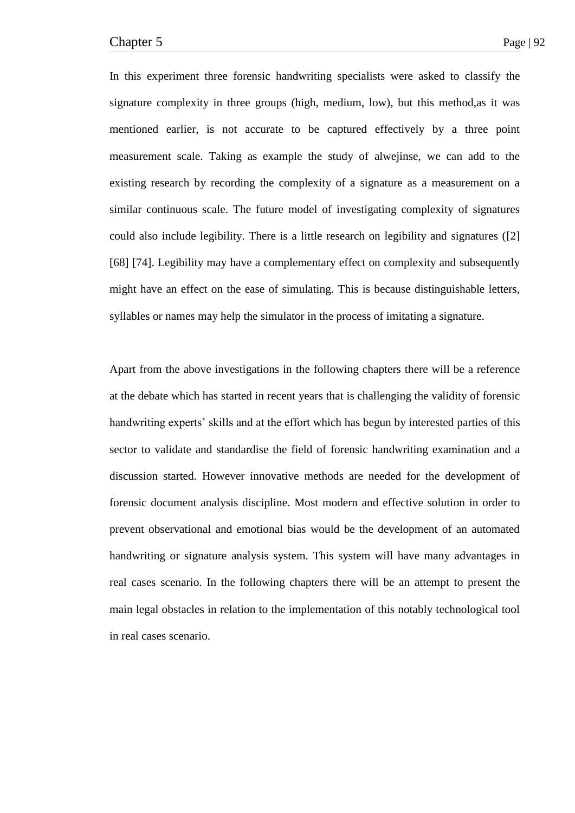In this experiment three forensic handwriting specialists were asked to classify the signature complexity in three groups (high, medium, low), but this method,as it was mentioned earlier, is not accurate to be captured effectively by a three point measurement scale. Taking as example the study of alwejinse, we can add to the existing research by recording the complexity of a signature as a measurement on a similar continuous scale. The future model of investigating complexity of signatures could also include legibility. There is a little research on legibility and signatures ([2] [68] [74]. Legibility may have a complementary effect on complexity and subsequently might have an effect on the ease of simulating. This is because distinguishable letters, syllables or names may help the simulator in the process of imitating a signature.

Apart from the above investigations in the following chapters there will be a reference at the debate which has started in recent years that is challenging the validity of forensic handwriting experts' skills and at the effort which has begun by interested parties of this sector to validate and standardise the field of forensic handwriting examination and a discussion started. However innovative methods are needed for the development of forensic document analysis discipline. Most modern and effective solution in order to prevent observational and emotional bias would be the development of an automated handwriting or signature analysis system. This system will have many advantages in real cases scenario. In the following chapters there will be an attempt to present the main legal obstacles in relation to the implementation of this notably technological tool in real cases scenario.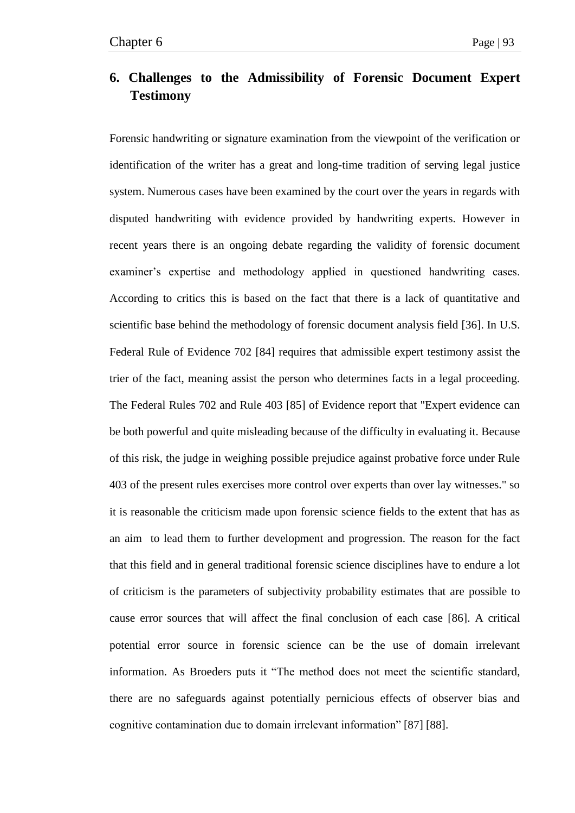# **6. Challenges to the Admissibility of Forensic Document Expert Testimony**

Forensic handwriting or signature examination from the viewpoint of the verification or identification of the writer has a great and long-time tradition of serving legal justice system. Numerous cases have been examined by the court over the years in regards with disputed handwriting with evidence provided by handwriting experts. However in recent years there is an ongoing debate regarding the validity of forensic document examiner's expertise and methodology applied in questioned handwriting cases. According to critics this is based on the fact that there is a lack of quantitative and scientific base behind the methodology of forensic document analysis field [36]. In U.S. Federal Rule of Evidence 702 [84] requires that admissible expert testimony assist the trier of the fact, meaning assist the person who determines facts in a legal proceeding. The Federal Rules 702 and Rule 403 [85] of Evidence report that "Expert evidence can be both powerful and quite misleading because of the difficulty in evaluating it. Because of this risk, the judge in weighing possible prejudice against probative force under Rule 403 of the present rules exercises more control over experts than over lay witnesses." so it is reasonable the criticism made upon forensic science fields to the extent that has as an aim to lead them to further development and progression. The reason for the fact that this field and in general traditional forensic science disciplines have to endure a lot of criticism is the parameters of subjectivity probability estimates that are possible to cause error sources that will affect the final conclusion of each case [86]. A critical potential error source in forensic science can be the use of domain irrelevant information. As Broeders puts it "The method does not meet the scientific standard, there are no safeguards against potentially pernicious effects of observer bias and cognitive contamination due to domain irrelevant information" [87] [88].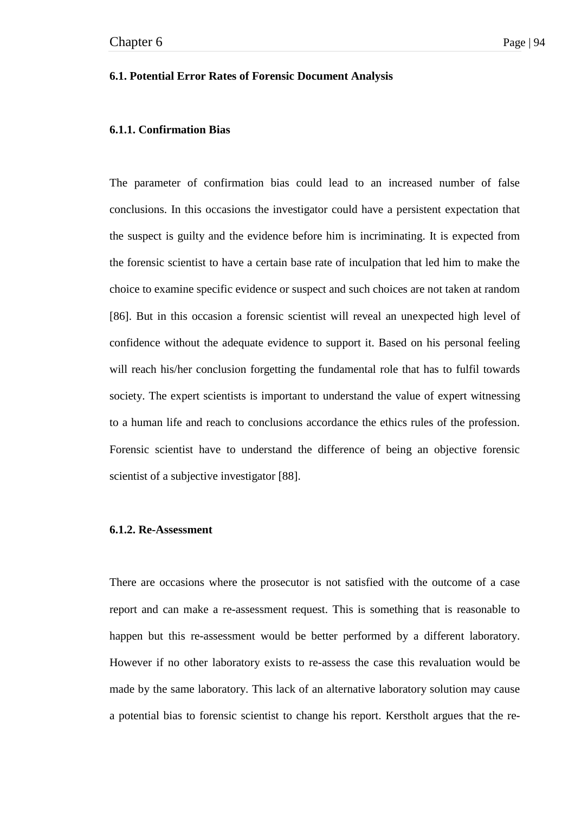# **6.1. Potential Error Rates of Forensic Document Analysis**

# **6.1.1. Confirmation Bias**

The parameter of confirmation bias could lead to an increased number of false conclusions. In this occasions the investigator could have a persistent expectation that the suspect is guilty and the evidence before him is incriminating. It is expected from the forensic scientist to have a certain base rate of inculpation that led him to make the choice to examine specific evidence or suspect and such choices are not taken at random [86]. But in this occasion a forensic scientist will reveal an unexpected high level of confidence without the adequate evidence to support it. Based on his personal feeling will reach his/her conclusion forgetting the fundamental role that has to fulfil towards society. The expert scientists is important to understand the value of expert witnessing to a human life and reach to conclusions accordance the ethics rules of the profession. Forensic scientist have to understand the difference of being an objective forensic scientist of a subjective investigator [88].

# **6.1.2. Re-Assessment**

There are occasions where the prosecutor is not satisfied with the outcome of a case report and can make a re-assessment request. This is something that is reasonable to happen but this re-assessment would be better performed by a different laboratory. However if no other laboratory exists to re-assess the case this revaluation would be made by the same laboratory. This lack of an alternative laboratory solution may cause a potential bias to forensic scientist to change his report. Kerstholt argues that the re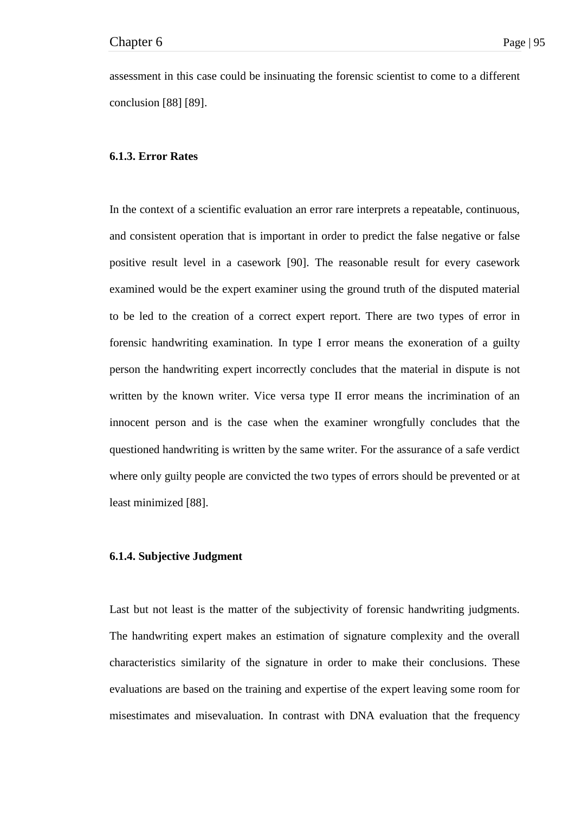assessment in this case could be insinuating the forensic scientist to come to a different conclusion [88] [89].

### **6.1.3. Error Rates**

In the context of a scientific evaluation an error rare interprets a repeatable, continuous, and consistent operation that is important in order to predict the false negative or false positive result level in a casework [90]. The reasonable result for every casework examined would be the expert examiner using the ground truth of the disputed material to be led to the creation of a correct expert report. There are two types of error in forensic handwriting examination. In type I error means the exoneration of a guilty person the handwriting expert incorrectly concludes that the material in dispute is not written by the known writer. Vice versa type II error means the incrimination of an innocent person and is the case when the examiner wrongfully concludes that the questioned handwriting is written by the same writer. For the assurance of a safe verdict where only guilty people are convicted the two types of errors should be prevented or at least minimized [88].

# **6.1.4. Subjective Judgment**

Last but not least is the matter of the subjectivity of forensic handwriting judgments. The handwriting expert makes an estimation of signature complexity and the overall characteristics similarity of the signature in order to make their conclusions. These evaluations are based on the training and expertise of the expert leaving some room for misestimates and misevaluation. In contrast with DNA evaluation that the frequency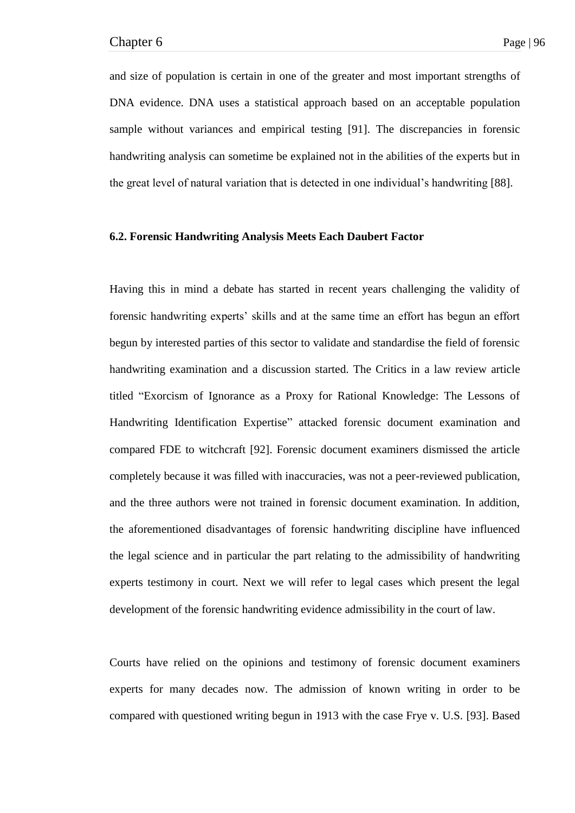and size of population is certain in one of the greater and most important strengths of DNA evidence. DNA uses a statistical approach based on an acceptable population sample without variances and empirical testing [91]. The discrepancies in forensic handwriting analysis can sometime be explained not in the abilities of the experts but in the great level of natural variation that is detected in one individual's handwriting [88].

## **6.2. Forensic Handwriting Analysis Meets Each Daubert Factor**

Having this in mind a debate has started in recent years challenging the validity of forensic handwriting experts' skills and at the same time an effort has begun an effort begun by interested parties of this sector to validate and standardise the field of forensic handwriting examination and a discussion started. The Critics in a law review article titled "Exorcism of Ignorance as a Proxy for Rational Knowledge: The Lessons of Handwriting Identification Expertise" attacked forensic document examination and compared FDE to witchcraft [92]. Forensic document examiners dismissed the article completely because it was filled with inaccuracies, was not a peer-reviewed publication, and the three authors were not trained in forensic document examination. In addition, the aforementioned disadvantages of forensic handwriting discipline have influenced the legal science and in particular the part relating to the admissibility of handwriting experts testimony in court. Next we will refer to legal cases which present the legal development of the forensic handwriting evidence admissibility in the court of law.

Courts have relied on the opinions and testimony of forensic document examiners experts for many decades now. The admission of known writing in order to be compared with questioned writing begun in 1913 with the case Frye v. U.S. [93]. Based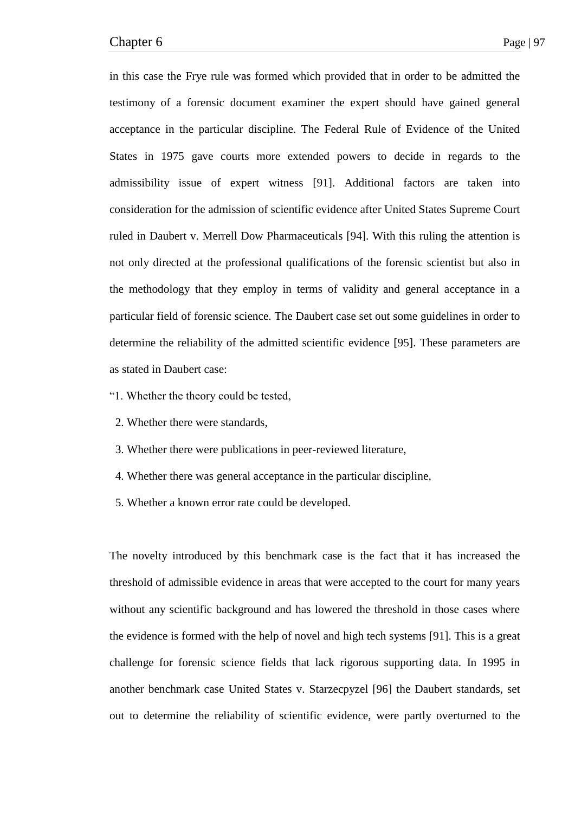in this case the Frye rule was formed which provided that in order to be admitted the testimony of a forensic document examiner the expert should have gained general acceptance in the particular discipline. The Federal Rule of Evidence of the United States in 1975 gave courts more extended powers to decide in regards to the admissibility issue of expert witness [91]. Additional factors are taken into consideration for the admission of scientific evidence after United States Supreme Court ruled in Daubert v. Merrell Dow Pharmaceuticals [94]. With this ruling the attention is not only directed at the professional qualifications of the forensic scientist but also in the methodology that they employ in terms of validity and general acceptance in a particular field of forensic science. The Daubert case set out some guidelines in order to determine the reliability of the admitted scientific evidence [95]. These parameters are as stated in Daubert case:

- ―1. Whether the theory could be tested,
- 2. Whether there were standards,
- 3. Whether there were publications in peer-reviewed literature,
- 4. Whether there was general acceptance in the particular discipline,
- 5. Whether a known error rate could be developed.

The novelty introduced by this benchmark case is the fact that it has increased the threshold of admissible evidence in areas that were accepted to the court for many years without any scientific background and has lowered the threshold in those cases where the evidence is formed with the help of novel and high tech systems [91]. This is a great challenge for forensic science fields that lack rigorous supporting data. In 1995 in another benchmark case United States v. Starzecpyzel [96] the Daubert standards, set out to determine the reliability of scientific evidence, were partly overturned to the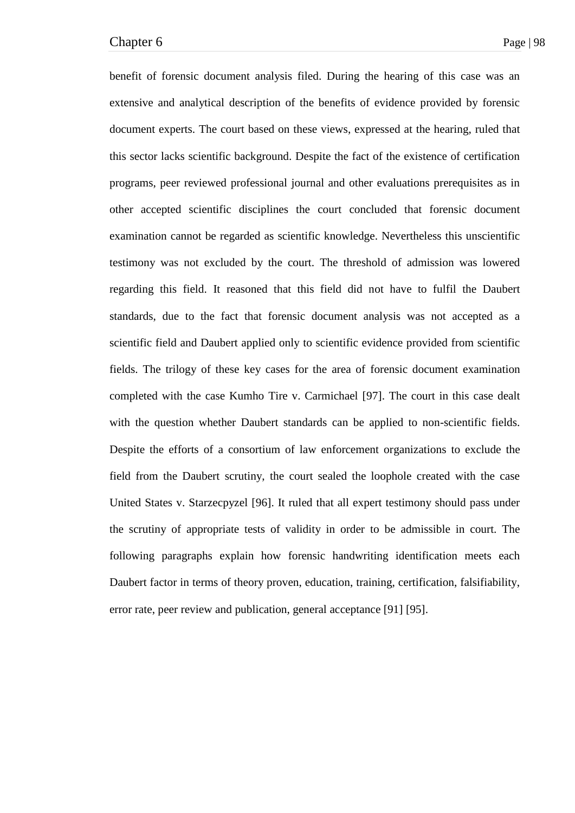benefit of forensic document analysis filed. During the hearing of this case was an extensive and analytical description of the benefits of evidence provided by forensic document experts. The court based on these views, expressed at the hearing, ruled that this sector lacks scientific background. Despite the fact of the existence of certification programs, peer reviewed professional journal and other evaluations prerequisites as in other accepted scientific disciplines the court concluded that forensic document examination cannot be regarded as scientific knowledge. Nevertheless this unscientific testimony was not excluded by the court. The threshold of admission was lowered regarding this field. It reasoned that this field did not have to fulfil the Daubert standards, due to the fact that forensic document analysis was not accepted as a scientific field and Daubert applied only to scientific evidence provided from scientific fields. The trilogy of these key cases for the area of forensic document examination completed with the case Kumho Tire v. Carmichael [97]. The court in this case dealt with the question whether Daubert standards can be applied to non-scientific fields. Despite the efforts of a consortium of law enforcement organizations to exclude the field from the Daubert scrutiny, the court sealed the loophole created with the case United States v. Starzecpyzel [96]. It ruled that all expert testimony should pass under the scrutiny of appropriate tests of validity in order to be admissible in court. The following paragraphs explain how forensic handwriting identification meets each Daubert factor in terms of theory proven, education, training, certification, falsifiability, error rate, peer review and publication, general acceptance [91] [95].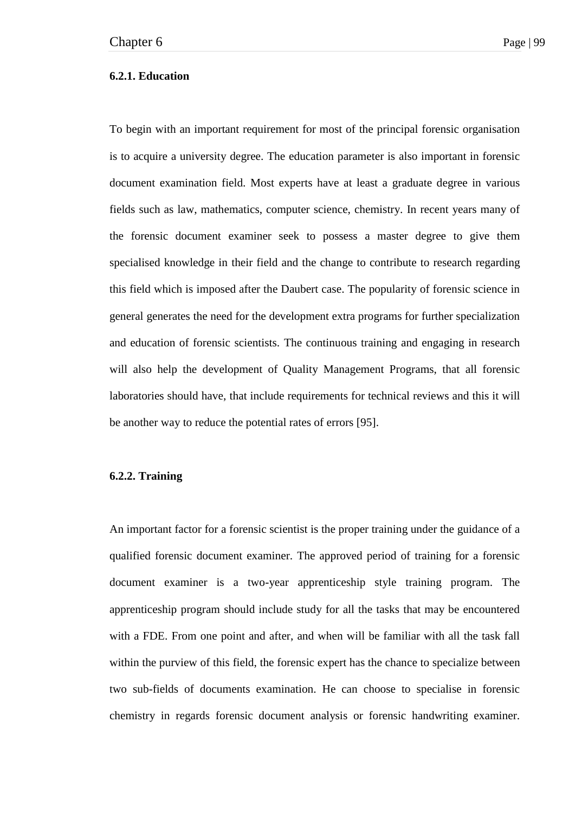# **6.2.1. Education**

To begin with an important requirement for most of the principal forensic organisation is to acquire a university degree. The education parameter is also important in forensic document examination field. Most experts have at least a graduate degree in various fields such as law, mathematics, computer science, chemistry. In recent years many of the forensic document examiner seek to possess a master degree to give them specialised knowledge in their field and the change to contribute to research regarding this field which is imposed after the Daubert case. The popularity of forensic science in general generates the need for the development extra programs for further specialization and education of forensic scientists. The continuous training and engaging in research will also help the development of Quality Management Programs, that all forensic laboratories should have, that include requirements for technical reviews and this it will be another way to reduce the potential rates of errors [95].

# **6.2.2. Training**

An important factor for a forensic scientist is the proper training under the guidance of a qualified forensic document examiner. The approved period of training for a forensic document examiner is a two-year apprenticeship style training program. The apprenticeship program should include study for all the tasks that may be encountered with a FDE. From one point and after, and when will be familiar with all the task fall within the purview of this field, the forensic expert has the chance to specialize between two sub-fields of documents examination. He can choose to specialise in forensic chemistry in regards forensic document analysis or forensic handwriting examiner.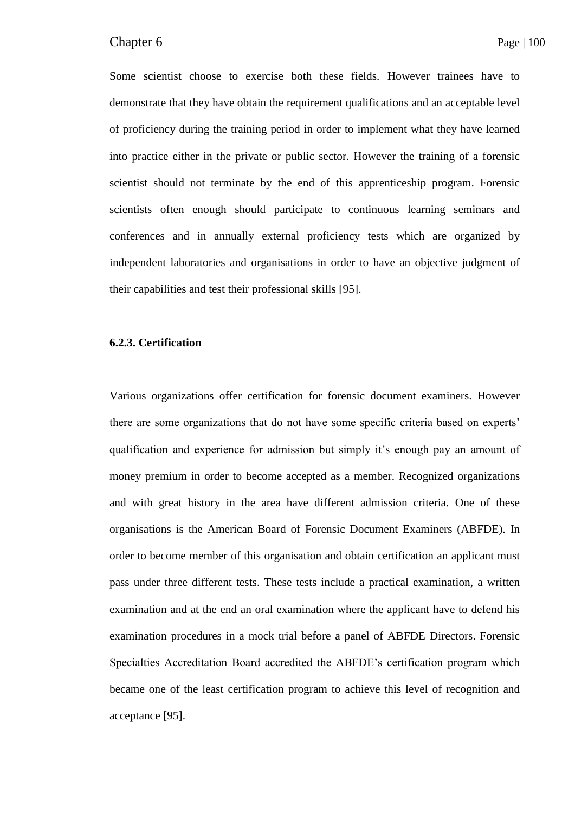Some scientist choose to exercise both these fields. However trainees have to demonstrate that they have obtain the requirement qualifications and an acceptable level of proficiency during the training period in order to implement what they have learned into practice either in the private or public sector. However the training of a forensic scientist should not terminate by the end of this apprenticeship program. Forensic scientists often enough should participate to continuous learning seminars and conferences and in annually external proficiency tests which are organized by independent laboratories and organisations in order to have an objective judgment of their capabilities and test their professional skills [95].

# **6.2.3. Certification**

Various organizations offer certification for forensic document examiners. However there are some organizations that do not have some specific criteria based on experts' qualification and experience for admission but simply it's enough pay an amount of money premium in order to become accepted as a member. Recognized organizations and with great history in the area have different admission criteria. One of these organisations is the American Board of Forensic Document Examiners (ABFDE). In order to become member of this organisation and obtain certification an applicant must pass under three different tests. These tests include a practical examination, a written examination and at the end an oral examination where the applicant have to defend his examination procedures in a mock trial before a panel of ABFDE Directors. Forensic Specialties Accreditation Board accredited the ABFDE's certification program which became one of the least certification program to achieve this level of recognition and acceptance [95].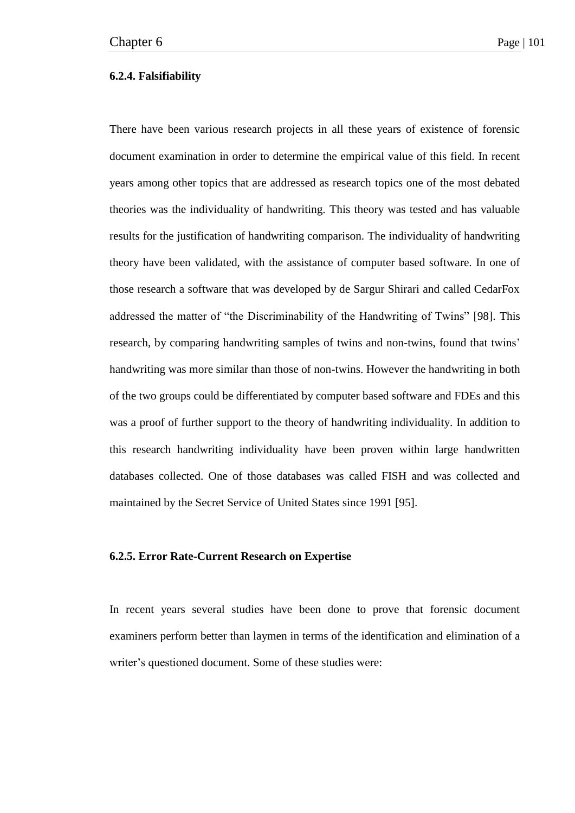## **6.2.4. Falsifiability**

There have been various research projects in all these years of existence of forensic document examination in order to determine the empirical value of this field. In recent years among other topics that are addressed as research topics one of the most debated theories was the individuality of handwriting. This theory was tested and has valuable results for the justification of handwriting comparison. The individuality of handwriting theory have been validated, with the assistance of computer based software. In one of those research a software that was developed by de Sargur Shirari and called CedarFox addressed the matter of "the Discriminability of the Handwriting of Twins" [98]. This research, by comparing handwriting samples of twins and non-twins, found that twins' handwriting was more similar than those of non-twins. However the handwriting in both of the two groups could be differentiated by computer based software and FDEs and this was a proof of further support to the theory of handwriting individuality. In addition to this research handwriting individuality have been proven within large handwritten databases collected. One of those databases was called FISH and was collected and maintained by the Secret Service of United States since 1991 [95].

# **6.2.5. Error Rate-Current Research on Expertise**

In recent years several studies have been done to prove that forensic document examiners perform better than laymen in terms of the identification and elimination of a writer's questioned document. Some of these studies were: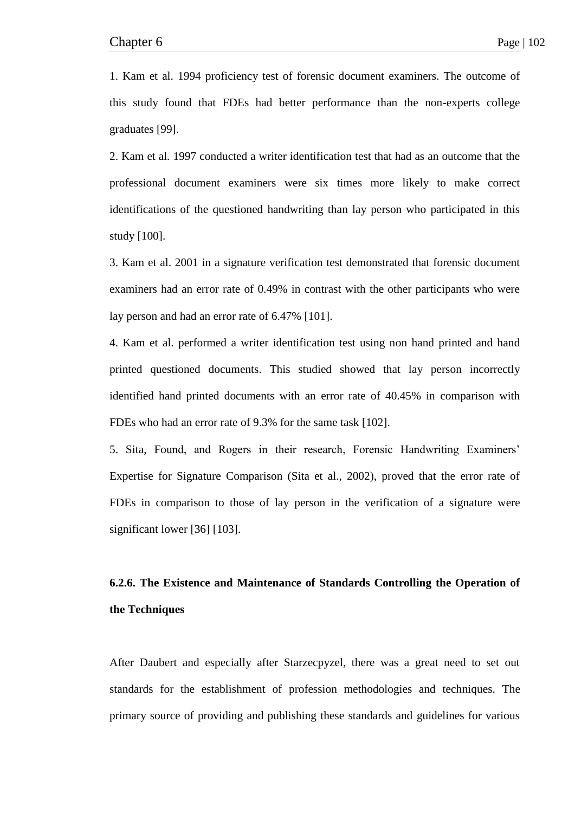1. Kam et al. 1994 proficiency test of forensic document examiners. The outcome of this study found that FDEs had better performance than the non-experts college graduates [99].

2. Kam et al. 1997 conducted a writer identification test that had as an outcome that the professional document examiners were six times more likely to make correct identifications of the questioned handwriting than lay person who participated in this study [100].

3. Kam et al. 2001 in a signature verification test demonstrated that forensic document examiners had an error rate of 0.49% in contrast with the other participants who were lay person and had an error rate of 6.47% [101].

4. Kam et al. performed a writer identification test using non hand printed and hand printed questioned documents. This studied showed that lay person incorrectly identified hand printed documents with an error rate of 40.45% in comparison with FDEs who had an error rate of 9.3% for the same task [102].

5. Sita, Found, and Rogers in their research, Forensic Handwriting Examiners' Expertise for Signature Comparison (Sita et al., 2002), proved that the error rate of FDEs in comparison to those of lay person in the verification of a signature were significant lower [36] [103].

# **6.2.6. The Existence and Maintenance of Standards Controlling the Operation of the Techniques**

After Daubert and especially after Starzecpyzel, there was a great need to set out standards for the establishment of profession methodologies and techniques. The primary source of providing and publishing these standards and guidelines for various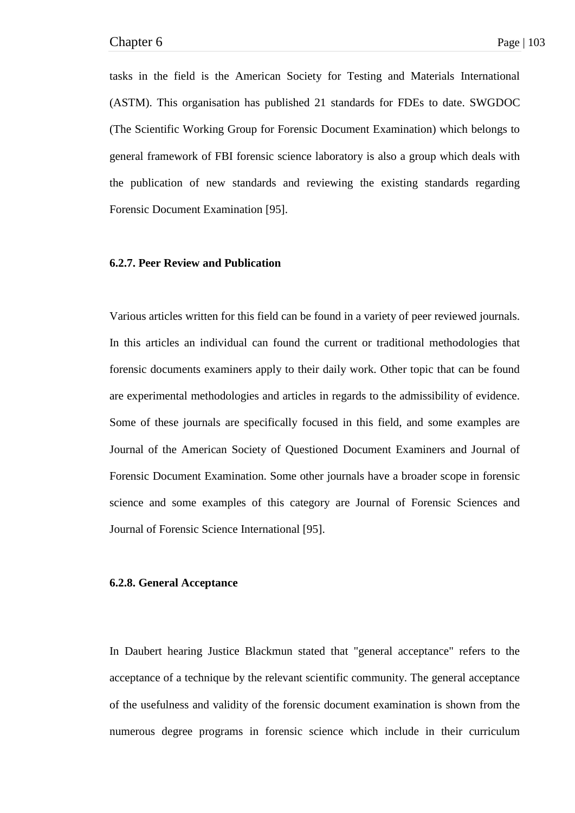tasks in the field is the American Society for Testing and Materials International (ASTM). This organisation has published 21 standards for FDEs to date. SWGDOC (The Scientific Working Group for Forensic Document Examination) which belongs to general framework of FBI forensic science laboratory is also a group which deals with the publication of new standards and reviewing the existing standards regarding Forensic Document Examination [95].

# **6.2.7. Peer Review and Publication**

Various articles written for this field can be found in a variety of peer reviewed journals. In this articles an individual can found the current or traditional methodologies that forensic documents examiners apply to their daily work. Other topic that can be found are experimental methodologies and articles in regards to the admissibility of evidence. Some of these journals are specifically focused in this field, and some examples are Journal of the American Society of Questioned Document Examiners and Journal of Forensic Document Examination. Some other journals have a broader scope in forensic science and some examples of this category are Journal of Forensic Sciences and Journal of Forensic Science International [95].

#### **6.2.8. General Acceptance**

In Daubert hearing Justice Blackmun stated that "general acceptance" refers to the acceptance of a technique by the relevant scientific community. The general acceptance of the usefulness and validity of the forensic document examination is shown from the numerous degree programs in forensic science which include in their curriculum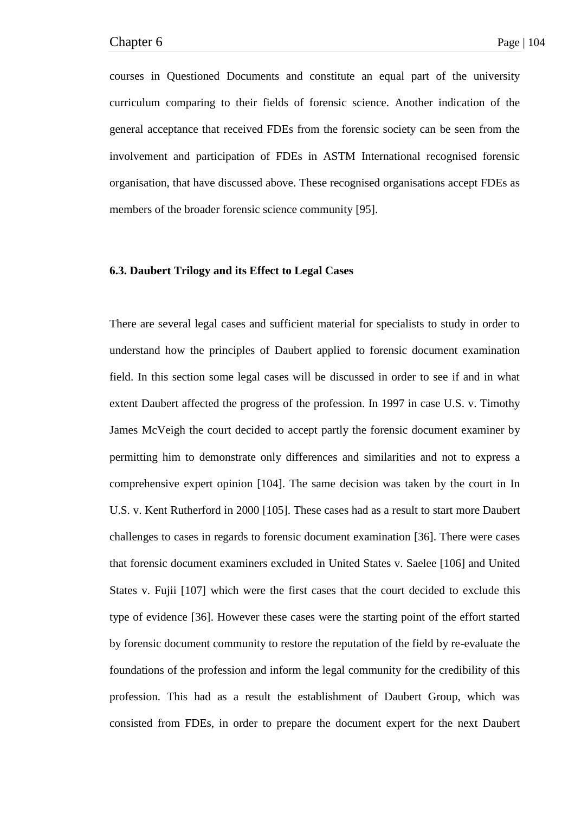courses in Questioned Documents and constitute an equal part of the university curriculum comparing to their fields of forensic science. Another indication of the general acceptance that received FDEs from the forensic society can be seen from the involvement and participation of FDEs in ASTM International recognised forensic organisation, that have discussed above. These recognised organisations accept FDEs as members of the broader forensic science community [95].

# **6.3. Daubert Trilogy and its Effect to Legal Cases**

There are several legal cases and sufficient material for specialists to study in order to understand how the principles of Daubert applied to forensic document examination field. In this section some legal cases will be discussed in order to see if and in what extent Daubert affected the progress of the profession. In 1997 in case U.S. v. Timothy James McVeigh the court decided to accept partly the forensic document examiner by permitting him to demonstrate only differences and similarities and not to express a comprehensive expert opinion [104]. The same decision was taken by the court in In U.S. v. Kent Rutherford in 2000 [105]. These cases had as a result to start more Daubert challenges to cases in regards to forensic document examination [36]. There were cases that forensic document examiners excluded in United States v. Saelee [106] and United States v. Fujii [107] which were the first cases that the court decided to exclude this type of evidence [36]. However these cases were the starting point of the effort started by forensic document community to restore the reputation of the field by re-evaluate the foundations of the profession and inform the legal community for the credibility of this profession. This had as a result the establishment of Daubert Group, which was consisted from FDEs, in order to prepare the document expert for the next Daubert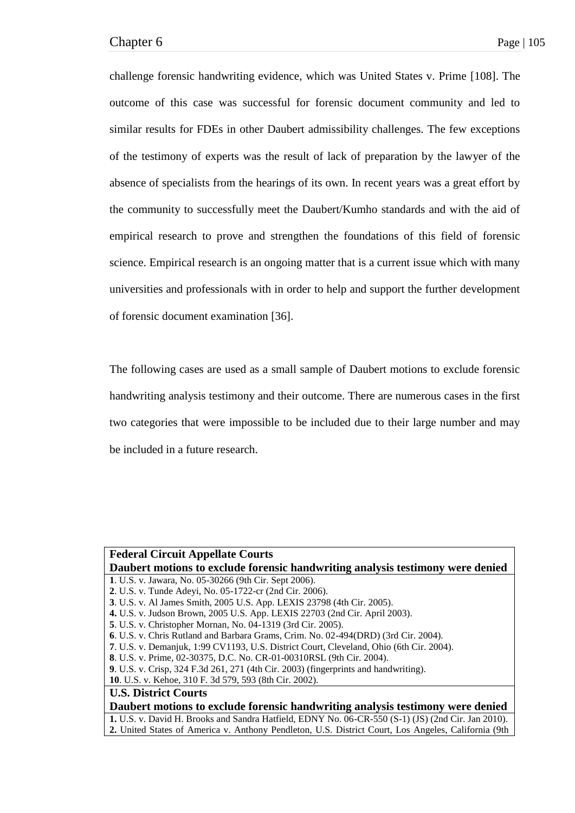challenge forensic handwriting evidence, which was United States v. Prime [108]. The outcome of this case was successful for forensic document community and led to similar results for FDEs in other Daubert admissibility challenges. The few exceptions of the testimony of experts was the result of lack of preparation by the lawyer of the absence of specialists from the hearings of its own. In recent years was a great effort by the community to successfully meet the Daubert/Kumho standards and with the aid of empirical research to prove and strengthen the foundations of this field of forensic science. Empirical research is an ongoing matter that is a current issue which with many universities and professionals with in order to help and support the further development of forensic document examination [36].

The following cases are used as a small sample of Daubert motions to exclude forensic handwriting analysis testimony and their outcome. There are numerous cases in the first two categories that were impossible to be included due to their large number and may be included in a future research.

| <b>Federal Circuit Appellate Courts</b>                                                             |
|-----------------------------------------------------------------------------------------------------|
| Daubert motions to exclude forensic handwriting analysis testimony were denied                      |
| 1. U.S. v. Jawara, No. 05-30266 (9th Cir. Sept 2006).                                               |
| 2. U.S. v. Tunde Adeyi, No. 05-1722-cr (2nd Cir. 2006).                                             |
| 3. U.S. v. Al James Smith, 2005 U.S. App. LEXIS 23798 (4th Cir. 2005).                              |
| 4. U.S. v. Judson Brown, 2005 U.S. App. LEXIS 22703 (2nd Cir. April 2003).                          |
| 5. U.S. v. Christopher Mornan, No. 04-1319 (3rd Cir. 2005).                                         |
| 6. U.S. v. Chris Rutland and Barbara Grams, Crim. No. 02-494(DRD) (3rd Cir. 2004).                  |
| 7. U.S. v. Demanjuk, 1:99 CV1193, U.S. District Court, Cleveland, Ohio (6th Cir. 2004).             |
| 8. U.S. v. Prime, 02-30375, D.C. No. CR-01-00310RSL (9th Cir. 2004).                                |
| <b>9.</b> U.S. v. Crisp, 324 F.3d 261, 271 (4th Cir. 2003) (fingerprints and handwriting).          |
| 10. U.S. v. Kehoe, 310 F. 3d 579, 593 (8th Cir. 2002).                                              |
| <b>U.S. District Courts</b>                                                                         |
| Daubert motions to exclude forensic handwriting analysis testimony were denied                      |
| 1. U.S. v. David H. Brooks and Sandra Hatfield, EDNY No. 06-CR-550 (S-1) (JS) (2nd Cir. Jan 2010).  |
| 2. United States of America v. Anthony Pendleton, U.S. District Court, Los Angeles, California (9th |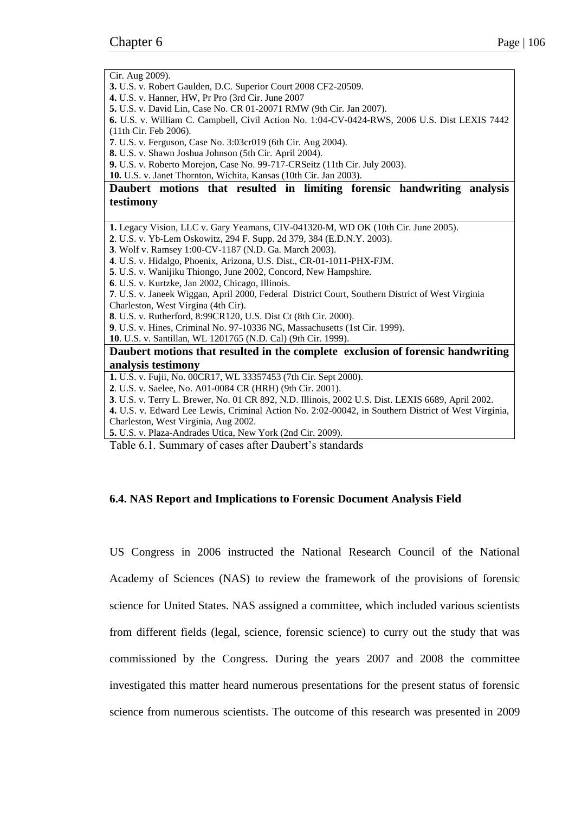Cir. Aug 2009). **3.** U.S. v. Robert Gaulden, D.C. Superior Court 2008 CF2-20509. **4.** U.S. v. Hanner, HW, Pr Pro (3rd Cir. June 2007 **5.** U.S. v. David Lin, Case No. CR 01-20071 RMW (9th Cir. Jan 2007). **6.** U.S. v. William C. Campbell, Civil Action No. 1:04-CV-0424-RWS, 2006 U.S. Dist LEXIS 7442 (11th Cir. Feb 2006). **7**. U.S. v. Ferguson, Case No. 3:03cr019 (6th Cir. Aug 2004). **8.** U.S. v. Shawn Joshua Johnson (5th Cir. April 2004). **9.** U.S. v. Roberto Morejon, Case No. 99-717-CRSeitz (11th Cir. July 2003). **10.** U.S. v. Janet Thornton, Wichita, Kansas (10th Cir. Jan 2003). **Daubert motions that resulted in limiting forensic handwriting analysis testimony 1.** Legacy Vision, LLC v. Gary Yeamans, CIV-041320-M, WD OK (10th Cir. June 2005). **2**. U.S. v. Yb-Lem Oskowitz, 294 F. Supp. 2d 379, 384 (E.D.N.Y. 2003). **3**. Wolf v. Ramsey 1:00-CV-1187 (N.D. Ga. March 2003). **4**. U.S. v. Hidalgo, Phoenix, Arizona, U.S. Dist., CR-01-1011-PHX-FJM. **5**. U.S. v. Wanijiku Thiongo, June 2002, Concord, New Hampshire. **6**. U.S. v. Kurtzke, Jan 2002, Chicago, Illinois. **7**. U.S. v. Janeek Wiggan, April 2000, Federal District Court, Southern District of West Virginia Charleston, West Virgina (4th Cir). **8**. U.S. v. Rutherford, 8:99CR120, U.S. Dist Ct (8th Cir. 2000). **9**. U.S. v. Hines, Criminal No. 97-10336 NG, Massachusetts (1st Cir. 1999). **10**. U.S. v. Santillan, WL 1201765 (N.D. Cal) (9th Cir. 1999). **Daubert motions that resulted in the complete exclusion of forensic handwriting analysis testimony 1.** U.S. v. Fujii, No. 00CR17, WL 33357453 (7th Cir. Sept 2000). **2**. U.S. v. Saelee, No. A01-0084 CR (HRH) (9th Cir. 2001). **3**. U.S. v. Terry L. Brewer, No. 01 CR 892, N.D. Illinois, 2002 U.S. Dist. LEXIS 6689, April 2002. **4.** U.S. v. Edward Lee Lewis, Criminal Action No. 2:02-00042, in Southern District of West Virginia, Charleston, West Virginia, Aug 2002. **5.** U.S. v. Plaza-Andrades Utica, New York (2nd Cir. 2009). Table 6.1. Summary of cases after Daubert's standards

# **6.4. NAS Report and Implications to Forensic Document Analysis Field**

US Congress in 2006 instructed the National Research Council of the National Academy of Sciences (NAS) to review the framework of the provisions of forensic science for United States. NAS assigned a committee, which included various scientists from different fields (legal, science, forensic science) to curry out the study that was commissioned by the Congress. During the years 2007 and 2008 the committee investigated this matter heard numerous presentations for the present status of forensic science from numerous scientists. The outcome of this research was presented in 2009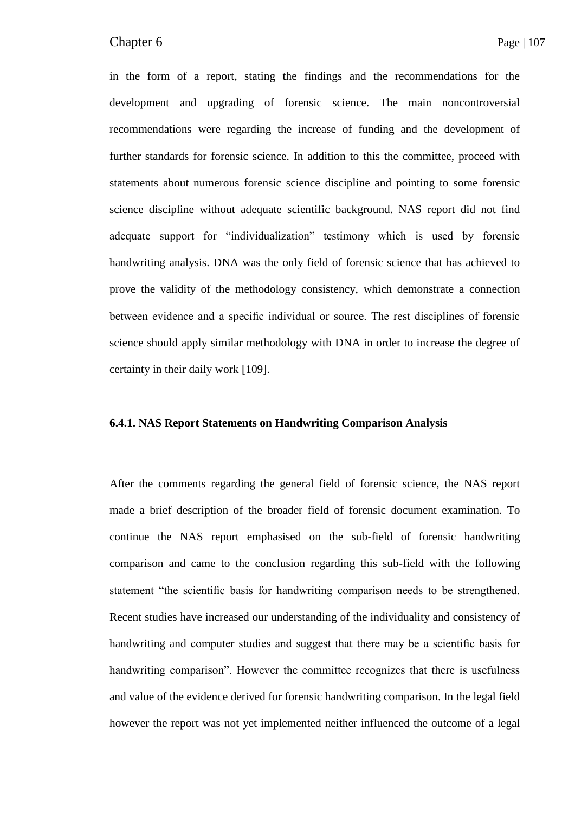in the form of a report, stating the findings and the recommendations for the development and upgrading of forensic science. The main noncontroversial recommendations were regarding the increase of funding and the development of further standards for forensic science. In addition to this the committee, proceed with statements about numerous forensic science discipline and pointing to some forensic science discipline without adequate scientific background. NAS report did not find adequate support for "individualization" testimony which is used by forensic handwriting analysis. DNA was the only field of forensic science that has achieved to prove the validity of the methodology consistency, which demonstrate a connection between evidence and a specific individual or source. The rest disciplines of forensic science should apply similar methodology with DNA in order to increase the degree of certainty in their daily work [109].

### **6.4.1. NAS Report Statements on Handwriting Comparison Analysis**

After the comments regarding the general field of forensic science, the NAS report made a brief description of the broader field of forensic document examination. To continue the NAS report emphasised on the sub-field of forensic handwriting comparison and came to the conclusion regarding this sub-field with the following statement "the scientific basis for handwriting comparison needs to be strengthened. Recent studies have increased our understanding of the individuality and consistency of handwriting and computer studies and suggest that there may be a scientific basis for handwriting comparison". However the committee recognizes that there is usefulness and value of the evidence derived for forensic handwriting comparison. In the legal field however the report was not yet implemented neither influenced the outcome of a legal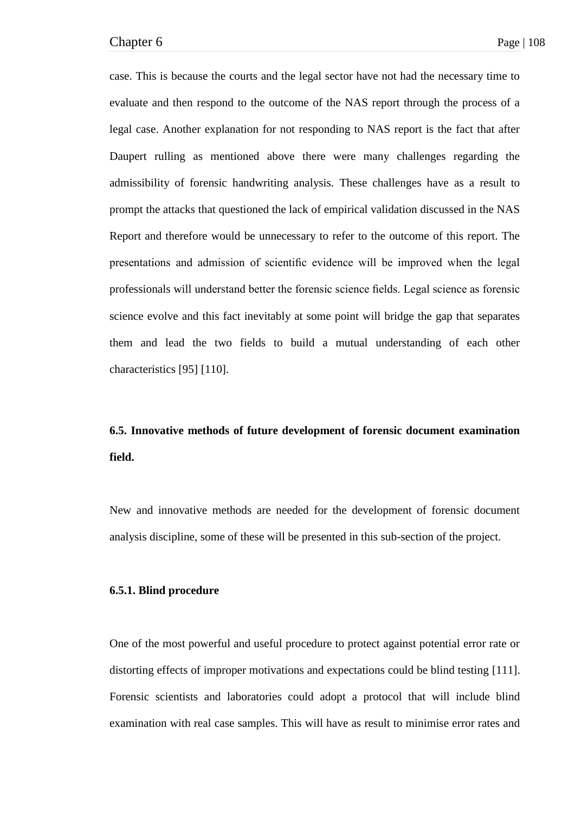case. This is because the courts and the legal sector have not had the necessary time to evaluate and then respond to the outcome of the NAS report through the process of a legal case. Another explanation for not responding to NAS report is the fact that after Daupert rulling as mentioned above there were many challenges regarding the admissibility of forensic handwriting analysis. These challenges have as a result to prompt the attacks that questioned the lack of empirical validation discussed in the NAS Report and therefore would be unnecessary to refer to the outcome of this report. The presentations and admission of scientific evidence will be improved when the legal professionals will understand better the forensic science fields. Legal science as forensic science evolve and this fact inevitably at some point will bridge the gap that separates them and lead the two fields to build a mutual understanding of each other characteristics [95] [110].

# **6.5. Innovative methods of future development of forensic document examination field.**

New and innovative methods are needed for the development of forensic document analysis discipline, some of these will be presented in this sub-section of the project.

### **6.5.1. Blind procedure**

One of the most powerful and useful procedure to protect against potential error rate or distorting effects of improper motivations and expectations could be blind testing [111]. Forensic scientists and laboratories could adopt a protocol that will include blind examination with real case samples. This will have as result to minimise error rates and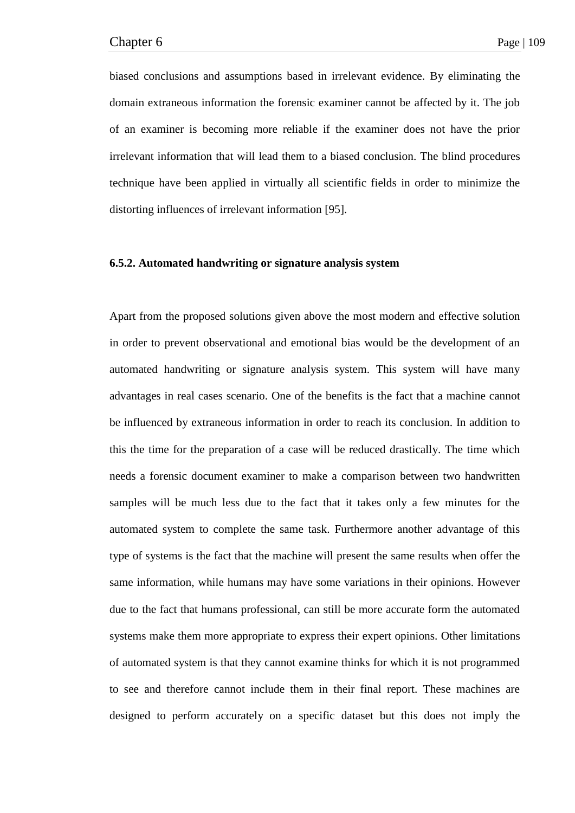biased conclusions and assumptions based in irrelevant evidence. By eliminating the domain extraneous information the forensic examiner cannot be affected by it. The job of an examiner is becoming more reliable if the examiner does not have the prior irrelevant information that will lead them to a biased conclusion. The blind procedures technique have been applied in virtually all scientific fields in order to minimize the distorting influences of irrelevant information [95].

# **6.5.2. Automated handwriting or signature analysis system**

Apart from the proposed solutions given above the most modern and effective solution in order to prevent observational and emotional bias would be the development of an automated handwriting or signature analysis system. This system will have many advantages in real cases scenario. One of the benefits is the fact that a machine cannot be influenced by extraneous information in order to reach its conclusion. In addition to this the time for the preparation of a case will be reduced drastically. The time which needs a forensic document examiner to make a comparison between two handwritten samples will be much less due to the fact that it takes only a few minutes for the automated system to complete the same task. Furthermore another advantage of this type of systems is the fact that the machine will present the same results when offer the same information, while humans may have some variations in their opinions. However due to the fact that humans professional, can still be more accurate form the automated systems make them more appropriate to express their expert opinions. Other limitations of automated system is that they cannot examine thinks for which it is not programmed to see and therefore cannot include them in their final report. These machines are designed to perform accurately on a specific dataset but this does not imply the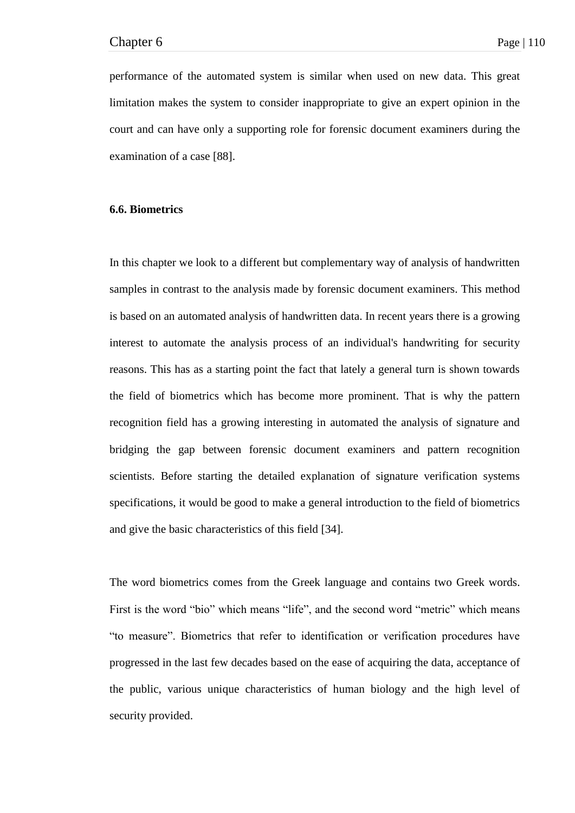performance of the automated system is similar when used on new data. This great limitation makes the system to consider inappropriate to give an expert opinion in the court and can have only a supporting role for forensic document examiners during the examination of a case [88].

# **6.6. Biometrics**

In this chapter we look to a different but complementary way of analysis of handwritten samples in contrast to the analysis made by forensic document examiners. This method is based on an automated analysis of handwritten data. In recent years there is a growing interest to automate the analysis process of an individual's handwriting for security reasons. This has as a starting point the fact that lately a general turn is shown towards the field of biometrics which has become more prominent. That is why the pattern recognition field has a growing interesting in automated the analysis of signature and bridging the gap between forensic document examiners and pattern recognition scientists. Before starting the detailed explanation of signature verification systems specifications, it would be good to make a general introduction to the field of biometrics and give the basic characteristics of this field [34].

The word biometrics comes from the Greek language and contains two Greek words. First is the word "bio" which means "life", and the second word "metric" which means ―to measure‖. Biometrics that refer to identification or verification procedures have progressed in the last few decades based on the ease of acquiring the data, acceptance of the public, various unique characteristics of human biology and the high level of security provided.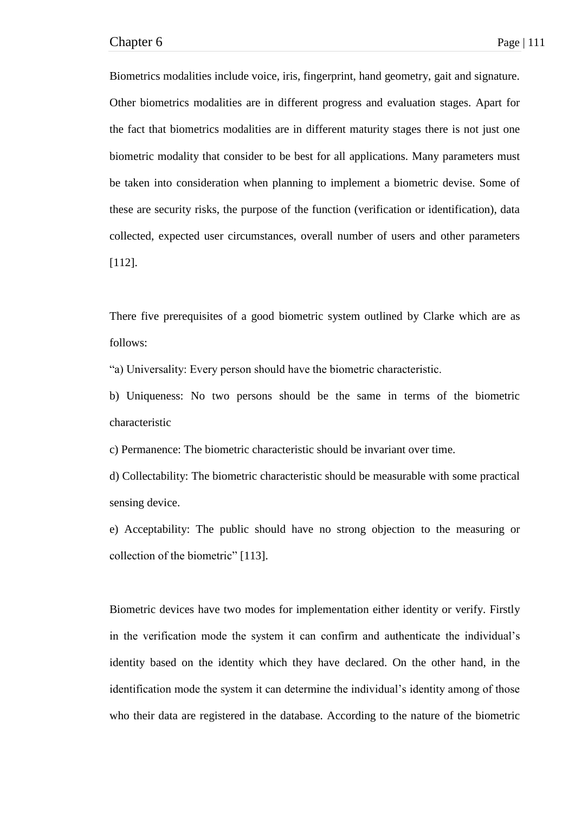Biometrics modalities include voice, iris, fingerprint, hand geometry, gait and signature. Other biometrics modalities are in different progress and evaluation stages. Apart for the fact that biometrics modalities are in different maturity stages there is not just one biometric modality that consider to be best for all applications. Many parameters must be taken into consideration when planning to implement a biometric devise. Some of these are security risks, the purpose of the function (verification or identification), data collected, expected user circumstances, overall number of users and other parameters [112].

There five prerequisites of a good biometric system outlined by Clarke which are as follows:

―a) Universality: Every person should have the biometric characteristic.

b) Uniqueness: No two persons should be the same in terms of the biometric characteristic

c) Permanence: The biometric characteristic should be invariant over time.

d) Collectability: The biometric characteristic should be measurable with some practical sensing device.

e) Acceptability: The public should have no strong objection to the measuring or collection of the biometric" [113].

Biometric devices have two modes for implementation either identity or verify. Firstly in the verification mode the system it can confirm and authenticate the individual's identity based on the identity which they have declared. On the other hand, in the identification mode the system it can determine the individual's identity among of those who their data are registered in the database. According to the nature of the biometric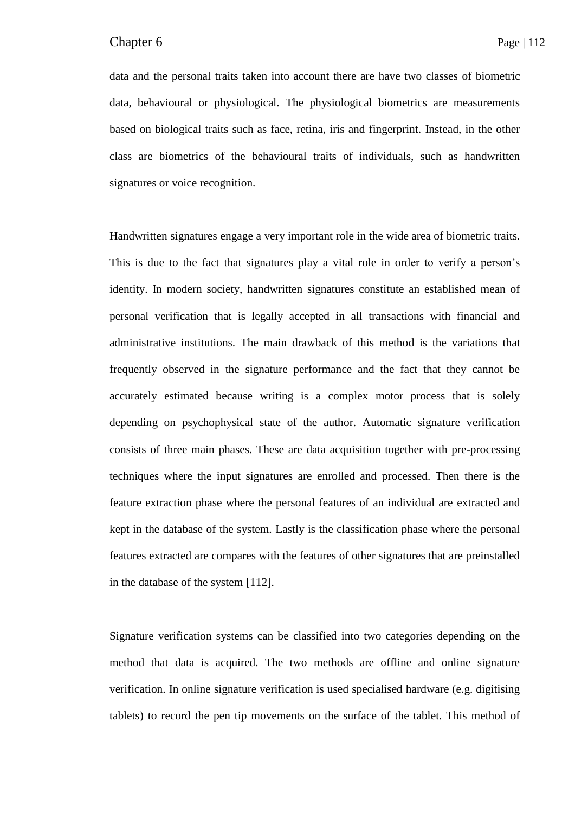data and the personal traits taken into account there are have two classes of biometric data, behavioural or physiological. The physiological biometrics are measurements based on biological traits such as face, retina, iris and fingerprint. Instead, in the other class are biometrics of the behavioural traits of individuals, such as handwritten signatures or voice recognition.

Handwritten signatures engage a very important role in the wide area of biometric traits. This is due to the fact that signatures play a vital role in order to verify a person's identity. In modern society, handwritten signatures constitute an established mean of personal verification that is legally accepted in all transactions with financial and administrative institutions. The main drawback of this method is the variations that frequently observed in the signature performance and the fact that they cannot be accurately estimated because writing is a complex motor process that is solely depending on psychophysical state of the author. Automatic signature verification consists of three main phases. These are data acquisition together with pre-processing techniques where the input signatures are enrolled and processed. Then there is the feature extraction phase where the personal features of an individual are extracted and kept in the database of the system. Lastly is the classification phase where the personal features extracted are compares with the features of other signatures that are preinstalled in the database of the system [112].

Signature verification systems can be classified into two categories depending on the method that data is acquired. The two methods are offline and online signature verification. In online signature verification is used specialised hardware (e.g. digitising tablets) to record the pen tip movements on the surface of the tablet. This method of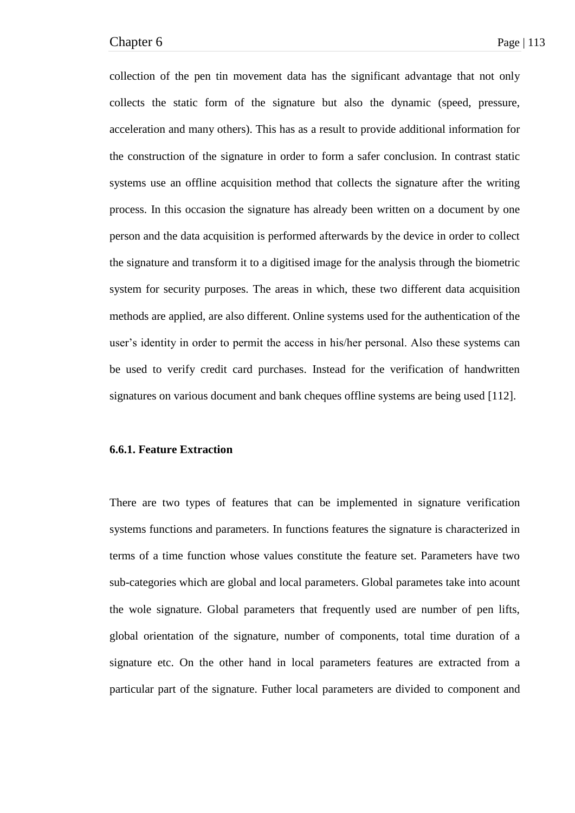collection of the pen tin movement data has the significant advantage that not only collects the static form of the signature but also the dynamic (speed, pressure, acceleration and many others). This has as a result to provide additional information for the construction of the signature in order to form a safer conclusion. In contrast static systems use an offline acquisition method that collects the signature after the writing process. In this occasion the signature has already been written on a document by one person and the data acquisition is performed afterwards by the device in order to collect the signature and transform it to a digitised image for the analysis through the biometric system for security purposes. The areas in which, these two different data acquisition methods are applied, are also different. Online systems used for the authentication of the user's identity in order to permit the access in his/her personal. Also these systems can be used to verify credit card purchases. Instead for the verification of handwritten signatures on various document and bank cheques offline systems are being used [112].

## **6.6.1. Feature Extraction**

There are two types of features that can be implemented in signature verification systems functions and parameters. In functions features the signature is characterized in terms of a time function whose values constitute the feature set. Parameters have two sub-categories which are global and local parameters. Global parametes take into acount the wole signature. Global parameters that frequently used are number of pen lifts, global orientation of the signature, number of components, total time duration of a signature etc. On the other hand in local parameters features are extracted from a particular part of the signature. Futher local parameters are divided to component and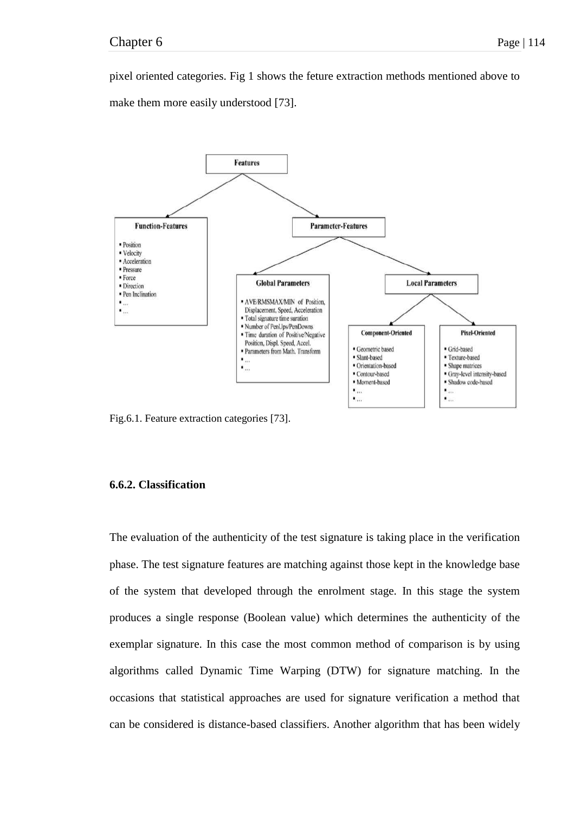pixel oriented categories. Fig 1 shows the feture extraction methods mentioned above to make them more easily understood [73].



Fig.6.1. Feature extraction categories [73].

## **6.6.2. Classification**

The evaluation of the authenticity of the test signature is taking place in the verification phase. The test signature features are matching against those kept in the knowledge base of the system that developed through the enrolment stage. In this stage the system produces a single response (Boolean value) which determines the authenticity of the exemplar signature. In this case the most common method of comparison is by using algorithms called Dynamic Time Warping (DTW) for signature matching. In the occasions that statistical approaches are used for signature verification a method that can be considered is distance-based classifiers. Another algorithm that has been widely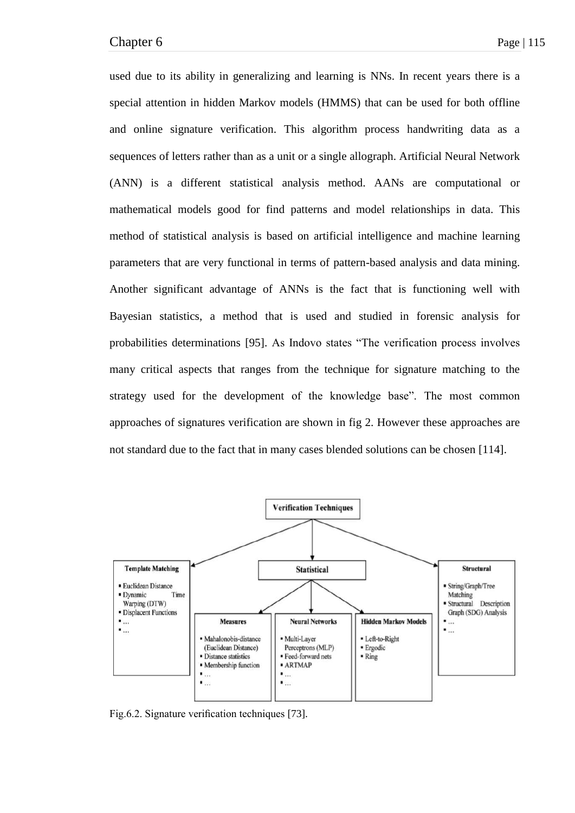used due to its ability in generalizing and learning is NNs. In recent years there is a special attention in hidden Markov models (HMMS) that can be used for both offline and online signature verification. This algorithm process handwriting data as a sequences of letters rather than as a unit or a single allograph. Artificial Neural Network (ANN) is a different statistical analysis method. AANs are computational or mathematical models good for find patterns and model relationships in data. This method of statistical analysis is based on artificial intelligence and machine learning parameters that are very functional in terms of pattern-based analysis and data mining. Another significant advantage of ANNs is the fact that is functioning well with Bayesian statistics, a method that is used and studied in forensic analysis for probabilities determinations [95]. As Indovo states "The verification process involves many critical aspects that ranges from the technique for signature matching to the strategy used for the development of the knowledge base". The most common approaches of signatures verification are shown in fig 2. However these approaches are not standard due to the fact that in many cases blended solutions can be chosen [114].



Fig.6.2. Signature verification techniques [73].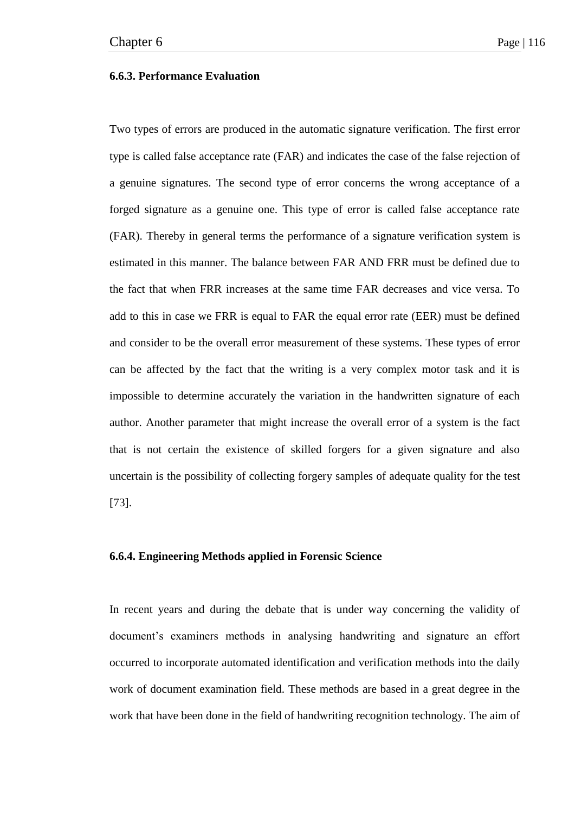## **6.6.3. Performance Evaluation**

Two types of errors are produced in the automatic signature verification. The first error type is called false acceptance rate (FAR) and indicates the case of the false rejection of a genuine signatures. The second type of error concerns the wrong acceptance of a forged signature as a genuine one. This type of error is called false acceptance rate (FAR). Thereby in general terms the performance of a signature verification system is estimated in this manner. The balance between FAR AND FRR must be defined due to the fact that when FRR increases at the same time FAR decreases and vice versa. To add to this in case we FRR is equal to FAR the equal error rate (EER) must be defined and consider to be the overall error measurement of these systems. These types of error can be affected by the fact that the writing is a very complex motor task and it is impossible to determine accurately the variation in the handwritten signature of each author. Another parameter that might increase the overall error of a system is the fact that is not certain the existence of skilled forgers for a given signature and also uncertain is the possibility of collecting forgery samples of adequate quality for the test [73].

# **6.6.4. Engineering Methods applied in Forensic Science**

In recent years and during the debate that is under way concerning the validity of document's examiners methods in analysing handwriting and signature an effort occurred to incorporate automated identification and verification methods into the daily work of document examination field. These methods are based in a great degree in the work that have been done in the field of handwriting recognition technology. The aim of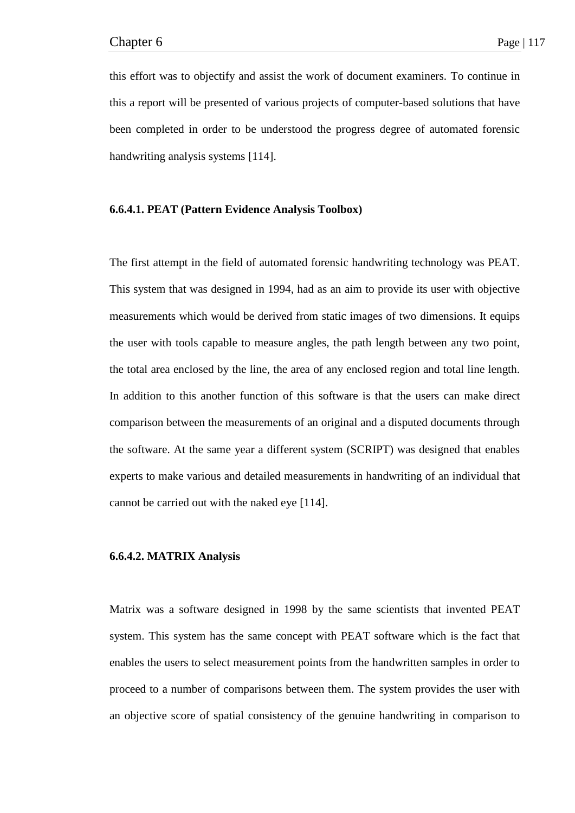this effort was to objectify and assist the work of document examiners. To continue in this a report will be presented of various projects of computer-based solutions that have been completed in order to be understood the progress degree of automated forensic handwriting analysis systems [114].

### **6.6.4.1. PEAT (Pattern Evidence Analysis Toolbox)**

The first attempt in the field of automated forensic handwriting technology was PEAT. This system that was designed in 1994, had as an aim to provide its user with objective measurements which would be derived from static images of two dimensions. It equips the user with tools capable to measure angles, the path length between any two point, the total area enclosed by the line, the area of any enclosed region and total line length. In addition to this another function of this software is that the users can make direct comparison between the measurements of an original and a disputed documents through the software. At the same year a different system (SCRIPT) was designed that enables experts to make various and detailed measurements in handwriting of an individual that cannot be carried out with the naked eye [114].

### **6.6.4.2. MATRIX Analysis**

Matrix was a software designed in 1998 by the same scientists that invented PEAT system. This system has the same concept with PEAT software which is the fact that enables the users to select measurement points from the handwritten samples in order to proceed to a number of comparisons between them. The system provides the user with an objective score of spatial consistency of the genuine handwriting in comparison to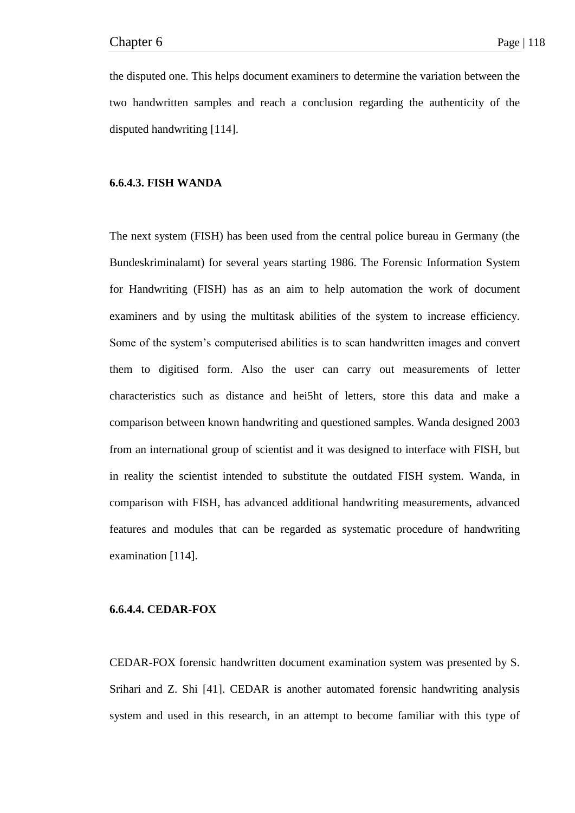the disputed one. This helps document examiners to determine the variation between the two handwritten samples and reach a conclusion regarding the authenticity of the disputed handwriting [114].

## **6.6.4.3. FISH WANDA**

The next system (FISH) has been used from the central police bureau in Germany (the Bundeskriminalamt) for several years starting 1986. The Forensic Information System for Handwriting (FISH) has as an aim to help automation the work of document examiners and by using the multitask abilities of the system to increase efficiency. Some of the system's computerised abilities is to scan handwritten images and convert them to digitised form. Also the user can carry out measurements of letter characteristics such as distance and hei5ht of letters, store this data and make a comparison between known handwriting and questioned samples. Wanda designed 2003 from an international group of scientist and it was designed to interface with FISH, but in reality the scientist intended to substitute the outdated FISH system. Wanda, in comparison with FISH, has advanced additional handwriting measurements, advanced features and modules that can be regarded as systematic procedure of handwriting examination [114].

## **6.6.4.4. CEDAR-FOX**

CEDAR-FOX forensic handwritten document examination system was presented by S. Srihari and Z. Shi [41]. CEDAR is another automated forensic handwriting analysis system and used in this research, in an attempt to become familiar with this type of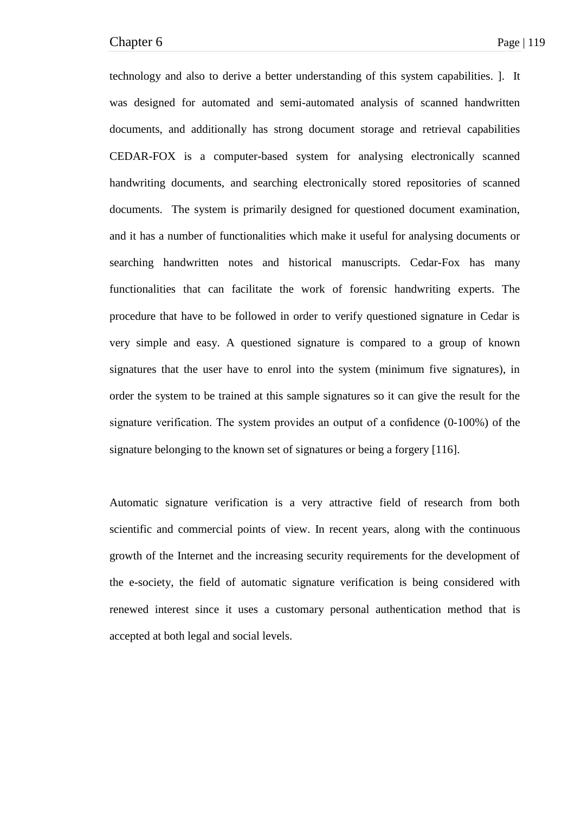technology and also to derive a better understanding of this system capabilities. ]. It was designed for automated and semi-automated analysis of scanned handwritten documents, and additionally has strong document storage and retrieval capabilities CEDAR-FOX is a computer-based system for analysing electronically scanned handwriting documents, and searching electronically stored repositories of scanned documents. The system is primarily designed for questioned document examination, and it has a number of functionalities which make it useful for analysing documents or searching handwritten notes and historical manuscripts. Cedar-Fox has many functionalities that can facilitate the work of forensic handwriting experts. The procedure that have to be followed in order to verify questioned signature in Cedar is very simple and easy. A questioned signature is compared to a group of known signatures that the user have to enrol into the system (minimum five signatures), in order the system to be trained at this sample signatures so it can give the result for the signature verification. The system provides an output of a confidence (0-100%) of the signature belonging to the known set of signatures or being a forgery [116].

Automatic signature verification is a very attractive field of research from both scientific and commercial points of view. In recent years, along with the continuous growth of the Internet and the increasing security requirements for the development of the e-society, the field of automatic signature verification is being considered with renewed interest since it uses a customary personal authentication method that is accepted at both legal and social levels.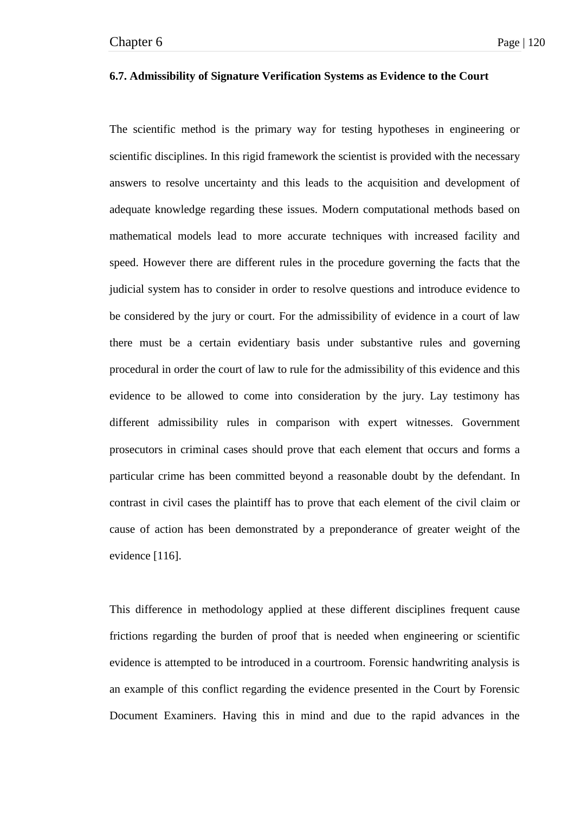## **6.7. Admissibility of Signature Verification Systems as Evidence to the Court**

The scientific method is the primary way for testing hypotheses in engineering or scientific disciplines. In this rigid framework the scientist is provided with the necessary answers to resolve uncertainty and this leads to the acquisition and development of adequate knowledge regarding these issues. Modern computational methods based on mathematical models lead to more accurate techniques with increased facility and speed. However there are different rules in the procedure governing the facts that the judicial system has to consider in order to resolve questions and introduce evidence to be considered by the jury or court. For the admissibility of evidence in a court of law there must be a certain evidentiary basis under substantive rules and governing procedural in order the court of law to rule for the admissibility of this evidence and this evidence to be allowed to come into consideration by the jury. Lay testimony has different admissibility rules in comparison with expert witnesses. Government prosecutors in criminal cases should prove that each element that occurs and forms a particular crime has been committed beyond a reasonable doubt by the defendant. In contrast in civil cases the plaintiff has to prove that each element of the civil claim or cause of action has been demonstrated by a preponderance of greater weight of the evidence [116].

This difference in methodology applied at these different disciplines frequent cause frictions regarding the burden of proof that is needed when engineering or scientific evidence is attempted to be introduced in a courtroom. Forensic handwriting analysis is an example of this conflict regarding the evidence presented in the Court by Forensic Document Examiners. Having this in mind and due to the rapid advances in the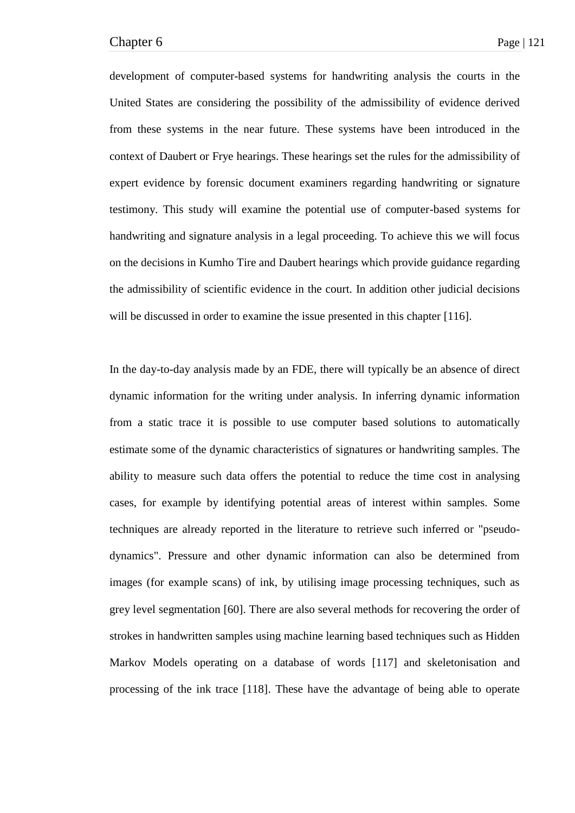development of computer-based systems for handwriting analysis the courts in the United States are considering the possibility of the admissibility of evidence derived from these systems in the near future. These systems have been introduced in the context of Daubert or Frye hearings. These hearings set the rules for the admissibility of expert evidence by forensic document examiners regarding handwriting or signature testimony. This study will examine the potential use of computer-based systems for handwriting and signature analysis in a legal proceeding. To achieve this we will focus on the decisions in Kumho Tire and Daubert hearings which provide guidance regarding the admissibility of scientific evidence in the court. In addition other judicial decisions will be discussed in order to examine the issue presented in this chapter [116].

In the day-to-day analysis made by an FDE, there will typically be an absence of direct dynamic information for the writing under analysis. In inferring dynamic information from a static trace it is possible to use computer based solutions to automatically estimate some of the dynamic characteristics of signatures or handwriting samples. The ability to measure such data offers the potential to reduce the time cost in analysing cases, for example by identifying potential areas of interest within samples. Some techniques are already reported in the literature to retrieve such inferred or "pseudodynamics". Pressure and other dynamic information can also be determined from images (for example scans) of ink, by utilising image processing techniques, such as grey level segmentation [60]. There are also several methods for recovering the order of strokes in handwritten samples using machine learning based techniques such as Hidden Markov Models operating on a database of words [117] and skeletonisation and processing of the ink trace [118]. These have the advantage of being able to operate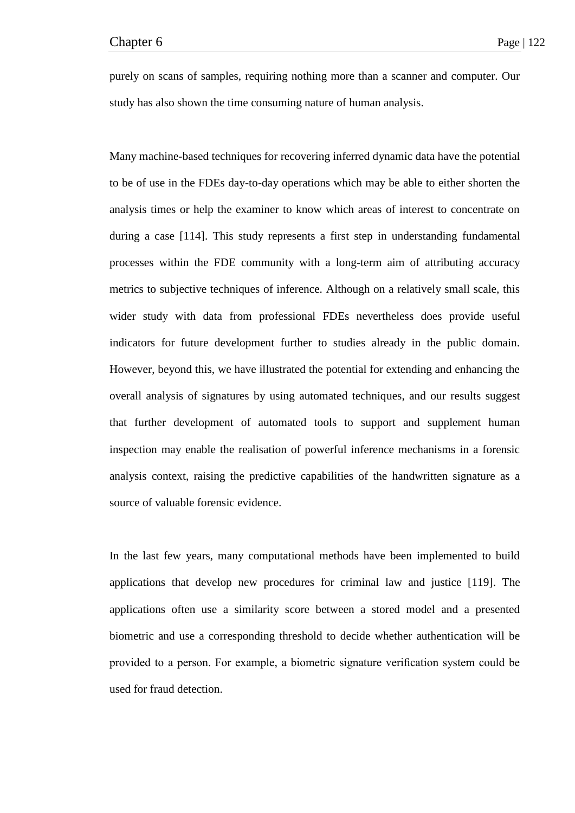purely on scans of samples, requiring nothing more than a scanner and computer. Our study has also shown the time consuming nature of human analysis.

Many machine-based techniques for recovering inferred dynamic data have the potential to be of use in the FDEs day-to-day operations which may be able to either shorten the analysis times or help the examiner to know which areas of interest to concentrate on during a case [114]. This study represents a first step in understanding fundamental processes within the FDE community with a long-term aim of attributing accuracy metrics to subjective techniques of inference. Although on a relatively small scale, this wider study with data from professional FDEs nevertheless does provide useful indicators for future development further to studies already in the public domain. However, beyond this, we have illustrated the potential for extending and enhancing the overall analysis of signatures by using automated techniques, and our results suggest that further development of automated tools to support and supplement human inspection may enable the realisation of powerful inference mechanisms in a forensic analysis context, raising the predictive capabilities of the handwritten signature as a source of valuable forensic evidence.

In the last few years, many computational methods have been implemented to build applications that develop new procedures for criminal law and justice [119]. The applications often use a similarity score between a stored model and a presented biometric and use a corresponding threshold to decide whether authentication will be provided to a person. For example, a biometric signature verification system could be used for fraud detection.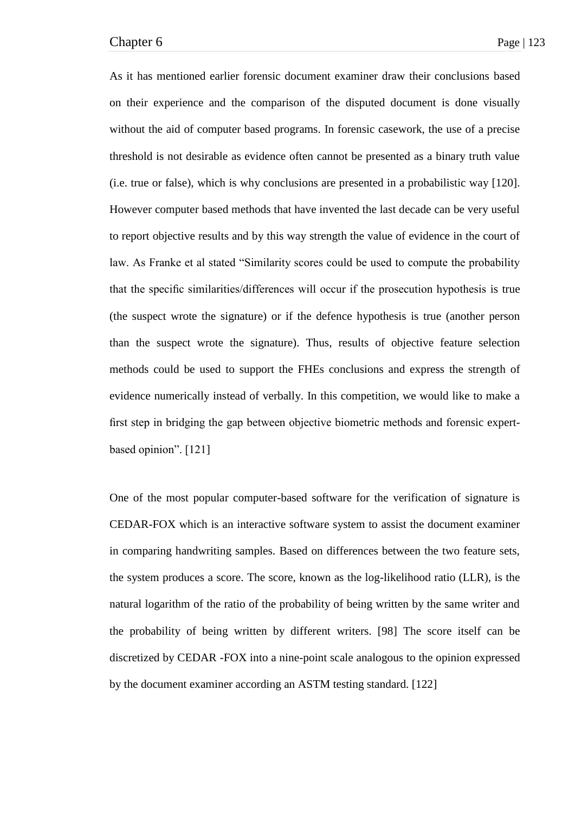As it has mentioned earlier forensic document examiner draw their conclusions based on their experience and the comparison of the disputed document is done visually without the aid of computer based programs. In forensic casework, the use of a precise threshold is not desirable as evidence often cannot be presented as a binary truth value (i.e. true or false), which is why conclusions are presented in a probabilistic way [120]. However computer based methods that have invented the last decade can be very useful to report objective results and by this way strength the value of evidence in the court of law. As Franke et al stated "Similarity scores could be used to compute the probability that the specific similarities/differences will occur if the prosecution hypothesis is true (the suspect wrote the signature) or if the defence hypothesis is true (another person than the suspect wrote the signature). Thus, results of objective feature selection methods could be used to support the FHEs conclusions and express the strength of evidence numerically instead of verbally. In this competition, we would like to make a first step in bridging the gap between objective biometric methods and forensic expertbased opinion". [121]

One of the most popular computer-based software for the verification of signature is CEDAR-FOX which is an interactive software system to assist the document examiner in comparing handwriting samples. Based on differences between the two feature sets, the system produces a score. The score, known as the log-likelihood ratio (LLR), is the natural logarithm of the ratio of the probability of being written by the same writer and the probability of being written by different writers. [98] The score itself can be discretized by CEDAR -FOX into a nine-point scale analogous to the opinion expressed by the document examiner according an ASTM testing standard. [122]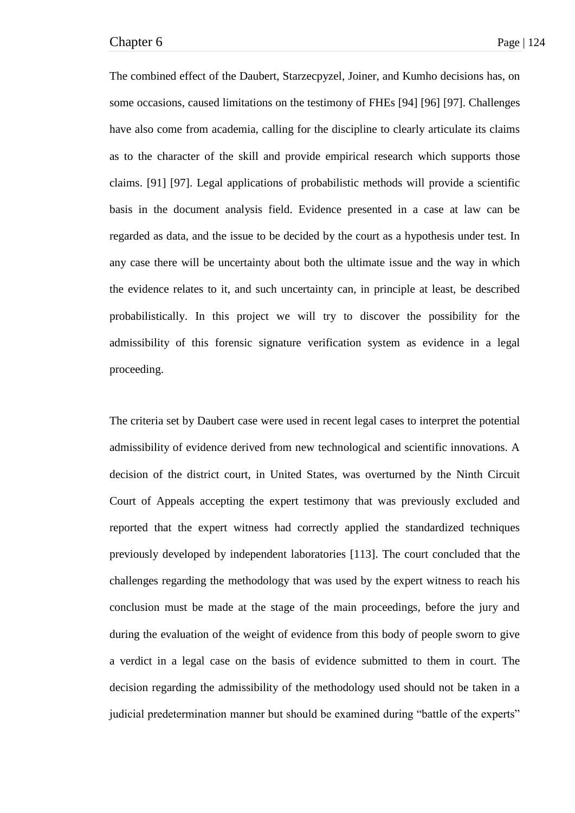The combined effect of the Daubert, Starzecpyzel, Joiner, and Kumho decisions has, on some occasions, caused limitations on the testimony of FHEs [94] [96] [97]. Challenges have also come from academia, calling for the discipline to clearly articulate its claims as to the character of the skill and provide empirical research which supports those claims. [91] [97]. Legal applications of probabilistic methods will provide a scientific basis in the document analysis field. Evidence presented in a case at law can be regarded as data, and the issue to be decided by the court as a hypothesis under test. In any case there will be uncertainty about both the ultimate issue and the way in which the evidence relates to it, and such uncertainty can, in principle at least, be described probabilistically. In this project we will try to discover the possibility for the admissibility of this forensic signature verification system as evidence in a legal proceeding.

The criteria set by Daubert case were used in recent legal cases to interpret the potential admissibility of evidence derived from new technological and scientific innovations. A decision of the district court, in United States, was overturned by the Ninth Circuit Court of Appeals accepting the expert testimony that was previously excluded and reported that the expert witness had correctly applied the standardized techniques previously developed by independent laboratories [113]. The court concluded that the challenges regarding the methodology that was used by the expert witness to reach his conclusion must be made at the stage of the main proceedings, before the jury and during the evaluation of the weight of evidence from this body of people sworn to give a verdict in a legal case on the basis of evidence submitted to them in court. The decision regarding the admissibility of the methodology used should not be taken in a judicial predetermination manner but should be examined during "battle of the experts"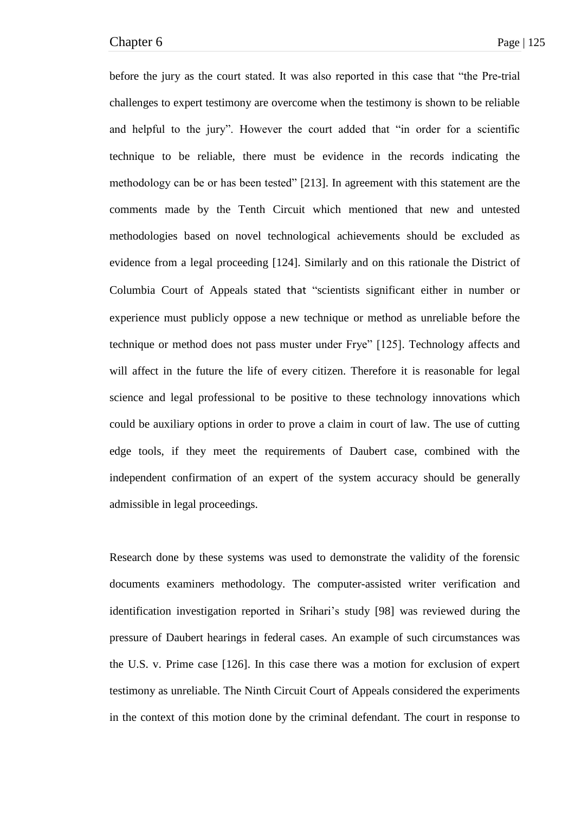before the jury as the court stated. It was also reported in this case that "the Pre-trial" challenges to expert testimony are overcome when the testimony is shown to be reliable and helpful to the jury". However the court added that "in order for a scientific technique to be reliable, there must be evidence in the records indicating the methodology can be or has been tested" [213]. In agreement with this statement are the comments made by the Tenth Circuit which mentioned that new and untested methodologies based on novel technological achievements should be excluded as evidence from a legal proceeding [124]. Similarly and on this rationale the District of Columbia Court of Appeals stated that "scientists significant either in number or experience must publicly oppose a new technique or method as unreliable before the technique or method does not pass muster under Frye" [125]. Technology affects and will affect in the future the life of every citizen. Therefore it is reasonable for legal science and legal professional to be positive to these technology innovations which could be auxiliary options in order to prove a claim in court of law. The use of cutting edge tools, if they meet the requirements of Daubert case, combined with the independent confirmation of an expert of the system accuracy should be generally admissible in legal proceedings.

Research done by these systems was used to demonstrate the validity of the forensic documents examiners methodology. The computer-assisted writer verification and identification investigation reported in Srihari's study [98] was reviewed during the pressure of Daubert hearings in federal cases. An example of such circumstances was the U.S. v. Prime case [126]. In this case there was a motion for exclusion of expert testimony as unreliable. The Ninth Circuit Court of Appeals considered the experiments in the context of this motion done by the criminal defendant. The court in response to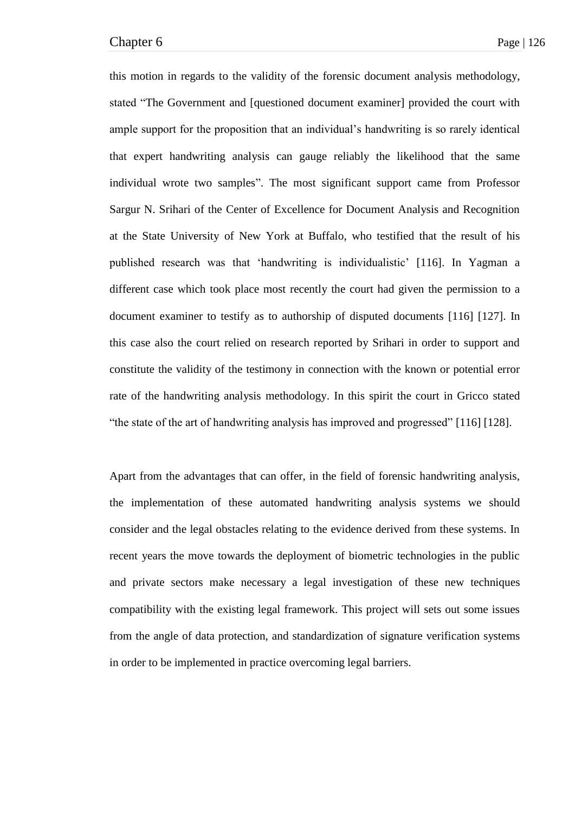this motion in regards to the validity of the forensic document analysis methodology, stated "The Government and [questioned document examiner] provided the court with ample support for the proposition that an individual's handwriting is so rarely identical that expert handwriting analysis can gauge reliably the likelihood that the same individual wrote two samples". The most significant support came from Professor Sargur N. Srihari of the Center of Excellence for Document Analysis and Recognition at the State University of New York at Buffalo, who testified that the result of his published research was that ‗handwriting is individualistic' [116]. In Yagman a different case which took place most recently the court had given the permission to a document examiner to testify as to authorship of disputed documents [116] [127]. In this case also the court relied on research reported by Srihari in order to support and constitute the validity of the testimony in connection with the known or potential error rate of the handwriting analysis methodology. In this spirit the court in Gricco stated ―the state of the art of handwriting analysis has improved and progressed‖ [116] [128].

Apart from the advantages that can offer, in the field of forensic handwriting analysis, the implementation of these automated handwriting analysis systems we should consider and the legal obstacles relating to the evidence derived from these systems. In recent years the move towards the deployment of biometric technologies in the public and private sectors make necessary a legal investigation of these new techniques compatibility with the existing legal framework. This project will sets out some issues from the angle of data protection, and standardization of signature verification systems in order to be implemented in practice overcoming legal barriers.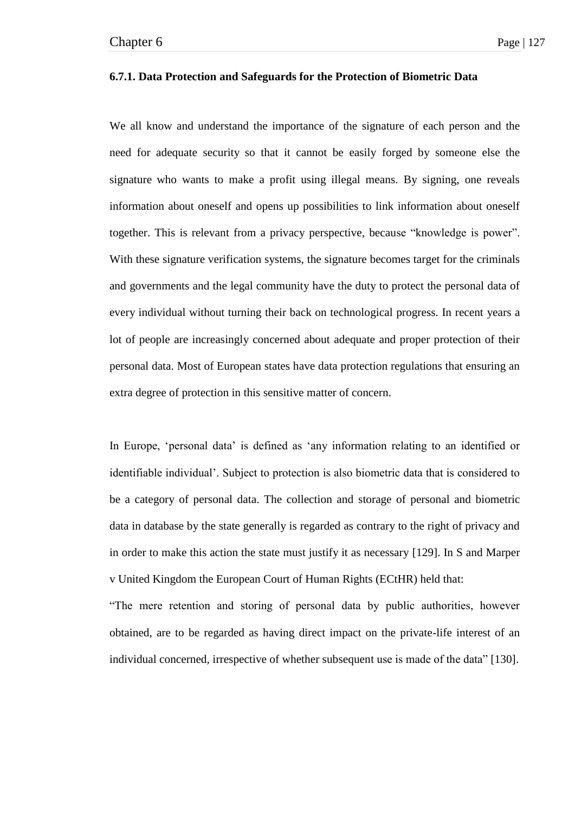### **6.7.1. Data Protection and Safeguards for the Protection of Biometric Data**

We all know and understand the importance of the signature of each person and the need for adequate security so that it cannot be easily forged by someone else the signature who wants to make a profit using illegal means. By signing, one reveals information about oneself and opens up possibilities to link information about oneself together. This is relevant from a privacy perspective, because "knowledge is power". With these signature verification systems, the signature becomes target for the criminals and governments and the legal community have the duty to protect the personal data of every individual without turning their back on technological progress. In recent years a lot of people are increasingly concerned about adequate and proper protection of their personal data. Most of European states have data protection regulations that ensuring an extra degree of protection in this sensitive matter of concern.

In Europe, 'personal data' is defined as 'any information relating to an identified or identifiable individual'. Subject to protection is also biometric data that is considered to be a category of personal data. The collection and storage of personal and biometric data in database by the state generally is regarded as contrary to the right of privacy and in order to make this action the state must justify it as necessary [129]. In S and Marper v United Kingdom the European Court of Human Rights (ECtHR) held that:

―The mere retention and storing of personal data by public authorities, however obtained, are to be regarded as having direct impact on the private-life interest of an individual concerned, irrespective of whether subsequent use is made of the data" [130].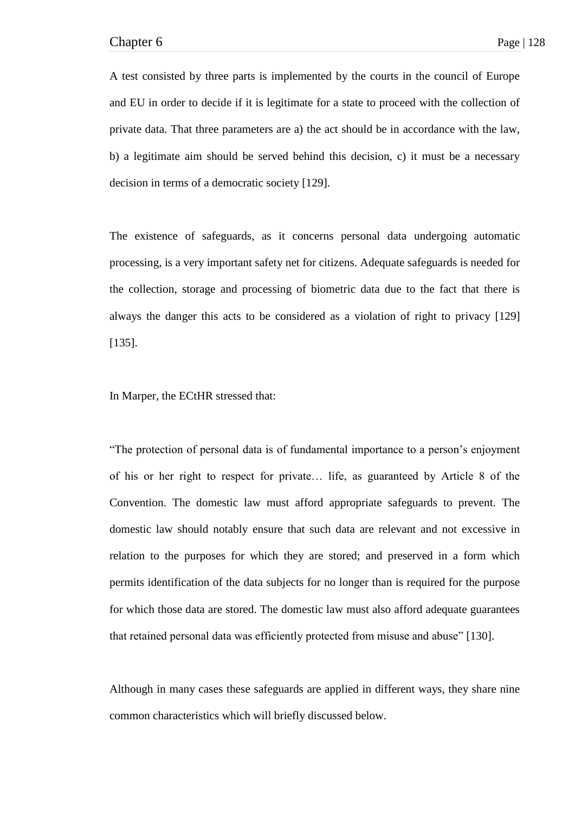A test consisted by three parts is implemented by the courts in the council of Europe and EU in order to decide if it is legitimate for a state to proceed with the collection of private data. That three parameters are a) the act should be in accordance with the law, b) a legitimate aim should be served behind this decision, c) it must be a necessary decision in terms of a democratic society [129].

The existence of safeguards, as it concerns personal data undergoing automatic processing, is a very important safety net for citizens. Adequate safeguards is needed for the collection, storage and processing of biometric data due to the fact that there is always the danger this acts to be considered as a violation of right to privacy [129] [135].

In Marper, the ECtHR stressed that:

―The protection of personal data is of fundamental importance to a person's enjoyment of his or her right to respect for private… life, as guaranteed by Article 8 of the Convention. The domestic law must afford appropriate safeguards to prevent. The domestic law should notably ensure that such data are relevant and not excessive in relation to the purposes for which they are stored; and preserved in a form which permits identification of the data subjects for no longer than is required for the purpose for which those data are stored. The domestic law must also afford adequate guarantees that retained personal data was efficiently protected from misuse and abuse" [130].

Although in many cases these safeguards are applied in different ways, they share nine common characteristics which will briefly discussed below.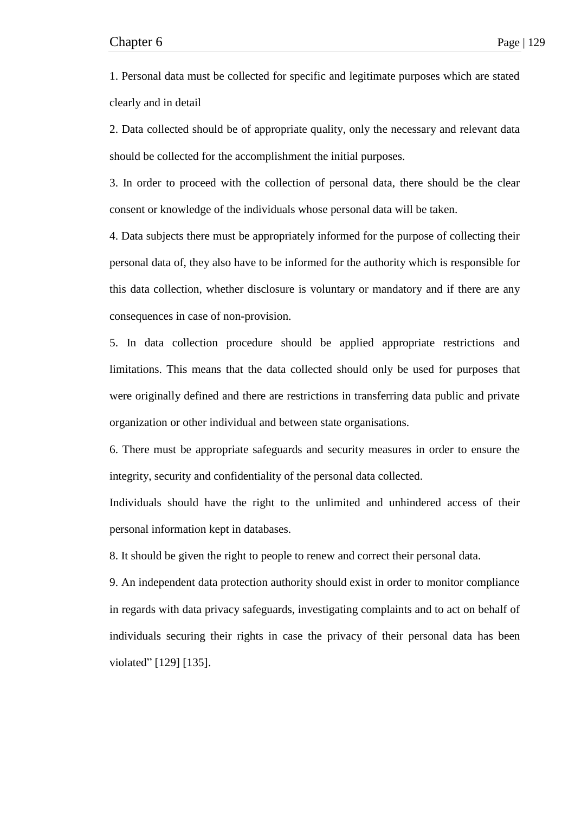1. Personal data must be collected for specific and legitimate purposes which are stated clearly and in detail

2. Data collected should be of appropriate quality, only the necessary and relevant data should be collected for the accomplishment the initial purposes.

3. In order to proceed with the collection of personal data, there should be the clear consent or knowledge of the individuals whose personal data will be taken.

4. Data subjects there must be appropriately informed for the purpose of collecting their personal data of, they also have to be informed for the authority which is responsible for this data collection, whether disclosure is voluntary or mandatory and if there are any consequences in case of non-provision.

5. In data collection procedure should be applied appropriate restrictions and limitations. This means that the data collected should only be used for purposes that were originally defined and there are restrictions in transferring data public and private organization or other individual and between state organisations.

6. There must be appropriate safeguards and security measures in order to ensure the integrity, security and confidentiality of the personal data collected.

Individuals should have the right to the unlimited and unhindered access of their personal information kept in databases.

8. It should be given the right to people to renew and correct their personal data.

9. An independent data protection authority should exist in order to monitor compliance in regards with data privacy safeguards, investigating complaints and to act on behalf of individuals securing their rights in case the privacy of their personal data has been violated" [129] [135].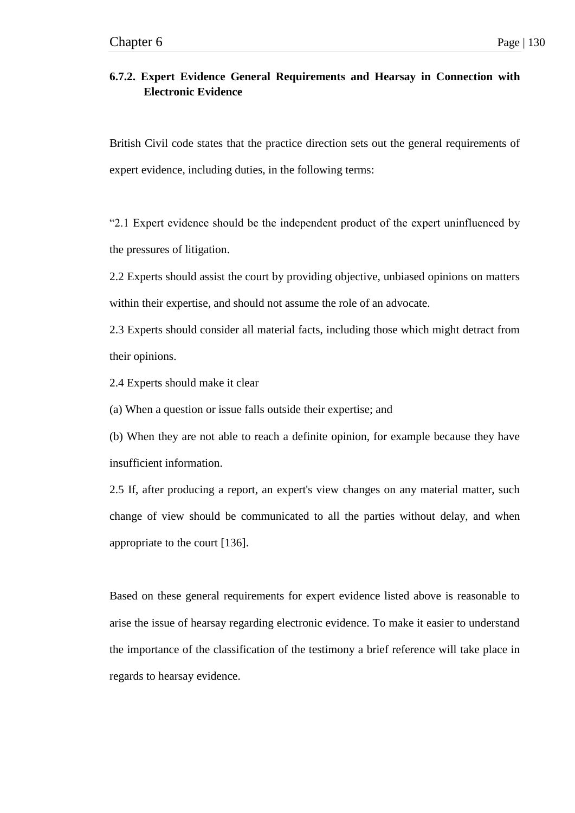## **6.7.2. Expert Evidence General Requirements and Hearsay in Connection with Electronic Evidence**

British Civil code states that the practice direction sets out the general requirements of expert evidence, including duties, in the following terms:

―2.1 Expert evidence should be the independent product of the expert uninfluenced by the pressures of litigation.

2.2 Experts should assist the court by providing objective, unbiased opinions on matters within their expertise, and should not assume the role of an advocate.

2.3 Experts should consider all material facts, including those which might detract from their opinions.

2.4 Experts should make it clear

(a) When a question or issue falls outside their expertise; and

(b) When they are not able to reach a definite opinion, for example because they have insufficient information.

2.5 If, after producing a report, an expert's view changes on any material matter, such change of view should be communicated to all the parties without delay, and when appropriate to the court [136].

Based on these general requirements for expert evidence listed above is reasonable to arise the issue of hearsay regarding electronic evidence. To make it easier to understand the importance of the classification of the testimony a brief reference will take place in regards to hearsay evidence.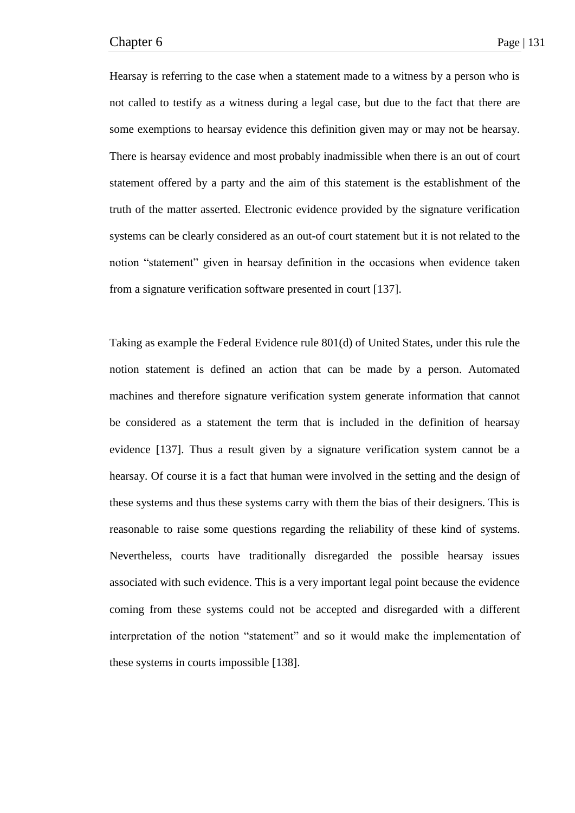Hearsay is referring to the case when a statement made to a witness by a person who is not called to testify as a witness during a legal case, but due to the fact that there are some exemptions to hearsay evidence this definition given may or may not be hearsay. There is hearsay evidence and most probably inadmissible when there is an out of court statement offered by a party and the aim of this statement is the establishment of the truth of the matter asserted. Electronic evidence provided by the signature verification systems can be clearly considered as an out-of court statement but it is not related to the notion "statement" given in hearsay definition in the occasions when evidence taken from a signature verification software presented in court [137].

Taking as example the Federal Evidence rule 801(d) of United States, under this rule the notion statement is defined an action that can be made by a person. Automated machines and therefore signature verification system generate information that cannot be considered as a statement the term that is included in the definition of hearsay evidence [137]. Thus a result given by a signature verification system cannot be a hearsay. Of course it is a fact that human were involved in the setting and the design of these systems and thus these systems carry with them the bias of their designers. This is reasonable to raise some questions regarding the reliability of these kind of systems. Nevertheless, courts have traditionally disregarded the possible hearsay issues associated with such evidence. This is a very important legal point because the evidence coming from these systems could not be accepted and disregarded with a different interpretation of the notion "statement" and so it would make the implementation of these systems in courts impossible [138].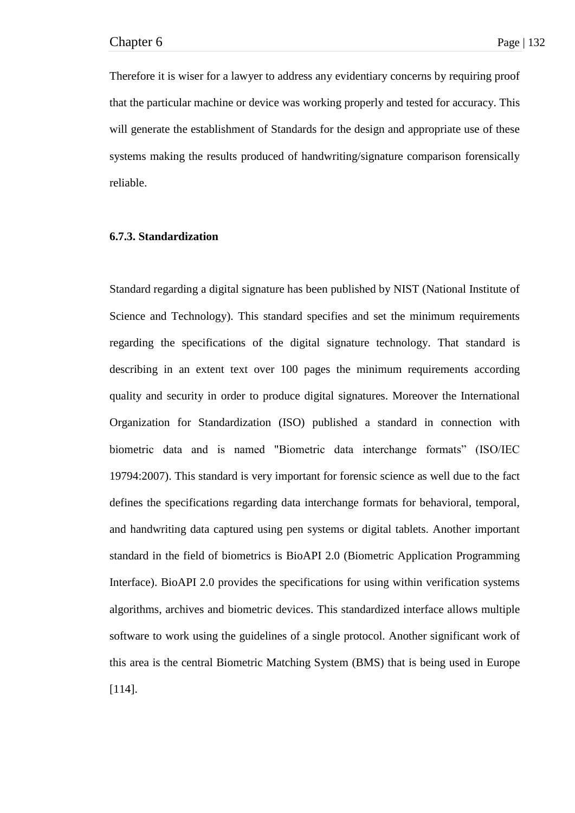Therefore it is wiser for a lawyer to address any evidentiary concerns by requiring proof that the particular machine or device was working properly and tested for accuracy. This will generate the establishment of Standards for the design and appropriate use of these systems making the results produced of handwriting/signature comparison forensically reliable.

## **6.7.3. Standardization**

Standard regarding a digital signature has been published by NIST (National Institute of Science and Technology). This standard specifies and set the minimum requirements regarding the specifications of the digital signature technology. That standard is describing in an extent text over 100 pages the minimum requirements according quality and security in order to produce digital signatures. Moreover the International Organization for Standardization (ISO) published a standard in connection with biometric data and is named "Biometric data interchange formats" (ISO/IEC 19794:2007). This standard is very important for forensic science as well due to the fact defines the specifications regarding data interchange formats for behavioral, temporal, and handwriting data captured using pen systems or digital tablets. Another important standard in the field of biometrics is BioAPI 2.0 (Biometric Application Programming Interface). BioAPI 2.0 provides the specifications for using within verification systems algorithms, archives and biometric devices. This standardized interface allows multiple software to work using the guidelines of a single protocol. Another significant work of this area is the central Biometric Matching System (BMS) that is being used in Europe [114].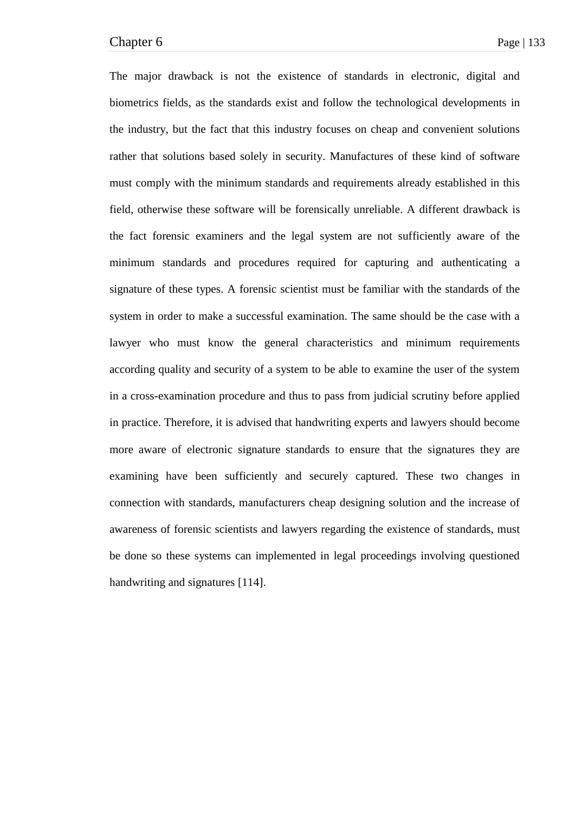The major drawback is not the existence of standards in electronic, digital and biometrics fields, as the standards exist and follow the technological developments in the industry, but the fact that this industry focuses on cheap and convenient solutions rather that solutions based solely in security. Manufactures of these kind of software must comply with the minimum standards and requirements already established in this field, otherwise these software will be forensically unreliable. A different drawback is the fact forensic examiners and the legal system are not sufficiently aware of the minimum standards and procedures required for capturing and authenticating a signature of these types. A forensic scientist must be familiar with the standards of the system in order to make a successful examination. The same should be the case with a lawyer who must know the general characteristics and minimum requirements according quality and security of a system to be able to examine the user of the system in a cross-examination procedure and thus to pass from judicial scrutiny before applied in practice. Therefore, it is advised that handwriting experts and lawyers should become more aware of electronic signature standards to ensure that the signatures they are examining have been sufficiently and securely captured. These two changes in connection with standards, manufacturers cheap designing solution and the increase of awareness of forensic scientists and lawyers regarding the existence of standards, must be done so these systems can implemented in legal proceedings involving questioned handwriting and signatures [114].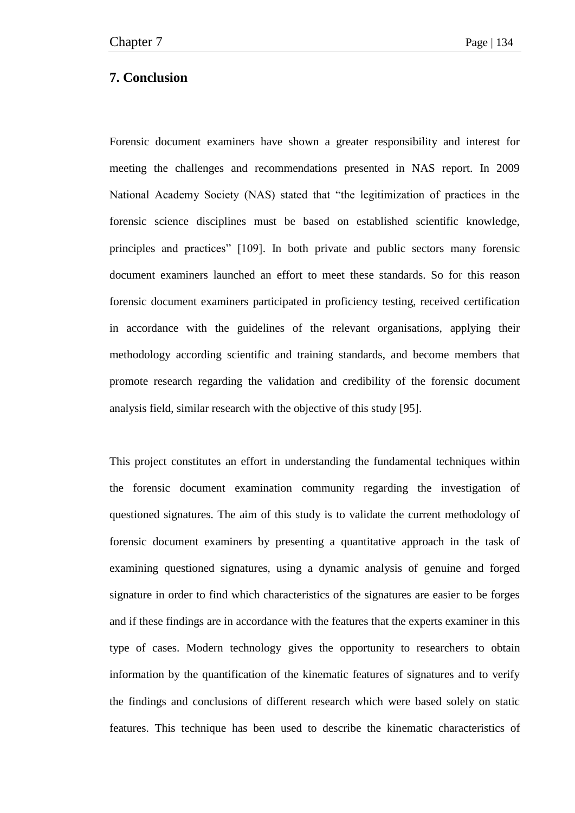## **7. Conclusion**

Forensic document examiners have shown a greater responsibility and interest for meeting the challenges and recommendations presented in NAS report. In 2009 National Academy Society (NAS) stated that "the legitimization of practices in the forensic science disciplines must be based on established scientific knowledge, principles and practices" [109]. In both private and public sectors many forensic document examiners launched an effort to meet these standards. So for this reason forensic document examiners participated in proficiency testing, received certification in accordance with the guidelines of the relevant organisations, applying their methodology according scientific and training standards, and become members that promote research regarding the validation and credibility of the forensic document analysis field, similar research with the objective of this study [95].

This project constitutes an effort in understanding the fundamental techniques within the forensic document examination community regarding the investigation of questioned signatures. The aim of this study is to validate the current methodology of forensic document examiners by presenting a quantitative approach in the task of examining questioned signatures, using a dynamic analysis of genuine and forged signature in order to find which characteristics of the signatures are easier to be forges and if these findings are in accordance with the features that the experts examiner in this type of cases. Modern technology gives the opportunity to researchers to obtain information by the quantification of the kinematic features of signatures and to verify the findings and conclusions of different research which were based solely on static features. This technique has been used to describe the kinematic characteristics of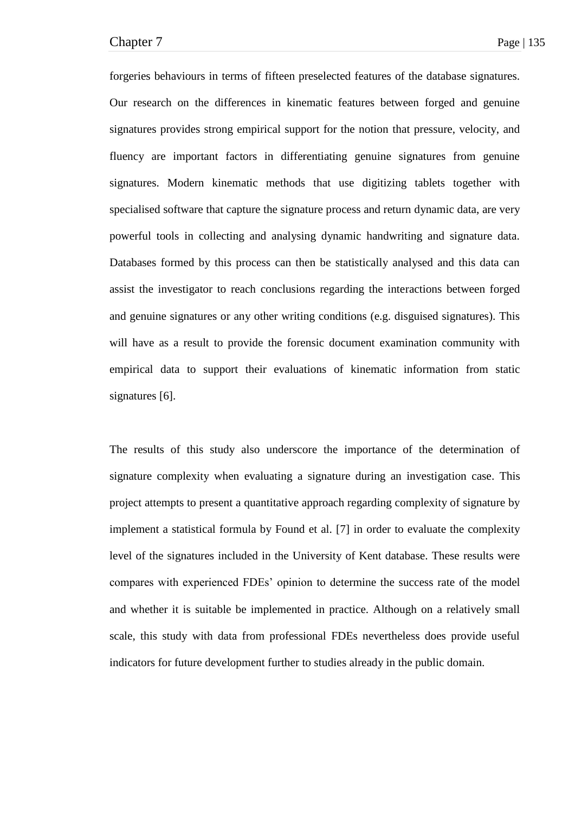forgeries behaviours in terms of fifteen preselected features of the database signatures. Our research on the differences in kinematic features between forged and genuine signatures provides strong empirical support for the notion that pressure, velocity, and fluency are important factors in differentiating genuine signatures from genuine signatures. Modern kinematic methods that use digitizing tablets together with specialised software that capture the signature process and return dynamic data, are very powerful tools in collecting and analysing dynamic handwriting and signature data. Databases formed by this process can then be statistically analysed and this data can assist the investigator to reach conclusions regarding the interactions between forged and genuine signatures or any other writing conditions (e.g. disguised signatures). This will have as a result to provide the forensic document examination community with empirical data to support their evaluations of kinematic information from static signatures [6].

The results of this study also underscore the importance of the determination of signature complexity when evaluating a signature during an investigation case. This project attempts to present a quantitative approach regarding complexity of signature by implement a statistical formula by Found et al. [7] in order to evaluate the complexity level of the signatures included in the University of Kent database. These results were compares with experienced FDEs' opinion to determine the success rate of the model and whether it is suitable be implemented in practice. Although on a relatively small scale, this study with data from professional FDEs nevertheless does provide useful indicators for future development further to studies already in the public domain.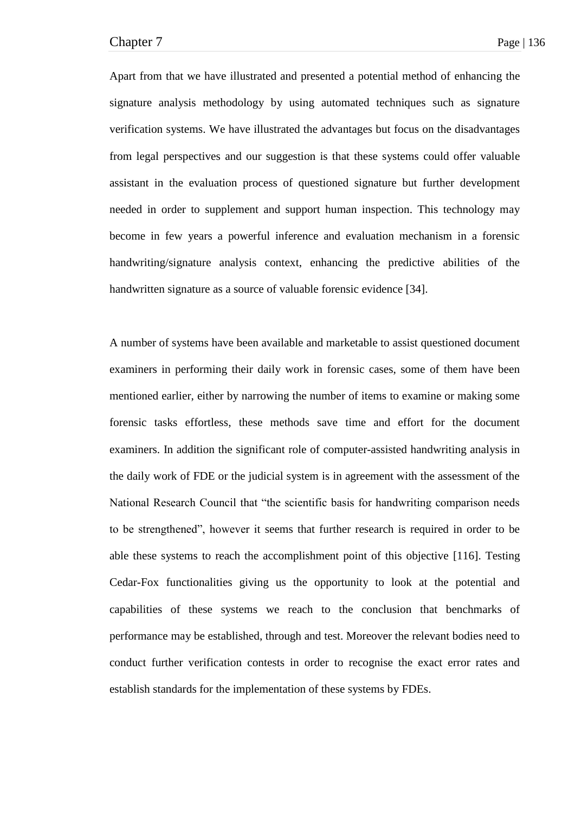Apart from that we have illustrated and presented a potential method of enhancing the signature analysis methodology by using automated techniques such as signature verification systems. We have illustrated the advantages but focus on the disadvantages from legal perspectives and our suggestion is that these systems could offer valuable assistant in the evaluation process of questioned signature but further development needed in order to supplement and support human inspection. This technology may become in few years a powerful inference and evaluation mechanism in a forensic handwriting/signature analysis context, enhancing the predictive abilities of the handwritten signature as a source of valuable forensic evidence [34].

A number of systems have been available and marketable to assist questioned document examiners in performing their daily work in forensic cases, some of them have been mentioned earlier, either by narrowing the number of items to examine or making some forensic tasks effortless, these methods save time and effort for the document examiners. In addition the significant role of computer-assisted handwriting analysis in the daily work of FDE or the judicial system is in agreement with the assessment of the National Research Council that "the scientific basis for handwriting comparison needs to be strengthened", however it seems that further research is required in order to be able these systems to reach the accomplishment point of this objective [116]. Testing Cedar-Fox functionalities giving us the opportunity to look at the potential and capabilities of these systems we reach to the conclusion that benchmarks of performance may be established, through and test. Moreover the relevant bodies need to conduct further verification contests in order to recognise the exact error rates and establish standards for the implementation of these systems by FDEs.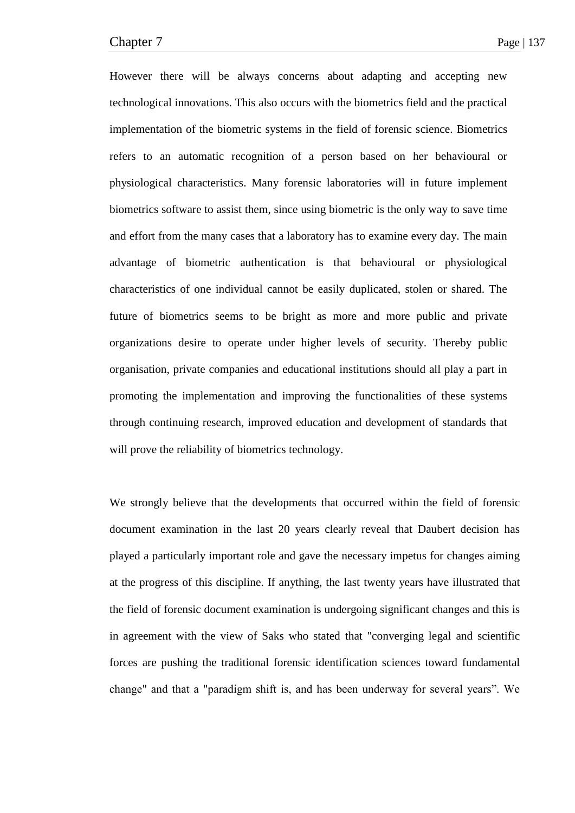However there will be always concerns about adapting and accepting new technological innovations. This also occurs with the biometrics field and the practical implementation of the biometric systems in the field of forensic science. Biometrics refers to an automatic recognition of a person based on her behavioural or physiological characteristics. Many forensic laboratories will in future implement biometrics software to assist them, since using biometric is the only way to save time and effort from the many cases that a laboratory has to examine every day. The main advantage of biometric authentication is that behavioural or physiological characteristics of one individual cannot be easily duplicated, stolen or shared. The future of biometrics seems to be bright as more and more public and private organizations desire to operate under higher levels of security. Thereby public organisation, private companies and educational institutions should all play a part in promoting the implementation and improving the functionalities of these systems through continuing research, improved education and development of standards that will prove the reliability of biometrics technology.

We strongly believe that the developments that occurred within the field of forensic document examination in the last 20 years clearly reveal that Daubert decision has played a particularly important role and gave the necessary impetus for changes aiming at the progress of this discipline. If anything, the last twenty years have illustrated that the field of forensic document examination is undergoing significant changes and this is in agreement with the view of Saks who stated that "converging legal and scientific forces are pushing the traditional forensic identification sciences toward fundamental change" and that a "paradigm shift is, and has been underway for several years". We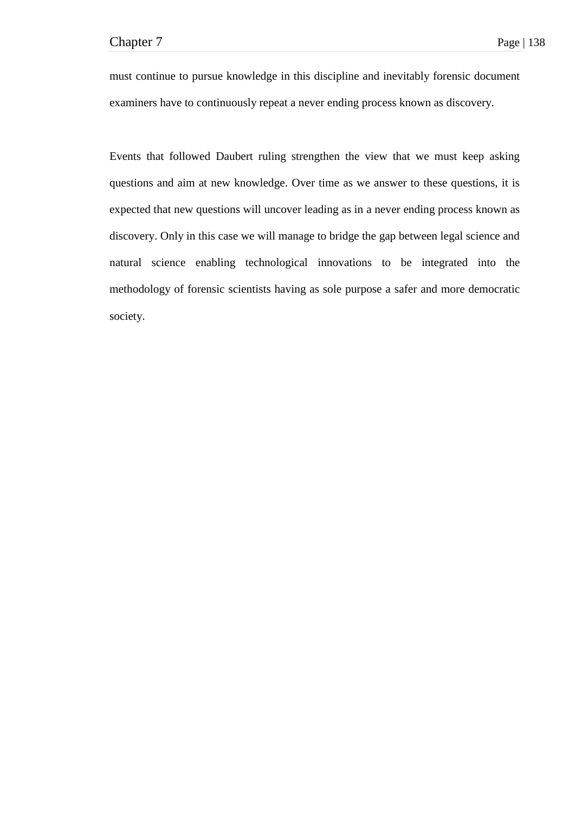must continue to pursue knowledge in this discipline and inevitably forensic document examiners have to continuously repeat a never ending process known as discovery.

Events that followed Daubert ruling strengthen the view that we must keep asking questions and aim at new knowledge. Over time as we answer to these questions, it is expected that new questions will uncover leading as in a never ending process known as discovery. Only in this case we will manage to bridge the gap between legal science and natural science enabling technological innovations to be integrated into the methodology of forensic scientists having as sole purpose a safer and more democratic society.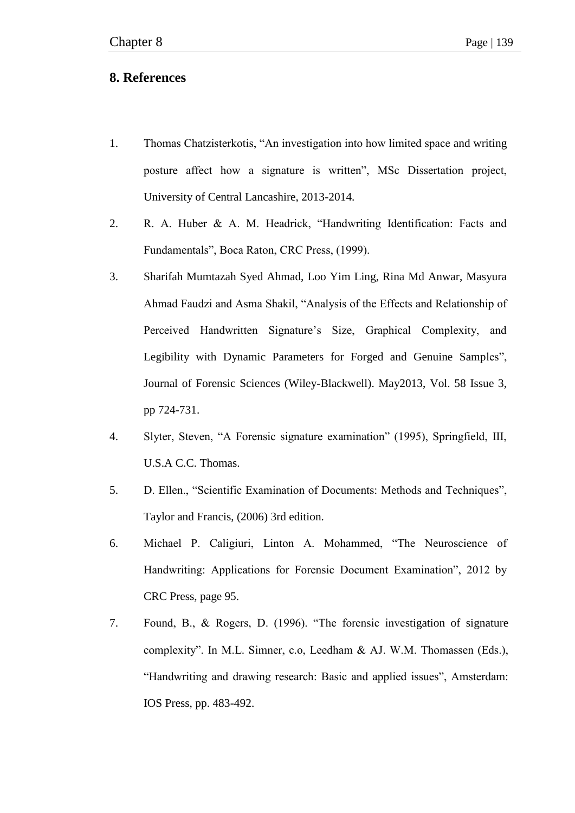## **8. References**

- 1. Thomas Chatzisterkotis, "An investigation into how limited space and writing posture affect how a signature is written", MSc Dissertation project, University of Central Lancashire, 2013-2014.
- 2. R. A. Huber & A. M. Headrick, "Handwriting Identification: Facts and Fundamentals", Boca Raton, CRC Press, (1999).
- 3. Sharifah Mumtazah Syed Ahmad, Loo Yim Ling, Rina Md Anwar, Masyura Ahmad Faudzi and Asma Shakil, "Analysis of the Effects and Relationship of Perceived Handwritten Signature's Size, Graphical Complexity, and Legibility with Dynamic Parameters for Forged and Genuine Samples", Journal of Forensic Sciences (Wiley-Blackwell). May2013, Vol. 58 Issue 3, pp 724-731.
- 4. Slyter, Steven, "A Forensic signature examination" (1995), Springfield, III, U.S.A C.C. Thomas.
- 5. D. Ellen., "Scientific Examination of Documents: Methods and Techniques", Taylor and Francis, (2006) 3rd edition.
- 6. Michael P. Caligiuri, Linton A. Mohammed, "The Neuroscience of Handwriting: Applications for Forensic Document Examination", 2012 by CRC Press, page 95.
- 7. Found, B., & Rogers, D. (1996). "The forensic investigation of signature complexity". In M.L. Simner, c.o. Leedham  $&$  AJ. W.M. Thomassen (Eds.), "Handwriting and drawing research: Basic and applied issues", Amsterdam: IOS Press, pp. 483-492.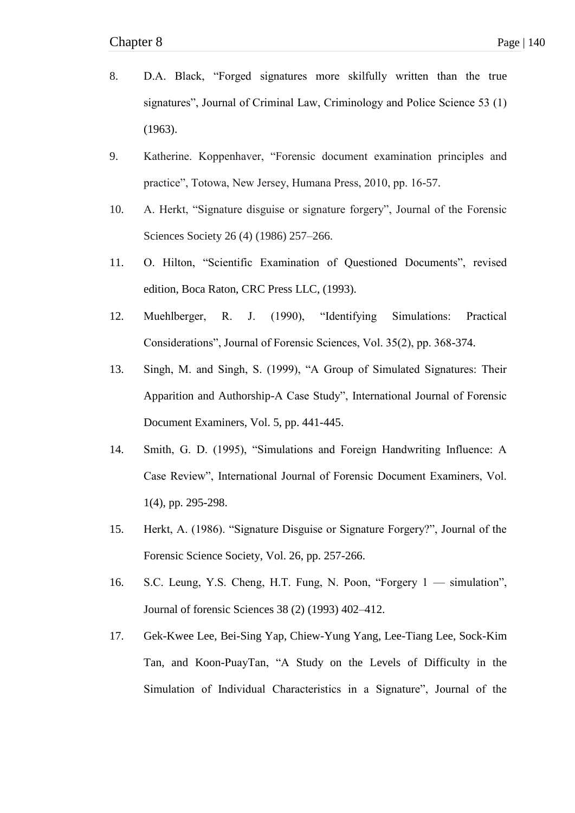- 8. D.A. Black, "Forged signatures more skilfully written than the true signatures", Journal of Criminal Law, Criminology and Police Science 53 (1) (1963).
- 9. Katherine. Koppenhaver, "Forensic document examination principles and practice", Totowa, New Jersey, Humana Press, 2010, pp. 16-57.
- 10. A. Herkt, "Signature disguise or signature forgery", Journal of the Forensic Sciences Society 26 (4) (1986) 257–266.
- 11. O. Hilton, "Scientific Examination of Questioned Documents", revised edition, Boca Raton, CRC Press LLC, (1993).
- 12. Muehlberger, R. J. (1990), "Identifying Simulations: Practical Considerations", Journal of Forensic Sciences, Vol. 35(2), pp. 368-374.
- 13. Singh, M. and Singh, S. (1999), "A Group of Simulated Signatures: Their Apparition and Authorship-A Case Study", International Journal of Forensic Document Examiners, Vol. 5, pp. 441-445.
- 14. Smith, G. D. (1995), "Simulations and Foreign Handwriting Influence: A Case Review", International Journal of Forensic Document Examiners, Vol. 1(4), pp. 295-298.
- 15. Herkt, A. (1986). "Signature Disguise or Signature Forgery?", Journal of the Forensic Science Society, Vol. 26, pp. 257-266.
- 16. S.C. Leung, Y.S. Cheng, H.T. Fung, N. Poon, "Forgery 1 simulation", Journal of forensic Sciences 38 (2) (1993) 402–412.
- 17. Gek-Kwee Lee, Bei-Sing Yap, Chiew-Yung Yang, Lee-Tiang Lee, Sock-Kim Tan, and Koon-PuayTan, "A Study on the Levels of Difficulty in the Simulation of Individual Characteristics in a Signature", Journal of the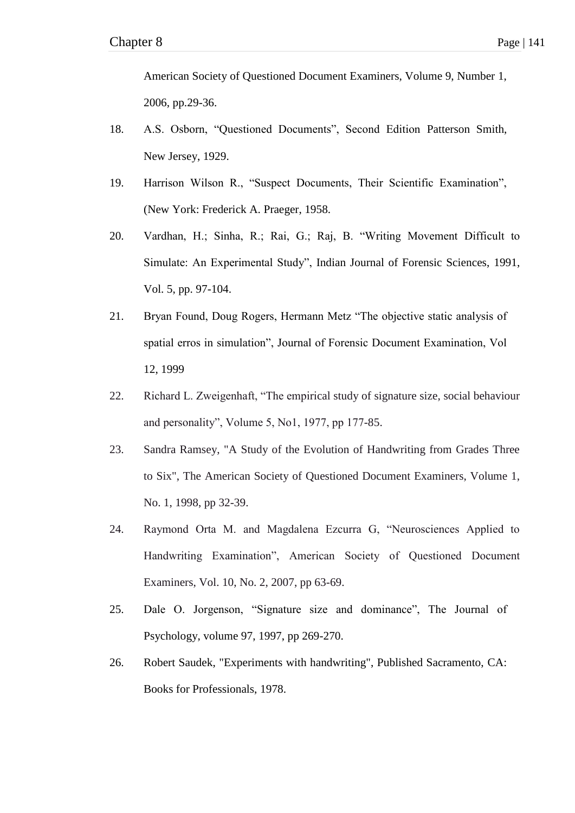American Society of Questioned Document Examiners, Volume 9, Number 1, 2006, pp.29-36.

- 18. A.S. Osborn, "Questioned Documents", Second Edition Patterson Smith, New Jersey, 1929.
- 19. Harrison Wilson R., "Suspect Documents, Their Scientific Examination", (New York: Frederick A. Praeger, 1958.
- 20. Vardhan, H.; Sinha, R.; Rai, G.; Raj, B. "Writing Movement Difficult to Simulate: An Experimental Study", Indian Journal of Forensic Sciences, 1991, Vol. 5, pp. 97-104.
- 21. Bryan Found, Doug Rogers, Hermann Metz "The objective static analysis of spatial erros in simulation", Journal of Forensic Document Examination, Vol 12, 1999
- 22. Richard L. Zweigenhaft, "The empirical study of signature size, social behaviour and personality", Volume 5, No1, 1977, pp 177-85.
- 23. Sandra Ramsey, "A Study of the Evolution of Handwriting from Grades Three to Six", The American Society of Questioned Document Examiners, Volume 1, No. 1, 1998, pp 32-39.
- 24. Raymond Orta M. and Magdalena Ezcurra G, "Neurosciences Applied to Handwriting Examination", American Society of Questioned Document Examiners, Vol. 10, No. 2, 2007, pp 63-69.
- 25. Dale O. Jorgenson, "Signature size and dominance". The Journal of Psychology, volume 97, 1997, pp 269-270.
- 26. Robert Saudek, "Experiments with handwriting", Published Sacramento, CA: Books for Professionals, 1978.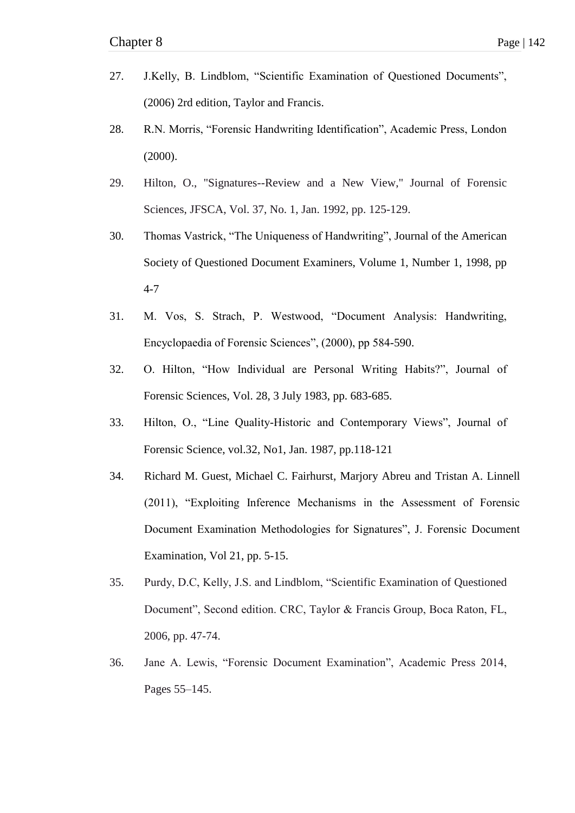- 27. J.Kelly, B. Lindblom, "Scientific Examination of Questioned Documents", (2006) 2rd edition, Taylor and Francis.
- 28. R.N. Morris, "Forensic Handwriting Identification", Academic Press, London (2000).
- 29. Hilton, O., "Signatures--Review and a New View," Journal of Forensic Sciences, JFSCA, Vol. 37, No. 1, Jan. 1992, pp. 125-129.
- 30. Thomas Vastrick, "The Uniqueness of Handwriting", Journal of the American Society of Questioned Document Examiners, Volume 1, Number 1, 1998, pp 4-7
- 31. M. Vos, S. Strach, P. Westwood, "Document Analysis: Handwriting, Encyclopaedia of Forensic Sciences", (2000), pp 584-590.
- 32. O. Hilton, "How Individual are Personal Writing Habits?", Journal of Forensic Sciences, Vol. 28, 3 July 1983, pp. 683-685.
- 33. Hilton, O., "Line Quality-Historic and Contemporary Views", Journal of Forensic Science, vol.32, No1, Jan. 1987, pp.118-121
- 34. Richard M. Guest, Michael C. Fairhurst, Marjory Abreu and Tristan A. Linnell (2011), "Exploiting Inference Mechanisms in the Assessment of Forensic Document Examination Methodologies for Signatures", J. Forensic Document Examination, Vol 21, pp. 5-15.
- 35. Purdy, D.C, Kelly, J.S. and Lindblom, "Scientific Examination of Questioned Document", Second edition. CRC, Taylor & Francis Group, Boca Raton, FL, 2006, pp. 47-74.
- 36. Jane A. Lewis, "Forensic Document Examination", Academic Press 2014, Pages 55–145.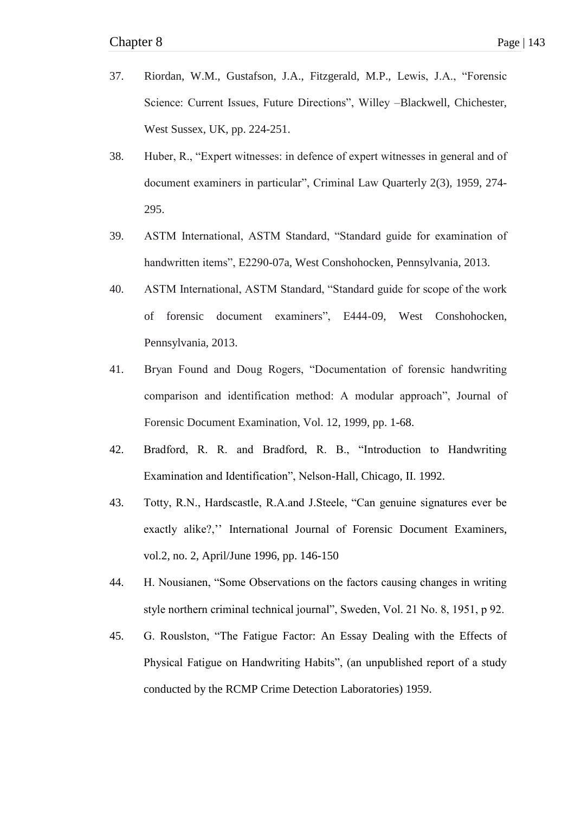- 37. Riordan, W.M., Gustafson, J.A., Fitzgerald, M.P., Lewis, J.A., "Forensic Science: Current Issues, Future Directions", Willey –Blackwell, Chichester, West Sussex, UK, pp. 224-251.
- 38. Huber, R., "Expert witnesses: in defence of expert witnesses in general and of document examiners in particular", Criminal Law Quarterly 2(3), 1959, 274-295.
- 39. ASTM International, ASTM Standard, "Standard guide for examination of handwritten items", E2290-07a, West Conshohocken, Pennsylvania, 2013.
- 40. ASTM International, ASTM Standard, "Standard guide for scope of the work of forensic document examiners", E444-09, West Conshohocken, Pennsylvania, 2013.
- 41. Bryan Found and Doug Rogers, "Documentation of forensic handwriting comparison and identification method: A modular approach", Journal of Forensic Document Examination, Vol. 12, 1999, pp. 1-68.
- 42. Bradford, R. R. and Bradford, R. B., "Introduction to Handwriting Examination and Identification", Nelson-Hall, Chicago, II. 1992.
- 43. Totty, R.N., Hardscastle, R.A.and J.Steele, "Can genuine signatures ever be exactly alike?,'' International Journal of Forensic Document Examiners, vol.2, no. 2, April/June 1996, pp. 146-150
- 44. H. Nousianen, "Some Observations on the factors causing changes in writing style northern criminal technical journal", Sweden, Vol. 21 No. 8, 1951, p 92.
- 45. G. Rouslston, "The Fatigue Factor: An Essay Dealing with the Effects of Physical Fatigue on Handwriting Habits", (an unpublished report of a study conducted by the RCMP Crime Detection Laboratories) 1959.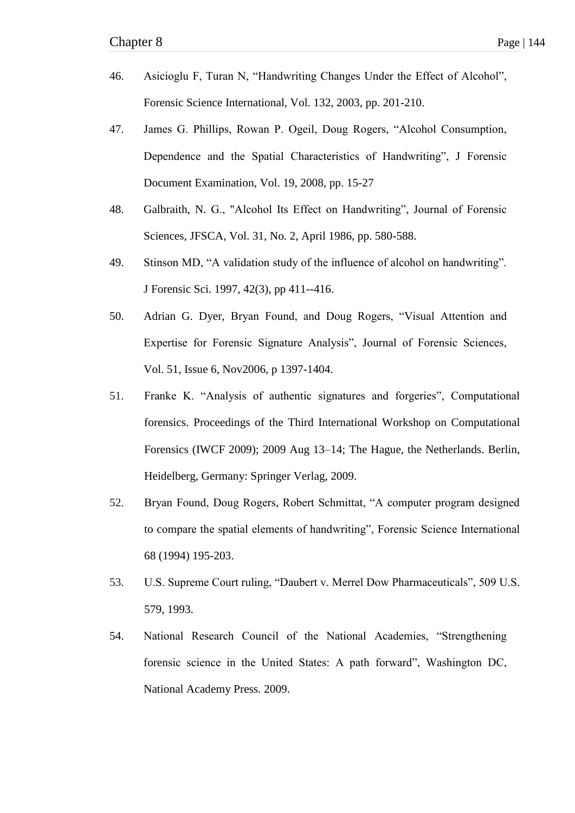- 46. Asicioglu F, Turan N, "Handwriting Changes Under the Effect of Alcohol", Forensic Science International, Vol. 132, 2003, pp. 201-210.
- 47. James G. Phillips, Rowan P. Ogeil, Doug Rogers, "Alcohol Consumption, Dependence and the Spatial Characteristics of Handwriting", J Forensic Document Examination, Vol. 19, 2008, pp. 15-27
- 48. Galbraith, N. G., "Alcohol Its Effect on Handwriting", Journal of Forensic Sciences, JFSCA, Vol. 31, No. 2, April 1986, pp. 580-588.
- 49. Stinson MD, "A validation study of the influence of alcohol on handwriting". J Forensic Sci. 1997, 42(3), pp 411--416.
- 50. Adrian G. Dyer, Bryan Found, and Doug Rogers, "Visual Attention and Expertise for Forensic Signature Analysis", Journal of Forensic Sciences, Vol. 51, Issue 6, Nov2006, p 1397-1404.
- 51. Franke K. "Analysis of authentic signatures and forgeries", Computational forensics. Proceedings of the Third International Workshop on Computational Forensics (IWCF 2009); 2009 Aug 13–14; The Hague, the Netherlands. Berlin, Heidelberg, Germany: Springer Verlag, 2009.
- 52. Bryan Found, Doug Rogers, Robert Schmittat, "A computer program designed to compare the spatial elements of handwriting", Forensic Science International 68 (1994) 195-203.
- 53. U.S. Supreme Court ruling, "Daubert v. Merrel Dow Pharmaceuticals", 509 U.S. 579, 1993.
- 54. National Research Council of the National Academies, "Strengthening forensic science in the United States: A path forward", Washington DC, National Academy Press. 2009.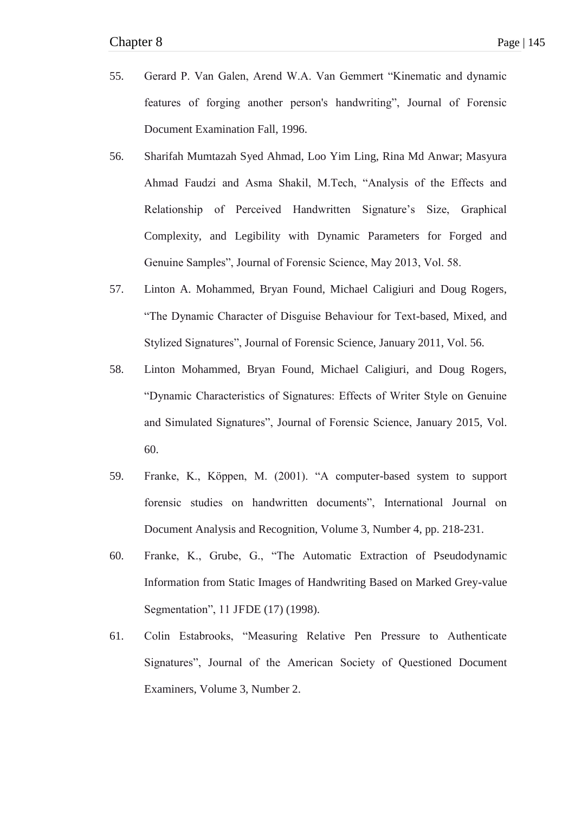- 55. Gerard P. Van Galen, Arend W.A. Van Gemmert "Kinematic and dynamic features of forging another person's handwriting". Journal of Forensic Document Examination Fall, 1996.
- 56. Sharifah Mumtazah Syed Ahmad, Loo Yim Ling, Rina Md Anwar; Masyura Ahmad Faudzi and Asma Shakil, M.Tech, "Analysis of the Effects and Relationship of Perceived Handwritten Signature's Size, Graphical Complexity, and Legibility with Dynamic Parameters for Forged and Genuine Samples", Journal of Forensic Science, May 2013, Vol. 58.
- 57. Linton A. Mohammed, Bryan Found, Michael Caligiuri and Doug Rogers, ―The Dynamic Character of Disguise Behaviour for Text-based, Mixed, and Stylized Signatures", Journal of Forensic Science, January 2011, Vol. 56.
- 58. Linton Mohammed, Bryan Found, Michael Caligiuri, and Doug Rogers, ―Dynamic Characteristics of Signatures: Effects of Writer Style on Genuine and Simulated Signatures", Journal of Forensic Science, January 2015, Vol. 60.
- 59. Franke, K., Köppen, M. (2001). "A computer-based system to support forensic studies on handwritten documents", International Journal on Document Analysis and Recognition, Volume 3, Number 4, pp. 218-231.
- 60. Franke, K., Grube, G., "The Automatic Extraction of Pseudodynamic Information from Static Images of Handwriting Based on Marked Grey-value Segmentation", 11 JFDE (17) (1998).
- 61. Colin Estabrooks, "Measuring Relative Pen Pressure to Authenticate Signatures", Journal of the American Society of Questioned Document Examiners, Volume 3, Number 2.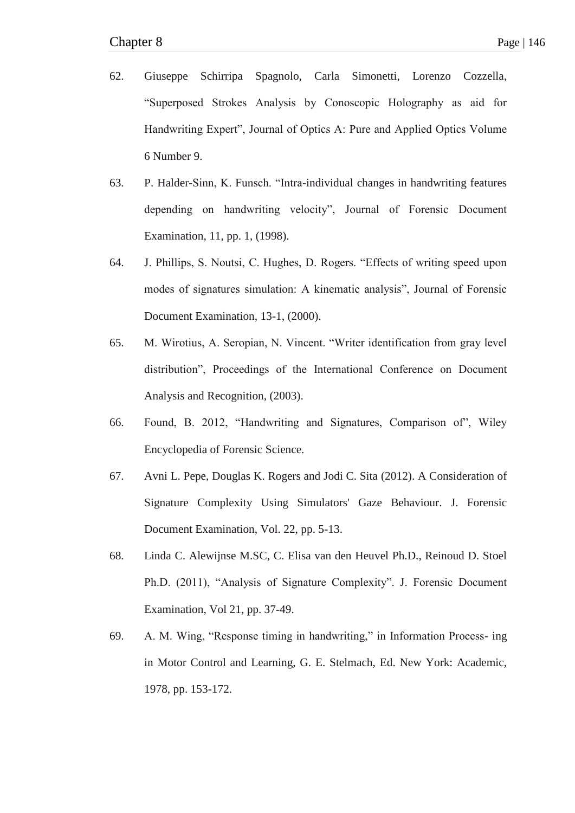- 62. Giuseppe Schirripa Spagnolo, Carla Simonetti, Lorenzo Cozzella, ―Superposed Strokes Analysis by Conoscopic Holography as aid for Handwriting Expert", Journal of Optics A: Pure and Applied Optics Volume 6 Number 9.
- 63. P. Halder-Sinn, K. Funsch. "Intra-individual changes in handwriting features depending on handwriting velocity", Journal of Forensic Document Examination, 11, pp. 1, (1998).
- 64. J. Phillips, S. Noutsi, C. Hughes, D. Rogers. "Effects of writing speed upon modes of signatures simulation: A kinematic analysis", Journal of Forensic Document Examination, 13-1, (2000).
- 65. M. Wirotius, A. Seropian, N. Vincent. "Writer identification from gray level distribution", Proceedings of the International Conference on Document Analysis and Recognition, (2003).
- 66. Found, B. 2012, "Handwriting and Signatures, Comparison of", Wiley Encyclopedia of Forensic Science.
- 67. Avni L. Pepe, Douglas K. Rogers and Jodi C. Sita (2012). A Consideration of Signature Complexity Using Simulators' Gaze Behaviour. J. Forensic Document Examination, Vol. 22, pp. 5-13.
- 68. Linda C. Alewijnse M.SC, C. Elisa van den Heuvel Ph.D., Reinoud D. Stoel Ph.D. (2011), "Analysis of Signature Complexity". J. Forensic Document Examination, Vol 21, pp. 37-49.
- 69. A. M. Wing, "Response timing in handwriting," in Information Process- ing in Motor Control and Learning, G. E. Stelmach, Ed. New York: Academic, 1978, pp. 153-172.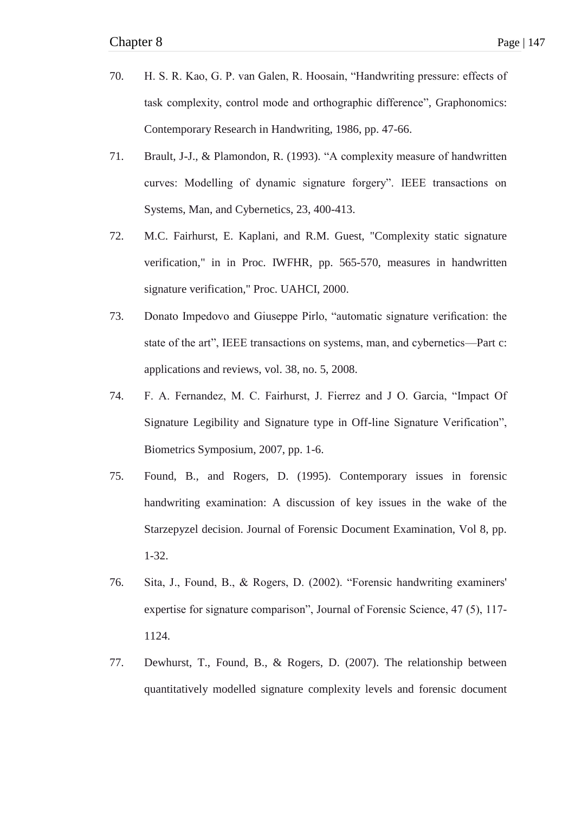- 70. H. S. R. Kao, G. P. van Galen, R. Hoosain, "Handwriting pressure: effects of task complexity, control mode and orthographic difference". Graphonomics: Contemporary Research in Handwriting, 1986, pp. 47-66.
- 71. Brault, J-J., & Plamondon, R. (1993). "A complexity measure of handwritten curves: Modelling of dynamic signature forgery". IEEE transactions on Systems, Man, and Cybernetics, 23, 400-413.
- 72. M.C. Fairhurst, E. Kaplani, and R.M. Guest, "Complexity static signature verification," in in Proc. IWFHR, pp. 565-570, measures in handwritten signature verification," Proc. UAHCI, 2000.
- 73. Donato Impedovo and Giuseppe Pirlo, "automatic signature verification: the state of the art", IEEE transactions on systems, man, and cybernetics—Part c: applications and reviews, vol. 38, no. 5, 2008.
- 74. F. A. Fernandez, M. C. Fairhurst, J. Fierrez and J O. Garcia, "Impact Of Signature Legibility and Signature type in Off-line Signature Verification", Biometrics Symposium, 2007, pp. 1-6.
- 75. Found, B., and Rogers, D. (1995). Contemporary issues in forensic handwriting examination: A discussion of key issues in the wake of the Starzepyzel decision. Journal of Forensic Document Examination, Vol 8, pp. 1-32.
- 76. Sita, J., Found, B., & Rogers, D. (2002). "Forensic handwriting examiners' expertise for signature comparison", Journal of Forensic Science, 47 (5), 117-1124.
- 77. Dewhurst, T., Found, B., & Rogers, D. (2007). The relationship between quantitatively modelled signature complexity levels and forensic document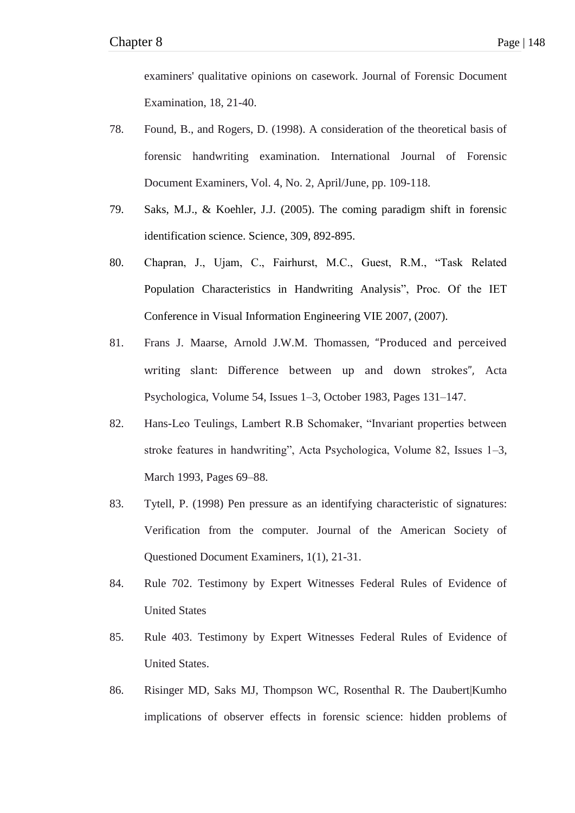examiners' qualitative opinions on casework. Journal of Forensic Document Examination, 18, 21-40.

- 78. Found, B., and Rogers, D. (1998). A consideration of the theoretical basis of forensic handwriting examination. International Journal of Forensic Document Examiners, Vol. 4, No. 2, April/June, pp. 109-118.
- 79. Saks, M.J., & Koehler, J.J. (2005). The coming paradigm shift in forensic identification science. Science, 309, 892-895.
- 80. Chapran, J., Ujam, C., Fairhurst, M.C., Guest, R.M., "Task Related Population Characteristics in Handwriting Analysis", Proc. Of the IET Conference in Visual Information Engineering VIE 2007, (2007).
- 81. Frans J. Maarse, Arnold J.W.M. Thomassen, "Produced and perceived writing slant: Difference between up and down strokes", Acta Psychologica, Volume 54, Issues 1–3, October 1983, Pages 131–147.
- 82. Hans-Leo Teulings, Lambert R.B Schomaker, "Invariant properties between stroke features in handwriting", Acta Psychologica, Volume 82, Issues 1–3, March 1993, Pages 69–88.
- 83. Tytell, P. (1998) Pen pressure as an identifying characteristic of signatures: Verification from the computer. Journal of the American Society of Questioned Document Examiners, 1(1), 21-31.
- 84. Rule 702. Testimony by Expert Witnesses Federal Rules of Evidence of United States
- 85. Rule 403. Testimony by Expert Witnesses Federal Rules of Evidence of United States.
- 86. Risinger MD, Saks MJ, Thompson WC, Rosenthal R. The Daubert|Kumho implications of observer effects in forensic science: hidden problems of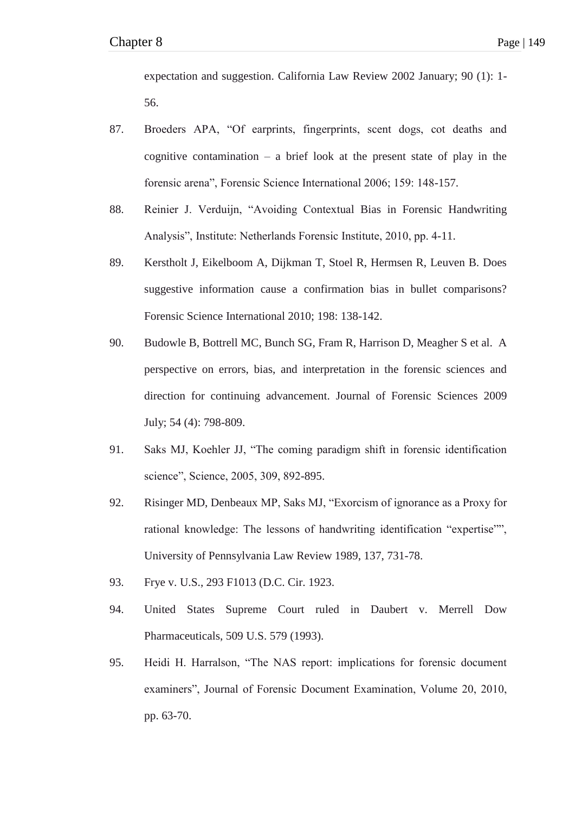expectation and suggestion. California Law Review 2002 January; 90 (1): 1- 56.

- 87. Broeders APA, "Of earprints, fingerprints, scent dogs, cot deaths and cognitive contamination – a brief look at the present state of play in the forensic arena", Forensic Science International 2006; 159: 148-157.
- 88. Reinier J. Verduijn, "Avoiding Contextual Bias in Forensic Handwriting Analysis", Institute: Netherlands Forensic Institute, 2010, pp. 4-11.
- 89. Kerstholt J, Eikelboom A, Dijkman T, Stoel R, Hermsen R, Leuven B. Does suggestive information cause a confirmation bias in bullet comparisons? Forensic Science International 2010; 198: 138-142.
- 90. Budowle B, Bottrell MC, Bunch SG, Fram R, Harrison D, Meagher S et al. A perspective on errors, bias, and interpretation in the forensic sciences and direction for continuing advancement. Journal of Forensic Sciences 2009 July; 54 (4): 798-809.
- 91. Saks MJ, Koehler JJ, "The coming paradigm shift in forensic identification science", Science, 2005, 309, 892-895.
- 92. Risinger MD, Denbeaux MP, Saks MJ, "Exorcism of ignorance as a Proxy for rational knowledge: The lessons of handwriting identification "expertise"", University of Pennsylvania Law Review 1989, 137, 731-78.
- 93. Frye v. U.S., 293 F1013 (D.C. Cir. 1923.
- 94. United States Supreme Court ruled in Daubert v. Merrell Dow Pharmaceuticals, 509 U.S. 579 (1993).
- 95. Heidi H. Harralson, "The NAS report: implications for forensic document examiners", Journal of Forensic Document Examination, Volume 20, 2010, pp. 63-70.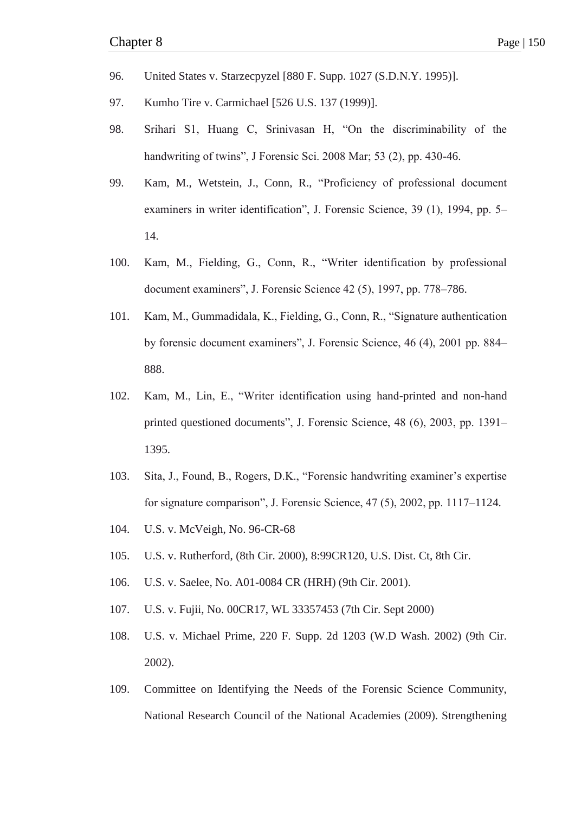- 96. United States v. Starzecpyzel [880 F. Supp. 1027 (S.D.N.Y. 1995)].
- 97. Kumho Tire v. Carmichael [526 U.S. 137 (1999)].
- 98. Srihari S1, Huang C, Srinivasan H, "On the discriminability of the handwriting of twins", J Forensic Sci. 2008 Mar; 53 (2), pp. 430-46.
- 99. Kam, M., Wetstein, J., Conn, R., "Proficiency of professional document examiners in writer identification", J. Forensic Science, 39 (1), 1994, pp. 5– 14.
- 100. Kam, M., Fielding, G., Conn, R., "Writer identification by professional document examiners", J. Forensic Science 42 (5), 1997, pp. 778–786.
- 101. Kam, M., Gummadidala, K., Fielding, G., Conn, R., "Signature authentication by forensic document examiners", J. Forensic Science, 46 (4), 2001 pp. 884– 888.
- 102. Kam, M., Lin, E., "Writer identification using hand-printed and non-hand printed questioned documents", J. Forensic Science, 48 (6), 2003, pp. 1391– 1395.
- 103. Sita, J., Found, B., Rogers, D.K., "Forensic handwriting examiner's expertise for signature comparison", J. Forensic Science,  $47(5)$ ,  $2002$ , pp.  $1117-1124$ .
- 104. U.S. v. McVeigh, No. 96-CR-68
- 105. U.S. v. Rutherford, (8th Cir. 2000), 8:99CR120, U.S. Dist. Ct, 8th Cir.
- 106. U.S. v. Saelee, No. A01-0084 CR (HRH) (9th Cir. 2001).
- 107. U.S. v. Fujii, No. 00CR17, WL 33357453 (7th Cir. Sept 2000)
- 108. U.S. v. Michael Prime, 220 F. Supp. 2d 1203 (W.D Wash. 2002) (9th Cir. 2002).
- 109. Committee on Identifying the Needs of the Forensic Science Community, National Research Council of the National Academies (2009). Strengthening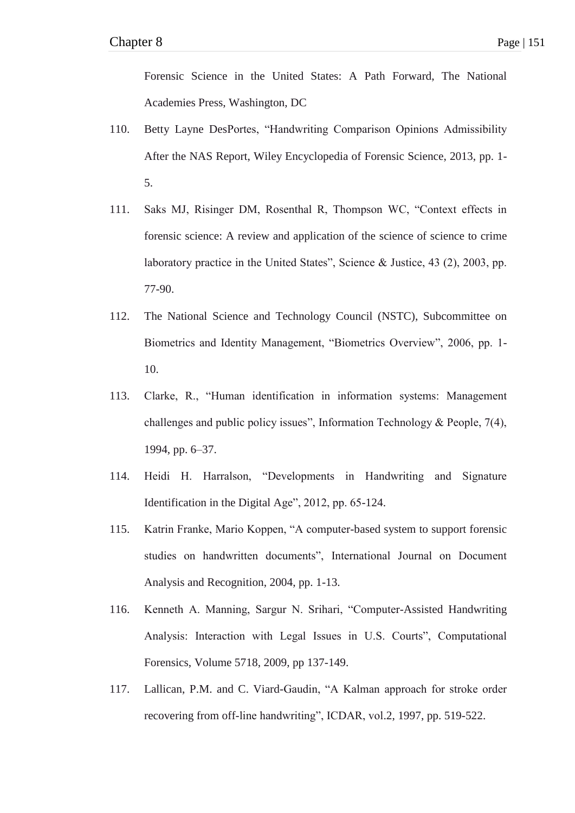Forensic Science in the United States: A Path Forward, The National Academies Press, Washington, DC

- 110. Betty Layne DesPortes, "Handwriting Comparison Opinions Admissibility After the NAS Report, Wiley Encyclopedia of Forensic Science, 2013, pp. 1- 5.
- 111. Saks MJ, Risinger DM, Rosenthal R, Thompson WC, "Context effects in forensic science: A review and application of the science of science to crime laboratory practice in the United States", Science & Justice,  $43$  (2),  $2003$ , pp. 77-90.
- 112. The National Science and Technology Council (NSTC), Subcommittee on Biometrics and Identity Management, "Biometrics Overview", 2006, pp. 1-10.
- 113. Clarke, R., "Human identification in information systems: Management challenges and public policy issues", Information Technology & People,  $7(4)$ , 1994, pp. 6–37.
- 114. Heidi H. Harralson, "Developments in Handwriting and Signature Identification in the Digital Age",  $2012$ , pp. 65-124.
- 115. Katrin Franke, Mario Koppen, "A computer-based system to support forensic studies on handwritten documents", International Journal on Document Analysis and Recognition, 2004, pp. 1-13.
- 116. Kenneth A. Manning, Sargur N. Srihari, "Computer-Assisted Handwriting Analysis: Interaction with Legal Issues in U.S. Courts", Computational Forensics, Volume 5718, 2009, pp 137-149.
- 117. Lallican, P.M. and C. Viard-Gaudin, "A Kalman approach for stroke order recovering from off-line handwriting", ICDAR, vol.2, 1997, pp. 519-522.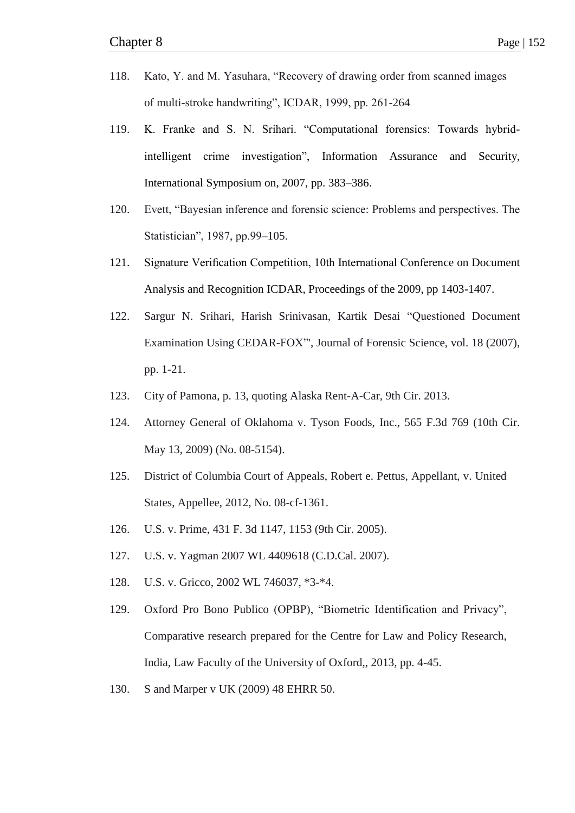- 118. Kato, Y. and M. Yasuhara, "Recovery of drawing order from scanned images of multi-stroke handwriting", ICDAR, 1999, pp. 261-264
- 119. K. Franke and S. N. Srihari. "Computational forensics: Towards hybridintelligent crime investigation", Information Assurance and Security, International Symposium on, 2007, pp. 383–386.
- 120. Evett, "Bayesian inference and forensic science: Problems and perspectives. The Statistician", 1987, pp.99–105.
- 121. Signature Verification Competition, 10th International Conference on Document Analysis and Recognition ICDAR, Proceedings of the 2009, pp 1403-1407.
- 122. Sargur N. Srihari, Harish Srinivasan, Kartik Desai "Questioned Document Examination Using CEDAR-FOX"', Journal of Forensic Science, vol. 18 (2007), pp. 1-21.
- 123. City of Pamona, p. 13, quoting Alaska Rent-A-Car, 9th Cir. 2013.
- 124. Attorney General of Oklahoma v. Tyson Foods, Inc., 565 F.3d 769 (10th Cir. May 13, 2009) (No. 08-5154).
- 125. District of Columbia Court of Appeals, Robert e. Pettus, Appellant, v. United States, Appellee, 2012, No. 08-cf-1361.
- 126. U.S. v. Prime, 431 F. 3d 1147, 1153 (9th Cir. 2005).
- 127. U.S. v. Yagman 2007 WL 4409618 (C.D.Cal. 2007).
- 128. U.S. v. Gricco, 2002 WL 746037, \*3-\*4.
- 129. Oxford Pro Bono Publico (OPBP), "Biometric Identification and Privacy", Comparative research prepared for the Centre for Law and Policy Research, India, Law Faculty of the University of Oxford,, 2013, pp. 4-45.
- 130. S and Marper v UK (2009) 48 EHRR 50.